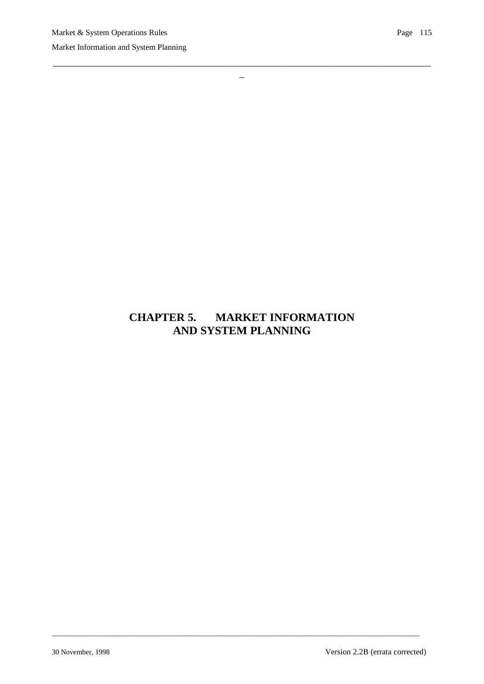Market Information and System Planning

# **CHAPTER 5. MARKET INFORMATION AND SYSTEM PLANNING**

 $\_$  ,  $\_$  ,  $\_$  ,  $\_$  ,  $\_$  ,  $\_$  ,  $\_$  ,  $\_$  ,  $\_$  ,  $\_$  ,  $\_$  ,  $\_$  ,  $\_$  ,  $\_$  ,  $\_$  ,  $\_$  ,  $\_$  ,  $\_$  ,  $\_$  ,  $\_$  ,  $\_$  ,  $\_$  ,  $\_$  ,  $\_$  ,  $\_$  ,  $\_$  ,  $\_$  ,  $\_$  ,  $\_$  ,  $\_$  ,  $\_$  ,  $\_$  ,  $\_$  ,  $\_$  ,  $\_$  ,  $\_$  ,  $\_$  ,

\_\_\_\_\_\_\_\_\_\_\_\_\_\_\_\_\_\_\_\_\_\_\_\_\_\_\_\_\_\_\_\_\_\_\_\_\_\_\_\_\_\_\_\_\_\_\_\_\_\_\_\_\_\_\_\_\_\_\_\_\_\_\_\_\_\_\_\_\_\_\_\_\_\_\_\_  $\overline{a}$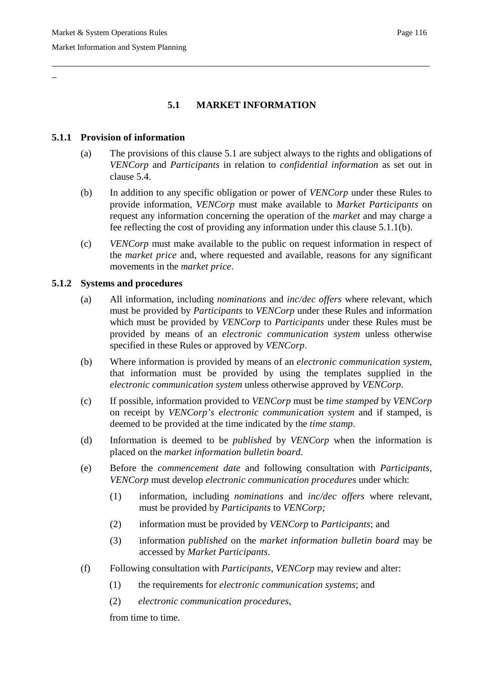\_

# **5.1 MARKET INFORMATION**

\_\_\_\_\_\_\_\_\_\_\_\_\_\_\_\_\_\_\_\_\_\_\_\_\_\_\_\_\_\_\_\_\_\_\_\_\_\_\_\_\_\_\_\_\_\_\_\_\_\_\_\_\_\_\_\_\_\_\_\_\_\_\_\_\_\_\_\_\_\_\_\_\_\_\_\_

# **5.1.1 Provision of information**

- (a) The provisions of this clause 5.1 are subject always to the rights and obligations of *VENCorp* and *Participants* in relation to *confidential information* as set out in clause 5.4.
- (b) In addition to any specific obligation or power of *VENCorp* under these Rules to provide information, *VENCorp* must make available to *Market Participants* on request any information concerning the operation of the *market* and may charge a fee reflecting the cost of providing any information under this clause 5.1.1(b).
- (c) *VENCorp* must make available to the public on request information in respect of the *market price* and, where requested and available, reasons for any significant movements in the *market price*.

## **5.1.2 Systems and procedures**

- (a) All information, including *nominations* and *inc/dec offers* where relevant, which must be provided by *Participants* to *VENCorp* under these Rules and information which must be provided by *VENCorp* to *Participants* under these Rules must be provided by means of an *electronic communication system* unless otherwise specified in these Rules or approved by *VENCorp*.
- (b) Where information is provided by means of an *electronic communication system*, that information must be provided by using the templates supplied in the *electronic communication system* unless otherwise approved by *VENCorp*.
- (c) If possible, information provided to *VENCorp* must be *time stamped* by *VENCorp* on receipt by *VENCorp's electronic communication system* and if stamped, is deemed to be provided at the time indicated by the *time stamp*.
- (d) Information is deemed to be *published* by *VENCorp* when the information is placed on the *market information bulletin board*.
- (e) Before the *commencement date* and following consultation with *Participants, VENCorp* must develop *electronic communication procedures* under which:
	- (1) information, including *nominations* and *inc/dec offers* where relevant, must be provided by *Participants* to *VENCorp;*
	- (2) information must be provided by *VENCorp* to *Participants*; and
	- (3) information *published* on the *market information bulletin board* may be accessed by *Market Participants*.
- (f) Following consultation with *Participants*, *VENCorp* may review and alter:
	- (1) the requirements for *electronic communication systems*; and
	- (2) *electronic communication procedures*,

from time to time.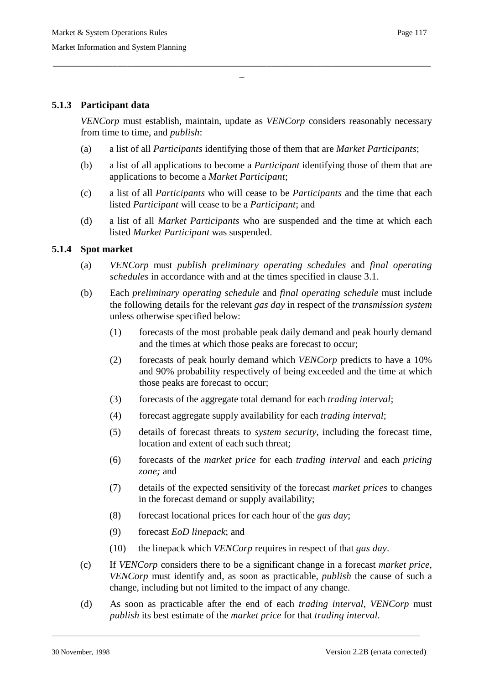## **5.1.3 Participant data**

*VENCorp* must establish, maintain, update as *VENCorp* considers reasonably necessary from time to time, and *publish*:

(a) a list of all *Participants* identifying those of them that are *Market Participants*;

\_\_\_\_\_\_\_\_\_\_\_\_\_\_\_\_\_\_\_\_\_\_\_\_\_\_\_\_\_\_\_\_\_\_\_\_\_\_\_\_\_\_\_\_\_\_\_\_\_\_\_\_\_\_\_\_\_\_\_\_\_\_\_\_\_\_\_\_\_\_\_\_\_\_\_\_ \_

- (b) a list of all applications to become a *Participant* identifying those of them that are applications to become a *Market Participant*;
- (c) a list of all *Participants* who will cease to be *Participants* and the time that each listed *Participant* will cease to be a *Participant*; and
- (d) a list of all *Market Participants* who are suspended and the time at which each listed *Market Participant* was suspended.

### **5.1.4 Spot market**

- (a) *VENCorp* must *publish preliminary operating schedules* and *final operating schedules* in accordance with and at the times specified in clause 3.1.
- (b) Each *preliminary operating schedule* and *final operating schedule* must include the following details for the relevant *gas day* in respect of the *transmission system* unless otherwise specified below:
	- (1) forecasts of the most probable peak daily demand and peak hourly demand and the times at which those peaks are forecast to occur;
	- (2) forecasts of peak hourly demand which *VENCorp* predicts to have a 10% and 90% probability respectively of being exceeded and the time at which those peaks are forecast to occur;
	- (3) forecasts of the aggregate total demand for each *trading interval*;
	- (4) forecast aggregate supply availability for each *trading interval*;
	- (5) details of forecast threats to *system security*, including the forecast time, location and extent of each such threat;
	- (6) forecasts of the *market price* for each *trading interval* and each *pricing zone;* and
	- (7) details of the expected sensitivity of the forecast *market prices* to changes in the forecast demand or supply availability;
	- (8) forecast locational prices for each hour of the *gas day*;
	- (9) forecast *EoD linepack*; and
	- (10) the linepack which *VENCorp* requires in respect of that *gas day*.
- (c) If *VENCorp* considers there to be a significant change in a forecast *market price*, *VENCorp* must identify and, as soon as practicable, *publish* the cause of such a change, including but not limited to the impact of any change.
- (d) As soon as practicable after the end of each *trading interval*, *VENCorp* must *publish* its best estimate of the *market price* for that *trading interval*.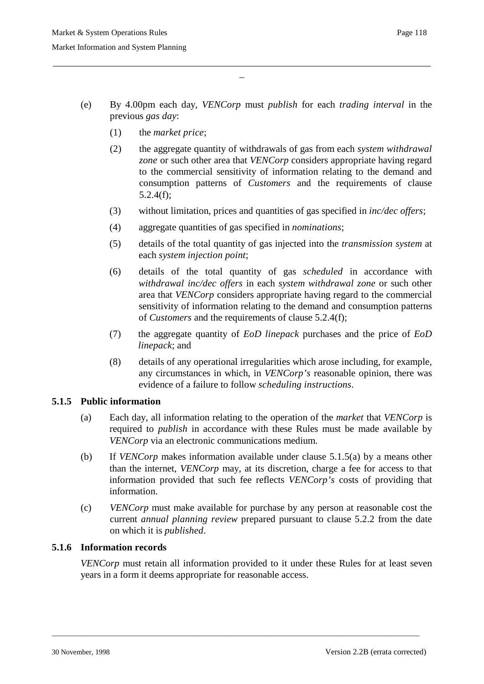\_\_\_\_\_\_\_\_\_\_\_\_\_\_\_\_\_\_\_\_\_\_\_\_\_\_\_\_\_\_\_\_\_\_\_\_\_\_\_\_\_\_\_\_\_\_\_\_\_\_\_\_\_\_\_\_\_\_\_\_\_\_\_\_\_\_\_\_\_\_\_\_\_\_\_\_ \_

- (1) the *market price*;
- (2) the aggregate quantity of withdrawals of gas from each *system withdrawal zone* or such other area that *VENCorp* considers appropriate having regard to the commercial sensitivity of information relating to the demand and consumption patterns of *Customers* and the requirements of clause 5.2.4(f);
- (3) without limitation, prices and quantities of gas specified in *inc/dec offers*;
- (4) aggregate quantities of gas specified in *nominations*;
- (5) details of the total quantity of gas injected into the *transmission system* at each *system injection point*;
- (6) details of the total quantity of gas *scheduled* in accordance with *withdrawal inc/dec offers* in each *system withdrawal zone* or such other area that *VENCorp* considers appropriate having regard to the commercial sensitivity of information relating to the demand and consumption patterns of *Customers* and the requirements of clause 5.2.4(f);
- (7) the aggregate quantity of *EoD linepack* purchases and the price of *EoD linepack*; and
- (8) details of any operational irregularities which arose including, for example, any circumstances in which, in *VENCorp's* reasonable opinion, there was evidence of a failure to follow *scheduling instructions*.

# **5.1.5 Public information**

- (a) Each day, all information relating to the operation of the *market* that *VENCorp* is required to *publish* in accordance with these Rules must be made available by *VENCorp* via an electronic communications medium.
- (b) If *VENCorp* makes information available under clause 5.1.5(a) by a means other than the internet, *VENCorp* may, at its discretion, charge a fee for access to that information provided that such fee reflects *VENCorp's* costs of providing that information.
- (c) *VENCorp* must make available for purchase by any person at reasonable cost the current *annual planning review* prepared pursuant to clause 5.2.2 from the date on which it is *published*.

# **5.1.6 Information records**

*VENCorp* must retain all information provided to it under these Rules for at least seven years in a form it deems appropriate for reasonable access.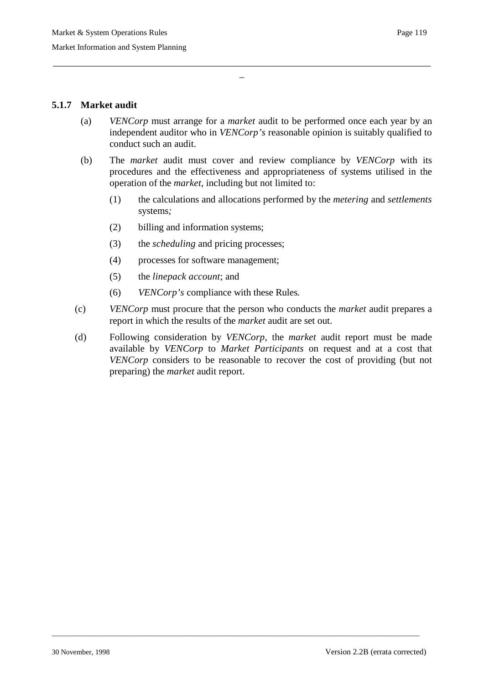## **5.1.7 Market audit**

(a) *VENCorp* must arrange for a *market* audit to be performed once each year by an independent auditor who in *VENCorp's* reasonable opinion is suitably qualified to conduct such an audit.

\_\_\_\_\_\_\_\_\_\_\_\_\_\_\_\_\_\_\_\_\_\_\_\_\_\_\_\_\_\_\_\_\_\_\_\_\_\_\_\_\_\_\_\_\_\_\_\_\_\_\_\_\_\_\_\_\_\_\_\_\_\_\_\_\_\_\_\_\_\_\_\_\_\_\_\_ \_

- (b) The *market* audit must cover and review compliance by *VENCorp* with its procedures and the effectiveness and appropriateness of systems utilised in the operation of the *market*, including but not limited to:
	- (1) the calculations and allocations performed by the *metering* and *settlements*  systems*;*
	- (2) billing and information systems;
	- (3) the *scheduling* and pricing processes;
	- (4) processes for software management;
	- (5) the *linepack account*; and
	- (6) *VENCorp's* compliance with these Rules*.*
- (c) *VENCorp* must procure that the person who conducts the *market* audit prepares a report in which the results of the *market* audit are set out.
- (d) Following consideration by *VENCorp*, the *market* audit report must be made available by *VENCorp* to *Market Participants* on request and at a cost that *VENCorp* considers to be reasonable to recover the cost of providing (but not preparing) the *market* audit report.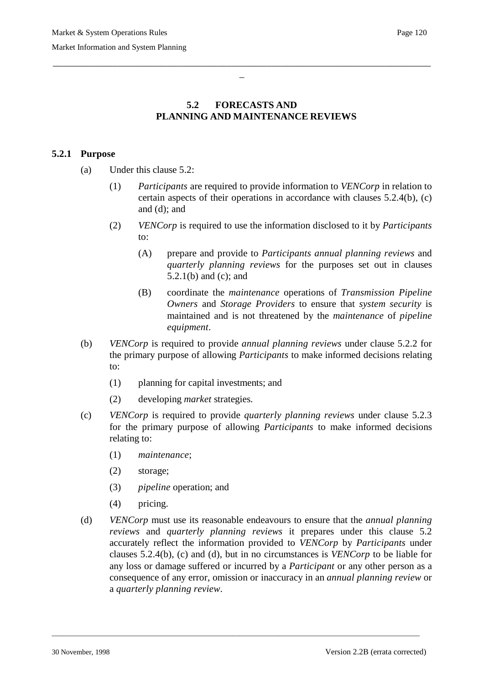# **5.2 FORECASTS AND PLANNING AND MAINTENANCE REVIEWS**

\_\_\_\_\_\_\_\_\_\_\_\_\_\_\_\_\_\_\_\_\_\_\_\_\_\_\_\_\_\_\_\_\_\_\_\_\_\_\_\_\_\_\_\_\_\_\_\_\_\_\_\_\_\_\_\_\_\_\_\_\_\_\_\_\_\_\_\_\_\_\_\_\_\_\_\_ \_

## **5.2.1 Purpose**

- (a) Under this clause 5.2:
	- (1) *Participants* are required to provide information to *VENCorp* in relation to certain aspects of their operations in accordance with clauses 5.2.4(b), (c) and (d); and
	- (2) *VENCorp* is required to use the information disclosed to it by *Participants*  to:
		- (A) prepare and provide to *Participants annual planning reviews* and *quarterly planning reviews* for the purposes set out in clauses 5.2.1(b) and (c); and
		- (B) coordinate the *maintenance* operations of *Transmission Pipeline Owners* and *Storage Providers* to ensure that *system security* is maintained and is not threatened by the *maintenance* of *pipeline equipment*.
- (b) *VENCorp* is required to provide *annual planning reviews* under clause 5.2.2 for the primary purpose of allowing *Participants* to make informed decisions relating to:
	- (1) planning for capital investments; and
	- (2) developing *market* strategies.
- (c) *VENCorp* is required to provide *quarterly planning reviews* under clause 5.2.3 for the primary purpose of allowing *Participants* to make informed decisions relating to:
	- (1) *maintenance*;
	- (2) storage;
	- (3) *pipeline* operation; and
	- (4) pricing.
- (d) *VENCorp* must use its reasonable endeavours to ensure that the *annual planning reviews* and *quarterly planning reviews* it prepares under this clause 5.2 accurately reflect the information provided to *VENCorp* by *Participants* under clauses 5.2.4(b), (c) and (d), but in no circumstances is *VENCorp* to be liable for any loss or damage suffered or incurred by a *Participant* or any other person as a consequence of any error, omission or inaccuracy in an *annual planning review* or a *quarterly planning review*.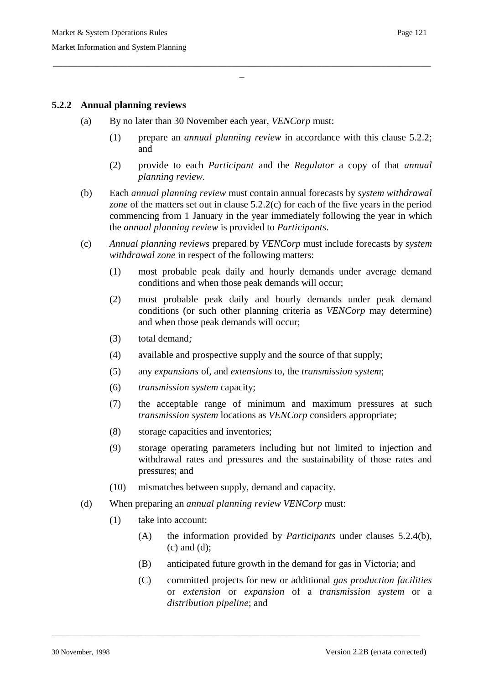### **5.2.2 Annual planning reviews**

- (a) By no later than 30 November each year, *VENCorp* must:
	- (1) prepare an *annual planning review* in accordance with this clause 5.2.2; and
	- (2) provide to each *Participant* and the *Regulator* a copy of that *annual planning review.*
- (b) Each *annual planning review* must contain annual forecasts by *system withdrawal zone* of the matters set out in clause 5.2.2(c) for each of the five years in the period commencing from 1 January in the year immediately following the year in which the *annual planning review* is provided to *Participants*.

\_\_\_\_\_\_\_\_\_\_\_\_\_\_\_\_\_\_\_\_\_\_\_\_\_\_\_\_\_\_\_\_\_\_\_\_\_\_\_\_\_\_\_\_\_\_\_\_\_\_\_\_\_\_\_\_\_\_\_\_\_\_\_\_\_\_\_\_\_\_\_\_\_\_\_\_ \_

- (c) *Annual planning reviews* prepared by *VENCorp* must include forecasts by *system withdrawal zone* in respect of the following matters:
	- (1) most probable peak daily and hourly demands under average demand conditions and when those peak demands will occur;
	- (2) most probable peak daily and hourly demands under peak demand conditions (or such other planning criteria as *VENCorp* may determine) and when those peak demands will occur;
	- (3) total demand*;*
	- (4) available and prospective supply and the source of that supply;
	- (5) any *expansions* of, and *extensions* to, the *transmission system*;
	- (6) *transmission system* capacity;
	- (7) the acceptable range of minimum and maximum pressures at such *transmission system* locations as *VENCorp* considers appropriate;
	- (8) storage capacities and inventories;
	- (9) storage operating parameters including but not limited to injection and withdrawal rates and pressures and the sustainability of those rates and pressures; and
	- (10) mismatches between supply, demand and capacity*.*

- (d) When preparing an *annual planning review VENCorp* must:
	- (1) take into account:
		- (A) the information provided by *Participants* under clauses 5.2.4(b), (c) and (d);
		- (B) anticipated future growth in the demand for gas in Victoria; and
		- (C) committed projects for new or additional *gas production facilities*  or *extension* or *expansion* of a *transmission system* or a *distribution pipeline*; and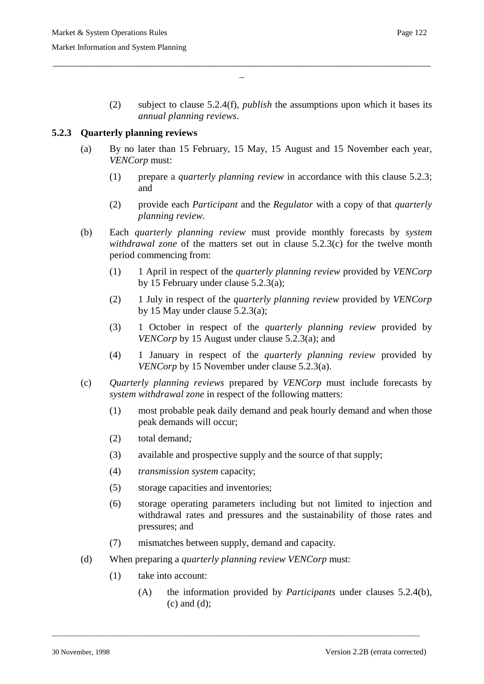## **5.2.3 Quarterly planning reviews**

(a) By no later than 15 February, 15 May, 15 August and 15 November each year, *VENCorp* must:

\_\_\_\_\_\_\_\_\_\_\_\_\_\_\_\_\_\_\_\_\_\_\_\_\_\_\_\_\_\_\_\_\_\_\_\_\_\_\_\_\_\_\_\_\_\_\_\_\_\_\_\_\_\_\_\_\_\_\_\_\_\_\_\_\_\_\_\_\_\_\_\_\_\_\_\_ \_

- (1) prepare a *quarterly planning review* in accordance with this clause 5.2.3; and
- (2) provide each *Participant* and the *Regulator* with a copy of that *quarterly planning review.*
- (b) Each *quarterly planning review* must provide monthly forecasts by *system withdrawal zone* of the matters set out in clause 5.2.3(c) for the twelve month period commencing from:
	- (1) 1 April in respect of the *quarterly planning review* provided by *VENCorp*  by 15 February under clause 5.2.3(a);
	- (2) 1 July in respect of the *quarterly planning review* provided by *VENCorp*  by 15 May under clause 5.2.3(a);
	- (3) 1 October in respect of the *quarterly planning review* provided by *VENCorp* by 15 August under clause 5.2.3(a); and
	- (4) 1 January in respect of the *quarterly planning review* provided by *VENCorp* by 15 November under clause 5.2.3(a).
- (c) *Quarterly planning reviews* prepared by *VENCorp* must include forecasts by *system withdrawal zone* in respect of the following matters:
	- (1) most probable peak daily demand and peak hourly demand and when those peak demands will occur;
	- (2) total demand*;*
	- (3) available and prospective supply and the source of that supply;
	- (4) *transmission system* capacity;
	- (5) storage capacities and inventories;
	- (6) storage operating parameters including but not limited to injection and withdrawal rates and pressures and the sustainability of those rates and pressures; and
	- (7) mismatches between supply*,* demand and capacity*.*

- (d) When preparing a *quarterly planning review VENCorp* must:
	- (1) take into account:
		- (A) the information provided by *Participants* under clauses 5.2.4(b), (c) and (d);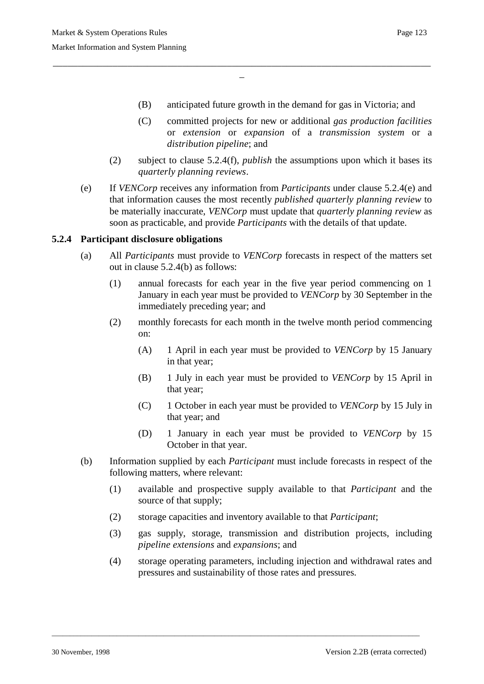- (B) anticipated future growth in the demand for gas in Victoria; and
- (C) committed projects for new or additional *gas production facilities*  or *extension* or *expansion* of a *transmission system* or a *distribution pipeline*; and
- (2) subject to clause 5.2.4(f), *publish* the assumptions upon which it bases its *quarterly planning reviews*.
- (e) If *VENCorp* receives any information from *Participants* under clause 5.2.4(e) and that information causes the most recently *published quarterly planning review* to be materially inaccurate, *VENCorp* must update that *quarterly planning review* as soon as practicable, and provide *Participants* with the details of that update.

\_\_\_\_\_\_\_\_\_\_\_\_\_\_\_\_\_\_\_\_\_\_\_\_\_\_\_\_\_\_\_\_\_\_\_\_\_\_\_\_\_\_\_\_\_\_\_\_\_\_\_\_\_\_\_\_\_\_\_\_\_\_\_\_\_\_\_\_\_\_\_\_\_\_\_\_ \_

## **5.2.4 Participant disclosure obligations**

- (a) All *Participants* must provide to *VENCorp* forecasts in respect of the matters set out in clause 5.2.4(b) as follows:
	- (1) annual forecasts for each year in the five year period commencing on 1 January in each year must be provided to *VENCorp* by 30 September in the immediately preceding year; and
	- (2) monthly forecasts for each month in the twelve month period commencing on:
		- (A) 1 April in each year must be provided to *VENCorp* by 15 January in that year;
		- (B) 1 July in each year must be provided to *VENCorp* by 15 April in that year;
		- (C) 1 October in each year must be provided to *VENCorp* by 15 July in that year; and
		- (D) 1 January in each year must be provided to *VENCorp* by 15 October in that year.
- (b) Information supplied by each *Participant* must include forecasts in respect of the following matters, where relevant:
	- (1) available and prospective supply available to that *Participant* and the source of that supply;
	- (2) storage capacities and inventory available to that *Participant*;

- (3) gas supply, storage, transmission and distribution projects, including *pipeline extensions* and *expansions*; and
- (4) storage operating parameters, including injection and withdrawal rates and pressures and sustainability of those rates and pressures.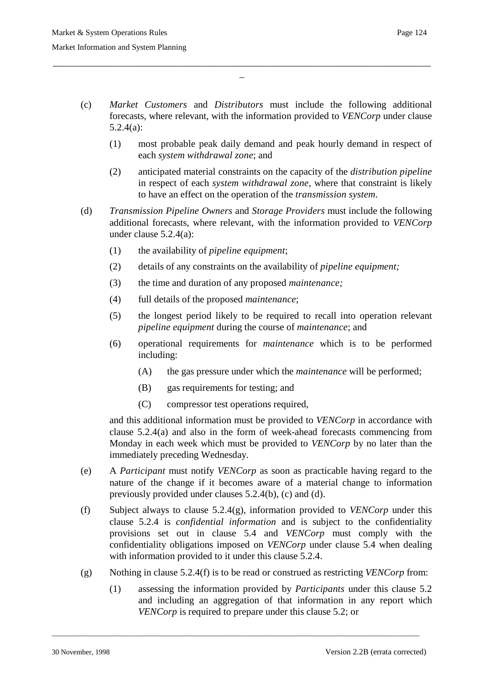(c) *Market Customers* and *Distributors* must include the following additional forecasts, where relevant, with the information provided to *VENCorp* under clause 5.2.4(a):

\_\_\_\_\_\_\_\_\_\_\_\_\_\_\_\_\_\_\_\_\_\_\_\_\_\_\_\_\_\_\_\_\_\_\_\_\_\_\_\_\_\_\_\_\_\_\_\_\_\_\_\_\_\_\_\_\_\_\_\_\_\_\_\_\_\_\_\_\_\_\_\_\_\_\_\_ \_

- (1) most probable peak daily demand and peak hourly demand in respect of each *system withdrawal zone*; and
- (2) anticipated material constraints on the capacity of the *distribution pipeline* in respect of each *system withdrawal zone,* where that constraint is likely to have an effect on the operation of the *transmission system*.
- (d) *Transmission Pipeline Owners* and *Storage Providers* must include the following additional forecasts, where relevant, with the information provided to *VENCorp*  under clause 5.2.4(a):
	- (1) the availability of *pipeline equipment*;
	- (2) details of any constraints on the availability of *pipeline equipment;*
	- (3) the time and duration of any proposed *maintenance;*
	- (4) full details of the proposed *maintenance*;
	- (5) the longest period likely to be required to recall into operation relevant *pipeline equipment* during the course of *maintenance*; and
	- (6) operational requirements for *maintenance* which is to be performed including:
		- (A) the gas pressure under which the *maintenance* will be performed;
		- (B) gas requirements for testing; and
		- (C) compressor test operations required,

and this additional information must be provided to *VENCorp* in accordance with clause 5.2.4(a) and also in the form of week-ahead forecasts commencing from Monday in each week which must be provided to *VENCorp* by no later than the immediately preceding Wednesday.

- (e) A *Participant* must notify *VENCorp* as soon as practicable having regard to the nature of the change if it becomes aware of a material change to information previously provided under clauses 5.2.4(b), (c) and (d).
- (f) Subject always to clause 5.2.4(g), information provided to *VENCorp* under this clause 5.2.4 is *confidential information* and is subject to the confidentiality provisions set out in clause 5.4 and *VENCorp* must comply with the confidentiality obligations imposed on *VENCorp* under clause 5.4 when dealing with information provided to it under this clause 5.2.4.
- (g) Nothing in clause 5.2.4(f) is to be read or construed as restricting *VENCorp* from:

 $\_$  ,  $\_$  ,  $\_$  ,  $\_$  ,  $\_$  ,  $\_$  ,  $\_$  ,  $\_$  ,  $\_$  ,  $\_$  ,  $\_$  ,  $\_$  ,  $\_$  ,  $\_$  ,  $\_$  ,  $\_$  ,  $\_$  ,  $\_$  ,  $\_$  ,  $\_$  ,  $\_$  ,  $\_$  ,  $\_$  ,  $\_$  ,  $\_$  ,  $\_$  ,  $\_$  ,  $\_$  ,  $\_$  ,  $\_$  ,  $\_$  ,  $\_$  ,  $\_$  ,  $\_$  ,  $\_$  ,  $\_$  ,  $\_$  ,

(1) assessing the information provided by *Participants* under this clause 5.2 and including an aggregation of that information in any report which *VENCorp* is required to prepare under this clause 5.2; or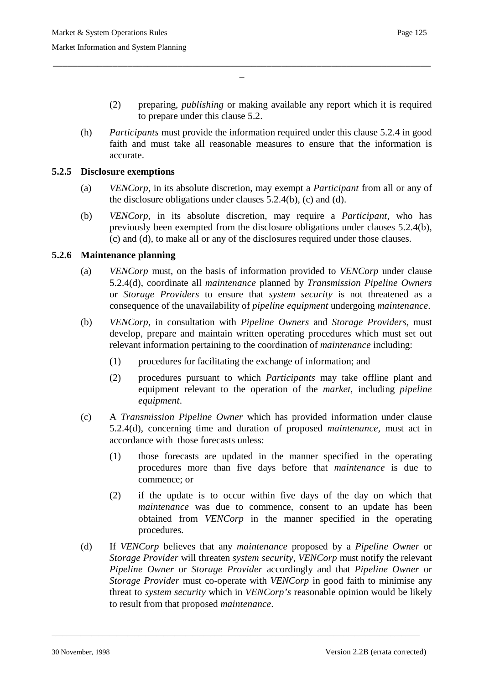- (2) preparing, *publishing* or making available any report which it is required to prepare under this clause 5.2.
- (h) *Participants* must provide the information required under this clause 5.2.4 in good faith and must take all reasonable measures to ensure that the information is accurate.

\_\_\_\_\_\_\_\_\_\_\_\_\_\_\_\_\_\_\_\_\_\_\_\_\_\_\_\_\_\_\_\_\_\_\_\_\_\_\_\_\_\_\_\_\_\_\_\_\_\_\_\_\_\_\_\_\_\_\_\_\_\_\_\_\_\_\_\_\_\_\_\_\_\_\_\_ \_

## **5.2.5 Disclosure exemptions**

- (a) *VENCorp,* in its absolute discretion, may exempt a *Participant* from all or any of the disclosure obligations under clauses 5.2.4(b), (c) and (d).
- (b) *VENCorp,* in its absolute discretion, may require a *Participant,* who has previously been exempted from the disclosure obligations under clauses 5.2.4(b), (c) and (d), to make all or any of the disclosures required under those clauses.

## **5.2.6 Maintenance planning**

- (a) *VENCorp* must, on the basis of information provided to *VENCorp* under clause 5.2.4(d), coordinate all *maintenance* planned by *Transmission Pipeline Owners*  or *Storage Providers* to ensure that *system security* is not threatened as a consequence of the unavailability of *pipeline equipment* undergoing *maintenance*.
- (b) *VENCorp*, in consultation with *Pipeline Owners* and *Storage Providers,* must develop, prepare and maintain written operating procedures which must set out relevant information pertaining to the coordination of *maintenance* including:
	- (1) procedures for facilitating the exchange of information; and
	- (2) procedures pursuant to which *Participants* may take offline plant and equipment relevant to the operation of the *market,* including *pipeline equipment*.
- (c) A *Transmission Pipeline Owner* which has provided information under clause 5.2.4(d), concerning time and duration of proposed *maintenance,* must act in accordance with those forecasts unless:
	- (1) those forecasts are updated in the manner specified in the operating procedures more than five days before that *maintenance* is due to commence; or
	- (2) if the update is to occur within five days of the day on which that *maintenance* was due to commence, consent to an update has been obtained from *VENCorp* in the manner specified in the operating procedures.
- (d) If *VENCorp* believes that any *maintenance* proposed by a *Pipeline Owner* or *Storage Provider* will threaten *system security*, *VENCorp* must notify the relevant *Pipeline Owner* or *Storage Provider* accordingly and that *Pipeline Owner* or *Storage Provider* must co-operate with *VENCorp* in good faith to minimise any threat to *system security* which in *VENCorp's* reasonable opinion would be likely to result from that proposed *maintenance*.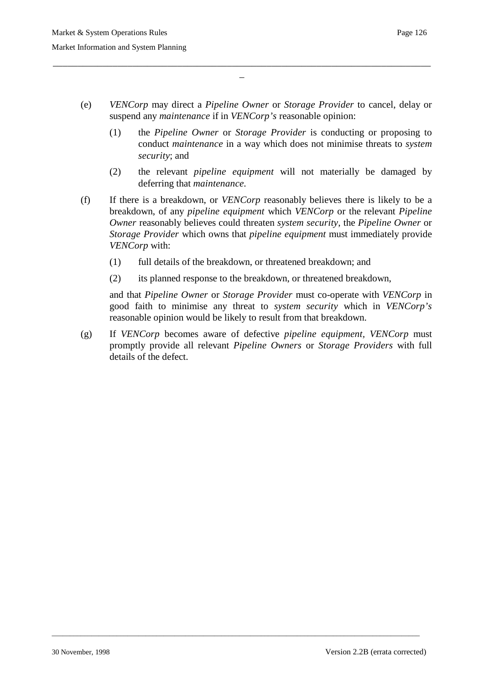(e) *VENCorp* may direct a *Pipeline Owner* or *Storage Provider* to cancel, delay or suspend any *maintenance* if in *VENCorp's* reasonable opinion:

\_\_\_\_\_\_\_\_\_\_\_\_\_\_\_\_\_\_\_\_\_\_\_\_\_\_\_\_\_\_\_\_\_\_\_\_\_\_\_\_\_\_\_\_\_\_\_\_\_\_\_\_\_\_\_\_\_\_\_\_\_\_\_\_\_\_\_\_\_\_\_\_\_\_\_\_ \_

- (1) the *Pipeline Owner* or *Storage Provider* is conducting or proposing to conduct *maintenance* in a way which does not minimise threats to *system security*; and
- (2) the relevant *pipeline equipment* will not materially be damaged by deferring that *maintenance.*
- (f) If there is a breakdown, or *VENCorp* reasonably believes there is likely to be a breakdown, of any *pipeline equipment* which *VENCorp* or the relevant *Pipeline Owner* reasonably believes could threaten *system security*, the *Pipeline Owner* or *Storage Provider* which owns that *pipeline equipment* must immediately provide *VENCorp* with:
	- (1) full details of the breakdown, or threatened breakdown; and
	- (2) its planned response to the breakdown, or threatened breakdown,

and that *Pipeline Owner* or *Storage Provider* must co-operate with *VENCorp* in good faith to minimise any threat to *system security* which in *VENCorp's* reasonable opinion would be likely to result from that breakdown.

(g) If *VENCorp* becomes aware of defective *pipeline equipment, VENCorp* must promptly provide all relevant *Pipeline Owners* or *Storage Providers* with full details of the defect.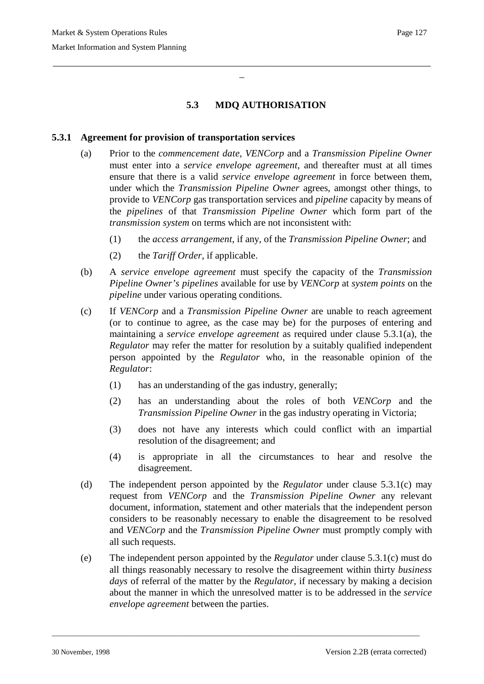# **5.3 MDQ AUTHORISATION**

\_\_\_\_\_\_\_\_\_\_\_\_\_\_\_\_\_\_\_\_\_\_\_\_\_\_\_\_\_\_\_\_\_\_\_\_\_\_\_\_\_\_\_\_\_\_\_\_\_\_\_\_\_\_\_\_\_\_\_\_\_\_\_\_\_\_\_\_\_\_\_\_\_\_\_\_ \_

## **5.3.1 Agreement for provision of transportation services**

- (a) Prior to the *commencement date*, *VENCorp* and a *Transmission Pipeline Owner*  must enter into a *service envelope agreement*, and thereafter must at all times ensure that there is a valid *service envelope agreement* in force between them, under which the *Transmission Pipeline Owner* agrees, amongst other things, to provide to *VENCorp* gas transportation services and *pipeline* capacity by means of the *pipelines* of that *Transmission Pipeline Owner* which form part of the *transmission system* on terms which are not inconsistent with:
	- (1) the *access arrangement*, if any, of the *Transmission Pipeline Owner*; and
	- (2) the *Tariff Order*, if applicable.
- (b) A *service envelope agreement* must specify the capacity of the *Transmission Pipeline Owner's pipelines* available for use by *VENCorp* at *system points* on the *pipeline* under various operating conditions.
- (c) If *VENCorp* and a *Transmission Pipeline Owner* are unable to reach agreement (or to continue to agree, as the case may be) for the purposes of entering and maintaining a *service envelope agreement* as required under clause 5.3.1(a), the *Regulator* may refer the matter for resolution by a suitably qualified independent person appointed by the *Regulator* who, in the reasonable opinion of the *Regulator*:
	- (1) has an understanding of the gas industry, generally;
	- (2) has an understanding about the roles of both *VENCorp* and the *Transmission Pipeline Owner* in the gas industry operating in Victoria;
	- (3) does not have any interests which could conflict with an impartial resolution of the disagreement; and
	- (4) is appropriate in all the circumstances to hear and resolve the disagreement.
- (d) The independent person appointed by the *Regulator* under clause 5.3.1(c) may request from *VENCorp* and the *Transmission Pipeline Owner* any relevant document, information, statement and other materials that the independent person considers to be reasonably necessary to enable the disagreement to be resolved and *VENCorp* and the *Transmission Pipeline Owner* must promptly comply with all such requests.
- (e) The independent person appointed by the *Regulator* under clause 5.3.1(c) must do all things reasonably necessary to resolve the disagreement within thirty *business days* of referral of the matter by the *Regulator*, if necessary by making a decision about the manner in which the unresolved matter is to be addressed in the *service envelope agreement* between the parties.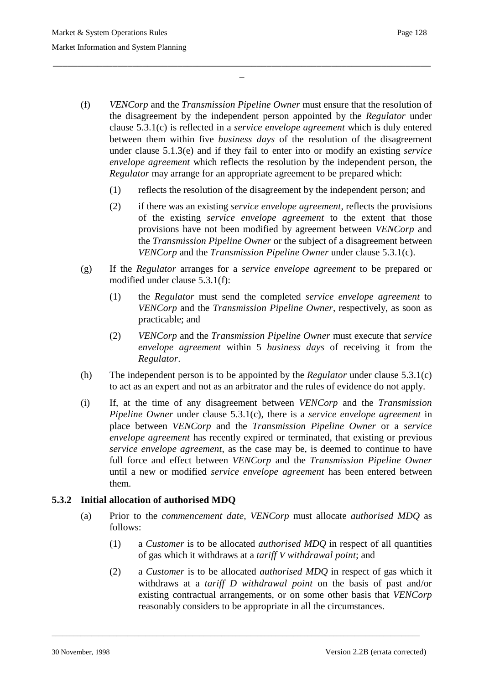(f) *VENCorp* and the *Transmission Pipeline Owner* must ensure that the resolution of the disagreement by the independent person appointed by the *Regulator* under clause 5.3.1(c) is reflected in a *service envelope agreement* which is duly entered between them within five *business days* of the resolution of the disagreement under clause 5.1.3(e) and if they fail to enter into or modify an existing *service envelope agreement* which reflects the resolution by the independent person, the *Regulator* may arrange for an appropriate agreement to be prepared which:

\_\_\_\_\_\_\_\_\_\_\_\_\_\_\_\_\_\_\_\_\_\_\_\_\_\_\_\_\_\_\_\_\_\_\_\_\_\_\_\_\_\_\_\_\_\_\_\_\_\_\_\_\_\_\_\_\_\_\_\_\_\_\_\_\_\_\_\_\_\_\_\_\_\_\_\_ \_

- (1) reflects the resolution of the disagreement by the independent person; and
- (2) if there was an existing *service envelope agreement*, reflects the provisions of the existing *service envelope agreement* to the extent that those provisions have not been modified by agreement between *VENCorp* and the *Transmission Pipeline Owner* or the subject of a disagreement between *VENCorp* and the *Transmission Pipeline Owner* under clause 5.3.1(c).
- (g) If the *Regulator* arranges for a *service envelope agreement* to be prepared or modified under clause 5.3.1(f):
	- (1) the *Regulator* must send the completed *service envelope agreement* to *VENCorp* and the *Transmission Pipeline Owner*, respectively, as soon as practicable; and
	- (2) *VENCorp* and the *Transmission Pipeline Owner* must execute that *service envelope agreement* within 5 *business days* of receiving it from the *Regulator*.
- (h) The independent person is to be appointed by the *Regulator* under clause 5.3.1(c) to act as an expert and not as an arbitrator and the rules of evidence do not apply.
- (i) If, at the time of any disagreement between *VENCorp* and the *Transmission Pipeline Owner* under clause 5.3.1(c), there is a *service envelope agreement* in place between *VENCorp* and the *Transmission Pipeline Owner* or a *service envelope agreement* has recently expired or terminated, that existing or previous *service envelope agreement*, as the case may be, is deemed to continue to have full force and effect between *VENCorp* and the *Transmission Pipeline Owner*  until a new or modified *service envelope agreement* has been entered between them.

# **5.3.2 Initial allocation of authorised MDQ**

(a) Prior to the *commencement date, VENCorp* must allocate *authorised MDQ* as follows:

- (1) a *Customer* is to be allocated *authorised MDQ* in respect of all quantities of gas which it withdraws at a *tariff V withdrawal point*; and
- (2) a *Customer* is to be allocated *authorised MDQ* in respect of gas which it withdraws at a *tariff D withdrawal point* on the basis of past and/or existing contractual arrangements, or on some other basis that *VENCorp*  reasonably considers to be appropriate in all the circumstances.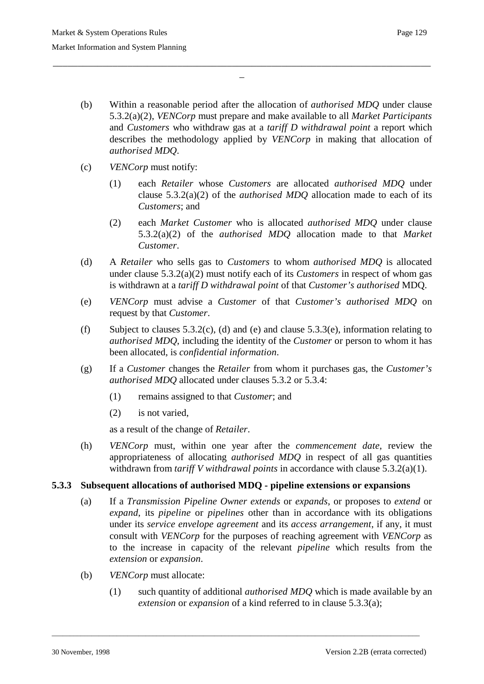(b) Within a reasonable period after the allocation of *authorised MDQ* under clause 5.3.2(a)(2), *VENCorp* must prepare and make available to all *Market Participants* and *Customers* who withdraw gas at a *tariff D withdrawal point* a report which describes the methodology applied by *VENCorp* in making that allocation of *authorised MDQ*.

\_\_\_\_\_\_\_\_\_\_\_\_\_\_\_\_\_\_\_\_\_\_\_\_\_\_\_\_\_\_\_\_\_\_\_\_\_\_\_\_\_\_\_\_\_\_\_\_\_\_\_\_\_\_\_\_\_\_\_\_\_\_\_\_\_\_\_\_\_\_\_\_\_\_\_\_ \_

- (c) *VENCorp* must notify:
	- (1) each *Retailer* whose *Customers* are allocated *authorised MDQ* under clause 5.3.2(a)(2) of the *authorised MDQ* allocation made to each of its *Customers*; and
	- (2) each *Market Customer* who is allocated *authorised MDQ* under clause 5.3.2(a)(2) of the *authorised MDQ* allocation made to that *Market Customer*.
- (d) A *Retailer* who sells gas to *Customers* to whom *authorised MDQ* is allocated under clause 5.3.2(a)(2) must notify each of its *Customers* in respect of whom gas is withdrawn at a *tariff D withdrawal point* of that *Customer's authorised* MDQ.
- (e) *VENCorp* must advise a *Customer* of that *Customer's authorised MDQ* on request by that *Customer*.
- (f) Subject to clauses  $5.3.2(c)$ , (d) and (e) and clause  $5.3.3(e)$ , information relating to *authorised MDQ*, including the identity of the *Customer* or person to whom it has been allocated, is *confidential information*.
- (g) If a *Customer* changes the *Retailer* from whom it purchases gas, the *Customer's authorised MDQ* allocated under clauses 5.3.2 or 5.3.4:
	- (1) remains assigned to that *Customer*; and
	- (2) is not varied,

as a result of the change of *Retailer*.

(h) *VENCorp* must, within one year after the *commencement date*, review the appropriateness of allocating *authorised MDQ* in respect of all gas quantities withdrawn from *tariff V withdrawal points* in accordance with clause 5.3.2(a)(1).

## **5.3.3 Subsequent allocations of authorised MDQ - pipeline extensions or expansions**

- (a) If a *Transmission Pipeline Owner extends* or *expands*, or proposes to *extend* or *expand*, its *pipeline* or *pipelines* other than in accordance with its obligations under its *service envelope agreement* and its *access arrangement*, if any, it must consult with *VENCorp* for the purposes of reaching agreement with *VENCorp* as to the increase in capacity of the relevant *pipeline* which results from the *extension* or *expansion*.
- (b) *VENCorp* must allocate:
	- (1) such quantity of additional *authorised MDQ* which is made available by an *extension* or *expansion* of a kind referred to in clause 5.3.3(a);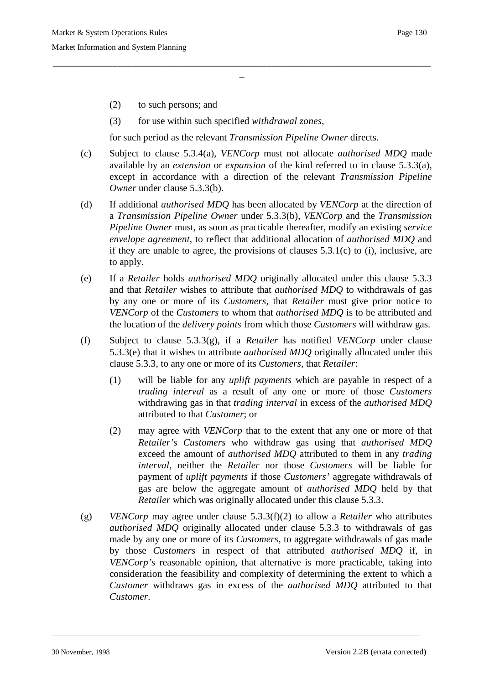- (2) to such persons; and
- (3) for use within such specified *withdrawal zones*,

for such period as the relevant *Transmission Pipeline Owner* directs.

\_\_\_\_\_\_\_\_\_\_\_\_\_\_\_\_\_\_\_\_\_\_\_\_\_\_\_\_\_\_\_\_\_\_\_\_\_\_\_\_\_\_\_\_\_\_\_\_\_\_\_\_\_\_\_\_\_\_\_\_\_\_\_\_\_\_\_\_\_\_\_\_\_\_\_\_ \_

- (c) Subject to clause 5.3.4(a), *VENCorp* must not allocate *authorised MDQ* made available by an *extension* or *expansion* of the kind referred to in clause 5.3.3(a), except in accordance with a direction of the relevant *Transmission Pipeline Owner* under clause 5.3.3(b).
- (d) If additional *authorised MDQ* has been allocated by *VENCorp* at the direction of a *Transmission Pipeline Owner* under 5.3.3(b), *VENCorp* and the *Transmission Pipeline Owner* must, as soon as practicable thereafter, modify an existing *service envelope agreement*, to reflect that additional allocation of *authorised MDQ* and if they are unable to agree, the provisions of clauses  $5.3.1(c)$  to (i), inclusive, are to apply.
- (e) If a *Retailer* holds *authorised MDQ* originally allocated under this clause 5.3.3 and that *Retailer* wishes to attribute that *authorised MDQ* to withdrawals of gas by any one or more of its *Customers*, that *Retailer* must give prior notice to *VENCorp* of the *Customers* to whom that *authorised MDQ* is to be attributed and the location of the *delivery points* from which those *Customers* will withdraw gas.
- (f) Subject to clause 5.3.3(g), if a *Retailer* has notified *VENCorp* under clause 5.3.3(e) that it wishes to attribute *authorised MDQ* originally allocated under this clause 5.3.3, to any one or more of its *Customers*, that *Retailer*:
	- (1) will be liable for any *uplift payments* which are payable in respect of a *trading interval* as a result of any one or more of those *Customers* withdrawing gas in that *trading interval* in excess of the *authorised MDQ*  attributed to that *Customer*; or
	- (2) may agree with *VENCorp* that to the extent that any one or more of that *Retailer's Customers* who withdraw gas using that *authorised MDQ* exceed the amount of *authorised MDQ* attributed to them in any *trading interval*, neither the *Retailer* nor those *Customers* will be liable for payment of *uplift payments* if those *Customers'* aggregate withdrawals of gas are below the aggregate amount of *authorised MDQ* held by that *Retailer* which was originally allocated under this clause 5.3.3.
- (g) *VENCorp* may agree under clause 5.3.3(f)(2) to allow a *Retailer* who attributes *authorised MDQ* originally allocated under clause 5.3.3 to withdrawals of gas made by any one or more of its *Customers*, to aggregate withdrawals of gas made by those *Customers* in respect of that attributed *authorised MDQ* if, in *VENCorp's* reasonable opinion, that alternative is more practicable, taking into consideration the feasibility and complexity of determining the extent to which a *Customer* withdraws gas in excess of the *authorised MDQ* attributed to that *Customer*.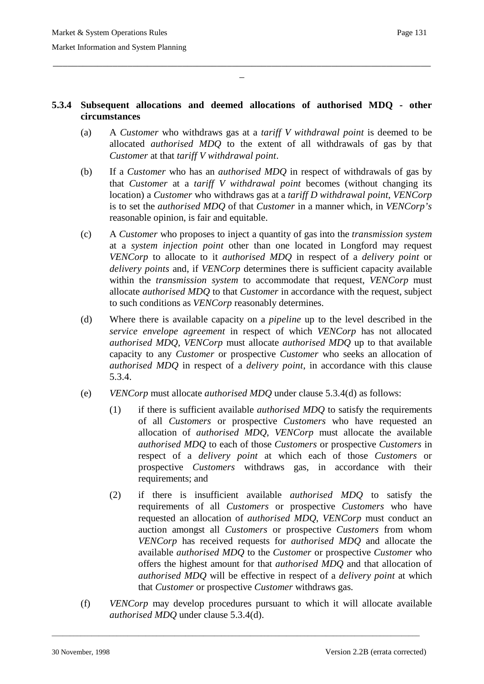# **5.3.4 Subsequent allocations and deemed allocations of authorised MDQ - other circumstances**

\_\_\_\_\_\_\_\_\_\_\_\_\_\_\_\_\_\_\_\_\_\_\_\_\_\_\_\_\_\_\_\_\_\_\_\_\_\_\_\_\_\_\_\_\_\_\_\_\_\_\_\_\_\_\_\_\_\_\_\_\_\_\_\_\_\_\_\_\_\_\_\_\_\_\_\_ \_

- (a) A *Customer* who withdraws gas at a *tariff V withdrawal point* is deemed to be allocated *authorised MDQ* to the extent of all withdrawals of gas by that *Customer* at that *tariff V withdrawal point*.
- (b) If a *Customer* who has an *authorised MDQ* in respect of withdrawals of gas by that *Customer* at a *tariff V withdrawal point* becomes (without changing its location) a *Customer* who withdraws gas at a *tariff D withdrawal point*, *VENCorp* is to set the *authorised MDQ* of that *Customer* in a manner which, in *VENCorp's*  reasonable opinion, is fair and equitable.
- (c) A *Customer* who proposes to inject a quantity of gas into the *transmission system*  at a *system injection point* other than one located in Longford may request *VENCorp* to allocate to it *authorised MDQ* in respect of a *delivery point* or *delivery points* and, if *VENCorp* determines there is sufficient capacity available within the *transmission system* to accommodate that request, *VENCorp* must allocate *authorised MDQ* to that *Customer* in accordance with the request, subject to such conditions as *VENCorp* reasonably determines.
- (d) Where there is available capacity on a *pipeline* up to the level described in the *service envelope agreement* in respect of which *VENCorp* has not allocated *authorised MDQ*, *VENCorp* must allocate *authorised MDQ* up to that available capacity to any *Customer* or prospective *Customer* who seeks an allocation of *authorised MDQ* in respect of a *delivery point*, in accordance with this clause 5.3.4.
- (e) *VENCorp* must allocate *authorised MDQ* under clause 5.3.4(d) as follows:
	- (1) if there is sufficient available *authorised MDQ* to satisfy the requirements of all *Customers* or prospective *Customers* who have requested an allocation of *authorised MDQ*, *VENCorp* must allocate the available *authorised MDQ* to each of those *Customers* or prospective *Customers* in respect of a *delivery point* at which each of those *Customers* or prospective *Customers* withdraws gas, in accordance with their requirements; and
	- (2) if there is insufficient available *authorised MDQ* to satisfy the requirements of all *Customers* or prospective *Customers* who have requested an allocation of *authorised MDQ*, *VENCorp* must conduct an auction amongst all *Customers* or prospective *Customers* from whom *VENCorp* has received requests for *authorised MDQ* and allocate the available *authorised MDQ* to the *Customer* or prospective *Customer* who offers the highest amount for that *authorised MDQ* and that allocation of *authorised MDQ* will be effective in respect of a *delivery point* at which that *Customer* or prospective *Customer* withdraws gas.
- (f) *VENCorp* may develop procedures pursuant to which it will allocate available *authorised MDQ* under clause 5.3.4(d).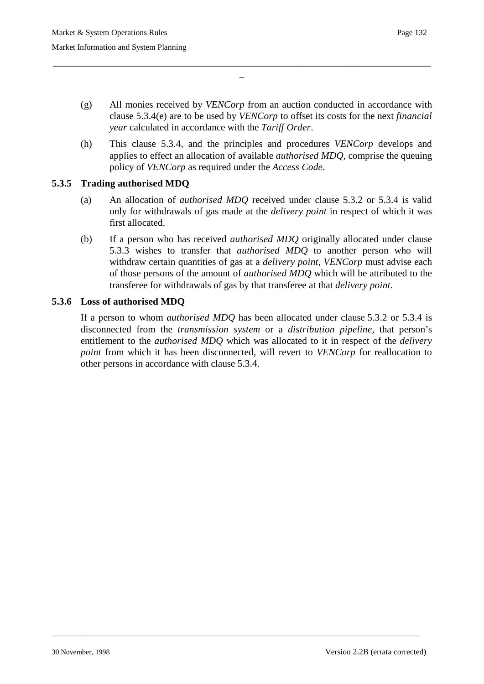(g) All monies received by *VENCorp* from an auction conducted in accordance with clause 5.3.4(e) are to be used by *VENCorp* to offset its costs for the next *financial year* calculated in accordance with the *Tariff Order*.

\_\_\_\_\_\_\_\_\_\_\_\_\_\_\_\_\_\_\_\_\_\_\_\_\_\_\_\_\_\_\_\_\_\_\_\_\_\_\_\_\_\_\_\_\_\_\_\_\_\_\_\_\_\_\_\_\_\_\_\_\_\_\_\_\_\_\_\_\_\_\_\_\_\_\_\_ \_

(h) This clause 5.3.4, and the principles and procedures *VENCorp* develops and applies to effect an allocation of available *authorised MDQ*, comprise the queuing policy of *VENCorp* as required under the *Access Code*.

# **5.3.5 Trading authorised MDQ**

- (a) An allocation of *authorised MDQ* received under clause 5.3.2 or 5.3.4 is valid only for withdrawals of gas made at the *delivery point* in respect of which it was first allocated.
- (b) If a person who has received *authorised MDQ* originally allocated under clause 5.3.3 wishes to transfer that *authorised MDQ* to another person who will withdraw certain quantities of gas at a *delivery point*, *VENCorp* must advise each of those persons of the amount of *authorised MDQ* which will be attributed to the transferee for withdrawals of gas by that transferee at that *delivery point*.

# **5.3.6 Loss of authorised MDQ**

If a person to whom *authorised MDQ* has been allocated under clause 5.3.2 or 5.3.4 is disconnected from the *transmission system* or a *distribution pipeline*, that person's entitlement to the *authorised MDQ* which was allocated to it in respect of the *delivery point* from which it has been disconnected, will revert to *VENCorp* for reallocation to other persons in accordance with clause 5.3.4.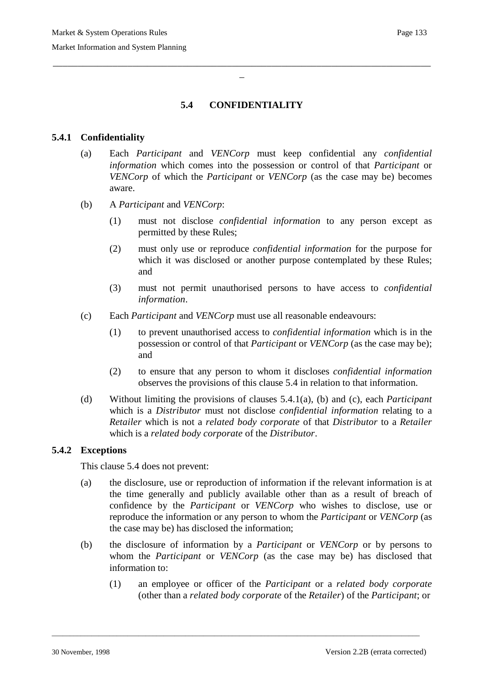Market Information and System Planning

# **5.4 CONFIDENTIALITY**

\_\_\_\_\_\_\_\_\_\_\_\_\_\_\_\_\_\_\_\_\_\_\_\_\_\_\_\_\_\_\_\_\_\_\_\_\_\_\_\_\_\_\_\_\_\_\_\_\_\_\_\_\_\_\_\_\_\_\_\_\_\_\_\_\_\_\_\_\_\_\_\_\_\_\_\_ \_

# **5.4.1 Confidentiality**

- (a) Each *Participant* and *VENCorp* must keep confidential any *confidential information* which comes into the possession or control of that *Participant* or *VENCorp* of which the *Participant* or *VENCorp* (as the case may be) becomes aware.
- (b) A *Participant* and *VENCorp*:
	- (1) must not disclose *confidential information* to any person except as permitted by these Rules;
	- (2) must only use or reproduce *confidential information* for the purpose for which it was disclosed or another purpose contemplated by these Rules; and
	- (3) must not permit unauthorised persons to have access to *confidential information*.
- (c) Each *Participant* and *VENCorp* must use all reasonable endeavours:
	- (1) to prevent unauthorised access to *confidential information* which is in the possession or control of that *Participant* or *VENCorp* (as the case may be); and
	- (2) to ensure that any person to whom it discloses *confidential information* observes the provisions of this clause 5.4 in relation to that information.
- (d) Without limiting the provisions of clauses 5.4.1(a), (b) and (c), each *Participant*  which is a *Distributor* must not disclose *confidential information* relating to a *Retailer* which is not a *related body corporate* of that *Distributor* to a *Retailer*  which is a *related body corporate* of the *Distributor*.

# **5.4.2 Exceptions**

This clause 5.4 does not prevent:

- (a) the disclosure, use or reproduction of information if the relevant information is at the time generally and publicly available other than as a result of breach of confidence by the *Participant* or *VENCorp* who wishes to disclose, use or reproduce the information or any person to whom the *Participant* or *VENCorp* (as the case may be) has disclosed the information;
- (b) the disclosure of information by a *Participant* or *VENCorp* or by persons to whom the *Participant* or *VENCorp* (as the case may be) has disclosed that information to:

 $\_$  ,  $\_$  ,  $\_$  ,  $\_$  ,  $\_$  ,  $\_$  ,  $\_$  ,  $\_$  ,  $\_$  ,  $\_$  ,  $\_$  ,  $\_$  ,  $\_$  ,  $\_$  ,  $\_$  ,  $\_$  ,  $\_$  ,  $\_$  ,  $\_$  ,  $\_$  ,  $\_$  ,  $\_$  ,  $\_$  ,  $\_$  ,  $\_$  ,  $\_$  ,  $\_$  ,  $\_$  ,  $\_$  ,  $\_$  ,  $\_$  ,  $\_$  ,  $\_$  ,  $\_$  ,  $\_$  ,  $\_$  ,  $\_$  ,

(1) an employee or officer of the *Participant* or a *related body corporate*  (other than a *related body corporate* of the *Retailer*) of the *Participant*; or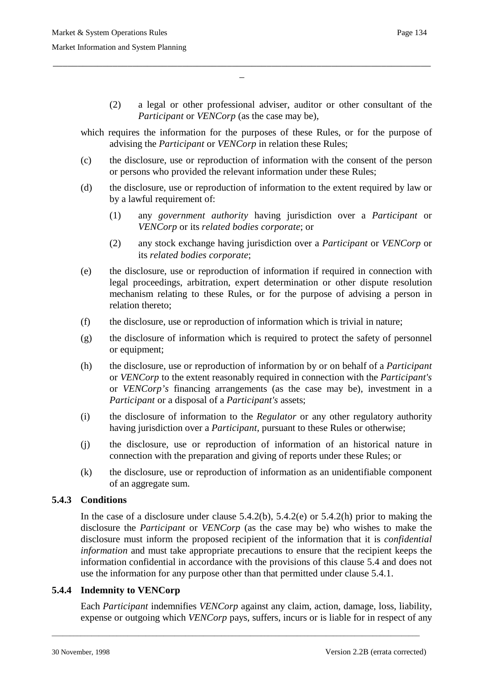- (2) a legal or other professional adviser, auditor or other consultant of the *Participant* or *VENCorp* (as the case may be),
- which requires the information for the purposes of these Rules, or for the purpose of advising the *Participant* or *VENCorp* in relation these Rules;

\_\_\_\_\_\_\_\_\_\_\_\_\_\_\_\_\_\_\_\_\_\_\_\_\_\_\_\_\_\_\_\_\_\_\_\_\_\_\_\_\_\_\_\_\_\_\_\_\_\_\_\_\_\_\_\_\_\_\_\_\_\_\_\_\_\_\_\_\_\_\_\_\_\_\_\_ \_

- (c) the disclosure, use or reproduction of information with the consent of the person or persons who provided the relevant information under these Rules;
- (d) the disclosure, use or reproduction of information to the extent required by law or by a lawful requirement of:
	- (1) any *government authority* having jurisdiction over a *Participant* or *VENCorp* or its *related bodies corporate*; or
	- (2) any stock exchange having jurisdiction over a *Participant* or *VENCorp* or its *related bodies corporate*;
- (e) the disclosure, use or reproduction of information if required in connection with legal proceedings, arbitration, expert determination or other dispute resolution mechanism relating to these Rules, or for the purpose of advising a person in relation thereto;
- (f) the disclosure, use or reproduction of information which is trivial in nature;
- (g) the disclosure of information which is required to protect the safety of personnel or equipment;
- (h) the disclosure, use or reproduction of information by or on behalf of a *Participant* or *VENCorp* to the extent reasonably required in connection with the *Participant's*  or *VENCorp's* financing arrangements (as the case may be), investment in a *Participant* or a disposal of a *Participant's* assets;
- (i) the disclosure of information to the *Regulator* or any other regulatory authority having jurisdiction over a *Participant*, pursuant to these Rules or otherwise;
- (j) the disclosure, use or reproduction of information of an historical nature in connection with the preparation and giving of reports under these Rules; or
- (k) the disclosure, use or reproduction of information as an unidentifiable component of an aggregate sum.

# **5.4.3 Conditions**

In the case of a disclosure under clause  $5.4.2(b)$ ,  $5.4.2(e)$  or  $5.4.2(h)$  prior to making the disclosure the *Participant* or *VENCorp* (as the case may be) who wishes to make the disclosure must inform the proposed recipient of the information that it is *confidential information* and must take appropriate precautions to ensure that the recipient keeps the information confidential in accordance with the provisions of this clause 5.4 and does not use the information for any purpose other than that permitted under clause 5.4.1.

# **5.4.4 Indemnity to VENCorp**

Each *Participant* indemnifies *VENCorp* against any claim, action, damage, loss, liability, expense or outgoing which *VENCorp* pays, suffers, incurs or is liable for in respect of any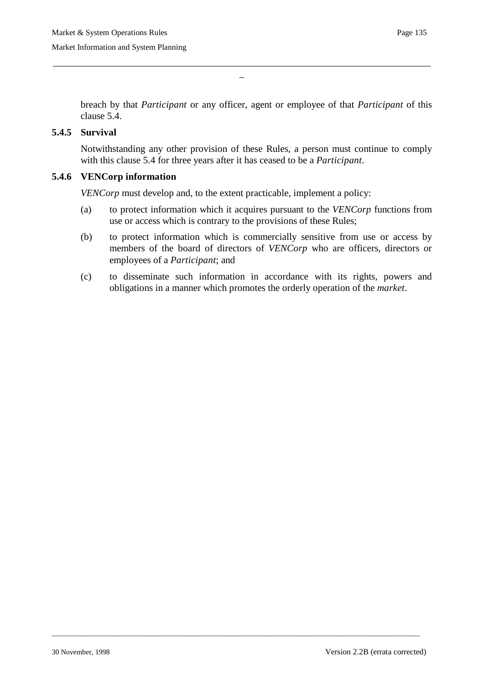breach by that *Participant* or any officer, agent or employee of that *Participant* of this clause 5.4.

\_\_\_\_\_\_\_\_\_\_\_\_\_\_\_\_\_\_\_\_\_\_\_\_\_\_\_\_\_\_\_\_\_\_\_\_\_\_\_\_\_\_\_\_\_\_\_\_\_\_\_\_\_\_\_\_\_\_\_\_\_\_\_\_\_\_\_\_\_\_\_\_\_\_\_\_ \_

# **5.4.5 Survival**

Notwithstanding any other provision of these Rules, a person must continue to comply with this clause 5.4 for three years after it has ceased to be a *Participant*.

## **5.4.6 VENCorp information**

*VENCorp* must develop and, to the extent practicable, implement a policy:

- (a) to protect information which it acquires pursuant to the *VENCorp* functions from use or access which is contrary to the provisions of these Rules;
- (b) to protect information which is commercially sensitive from use or access by members of the board of directors of *VENCorp* who are officers, directors or employees of a *Participant*; and
- (c) to disseminate such information in accordance with its rights, powers and obligations in a manner which promotes the orderly operation of the *market*.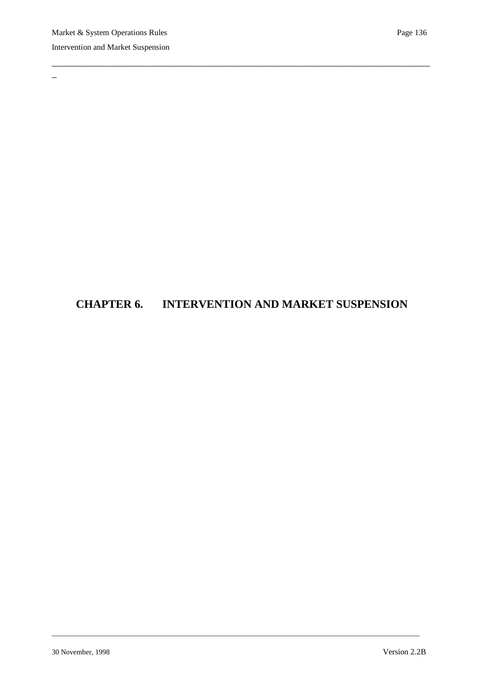Intervention and Market Suspension

\_

# **CHAPTER 6. INTERVENTION AND MARKET SUSPENSION**

 $\_$  ,  $\_$  ,  $\_$  ,  $\_$  ,  $\_$  ,  $\_$  ,  $\_$  ,  $\_$  ,  $\_$  ,  $\_$  ,  $\_$  ,  $\_$  ,  $\_$  ,  $\_$  ,  $\_$  ,  $\_$  ,  $\_$  ,  $\_$  ,  $\_$  ,  $\_$  ,  $\_$  ,  $\_$  ,  $\_$  ,  $\_$  ,  $\_$  ,  $\_$  ,  $\_$  ,  $\_$  ,  $\_$  ,  $\_$  ,  $\_$  ,  $\_$  ,  $\_$  ,  $\_$  ,  $\_$  ,  $\_$  ,  $\_$  ,

\_\_\_\_\_\_\_\_\_\_\_\_\_\_\_\_\_\_\_\_\_\_\_\_\_\_\_\_\_\_\_\_\_\_\_\_\_\_\_\_\_\_\_\_\_\_\_\_\_\_\_\_\_\_\_\_\_\_\_\_\_\_\_\_\_\_\_\_\_\_\_\_\_\_\_\_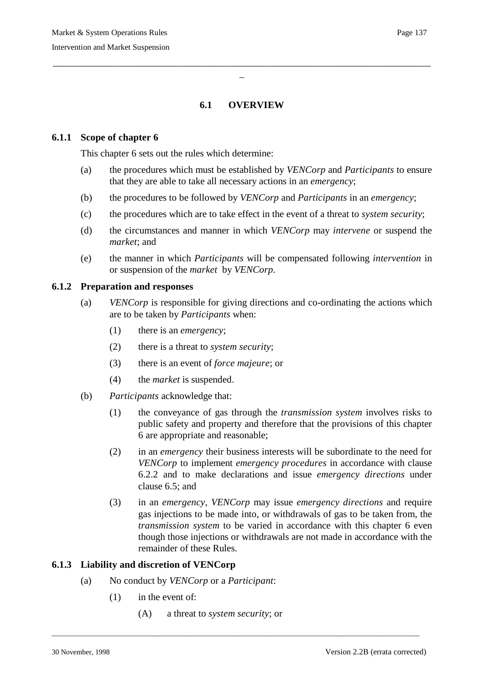# **6.1 OVERVIEW**

\_\_\_\_\_\_\_\_\_\_\_\_\_\_\_\_\_\_\_\_\_\_\_\_\_\_\_\_\_\_\_\_\_\_\_\_\_\_\_\_\_\_\_\_\_\_\_\_\_\_\_\_\_\_\_\_\_\_\_\_\_\_\_\_\_\_\_\_\_\_\_\_\_\_\_\_ \_

### **6.1.1 Scope of chapter 6**

This chapter 6 sets out the rules which determine:

- (a) the procedures which must be established by *VENCorp* and *Participants* to ensure that they are able to take all necessary actions in an *emergency*;
- (b) the procedures to be followed by *VENCorp* and *Participants* in an *emergency*;
- (c) the procedures which are to take effect in the event of a threat to *system security*;
- (d) the circumstances and manner in which *VENCorp* may *intervene* or suspend the *market*; and
- (e) the manner in which *Participants* will be compensated following *intervention* in or suspension of the *market* by *VENCorp.*

### **6.1.2 Preparation and responses**

- (a) *VENCorp* is responsible for giving directions and co-ordinating the actions which are to be taken by *Participants* when:
	- (1) there is an *emergency*;
	- (2) there is a threat to *system security*;
	- (3) there is an event of *force majeure*; or
	- (4) the *market* is suspended.
- (b) *Participants* acknowledge that:
	- (1) the conveyance of gas through the *transmission system* involves risks to public safety and property and therefore that the provisions of this chapter 6 are appropriate and reasonable;
	- (2) in an *emergency* their business interests will be subordinate to the need for *VENCorp* to implement *emergency procedures* in accordance with clause 6.2.2 and to make declarations and issue *emergency directions* under clause 6.5; and
	- (3) in an *emergency*, *VENCorp* may issue *emergency directions* and require gas injections to be made into, or withdrawals of gas to be taken from, the *transmission system* to be varied in accordance with this chapter 6 even though those injections or withdrawals are not made in accordance with the remainder of these Rules.

### **6.1.3 Liability and discretion of VENCorp**

- (a) No conduct by *VENCorp* or a *Participant*:
	- (1) in the event of:
		- (A) a threat to *system security*; or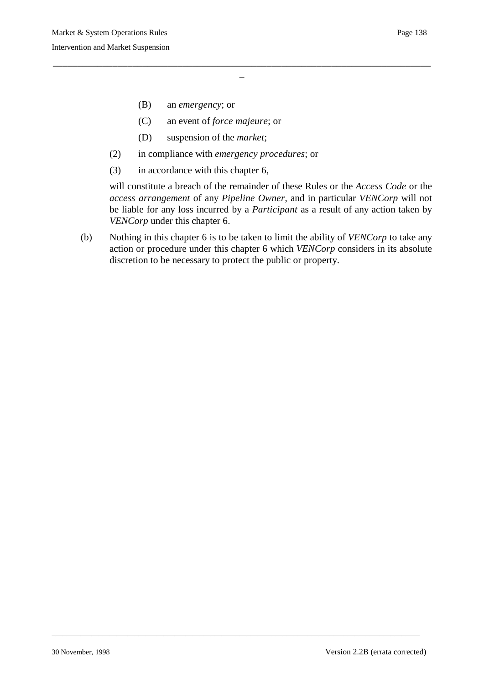- (B) an *emergency*; or
- (C) an event of *force majeure*; or

\_\_\_\_\_\_\_\_\_\_\_\_\_\_\_\_\_\_\_\_\_\_\_\_\_\_\_\_\_\_\_\_\_\_\_\_\_\_\_\_\_\_\_\_\_\_\_\_\_\_\_\_\_\_\_\_\_\_\_\_\_\_\_\_\_\_\_\_\_\_\_\_\_\_\_\_ \_

- (D) suspension of the *market*;
- (2) in compliance with *emergency procedures*; or
- (3) in accordance with this chapter 6,

will constitute a breach of the remainder of these Rules or the *Access Code* or the *access arrangement* of any *Pipeline Owner*, and in particular *VENCorp* will not be liable for any loss incurred by a *Participant* as a result of any action taken by *VENCorp* under this chapter 6.

(b) Nothing in this chapter 6 is to be taken to limit the ability of *VENCorp* to take any action or procedure under this chapter 6 which *VENCorp* considers in its absolute discretion to be necessary to protect the public or property.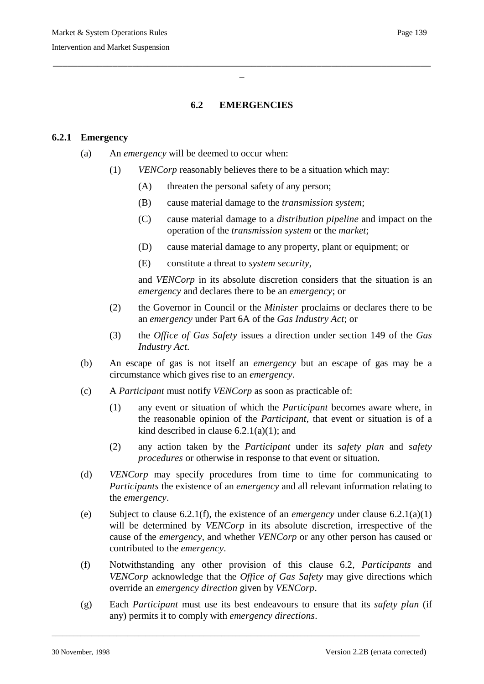# **6.2 EMERGENCIES**

\_\_\_\_\_\_\_\_\_\_\_\_\_\_\_\_\_\_\_\_\_\_\_\_\_\_\_\_\_\_\_\_\_\_\_\_\_\_\_\_\_\_\_\_\_\_\_\_\_\_\_\_\_\_\_\_\_\_\_\_\_\_\_\_\_\_\_\_\_\_\_\_\_\_\_\_ \_

### **6.2.1 Emergency**

- (a) An *emergency* will be deemed to occur when:
	- (1) *VENCorp* reasonably believes there to be a situation which may:
		- (A) threaten the personal safety of any person;
		- (B) cause material damage to the *transmission system*;
		- (C) cause material damage to a *distribution pipeline* and impact on the operation of the *transmission system* or the *market*;
		- (D) cause material damage to any property, plant or equipment; or
		- (E) constitute a threat to *system security*,

and *VENCorp* in its absolute discretion considers that the situation is an *emergency* and declares there to be an *emergency*; or

- (2) the Governor in Council or the *Minister* proclaims or declares there to be an *emergency* under Part 6A of the *Gas Industry Act*; or
- (3) the *Office of Gas Safety* issues a direction under section 149 of the *Gas Industry Act*.
- (b) An escape of gas is not itself an *emergency* but an escape of gas may be a circumstance which gives rise to an *emergency*.
- (c) A *Participant* must notify *VENCorp* as soon as practicable of:
	- (1) any event or situation of which the *Participant* becomes aware where, in the reasonable opinion of the *Participant*, that event or situation is of a kind described in clause  $6.2.1(a)(1)$ ; and
	- (2) any action taken by the *Participant* under its *safety plan* and *safety procedures* or otherwise in response to that event or situation.
- (d) *VENCorp* may specify procedures from time to time for communicating to *Participants* the existence of an *emergency* and all relevant information relating to the *emergency*.
- (e) Subject to clause 6.2.1(f), the existence of an *emergency* under clause 6.2.1(a)(1) will be determined by *VENCorp* in its absolute discretion, irrespective of the cause of the *emergency*, and whether *VENCorp* or any other person has caused or contributed to the *emergency*.
- (f) Notwithstanding any other provision of this clause 6.2, *Participants* and *VENCorp* acknowledge that the *Office of Gas Safety* may give directions which override an *emergency direction* given by *VENCorp*.
- (g) Each *Participant* must use its best endeavours to ensure that its *safety plan* (if any) permits it to comply with *emergency directions*.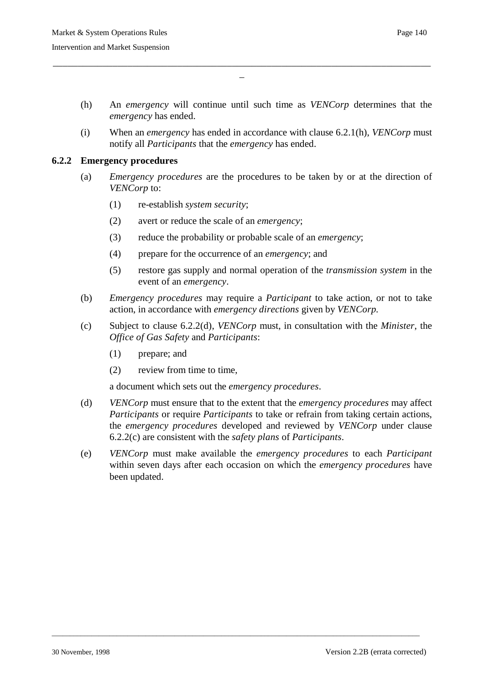(h) An *emergency* will continue until such time as *VENCorp* determines that the *emergency* has ended.

\_\_\_\_\_\_\_\_\_\_\_\_\_\_\_\_\_\_\_\_\_\_\_\_\_\_\_\_\_\_\_\_\_\_\_\_\_\_\_\_\_\_\_\_\_\_\_\_\_\_\_\_\_\_\_\_\_\_\_\_\_\_\_\_\_\_\_\_\_\_\_\_\_\_\_\_ \_

(i) When an *emergency* has ended in accordance with clause 6.2.1(h), *VENCorp* must notify all *Participants* that the *emergency* has ended.

# **6.2.2 Emergency procedures**

- (a) *Emergency procedures* are the procedures to be taken by or at the direction of *VENCorp* to:
	- (1) re-establish *system security*;
	- (2) avert or reduce the scale of an *emergency*;
	- (3) reduce the probability or probable scale of an *emergency*;
	- (4) prepare for the occurrence of an *emergency*; and
	- (5) restore gas supply and normal operation of the *transmission system* in the event of an *emergency*.
- (b) *Emergency procedures* may require a *Participant* to take action, or not to take action, in accordance with *emergency directions* given by *VENCorp.*
- (c) Subject to clause 6.2.2(d), *VENCorp* must, in consultation with the *Minister*, the *Office of Gas Safety* and *Participants*:
	- (1) prepare; and
	- (2) review from time to time,

a document which sets out the *emergency procedures*.

- (d) *VENCorp* must ensure that to the extent that the *emergency procedures* may affect *Participants* or require *Participants* to take or refrain from taking certain actions, the *emergency procedures* developed and reviewed by *VENCorp* under clause 6.2.2(c) are consistent with the *safety plans* of *Participants*.
- (e) *VENCorp* must make available the *emergency procedures* to each *Participant* within seven days after each occasion on which the *emergency procedures* have been updated.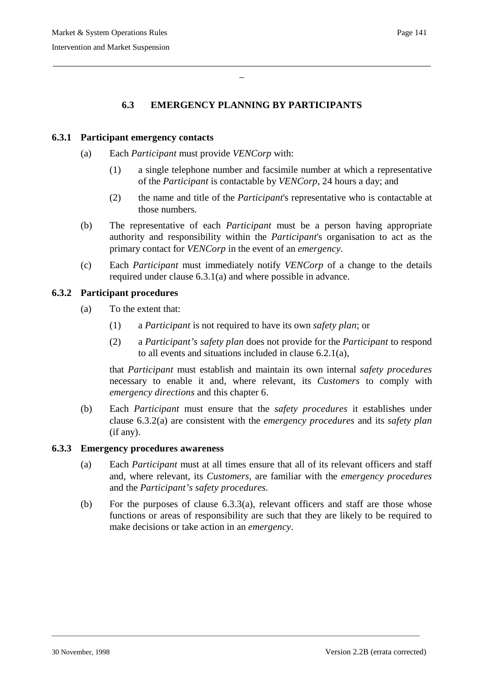# **6.3 EMERGENCY PLANNING BY PARTICIPANTS**

\_\_\_\_\_\_\_\_\_\_\_\_\_\_\_\_\_\_\_\_\_\_\_\_\_\_\_\_\_\_\_\_\_\_\_\_\_\_\_\_\_\_\_\_\_\_\_\_\_\_\_\_\_\_\_\_\_\_\_\_\_\_\_\_\_\_\_\_\_\_\_\_\_\_\_\_ \_

### **6.3.1 Participant emergency contacts**

- (a) Each *Participant* must provide *VENCorp* with:
	- (1) a single telephone number and facsimile number at which a representative of the *Participant* is contactable by *VENCorp*, 24 hours a day; and
	- (2) the name and title of the *Participant*'s representative who is contactable at those numbers.
- (b) The representative of each *Participant* must be a person having appropriate authority and responsibility within the *Participant*'s organisation to act as the primary contact for *VENCorp* in the event of an *emergency*.
- (c) Each *Participant* must immediately notify *VENCorp* of a change to the details required under clause 6.3.1(a) and where possible in advance.

### **6.3.2 Participant procedures**

- (a) To the extent that:
	- (1) a *Participant* is not required to have its own *safety plan*; or
	- (2) a *Participant's safety plan* does not provide for the *Participant* to respond to all events and situations included in clause 6.2.1(a),

that *Participant* must establish and maintain its own internal *safety procedures*  necessary to enable it and, where relevant, its *Customers* to comply with *emergency directions* and this chapter 6.

(b) Each *Participant* must ensure that the *safety procedures* it establishes under clause 6.3.2(a) are consistent with the *emergency procedures* and its *safety plan*  (if any).

### **6.3.3 Emergency procedures awareness**

- (a) Each *Participant* must at all times ensure that all of its relevant officers and staff and, where relevant, its *Customers,* are familiar with the *emergency procedures* and the *Participant's safety procedures.*
- (b) For the purposes of clause  $(6.3.3(a)$ , relevant officers and staff are those whose functions or areas of responsibility are such that they are likely to be required to make decisions or take action in an *emergency*.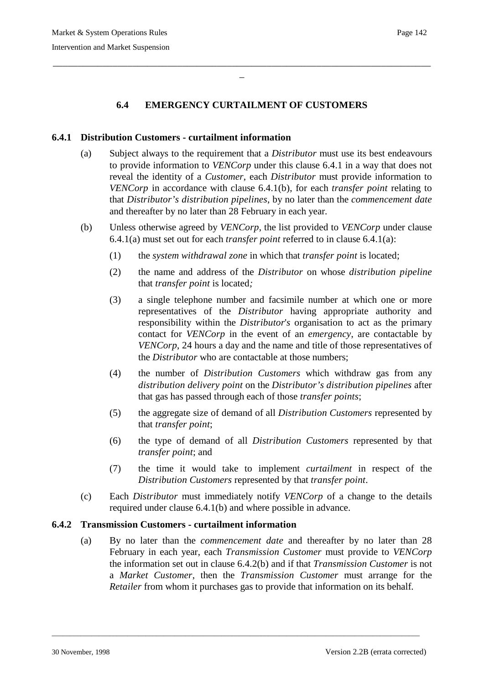# **6.4 EMERGENCY CURTAILMENT OF CUSTOMERS**

\_\_\_\_\_\_\_\_\_\_\_\_\_\_\_\_\_\_\_\_\_\_\_\_\_\_\_\_\_\_\_\_\_\_\_\_\_\_\_\_\_\_\_\_\_\_\_\_\_\_\_\_\_\_\_\_\_\_\_\_\_\_\_\_\_\_\_\_\_\_\_\_\_\_\_\_ \_

### **6.4.1 Distribution Customers - curtailment information**

- (a) Subject always to the requirement that a *Distributor* must use its best endeavours to provide information to *VENCorp* under this clause 6.4.1 in a way that does not reveal the identity of a *Customer*, each *Distributor* must provide information to *VENCorp* in accordance with clause 6.4.1(b), for each *transfer point* relating to that *Distributor's distribution pipelines*, by no later than the *commencement date*  and thereafter by no later than 28 February in each year*.*
- (b) Unless otherwise agreed by *VENCorp*, the list provided to *VENCorp* under clause 6.4.1(a) must set out for each *transfer point* referred to in clause 6.4.1(a):
	- (1) the *system withdrawal zone* in which that *transfer point* is located;
	- (2) the name and address of the *Distributor* on whose *distribution pipeline*  that *transfer point* is located*;*
	- (3) a single telephone number and facsimile number at which one or more representatives of the *Distributor* having appropriate authority and responsibility within the *Distributor*'*s* organisation to act as the primary contact for *VENCorp* in the event of an *emergency*, are contactable by *VENCorp*, 24 hours a day and the name and title of those representatives of the *Distributor* who are contactable at those numbers;
	- (4) the number of *Distribution Customers* which withdraw gas from any *distribution delivery point* on the *Distributor's distribution pipelines* after that gas has passed through each of those *transfer points*;
	- (5) the aggregate size of demand of all *Distribution Customers* represented by that *transfer point*;
	- (6) the type of demand of all *Distribution Customers* represented by that *transfer point*; and
	- (7) the time it would take to implement *curtailment* in respect of the *Distribution Customers* represented by that *transfer point*.
- (c) Each *Distributor* must immediately notify *VENCorp* of a change to the details required under clause 6.4.1(b) and where possible in advance.

### **6.4.2 Transmission Customers - curtailment information**

(a) By no later than the *commencement date* and thereafter by no later than 28 February in each year, each *Transmission Customer* must provide to *VENCorp* the information set out in clause 6.4.2(b) and if that *Transmission Customer* is not a *Market Customer*, then the *Transmission Customer* must arrange for the *Retailer* from whom it purchases gas to provide that information on its behalf.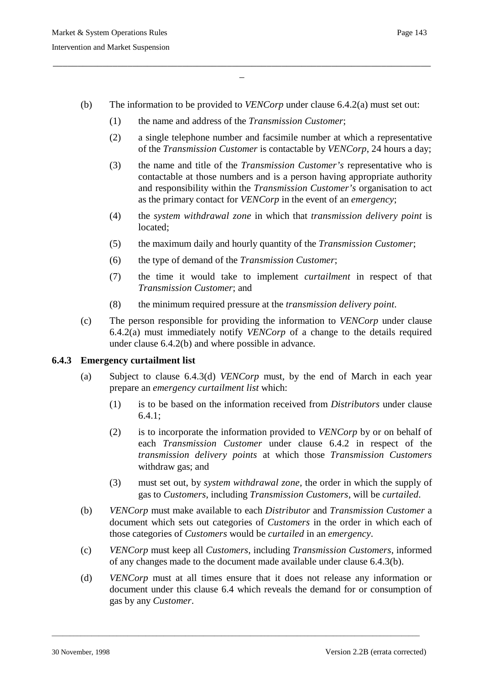(b) The information to be provided to *VENCorp* under clause 6.4.2(a) must set out:

\_\_\_\_\_\_\_\_\_\_\_\_\_\_\_\_\_\_\_\_\_\_\_\_\_\_\_\_\_\_\_\_\_\_\_\_\_\_\_\_\_\_\_\_\_\_\_\_\_\_\_\_\_\_\_\_\_\_\_\_\_\_\_\_\_\_\_\_\_\_\_\_\_\_\_\_ \_

- (1) the name and address of the *Transmission Customer*;
- (2) a single telephone number and facsimile number at which a representative of the *Transmission Customer* is contactable by *VENCorp*, 24 hours a day;
- (3) the name and title of the *Transmission Customer's* representative who is contactable at those numbers and is a person having appropriate authority and responsibility within the *Transmission Customer's* organisation to act as the primary contact for *VENCorp* in the event of an *emergency*;
- (4) the *system withdrawal zone* in which that *transmission delivery point* is located;
- (5) the maximum daily and hourly quantity of the *Transmission Customer*;
- (6) the type of demand of the *Transmission Customer*;
- (7) the time it would take to implement *curtailment* in respect of that *Transmission Customer*; and
- (8) the minimum required pressure at the *transmission delivery point*.
- (c) The person responsible for providing the information to *VENCorp* under clause 6.4.2(a) must immediately notify *VENCorp* of a change to the details required under clause 6.4.2(b) and where possible in advance.

### **6.4.3 Emergency curtailment list**

- (a) Subject to clause 6.4.3(d) *VENCorp* must, by the end of March in each year prepare an *emergency curtailment list* which:
	- (1) is to be based on the information received from *Distributors* under clause 6.4.1;
	- (2) is to incorporate the information provided to *VENCorp* by or on behalf of each *Transmission Customer* under clause 6.4.2 in respect of the *transmission delivery points* at which those *Transmission Customers* withdraw gas; and
	- (3) must set out, by *system withdrawal zone,* the order in which the supply of gas to *Customers*, including *Transmission Customers*, will be *curtailed*.
- (b) *VENCorp* must make available to each *Distributor* and *Transmission Customer* a document which sets out categories of *Customers* in the order in which each of those categories of *Customers* would be *curtailed* in an *emergency*.
- (c) *VENCorp* must keep all *Customers*, including *Transmission Customers*, informed of any changes made to the document made available under clause 6.4.3(b).
- (d) *VENCorp* must at all times ensure that it does not release any information or document under this clause 6.4 which reveals the demand for or consumption of gas by any *Customer*.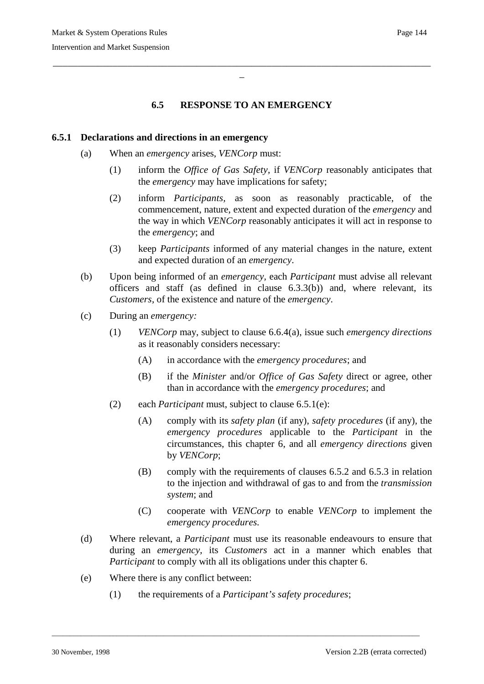## **6.5 RESPONSE TO AN EMERGENCY**

\_\_\_\_\_\_\_\_\_\_\_\_\_\_\_\_\_\_\_\_\_\_\_\_\_\_\_\_\_\_\_\_\_\_\_\_\_\_\_\_\_\_\_\_\_\_\_\_\_\_\_\_\_\_\_\_\_\_\_\_\_\_\_\_\_\_\_\_\_\_\_\_\_\_\_\_ \_

### **6.5.1 Declarations and directions in an emergency**

- (a) When an *emergency* arises, *VENCorp* must:
	- (1) inform the *Office of Gas Safety*, if *VENCorp* reasonably anticipates that the *emergency* may have implications for safety;
	- (2) inform *Participants,* as soon as reasonably practicable, of the commencement, nature, extent and expected duration of the *emergency* and the way in which *VENCorp* reasonably anticipates it will act in response to the *emergency*; and
	- (3) keep *Participants* informed of any material changes in the nature, extent and expected duration of an *emergency*.
- (b) Upon being informed of an *emergency,* each *Participant* must advise all relevant officers and staff (as defined in clause 6.3.3(b)) and, where relevant, its *Customers*, of the existence and nature of the *emergency*.
- (c) During an *emergency:*
	- (1) *VENCorp* may, subject to clause 6.6.4(a), issue such *emergency directions*  as it reasonably considers necessary:
		- (A) in accordance with the *emergency procedures*; and
		- (B) if the *Minister* and/or *Office of Gas Safety* direct or agree, other than in accordance with the *emergency procedures*; and
	- (2) each *Participant* must, subject to clause 6.5.1(e):
		- (A) comply with its *safety plan* (if any), *safety procedures* (if any)*,* the *emergency procedures* applicable to the *Participant* in the circumstances, this chapter 6, and all *emergency directions* given by *VENCorp*;
		- (B) comply with the requirements of clauses 6.5.2 and 6.5.3 in relation to the injection and withdrawal of gas to and from the *transmission system*; and
		- (C) cooperate with *VENCorp* to enable *VENCorp* to implement the *emergency procedures.*
- (d) Where relevant, a *Participant* must use its reasonable endeavours to ensure that during an *emergency*, its *Customers* act in a manner which enables that *Participant* to comply with all its obligations under this chapter 6.
- (e) Where there is any conflict between:
	- (1) the requirements of a *Participant's safety procedures*;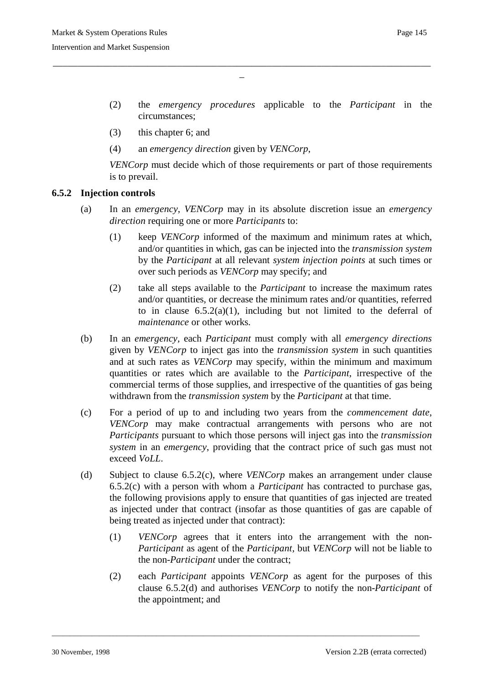(2) the *emergency procedures* applicable to the *Participant* in the circumstances;

\_\_\_\_\_\_\_\_\_\_\_\_\_\_\_\_\_\_\_\_\_\_\_\_\_\_\_\_\_\_\_\_\_\_\_\_\_\_\_\_\_\_\_\_\_\_\_\_\_\_\_\_\_\_\_\_\_\_\_\_\_\_\_\_\_\_\_\_\_\_\_\_\_\_\_\_ \_

- (3) this chapter 6; and
- (4) an *emergency direction* given by *VENCorp*,

*VENCorp* must decide which of those requirements or part of those requirements is to prevail.

## **6.5.2 Injection controls**

- (a) In an *emergency*, *VENCorp* may in its absolute discretion issue an *emergency direction* requiring one or more *Participants* to:
	- (1) keep *VENCorp* informed of the maximum and minimum rates at which, and/or quantities in which, gas can be injected into the *transmission system* by the *Participant* at all relevant *system injection points* at such times or over such periods as *VENCorp* may specify; and
	- (2) take all steps available to the *Participant* to increase the maximum rates and/or quantities, or decrease the minimum rates and/or quantities, referred to in clause  $6.5.2(a)(1)$ , including but not limited to the deferral of *maintenance* or other works.
- (b) In an *emergency,* each *Participant* must comply with all *emergency directions*  given by *VENCorp* to inject gas into the *transmission system* in such quantities and at such rates as *VENCorp* may specify, within the minimum and maximum quantities or rates which are available to the *Participant*, irrespective of the commercial terms of those supplies, and irrespective of the quantities of gas being withdrawn from the *transmission system* by the *Participant* at that time.
- (c) For a period of up to and including two years from the *commencement date*, *VENCorp* may make contractual arrangements with persons who are not *Participants* pursuant to which those persons will inject gas into the *transmission system* in an *emergency*, providing that the contract price of such gas must not exceed *VoLL*.
- (d) Subject to clause 6.5.2(c), where *VENCorp* makes an arrangement under clause 6.5.2(c) with a person with whom a *Participant* has contracted to purchase gas, the following provisions apply to ensure that quantities of gas injected are treated as injected under that contract (insofar as those quantities of gas are capable of being treated as injected under that contract):
	- (1) *VENCorp* agrees that it enters into the arrangement with the non-*Participant* as agent of the *Participant,* but *VENCorp* will not be liable to the non-*Participant* under the contract;
	- (2) each *Participant* appoints *VENCorp* as agent for the purposes of this clause 6.5.2(d) and authorises *VENCorp* to notify the non-*Participant* of the appointment; and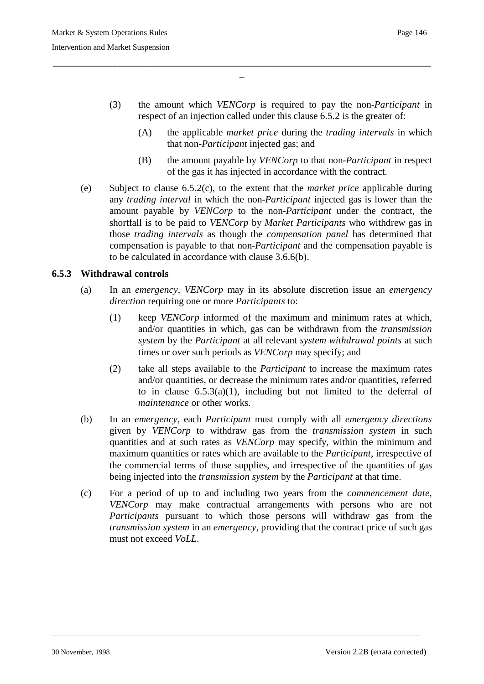(3) the amount which *VENCorp* is required to pay the non-*Participant* in respect of an injection called under this clause 6.5.2 is the greater of:

\_\_\_\_\_\_\_\_\_\_\_\_\_\_\_\_\_\_\_\_\_\_\_\_\_\_\_\_\_\_\_\_\_\_\_\_\_\_\_\_\_\_\_\_\_\_\_\_\_\_\_\_\_\_\_\_\_\_\_\_\_\_\_\_\_\_\_\_\_\_\_\_\_\_\_\_ \_

- (A) the applicable *market price* during the *trading intervals* in which that non-*Participant* injected gas; and
- (B) the amount payable by *VENCorp* to that non-*Participant* in respect of the gas it has injected in accordance with the contract.
- (e) Subject to clause 6.5.2(c), to the extent that the *market price* applicable during any *trading interval* in which the non-*Participant* injected gas is lower than the amount payable by *VENCorp* to the non-*Participant* under the contract, the shortfall is to be paid to *VENCorp* by *Market Participants* who withdrew gas in those *trading intervals* as though the *compensation panel* has determined that compensation is payable to that non-*Participant* and the compensation payable is to be calculated in accordance with clause 3.6.6(b).

## **6.5.3 Withdrawal controls**

- (a) In an *emergency*, *VENCorp* may in its absolute discretion issue an *emergency direction* requiring one or more *Participants* to:
	- (1) keep *VENCorp* informed of the maximum and minimum rates at which, and/or quantities in which, gas can be withdrawn from the *transmission system* by the *Participant* at all relevant *system withdrawal points* at such times or over such periods as *VENCorp* may specify; and
	- (2) take all steps available to the *Participant* to increase the maximum rates and/or quantities, or decrease the minimum rates and/or quantities, referred to in clause  $6.5.3(a)(1)$ , including but not limited to the deferral of *maintenance* or other works.
- (b) In an *emergency*, each *Participant* must comply with all *emergency directions*  given by *VENCorp* to withdraw gas from the *transmission system* in such quantities and at such rates as *VENCorp* may specify, within the minimum and maximum quantities or rates which are available to the *Participant*, irrespective of the commercial terms of those supplies, and irrespective of the quantities of gas being injected into the *transmission system* by the *Participant* at that time.
- (c) For a period of up to and including two years from the *commencement date*, *VENCorp* may make contractual arrangements with persons who are not *Participants* pursuant to which those persons will withdraw gas from the *transmission system* in an *emergency*, providing that the contract price of such gas must not exceed *VoLL*.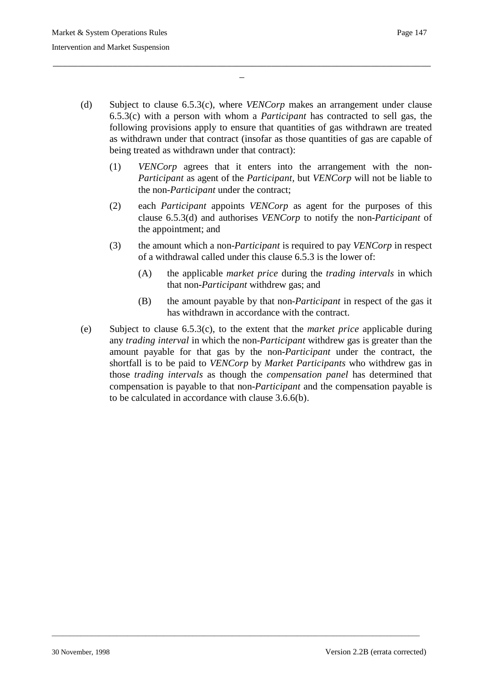(d) Subject to clause 6.5.3(c), where *VENCorp* makes an arrangement under clause 6.5.3(c) with a person with whom a *Participant* has contracted to sell gas, the following provisions apply to ensure that quantities of gas withdrawn are treated as withdrawn under that contract (insofar as those quantities of gas are capable of being treated as withdrawn under that contract):

\_\_\_\_\_\_\_\_\_\_\_\_\_\_\_\_\_\_\_\_\_\_\_\_\_\_\_\_\_\_\_\_\_\_\_\_\_\_\_\_\_\_\_\_\_\_\_\_\_\_\_\_\_\_\_\_\_\_\_\_\_\_\_\_\_\_\_\_\_\_\_\_\_\_\_\_ \_

- (1) *VENCorp* agrees that it enters into the arrangement with the non-*Participant* as agent of the *Participant,* but *VENCorp* will not be liable to the non-*Participant* under the contract;
- (2) each *Participant* appoints *VENCorp* as agent for the purposes of this clause 6.5.3(d) and authorises *VENCorp* to notify the non-*Participant* of the appointment; and
- (3) the amount which a non-*Participant* is required to pay *VENCorp* in respect of a withdrawal called under this clause 6.5.3 is the lower of:
	- (A) the applicable *market price* during the *trading intervals* in which that non-*Participant* withdrew gas; and
	- (B) the amount payable by that non-*Participant* in respect of the gas it has withdrawn in accordance with the contract.
- (e) Subject to clause 6.5.3(c), to the extent that the *market price* applicable during any *trading interval* in which the non-*Participant* withdrew gas is greater than the amount payable for that gas by the non-*Participant* under the contract, the shortfall is to be paid to *VENCorp* by *Market Participants* who withdrew gas in those *trading intervals* as though the *compensation panel* has determined that compensation is payable to that non-*Participant* and the compensation payable is to be calculated in accordance with clause 3.6.6(b).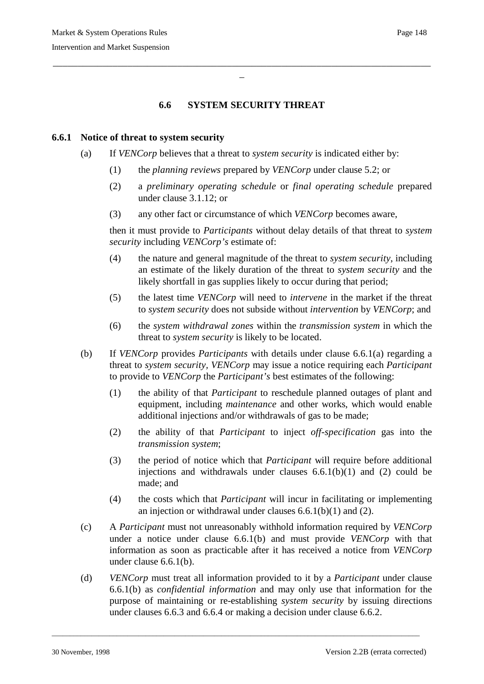# **6.6 SYSTEM SECURITY THREAT**

\_\_\_\_\_\_\_\_\_\_\_\_\_\_\_\_\_\_\_\_\_\_\_\_\_\_\_\_\_\_\_\_\_\_\_\_\_\_\_\_\_\_\_\_\_\_\_\_\_\_\_\_\_\_\_\_\_\_\_\_\_\_\_\_\_\_\_\_\_\_\_\_\_\_\_\_ \_

### **6.6.1 Notice of threat to system security**

- (a) If *VENCorp* believes that a threat to *system security* is indicated either by:
	- (1) the *planning reviews* prepared by *VENCorp* under clause 5.2; or
	- (2) a *preliminary operating schedule* or *final operating schedule* prepared under clause 3.1.12; or
	- (3) any other fact or circumstance of which *VENCorp* becomes aware,

then it must provide to *Participants* without delay details of that threat to *system security* including *VENCorp's* estimate of:

- (4) the nature and general magnitude of the threat to *system security*, including an estimate of the likely duration of the threat to *system security* and the likely shortfall in gas supplies likely to occur during that period;
- (5) the latest time *VENCorp* will need to *intervene* in the market if the threat to *system security* does not subside without *intervention* by *VENCorp*; and
- (6) the *system withdrawal zones* within the *transmission system* in which the threat to *system security* is likely to be located.
- (b) If *VENCorp* provides *Participants* with details under clause 6.6.1(a) regarding a threat to *system security, VENCorp* may issue a notice requiring each *Participant*  to provide to *VENCorp* the *Participant's* best estimates of the following:
	- (1) the ability of that *Participant* to reschedule planned outages of plant and equipment, including *maintenance* and other works, which would enable additional injection*s* and/or withdrawals of gas to be made;
	- (2) the ability of that *Participant* to inject *off-specification* gas into the *transmission system*;
	- (3) the period of notice which that *Participant* will require before additional injections and withdrawals under clauses  $6.6.1(b)(1)$  and  $(2)$  could be made; and
	- (4) the costs which that *Participant* will incur in facilitating or implementing an injection or withdrawal under clauses  $6.6.1(b)(1)$  and  $(2)$ .
- (c) A *Participant* must not unreasonably withhold information required by *VENCorp*  under a notice under clause 6.6.1(b) and must provide *VENCorp* with that information as soon as practicable after it has received a notice from *VENCorp*  under clause 6.6.1(b).
- (d) *VENCorp* must treat all information provided to it by a *Participant* under clause 6.6.1(b) as *confidential information* and may only use that information for the purpose of maintaining or re-establishing *system security* by issuing directions under clauses 6.6.3 and 6.6.4 or making a decision under clause 6.6.2.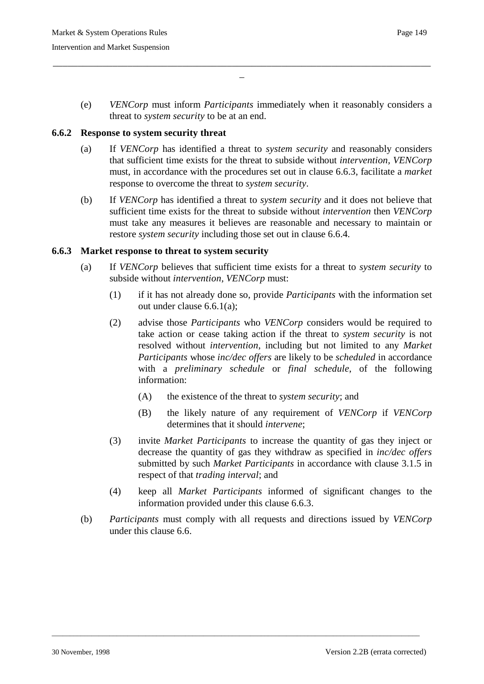(e) *VENCorp* must inform *Participants* immediately when it reasonably considers a threat to *system security* to be at an end.

\_\_\_\_\_\_\_\_\_\_\_\_\_\_\_\_\_\_\_\_\_\_\_\_\_\_\_\_\_\_\_\_\_\_\_\_\_\_\_\_\_\_\_\_\_\_\_\_\_\_\_\_\_\_\_\_\_\_\_\_\_\_\_\_\_\_\_\_\_\_\_\_\_\_\_\_ \_

## **6.6.2 Response to system security threat**

- (a) If *VENCorp* has identified a threat to *system security* and reasonably considers that sufficient time exists for the threat to subside without *intervention, VENCorp*  must, in accordance with the procedures set out in clause 6.6.3, facilitate a *market* response to overcome the threat to *system security*.
- (b) If *VENCorp* has identified a threat to *system security* and it does not believe that sufficient time exists for the threat to subside without *intervention* then *VENCorp*  must take any measures it believes are reasonable and necessary to maintain or restore *system security* including those set out in clause 6.6.4*.*

## **6.6.3 Market response to threat to system security**

- (a) If *VENCorp* believes that sufficient time exists for a threat to *system security* to subside without *intervention, VENCorp* must:
	- (1) if it has not already done so, provide *Participants* with the information set out under clause 6.6.1(a);
	- (2) advise those *Participants* who *VENCorp* considers would be required to take action or cease taking action if the threat to *system security* is not resolved without *intervention*, including but not limited to any *Market Participants* whose *inc/dec offers* are likely to be *scheduled* in accordance with a *preliminary schedule* or *final schedule*, of the following information:
		- (A) the existence of the threat to *system security*; and
		- (B) the likely nature of any requirement of *VENCorp* if *VENCorp* determines that it should *intervene*;
	- (3) invite *Market Participants* to increase the quantity of gas they inject or decrease the quantity of gas they withdraw as specified in *inc/dec offers* submitted by such *Market Participants* in accordance with clause 3.1.5 in respect of that *trading interval*; and
	- (4) keep all *Market Participants* informed of significant changes to the information provided under this clause 6.6.3.
- (b) *Participants* must comply with all requests and directions issued by *VENCorp*  under this clause 6.6.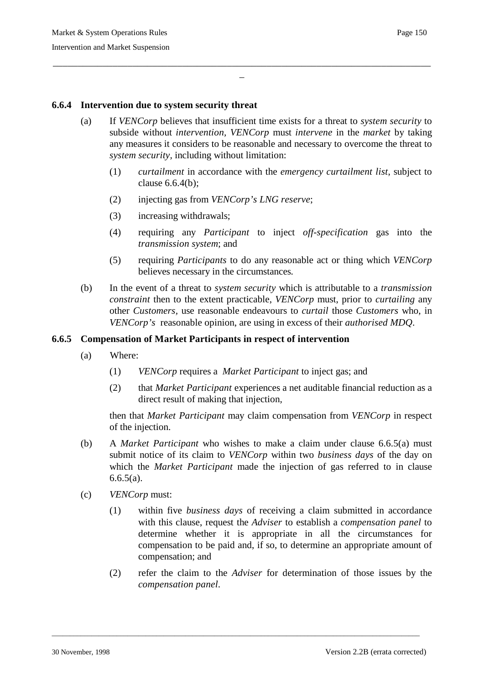## **6.6.4 Intervention due to system security threat**

(a) If *VENCorp* believes that insufficient time exists for a threat to *system security* to subside without *intervention, VENCorp* must *intervene* in the *market* by taking any measures it considers to be reasonable and necessary to overcome the threat to *system security,* including without limitation:

\_\_\_\_\_\_\_\_\_\_\_\_\_\_\_\_\_\_\_\_\_\_\_\_\_\_\_\_\_\_\_\_\_\_\_\_\_\_\_\_\_\_\_\_\_\_\_\_\_\_\_\_\_\_\_\_\_\_\_\_\_\_\_\_\_\_\_\_\_\_\_\_\_\_\_\_ \_

- (1) *curtailment* in accordance with the *emergency curtailment list*, subject to clause 6.6.4(b);
- (2) injecting gas from *VENCorp's LNG reserve*;
- (3) increasing withdrawals;
- (4) requiring any *Participant* to inject *off-specification* gas into the *transmission system*; and
- (5) requiring *Participants* to do any reasonable act or thing which *VENCorp*  believes necessary in the circumstances*.*
- (b) In the event of a threat to *system security* which is attributable to a *transmission constraint* then to the extent practicable, *VENCorp* must, prior to *curtailing* any other *Customers,* use reasonable endeavours to *curtail* those *Customers* who, in *VENCorp's* reasonable opinion, are using in excess of their *authorised MDQ*.

### **6.6.5 Compensation of Market Participants in respect of intervention**

- (a) Where:
	- (1) *VENCorp* requires a *Market Participant* to inject gas; and
	- (2) that *Market Participant* experiences a net auditable financial reduction as a direct result of making that injection*,*

then that *Market Participant* may claim compensation from *VENCorp* in respect of the injection.

- (b) A *Market Participant* who wishes to make a claim under clause 6.6.5(a) must submit notice of its claim to *VENCorp* within two *business days* of the day on which the *Market Participant* made the injection of gas referred to in clause  $6.6.5(a)$ .
- (c) *VENCorp* must:
	- (1) within five *business days* of receiving a claim submitted in accordance with this clause, request the *Adviser* to establish a *compensation panel* to determine whether it is appropriate in all the circumstances for compensation to be paid and, if so, to determine an appropriate amount of compensation; and
	- (2) refer the claim to the *Adviser* for determination of those issues by the *compensation panel*.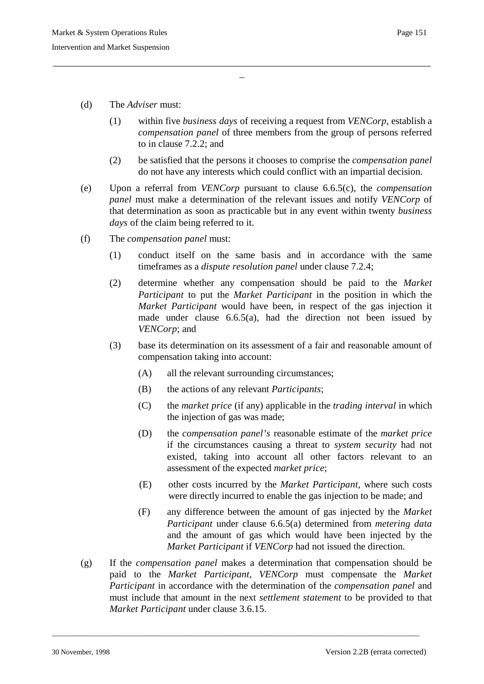- (d) The *Adviser* must:
	- (1) within five *business days* of receiving a request from *VENCorp*, establish a *compensation panel* of three members from the group of persons referred to in clause 7.2.2; and
	- (2) be satisfied that the persons it chooses to comprise the *compensation panel* do not have any interests which could conflict with an impartial decision.
- (e) Upon a referral from *VENCorp* pursuant to clause 6.6.5(c), the *compensation panel* must make a determination of the relevant issues and notify *VENCorp* of that determination as soon as practicable but in any event within twenty *business days* of the claim being referred to it.

- (f) The *compensation panel* must:
	- (1) conduct itself on the same basis and in accordance with the same timeframes as a *dispute resolution panel* under clause 7.2.4;
	- (2) determine whether any compensation should be paid to the *Market Participant* to put the *Market Participant* in the position in which the *Market Participant* would have been, in respect of the gas injection it made under clause  $6.6.5(a)$ , had the direction not been issued by *VENCorp*; and
	- (3) base its determination on its assessment of a fair and reasonable amount of compensation taking into account:
		- (A) all the relevant surrounding circumstances;
		- (B) the actions of any relevant *Participants*;
		- (C) the *market price* (if any) applicable in the *trading interval* in which the injection of gas was made;
		- (D) the *compensation panel's* reasonable estimate of the *market price*  if the circumstances causing a threat to *system security* had not existed, taking into account all other factors relevant to an assessment of the expected *market price*;
		- (E) other costs incurred by the *Market Participant*, where such costs were directly incurred to enable the gas injection to be made; and
		- (F) any difference between the amount of gas injected by the *Market Participant* under clause 6.6.5(a) determined from *metering data*  and the amount of gas which would have been injected by the *Market Participant* if *VENCorp* had not issued the direction.
- (g) If the *compensation panel* makes a determination that compensation should be paid to the *Market Participant*, *VENCorp* must compensate the *Market Participant* in accordance with the determination of the *compensation panel* and must include that amount in the next *settlement statement* to be provided to that *Market Participant* under clause 3.6.15.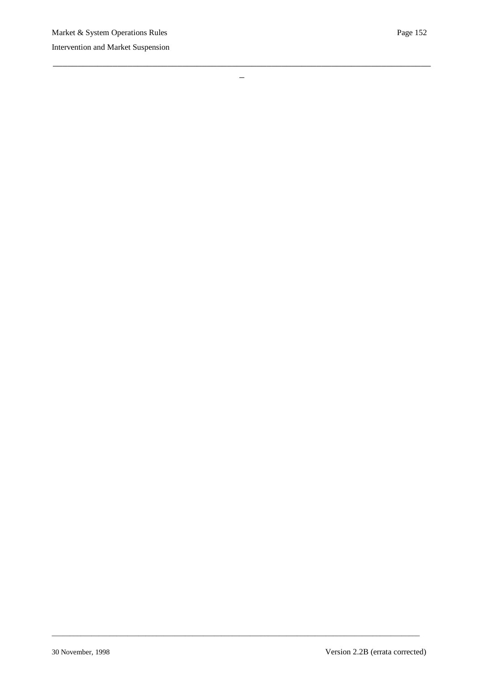Intervention and Market Suspension

\_\_\_\_\_\_\_\_\_\_\_\_\_\_\_\_\_\_\_\_\_\_\_\_\_\_\_\_\_\_\_\_\_\_\_\_\_\_\_\_\_\_\_\_\_\_\_\_\_\_\_\_\_\_\_\_\_\_\_\_\_\_\_\_\_\_\_\_\_\_\_\_\_\_\_\_  $\overline{\phantom{0}}$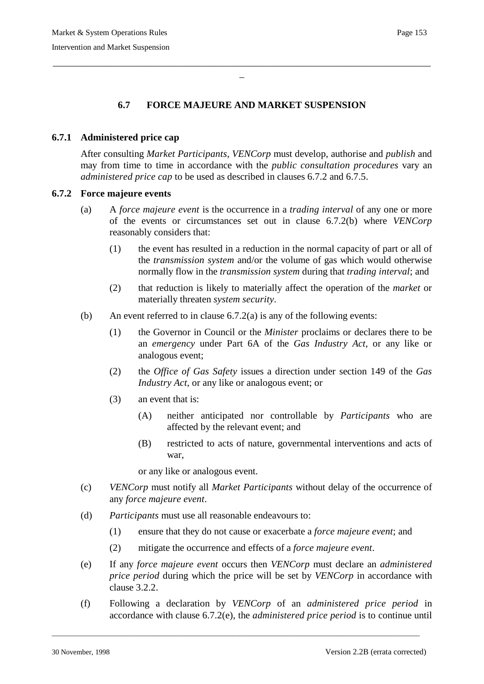# **6.7 FORCE MAJEURE AND MARKET SUSPENSION**

\_\_\_\_\_\_\_\_\_\_\_\_\_\_\_\_\_\_\_\_\_\_\_\_\_\_\_\_\_\_\_\_\_\_\_\_\_\_\_\_\_\_\_\_\_\_\_\_\_\_\_\_\_\_\_\_\_\_\_\_\_\_\_\_\_\_\_\_\_\_\_\_\_\_\_\_ \_

#### **6.7.1 Administered price cap**

After consulting *Market Participants*, *VENCorp* must develop, authorise and *publish* and may from time to time in accordance with the *public consultation procedures* vary an *administered price cap* to be used as described in clauses 6.7.2 and 6.7.5.

#### **6.7.2 Force majeure events**

- (a) A *force majeure event* is the occurrence in a *trading interval* of any one or more of the events or circumstances set out in clause 6.7.2(b) where *VENCorp* reasonably considers that:
	- (1) the event has resulted in a reduction in the normal capacity of part or all of the *transmission system* and/or the volume of gas which would otherwise normally flow in the *transmission system* during that *trading interval*; and
	- (2) that reduction is likely to materially affect the operation of the *market* or materially threaten *system security*.
- (b) An event referred to in clause  $6.7.2(a)$  is any of the following events:
	- (1) the Governor in Council or the *Minister* proclaims or declares there to be an *emergency* under Part 6A of the *Gas Industry Act*, or any like or analogous event;
	- (2) the *Office of Gas Safety* issues a direction under section 149 of the *Gas Industry Act*, or any like or analogous event; or
	- (3) an event that is:
		- (A) neither anticipated nor controllable by *Participants* who are affected by the relevant event; and
		- (B) restricted to acts of nature, governmental interventions and acts of war,

or any like or analogous event.

- (c) *VENCorp* must notify all *Market Participants* without delay of the occurrence of any *force majeure event*.
- (d) *Participants* must use all reasonable endeavours to:
	- (1) ensure that they do not cause or exacerbate a *force majeure event*; and
	- (2) mitigate the occurrence and effects of a *force majeure event*.

- (e) If any *force majeure event* occurs then *VENCorp* must declare an *administered price period* during which the price will be set by *VENCorp* in accordance with clause 3.2.2.
- (f) Following a declaration by *VENCorp* of an *administered price period* in accordance with clause 6.7.2(e), the *administered price period* is to continue until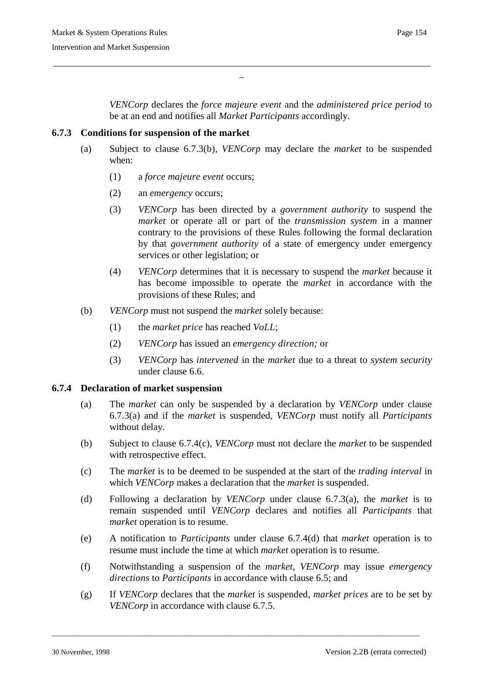*VENCorp* declares the *force majeure event* and the *administered price period* to be at an end and notifies all *Market Participants* accordingly.

#### **6.7.3 Conditions for suspension of the market**

(a) Subject to clause 6.7.3(b), *VENCorp* may declare the *market* to be suspended when:

\_\_\_\_\_\_\_\_\_\_\_\_\_\_\_\_\_\_\_\_\_\_\_\_\_\_\_\_\_\_\_\_\_\_\_\_\_\_\_\_\_\_\_\_\_\_\_\_\_\_\_\_\_\_\_\_\_\_\_\_\_\_\_\_\_\_\_\_\_\_\_\_\_\_\_\_ \_

- (1) a *force majeure event* occurs;
- (2) an *emergency* occurs;
- (3) *VENCorp* has been directed by a *government authority* to suspend the *market* or operate all or part of the *transmission system* in a manner contrary to the provisions of these Rules following the formal declaration by that *government authority* of a state of emergency under emergency services or other legislation; or
- (4) *VENCorp* determines that it is necessary to suspend the *market* because it has become impossible to operate the *market* in accordance with the provisions of these Rules; and
- (b) *VENCorp* must not suspend the *market* solely because:
	- (1) the *market price* has reached *VoLL*;
	- (2) *VENCorp* has issued an *emergency direction;* or
	- (3) *VENCorp* has *intervened* in the *market* due to a threat to *system security*  under clause 6.6.

#### **6.7.4 Declaration of market suspension**

- (a) The *market* can only be suspended by a declaration by *VENCorp* under clause 6.7.3(a) and if the *market* is suspended, *VENCorp* must notify all *Participants* without delay.
- (b) Subject to clause 6.7.4(c), *VENCorp* must not declare the *market* to be suspended with retrospective effect.
- (c) The *market* is to be deemed to be suspended at the start of the *trading interval* in which *VENCorp* makes a declaration that the *market* is suspended.
- (d) Following a declaration by *VENCorp* under clause 6.7.3(a), the *market* is to remain suspended until *VENCorp* declares and notifies all *Participants* that *market* operation is to resume.
- (e) A notification to *Participants* under clause 6.7.4(d) that *market* operation is to resume must include the time at which *market* operation is to resume*.*
- (f) Notwithstanding a suspension of the *market*, *VENCorp* may issue *emergency directions* to *Participants* in accordance with clause 6.5; and
- (g) If *VENCorp* declares that the *market* is suspended, *market prices* are to be set by *VENCorp* in accordance with clause 6.7.5.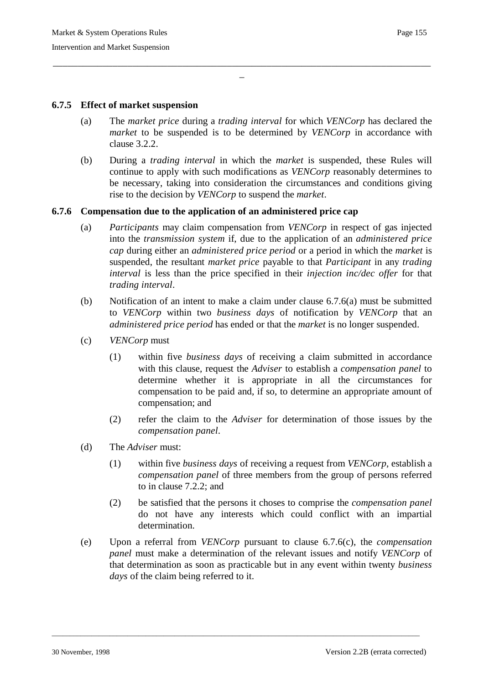# **6.7.5 Effect of market suspension**

(a) The *market price* during a *trading interval* for which *VENCorp* has declared the *market* to be suspended is to be determined by *VENCorp* in accordance with clause 3.2.2.

\_\_\_\_\_\_\_\_\_\_\_\_\_\_\_\_\_\_\_\_\_\_\_\_\_\_\_\_\_\_\_\_\_\_\_\_\_\_\_\_\_\_\_\_\_\_\_\_\_\_\_\_\_\_\_\_\_\_\_\_\_\_\_\_\_\_\_\_\_\_\_\_\_\_\_\_ \_

(b) During a *trading interval* in which the *market* is suspended, these Rules will continue to apply with such modifications as *VENCorp* reasonably determines to be necessary, taking into consideration the circumstances and conditions giving rise to the decision by *VENCorp* to suspend the *market*.

### **6.7.6 Compensation due to the application of an administered price cap**

- (a) *Participants* may claim compensation from *VENCorp* in respect of gas injected into the *transmission system* if, due to the application of an *administered price cap* during either an *administered price period* or a period in which the *market* is suspended, the resultant *market price* payable to that *Participant* in any *trading interval* is less than the price specified in their *injection inc/dec offer* for that *trading interval*.
- (b) Notification of an intent to make a claim under clause 6.7.6(a) must be submitted to *VENCorp* within two *business days* of notification by *VENCorp* that an *administered price period* has ended or that the *market* is no longer suspended.
- (c) *VENCorp* must
	- (1) within five *business days* of receiving a claim submitted in accordance with this clause, request the *Adviser* to establish a *compensation panel* to determine whether it is appropriate in all the circumstances for compensation to be paid and, if so, to determine an appropriate amount of compensation; and
	- (2) refer the claim to the *Adviser* for determination of those issues by the *compensation panel*.
- (d) The *Adviser* must:
	- (1) within five *business days* of receiving a request from *VENCorp*, establish a *compensation panel* of three members from the group of persons referred to in clause 7.2.2; and
	- (2) be satisfied that the persons it choses to comprise the *compensation panel*  do not have any interests which could conflict with an impartial determination.
- (e) Upon a referral from *VENCorp* pursuant to clause 6.7.6(c), the *compensation panel* must make a determination of the relevant issues and notify *VENCorp* of that determination as soon as practicable but in any event within twenty *business days* of the claim being referred to it.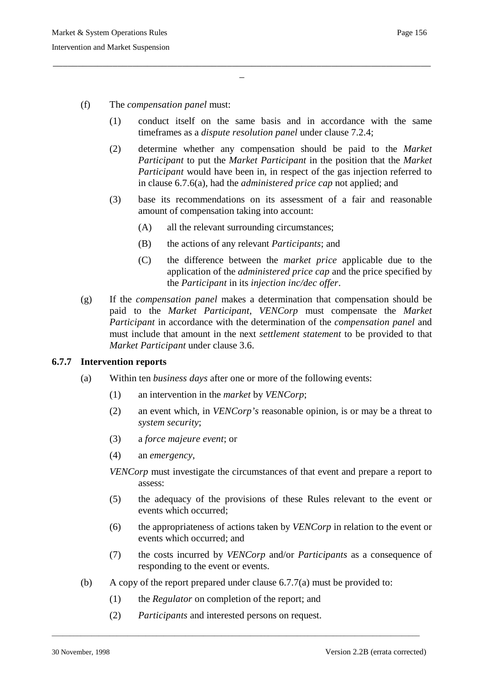- (f) The *compensation panel* must:
	- (1) conduct itself on the same basis and in accordance with the same timeframes as a *dispute resolution panel* under clause 7.2.4;
	- (2) determine whether any compensation should be paid to the *Market Participant* to put the *Market Participant* in the position that the *Market Participant* would have been in, in respect of the gas injection referred to in clause 6.7.6(a), had the *administered price cap* not applied; and
	- (3) base its recommendations on its assessment of a fair and reasonable amount of compensation taking into account:
		- (A) all the relevant surrounding circumstances;
		- (B) the actions of any relevant *Participants*; and

- (C) the difference between the *market price* applicable due to the application of the *administered price cap* and the price specified by the *Participant* in its *injection inc/dec offer*.
- (g) If the *compensation panel* makes a determination that compensation should be paid to the *Market Participant*, *VENCorp* must compensate the *Market Participant* in accordance with the determination of the *compensation panel* and must include that amount in the next *settlement statement* to be provided to that *Market Participant* under clause 3.6.

#### **6.7.7 Intervention reports**

- (a) Within ten *business days* after one or more of the following events:
	- (1) an intervention in the *market* by *VENCorp*;
	- (2) an event which, in *VENCorp's* reasonable opinion, is or may be a threat to *system security*;
	- (3) a *force majeure event*; or
	- (4) an *emergency*,
	- *VENCorp* must investigate the circumstances of that event and prepare a report to assess:
	- (5) the adequacy of the provisions of these Rules relevant to the event or events which occurred;
	- (6) the appropriateness of actions taken by *VENCorp* in relation to the event or events which occurred; and
	- (7) the costs incurred by *VENCorp* and/or *Participants* as a consequence of responding to the event or events.
- (b) A copy of the report prepared under clause 6.7.7(a) must be provided to:

- (1) the *Regulator* on completion of the report; and
- (2) *Participants* and interested persons on request.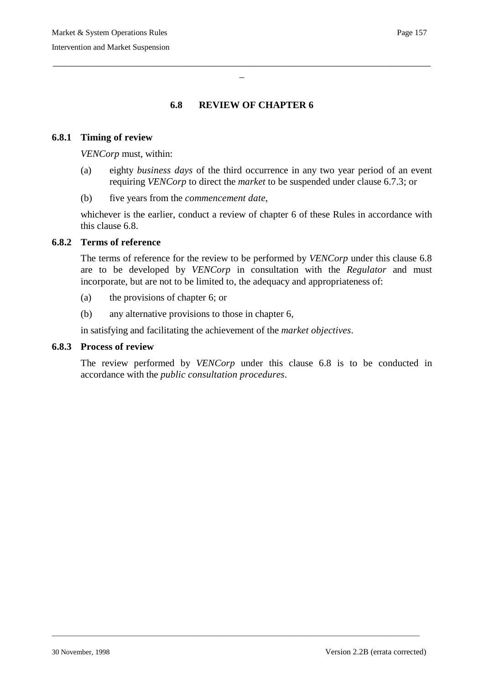# **6.8 REVIEW OF CHAPTER 6**

\_\_\_\_\_\_\_\_\_\_\_\_\_\_\_\_\_\_\_\_\_\_\_\_\_\_\_\_\_\_\_\_\_\_\_\_\_\_\_\_\_\_\_\_\_\_\_\_\_\_\_\_\_\_\_\_\_\_\_\_\_\_\_\_\_\_\_\_\_\_\_\_\_\_\_\_ \_

#### **6.8.1 Timing of review**

*VENCorp* must, within:

- (a) eighty *business days* of the third occurrence in any two year period of an event requiring *VENCorp* to direct the *market* to be suspended under clause 6.7.3; or
- (b) five years from the *commencement date*,

whichever is the earlier, conduct a review of chapter 6 of these Rules in accordance with this clause 6.8.

#### **6.8.2 Terms of reference**

The terms of reference for the review to be performed by *VENCorp* under this clause 6.8 are to be developed by *VENCorp* in consultation with the *Regulator* and must incorporate, but are not to be limited to, the adequacy and appropriateness of:

- (a) the provisions of chapter 6; or
- (b) any alternative provisions to those in chapter 6,

in satisfying and facilitating the achievement of the *market objectives*.

#### **6.8.3 Process of review**

The review performed by *VENCorp* under this clause 6.8 is to be conducted in accordance with the *public consultation procedures*.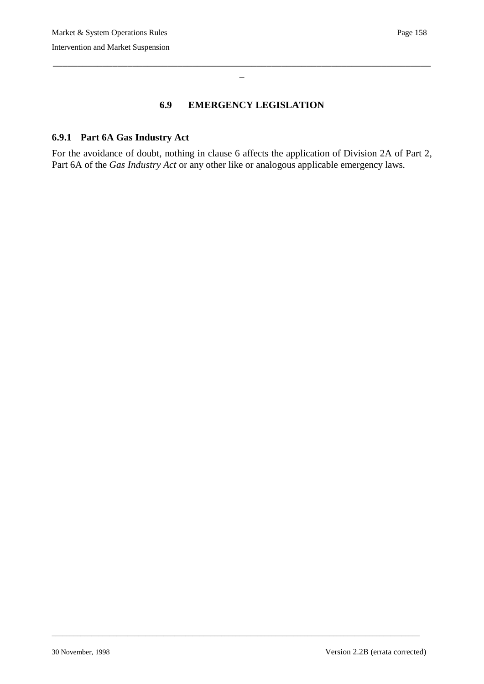# **6.9 EMERGENCY LEGISLATION**

\_\_\_\_\_\_\_\_\_\_\_\_\_\_\_\_\_\_\_\_\_\_\_\_\_\_\_\_\_\_\_\_\_\_\_\_\_\_\_\_\_\_\_\_\_\_\_\_\_\_\_\_\_\_\_\_\_\_\_\_\_\_\_\_\_\_\_\_\_\_\_\_\_\_\_\_  $\overline{\phantom{a}}$ 

# **6.9.1 Part 6A Gas Industry Act**

For the avoidance of doubt, nothing in clause 6 affects the application of Division 2A of Part 2, Part 6A of the *Gas Industry Act* or any other like or analogous applicable emergency laws.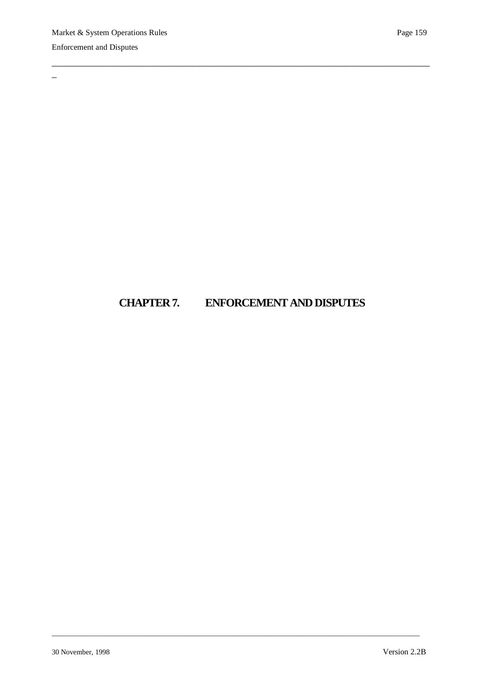Enforcement and Disputes

 $\overline{a}$ 

# **CHAPTER 7. ENFORCEMENT AND DISPUTES**

 $\_$  ,  $\_$  ,  $\_$  ,  $\_$  ,  $\_$  ,  $\_$  ,  $\_$  ,  $\_$  ,  $\_$  ,  $\_$  ,  $\_$  ,  $\_$  ,  $\_$  ,  $\_$  ,  $\_$  ,  $\_$  ,  $\_$  ,  $\_$  ,  $\_$  ,  $\_$  ,  $\_$  ,  $\_$  ,  $\_$  ,  $\_$  ,  $\_$  ,  $\_$  ,  $\_$  ,  $\_$  ,  $\_$  ,  $\_$  ,  $\_$  ,  $\_$  ,  $\_$  ,  $\_$  ,  $\_$  ,  $\_$  ,  $\_$  ,

\_\_\_\_\_\_\_\_\_\_\_\_\_\_\_\_\_\_\_\_\_\_\_\_\_\_\_\_\_\_\_\_\_\_\_\_\_\_\_\_\_\_\_\_\_\_\_\_\_\_\_\_\_\_\_\_\_\_\_\_\_\_\_\_\_\_\_\_\_\_\_\_\_\_\_\_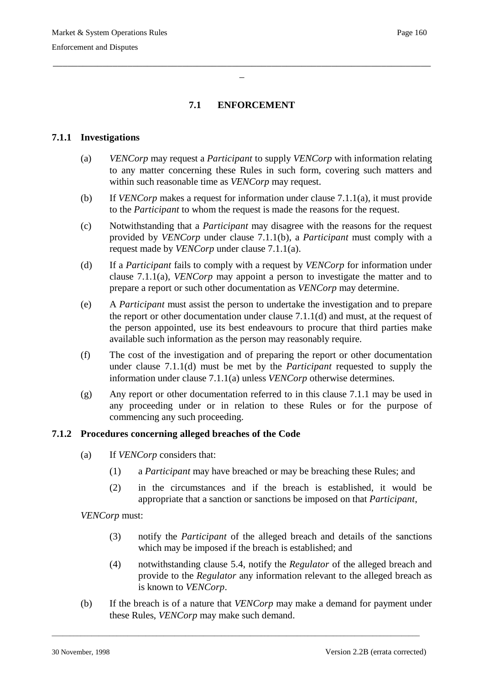# **7.1 ENFORCEMENT**

\_\_\_\_\_\_\_\_\_\_\_\_\_\_\_\_\_\_\_\_\_\_\_\_\_\_\_\_\_\_\_\_\_\_\_\_\_\_\_\_\_\_\_\_\_\_\_\_\_\_\_\_\_\_\_\_\_\_\_\_\_\_\_\_\_\_\_\_\_\_\_\_\_\_\_\_ \_

### **7.1.1 Investigations**

- (a) *VENCorp* may request a *Participant* to supply *VENCorp* with information relating to any matter concerning these Rules in such form, covering such matters and within such reasonable time as *VENCorp* may request.
- (b) If *VENCorp* makes a request for information under clause 7.1.1(a), it must provide to the *Participant* to whom the request is made the reasons for the request.
- (c) Notwithstanding that a *Participant* may disagree with the reasons for the request provided by *VENCorp* under clause 7.1.1(b), a *Participant* must comply with a request made by *VENCorp* under clause 7.1.1(a).
- (d) If a *Participant* fails to comply with a request by *VENCorp* for information under clause 7.1.1(a), *VENCorp* may appoint a person to investigate the matter and to prepare a report or such other documentation as *VENCorp* may determine.
- (e) A *Participant* must assist the person to undertake the investigation and to prepare the report or other documentation under clause 7.1.1(d) and must, at the request of the person appointed, use its best endeavours to procure that third parties make available such information as the person may reasonably require.
- (f) The cost of the investigation and of preparing the report or other documentation under clause 7.1.1(d) must be met by the *Participant* requested to supply the information under clause 7.1.1(a) unless *VENCorp* otherwise determines.
- (g) Any report or other documentation referred to in this clause 7.1.1 may be used in any proceeding under or in relation to these Rules or for the purpose of commencing any such proceeding.

#### **7.1.2 Procedures concerning alleged breaches of the Code**

- (a) If *VENCorp* considers that:
	- (1) a *Participant* may have breached or may be breaching these Rules; and
	- (2) in the circumstances and if the breach is established, it would be appropriate that a sanction or sanctions be imposed on that *Participant*,

*VENCorp* must:

- (3) notify the *Participant* of the alleged breach and details of the sanctions which may be imposed if the breach is established; and
- (4) notwithstanding clause 5.4, notify the *Regulator* of the alleged breach and provide to the *Regulator* any information relevant to the alleged breach as is known to *VENCorp*.
- (b) If the breach is of a nature that *VENCorp* may make a demand for payment under these Rules, *VENCorp* may make such demand.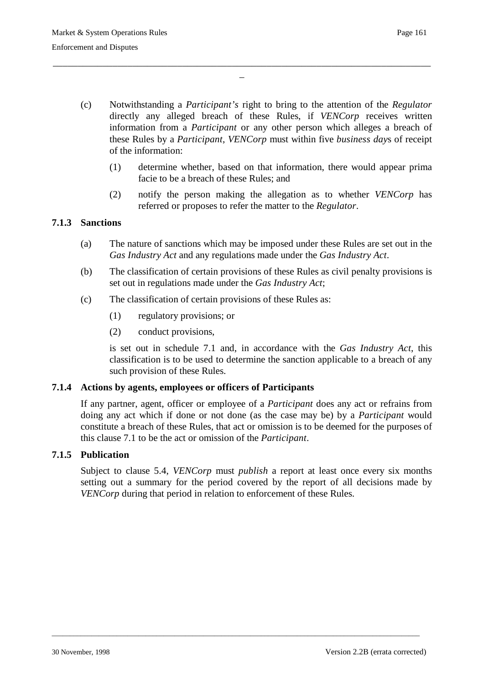(c) Notwithstanding a *Participant's* right to bring to the attention of the *Regulator* directly any alleged breach of these Rules, if *VENCorp* receives written information from a *Participant* or any other person which alleges a breach of these Rules by a *Participant*, *VENCorp* must within five *business day*s of receipt of the information:

\_\_\_\_\_\_\_\_\_\_\_\_\_\_\_\_\_\_\_\_\_\_\_\_\_\_\_\_\_\_\_\_\_\_\_\_\_\_\_\_\_\_\_\_\_\_\_\_\_\_\_\_\_\_\_\_\_\_\_\_\_\_\_\_\_\_\_\_\_\_\_\_\_\_\_\_ \_

- (1) determine whether, based on that information, there would appear prima facie to be a breach of these Rules; and
- (2) notify the person making the allegation as to whether *VENCorp* has referred or proposes to refer the matter to the *Regulator*.

# **7.1.3 Sanctions**

- (a) The nature of sanctions which may be imposed under these Rules are set out in the *Gas Industry Act* and any regulations made under the *Gas Industry Act*.
- (b) The classification of certain provisions of these Rules as civil penalty provisions is set out in regulations made under the *Gas Industry Act*;
- (c) The classification of certain provisions of these Rules as:
	- (1) regulatory provisions; or
	- (2) conduct provisions,

is set out in schedule 7.1 and, in accordance with the *Gas Industry Act*, this classification is to be used to determine the sanction applicable to a breach of any such provision of these Rules.

### **7.1.4 Actions by agents, employees or officers of Participants**

If any partner, agent, officer or employee of a *Participant* does any act or refrains from doing any act which if done or not done (as the case may be) by a *Participant* would constitute a breach of these Rules, that act or omission is to be deemed for the purposes of this clause 7.1 to be the act or omission of the *Participant*.

### **7.1.5 Publication**

Subject to clause 5.4, *VENCorp* must *publish* a report at least once every six months setting out a summary for the period covered by the report of all decisions made by *VENCorp* during that period in relation to enforcement of these Rules.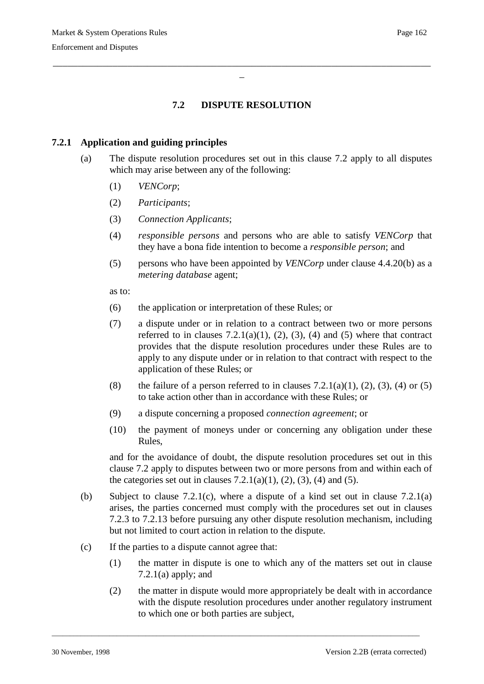# **7.2 DISPUTE RESOLUTION**

\_\_\_\_\_\_\_\_\_\_\_\_\_\_\_\_\_\_\_\_\_\_\_\_\_\_\_\_\_\_\_\_\_\_\_\_\_\_\_\_\_\_\_\_\_\_\_\_\_\_\_\_\_\_\_\_\_\_\_\_\_\_\_\_\_\_\_\_\_\_\_\_\_\_\_\_ \_

#### **7.2.1 Application and guiding principles**

- (a) The dispute resolution procedures set out in this clause 7.2 apply to all disputes which may arise between any of the following:
	- (1) *VENCorp*;
	- (2) *Participants*;
	- (3) *Connection Applicants*;
	- (4) *responsible persons* and persons who are able to satisfy *VENCorp* that they have a bona fide intention to become a *responsible person*; and
	- (5) persons who have been appointed by *VENCorp* under clause 4.4.20(b) as a *metering database* agent;

as to:

- (6) the application or interpretation of these Rules; or
- (7) a dispute under or in relation to a contract between two or more persons referred to in clauses  $7.2.1(a)(1)$ ,  $(2)$ ,  $(3)$ ,  $(4)$  and  $(5)$  where that contract provides that the dispute resolution procedures under these Rules are to apply to any dispute under or in relation to that contract with respect to the application of these Rules; or
- (8) the failure of a person referred to in clauses  $7.2.1(a)(1)$ ,  $(2)$ ,  $(3)$ ,  $(4)$  or  $(5)$ to take action other than in accordance with these Rules; or
- (9) a dispute concerning a proposed *connection agreement*; or
- (10) the payment of moneys under or concerning any obligation under these Rules,

and for the avoidance of doubt, the dispute resolution procedures set out in this clause 7.2 apply to disputes between two or more persons from and within each of the categories set out in clauses  $7.2.1(a)(1)$ ,  $(2)$ ,  $(3)$ ,  $(4)$  and  $(5)$ .

- (b) Subject to clause 7.2.1(c), where a dispute of a kind set out in clause 7.2.1(a) arises, the parties concerned must comply with the procedures set out in clauses 7.2.3 to 7.2.13 before pursuing any other dispute resolution mechanism, including but not limited to court action in relation to the dispute.
- (c) If the parties to a dispute cannot agree that:
	- (1) the matter in dispute is one to which any of the matters set out in clause  $7.2.1(a)$  apply; and
	- (2) the matter in dispute would more appropriately be dealt with in accordance with the dispute resolution procedures under another regulatory instrument to which one or both parties are subject,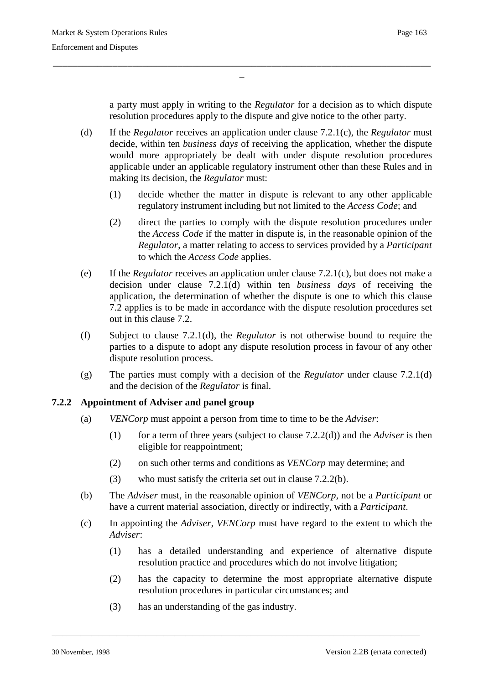a party must apply in writing to the *Regulator* for a decision as to which dispute resolution procedures apply to the dispute and give notice to the other party.

(d) If the *Regulator* receives an application under clause 7.2.1(c), the *Regulator* must decide, within ten *business days* of receiving the application, whether the dispute would more appropriately be dealt with under dispute resolution procedures applicable under an applicable regulatory instrument other than these Rules and in making its decision, the *Regulator* must:

\_\_\_\_\_\_\_\_\_\_\_\_\_\_\_\_\_\_\_\_\_\_\_\_\_\_\_\_\_\_\_\_\_\_\_\_\_\_\_\_\_\_\_\_\_\_\_\_\_\_\_\_\_\_\_\_\_\_\_\_\_\_\_\_\_\_\_\_\_\_\_\_\_\_\_\_ \_

- (1) decide whether the matter in dispute is relevant to any other applicable regulatory instrument including but not limited to the *Access Code*; and
- (2) direct the parties to comply with the dispute resolution procedures under the *Access Code* if the matter in dispute is, in the reasonable opinion of the *Regulator*, a matter relating to access to services provided by a *Participant*  to which the *Access Code* applies.
- (e) If the *Regulator* receives an application under clause 7.2.1(c), but does not make a decision under clause 7.2.1(d) within ten *business days* of receiving the application, the determination of whether the dispute is one to which this clause 7.2 applies is to be made in accordance with the dispute resolution procedures set out in this clause 7.2.
- (f) Subject to clause 7.2.1(d), the *Regulator* is not otherwise bound to require the parties to a dispute to adopt any dispute resolution process in favour of any other dispute resolution process.
- (g) The parties must comply with a decision of the *Regulator* under clause 7.2.1(d) and the decision of the *Regulator* is final.

# **7.2.2 Appointment of Adviser and panel group**

- (a) *VENCorp* must appoint a person from time to time to be the *Adviser*:
	- (1) for a term of three years (subject to clause 7.2.2(d)) and the *Adviser* is then eligible for reappointment;
	- (2) on such other terms and conditions as *VENCorp* may determine; and
	- (3) who must satisfy the criteria set out in clause 7.2.2(b).
- (b) The *Adviser* must, in the reasonable opinion of *VENCorp*, not be a *Participant* or have a current material association, directly or indirectly, with a *Participant*.
- (c) In appointing the *Adviser*, *VENCorp* must have regard to the extent to which the *Adviser*:
	- (1) has a detailed understanding and experience of alternative dispute resolution practice and procedures which do not involve litigation;
	- (2) has the capacity to determine the most appropriate alternative dispute resolution procedures in particular circumstances; and
	- (3) has an understanding of the gas industry.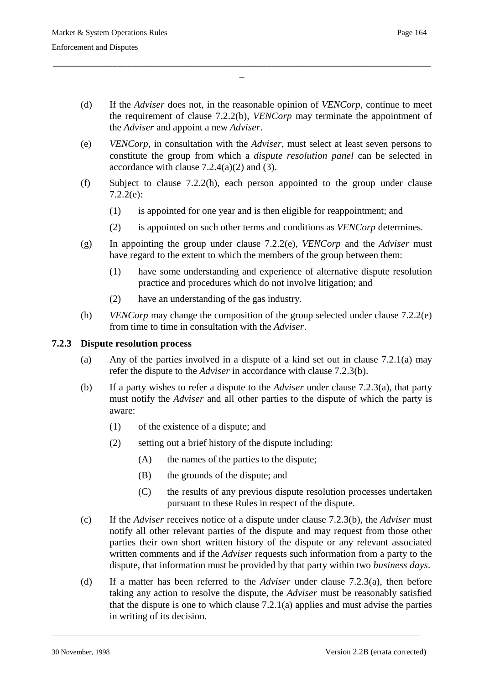- (d) If the *Adviser* does not, in the reasonable opinion of *VENCorp*, continue to meet the requirement of clause 7.2.2(b), *VENCorp* may terminate the appointment of the *Adviser* and appoint a new *Adviser*.
- (e) *VENCorp*, in consultation with the *Adviser*, must select at least seven persons to constitute the group from which a *dispute resolution panel* can be selected in accordance with clause  $7.2.4(a)(2)$  and  $(3)$ .

- (f) Subject to clause 7.2.2(h), each person appointed to the group under clause 7.2.2(e):
	- (1) is appointed for one year and is then eligible for reappointment; and
	- (2) is appointed on such other terms and conditions as *VENCorp* determines.
- (g) In appointing the group under clause 7.2.2(e), *VENCorp* and the *Adviser* must have regard to the extent to which the members of the group between them:
	- (1) have some understanding and experience of alternative dispute resolution practice and procedures which do not involve litigation; and
	- (2) have an understanding of the gas industry.
- (h) *VENCorp* may change the composition of the group selected under clause 7.2.2(e) from time to time in consultation with the *Adviser*.

#### **7.2.3 Dispute resolution process**

- (a) Any of the parties involved in a dispute of a kind set out in clause 7.2.1(a) may refer the dispute to the *Adviser* in accordance with clause 7.2.3(b).
- (b) If a party wishes to refer a dispute to the *Adviser* under clause 7.2.3(a), that party must notify the *Adviser* and all other parties to the dispute of which the party is aware:
	- (1) of the existence of a dispute; and
	- (2) setting out a brief history of the dispute including:
		- (A) the names of the parties to the dispute;
		- (B) the grounds of the dispute; and
		- (C) the results of any previous dispute resolution processes undertaken pursuant to these Rules in respect of the dispute.
- (c) If the *Adviser* receives notice of a dispute under clause 7.2.3(b), the *Adviser* must notify all other relevant parties of the dispute and may request from those other parties their own short written history of the dispute or any relevant associated written comments and if the *Adviser* requests such information from a party to the dispute, that information must be provided by that party within two *business days*.
- (d) If a matter has been referred to the *Adviser* under clause 7.2.3(a), then before taking any action to resolve the dispute, the *Adviser* must be reasonably satisfied that the dispute is one to which clause  $7.2.1(a)$  applies and must advise the parties in writing of its decision.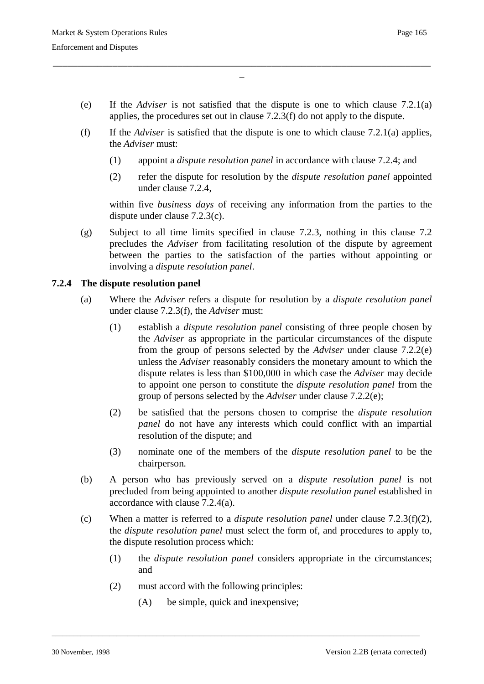(e) If the *Adviser* is not satisfied that the dispute is one to which clause 7.2.1(a) applies, the procedures set out in clause 7.2.3(f) do not apply to the dispute.

\_\_\_\_\_\_\_\_\_\_\_\_\_\_\_\_\_\_\_\_\_\_\_\_\_\_\_\_\_\_\_\_\_\_\_\_\_\_\_\_\_\_\_\_\_\_\_\_\_\_\_\_\_\_\_\_\_\_\_\_\_\_\_\_\_\_\_\_\_\_\_\_\_\_\_\_ \_

- (f) If the *Adviser* is satisfied that the dispute is one to which clause 7.2.1(a) applies, the *Adviser* must:
	- (1) appoint a *dispute resolution panel* in accordance with clause 7.2.4; and
	- (2) refer the dispute for resolution by the *dispute resolution panel* appointed under clause 7.2.4,

within five *business days* of receiving any information from the parties to the dispute under clause 7.2.3(c).

(g) Subject to all time limits specified in clause 7.2.3, nothing in this clause 7.2 precludes the *Adviser* from facilitating resolution of the dispute by agreement between the parties to the satisfaction of the parties without appointing or involving a *dispute resolution panel*.

# **7.2.4 The dispute resolution panel**

- (a) Where the *Adviser* refers a dispute for resolution by a *dispute resolution panel*  under clause 7.2.3(f), the *Adviser* must:
	- (1) establish a *dispute resolution panel* consisting of three people chosen by the *Adviser* as appropriate in the particular circumstances of the dispute from the group of persons selected by the *Adviser* under clause 7.2.2(e) unless the *Adviser* reasonably considers the monetary amount to which the dispute relates is less than \$100,000 in which case the *Adviser* may decide to appoint one person to constitute the *dispute resolution panel* from the group of persons selected by the *Adviser* under clause 7.2.2(e);
	- (2) be satisfied that the persons chosen to comprise the *dispute resolution panel* do not have any interests which could conflict with an impartial resolution of the dispute; and
	- (3) nominate one of the members of the *dispute resolution panel* to be the chairperson.
- (b) A person who has previously served on a *dispute resolution panel* is not precluded from being appointed to another *dispute resolution panel* established in accordance with clause 7.2.4(a).
- (c) When a matter is referred to a *dispute resolution panel* under clause 7.2.3(f)(2), the *dispute resolution panel* must select the form of, and procedures to apply to, the dispute resolution process which:
	- (1) the *dispute resolution panel* considers appropriate in the circumstances; and
	- (2) must accord with the following principles:
		- (A) be simple, quick and inexpensive;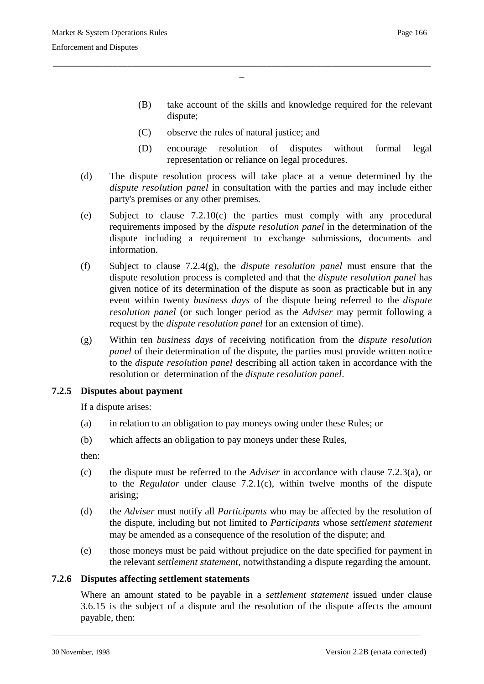- (B) take account of the skills and knowledge required for the relevant dispute;
- (C) observe the rules of natural justice; and

- (D) encourage resolution of disputes without formal legal representation or reliance on legal procedures.
- (d) The dispute resolution process will take place at a venue determined by the *dispute resolution panel* in consultation with the parties and may include either party's premises or any other premises.
- (e) Subject to clause 7.2.10(c) the parties must comply with any procedural requirements imposed by the *dispute resolution panel* in the determination of the dispute including a requirement to exchange submissions, documents and information.
- (f) Subject to clause 7.2.4(g), the *dispute resolution panel* must ensure that the dispute resolution process is completed and that the *dispute resolution panel* has given notice of its determination of the dispute as soon as practicable but in any event within twenty *business days* of the dispute being referred to the *dispute resolution panel* (or such longer period as the *Adviser* may permit following a request by the *dispute resolution panel* for an extension of time).
- (g) Within ten *business days* of receiving notification from the *dispute resolution panel* of their determination of the dispute, the parties must provide written notice to the *dispute resolution panel* describing all action taken in accordance with the resolution or determination of the *dispute resolution panel*.

### **7.2.5 Disputes about payment**

If a dispute arises:

- (a) in relation to an obligation to pay moneys owing under these Rules; or
- (b) which affects an obligation to pay moneys under these Rules,

then:

- (c) the dispute must be referred to the *Adviser* in accordance with clause 7.2.3(a), or to the *Regulator* under clause 7.2.1(c), within twelve months of the dispute arising;
- (d) the *Adviser* must notify all *Participants* who may be affected by the resolution of the dispute, including but not limited to *Participants* whose *settlement statement*  may be amended as a consequence of the resolution of the dispute; and
- (e) those moneys must be paid without prejudice on the date specified for payment in the relevant *settlement statement*, notwithstanding a dispute regarding the amount.

### **7.2.6 Disputes affecting settlement statements**

Where an amount stated to be payable in a *settlement statement* issued under clause 3.6.15 is the subject of a dispute and the resolution of the dispute affects the amount payable, then: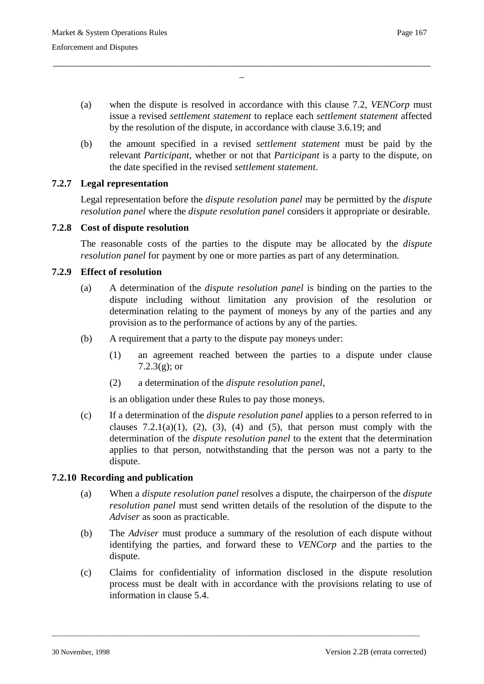(a) when the dispute is resolved in accordance with this clause 7.2, *VENCorp* must issue a revised *settlement statement* to replace each *settlement statement* affected by the resolution of the dispute, in accordance with clause 3.6.19; and

\_\_\_\_\_\_\_\_\_\_\_\_\_\_\_\_\_\_\_\_\_\_\_\_\_\_\_\_\_\_\_\_\_\_\_\_\_\_\_\_\_\_\_\_\_\_\_\_\_\_\_\_\_\_\_\_\_\_\_\_\_\_\_\_\_\_\_\_\_\_\_\_\_\_\_\_ \_

(b) the amount specified in a revised *settlement statement* must be paid by the relevant *Participant*, whether or not that *Participant* is a party to the dispute, on the date specified in the revised *settlement statement*.

# **7.2.7 Legal representation**

Legal representation before the *dispute resolution panel* may be permitted by the *dispute resolution panel* where the *dispute resolution panel* considers it appropriate or desirable.

### **7.2.8 Cost of dispute resolution**

The reasonable costs of the parties to the dispute may be allocated by the *dispute resolution panel* for payment by one or more parties as part of any determination.

# **7.2.9 Effect of resolution**

- (a) A determination of the *dispute resolution panel* is binding on the parties to the dispute including without limitation any provision of the resolution or determination relating to the payment of moneys by any of the parties and any provision as to the performance of actions by any of the parties.
- (b) A requirement that a party to the dispute pay moneys under:
	- (1) an agreement reached between the parties to a dispute under clause 7.2.3(g); or
	- (2) a determination of the *dispute resolution panel*,

is an obligation under these Rules to pay those moneys.

(c) If a determination of the *dispute resolution panel* applies to a person referred to in clauses  $7.2.1(a)(1)$ ,  $(2)$ ,  $(3)$ ,  $(4)$  and  $(5)$ , that person must comply with the determination of the *dispute resolution panel* to the extent that the determination applies to that person, notwithstanding that the person was not a party to the dispute.

### **7.2.10 Recording and publication**

- (a) When a *dispute resolution panel* resolves a dispute, the chairperson of the *dispute resolution panel* must send written details of the resolution of the dispute to the *Adviser* as soon as practicable.
- (b) The *Adviser* must produce a summary of the resolution of each dispute without identifying the parties, and forward these to *VENCorp* and the parties to the dispute.
- (c) Claims for confidentiality of information disclosed in the dispute resolution process must be dealt with in accordance with the provisions relating to use of information in clause 5.4.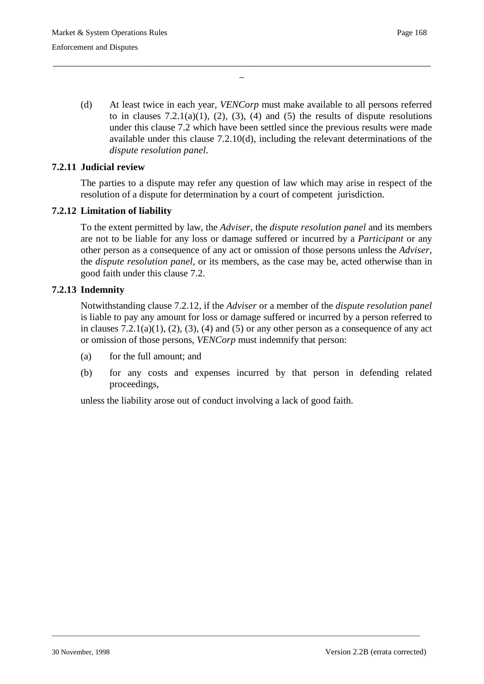(d) At least twice in each year, *VENCorp* must make available to all persons referred to in clauses  $7.2.1(a)(1)$ ,  $(2)$ ,  $(3)$ ,  $(4)$  and  $(5)$  the results of dispute resolutions under this clause 7.2 which have been settled since the previous results were made available under this clause 7.2.10(d), including the relevant determinations of the *dispute resolution panel*.

\_\_\_\_\_\_\_\_\_\_\_\_\_\_\_\_\_\_\_\_\_\_\_\_\_\_\_\_\_\_\_\_\_\_\_\_\_\_\_\_\_\_\_\_\_\_\_\_\_\_\_\_\_\_\_\_\_\_\_\_\_\_\_\_\_\_\_\_\_\_\_\_\_\_\_\_ \_

# **7.2.11 Judicial review**

The parties to a dispute may refer any question of law which may arise in respect of the resolution of a dispute for determination by a court of competent jurisdiction.

# **7.2.12 Limitation of liability**

To the extent permitted by law, the *Adviser*, the *dispute resolution panel* and its members are not to be liable for any loss or damage suffered or incurred by a *Participant* or any other person as a consequence of any act or omission of those persons unless the *Adviser*, the *dispute resolution panel,* or its members, as the case may be, acted otherwise than in good faith under this clause 7.2.

# **7.2.13 Indemnity**

Notwithstanding clause 7.2.12, if the *Adviser* or a member of the *dispute resolution panel*  is liable to pay any amount for loss or damage suffered or incurred by a person referred to in clauses  $7.2.1(a)(1)$ ,  $(2)$ ,  $(3)$ ,  $(4)$  and  $(5)$  or any other person as a consequence of any act or omission of those persons, *VENCorp* must indemnify that person:

- (a) for the full amount; and
- (b) for any costs and expenses incurred by that person in defending related proceedings,

unless the liability arose out of conduct involving a lack of good faith.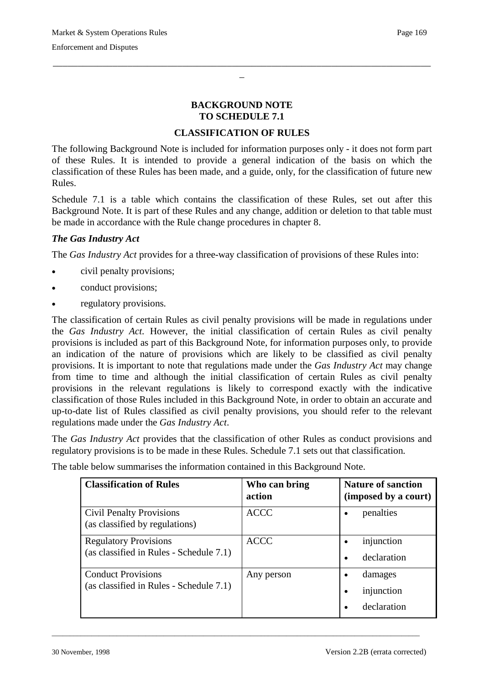# **BACKGROUND NOTE TO SCHEDULE 7.1**

\_\_\_\_\_\_\_\_\_\_\_\_\_\_\_\_\_\_\_\_\_\_\_\_\_\_\_\_\_\_\_\_\_\_\_\_\_\_\_\_\_\_\_\_\_\_\_\_\_\_\_\_\_\_\_\_\_\_\_\_\_\_\_\_\_\_\_\_\_\_\_\_\_\_\_\_ \_

# **CLASSIFICATION OF RULES**

The following Background Note is included for information purposes only - it does not form part of these Rules. It is intended to provide a general indication of the basis on which the classification of these Rules has been made, and a guide, only, for the classification of future new Rules.

Schedule 7.1 is a table which contains the classification of these Rules, set out after this Background Note. It is part of these Rules and any change, addition or deletion to that table must be made in accordance with the Rule change procedures in chapter 8.

# *The Gas Industry Act*

The *Gas Industry Act* provides for a three-way classification of provisions of these Rules into:

- civil penalty provisions;
- conduct provisions;
- regulatory provisions.

The classification of certain Rules as civil penalty provisions will be made in regulations under the *Gas Industry Act.* However, the initial classification of certain Rules as civil penalty provisions is included as part of this Background Note, for information purposes only, to provide an indication of the nature of provisions which are likely to be classified as civil penalty provisions. It is important to note that regulations made under the *Gas Industry Act* may change from time to time and although the initial classification of certain Rules as civil penalty provisions in the relevant regulations is likely to correspond exactly with the indicative classification of those Rules included in this Background Note, in order to obtain an accurate and up-to-date list of Rules classified as civil penalty provisions, you should refer to the relevant regulations made under the *Gas Industry Act*.

The *Gas Industry Act* provides that the classification of other Rules as conduct provisions and regulatory provisions is to be made in these Rules. Schedule 7.1 sets out that classification.

| <b>Classification of Rules</b>                                          | Who can bring<br>action | <b>Nature of sanction</b><br>(imposed by a court) |
|-------------------------------------------------------------------------|-------------------------|---------------------------------------------------|
| <b>Civil Penalty Provisions</b><br>(as classified by regulations)       | <b>ACCC</b>             | penalties                                         |
| <b>Regulatory Provisions</b><br>(as classified in Rules - Schedule 7.1) | <b>ACCC</b>             | injunction<br>declaration<br>$\bullet$            |
| <b>Conduct Provisions</b><br>(as classified in Rules - Schedule 7.1)    | Any person              | damages<br>injunction<br>declaration<br>$\bullet$ |

 $\_$  ,  $\_$  ,  $\_$  ,  $\_$  ,  $\_$  ,  $\_$  ,  $\_$  ,  $\_$  ,  $\_$  ,  $\_$  ,  $\_$  ,  $\_$  ,  $\_$  ,  $\_$  ,  $\_$  ,  $\_$  ,  $\_$  ,  $\_$  ,  $\_$  ,  $\_$  ,  $\_$  ,  $\_$  ,  $\_$  ,  $\_$  ,  $\_$  ,  $\_$  ,  $\_$  ,  $\_$  ,  $\_$  ,  $\_$  ,  $\_$  ,  $\_$  ,  $\_$  ,  $\_$  ,  $\_$  ,  $\_$  ,  $\_$  ,

The table below summarises the information contained in this Background Note.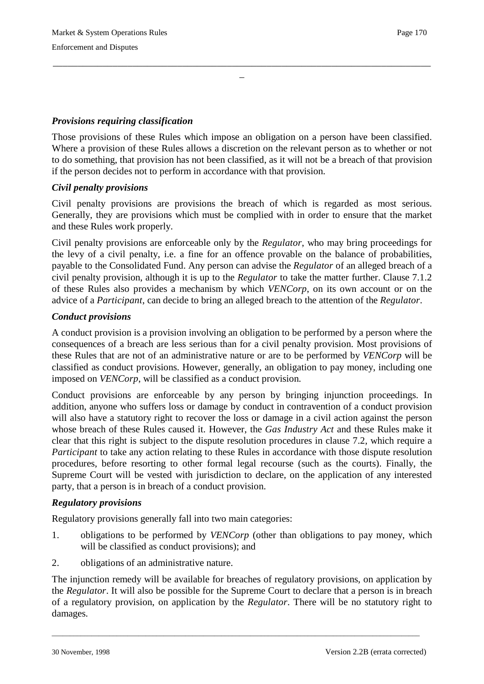# *Provisions requiring classification*

Those provisions of these Rules which impose an obligation on a person have been classified. Where a provision of these Rules allows a discretion on the relevant person as to whether or not to do something, that provision has not been classified, as it will not be a breach of that provision if the person decides not to perform in accordance with that provision.

\_\_\_\_\_\_\_\_\_\_\_\_\_\_\_\_\_\_\_\_\_\_\_\_\_\_\_\_\_\_\_\_\_\_\_\_\_\_\_\_\_\_\_\_\_\_\_\_\_\_\_\_\_\_\_\_\_\_\_\_\_\_\_\_\_\_\_\_\_\_\_\_\_\_\_\_ \_

# *Civil penalty provisions*

Civil penalty provisions are provisions the breach of which is regarded as most serious. Generally, they are provisions which must be complied with in order to ensure that the market and these Rules work properly.

Civil penalty provisions are enforceable only by the *Regulator*, who may bring proceedings for the levy of a civil penalty, i.e. a fine for an offence provable on the balance of probabilities, payable to the Consolidated Fund. Any person can advise the *Regulator* of an alleged breach of a civil penalty provision, although it is up to the *Regulator* to take the matter further. Clause 7.1.2 of these Rules also provides a mechanism by which *VENCorp*, on its own account or on the advice of a *Participant*, can decide to bring an alleged breach to the attention of the *Regulator*.

# *Conduct provisions*

A conduct provision is a provision involving an obligation to be performed by a person where the consequences of a breach are less serious than for a civil penalty provision. Most provisions of these Rules that are not of an administrative nature or are to be performed by *VENCorp* will be classified as conduct provisions. However, generally, an obligation to pay money, including one imposed on *VENCorp*, will be classified as a conduct provision.

Conduct provisions are enforceable by any person by bringing injunction proceedings. In addition, anyone who suffers loss or damage by conduct in contravention of a conduct provision will also have a statutory right to recover the loss or damage in a civil action against the person whose breach of these Rules caused it. However, the *Gas Industry Act* and these Rules make it clear that this right is subject to the dispute resolution procedures in clause 7.2, which require a *Participant* to take any action relating to these Rules in accordance with those dispute resolution procedures, before resorting to other formal legal recourse (such as the courts). Finally, the Supreme Court will be vested with jurisdiction to declare, on the application of any interested party, that a person is in breach of a conduct provision.

# *Regulatory provisions*

Regulatory provisions generally fall into two main categories:

- 1. obligations to be performed by *VENCorp* (other than obligations to pay money, which will be classified as conduct provisions); and
- 2. obligations of an administrative nature.

The injunction remedy will be available for breaches of regulatory provisions, on application by the *Regulator*. It will also be possible for the Supreme Court to declare that a person is in breach of a regulatory provision, on application by the *Regulator*. There will be no statutory right to damages.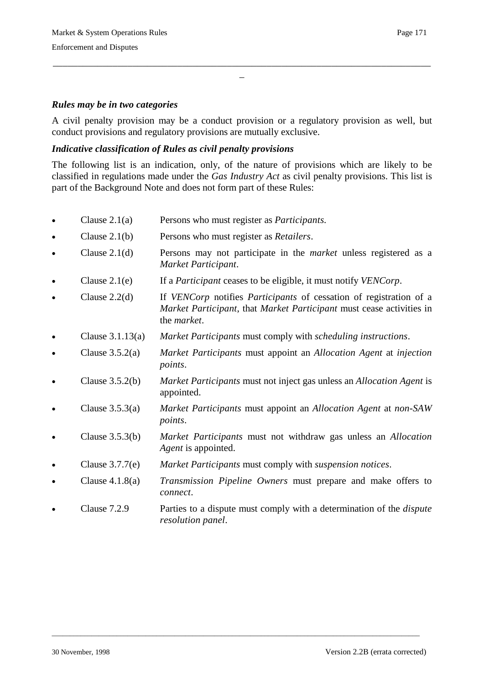### *Rules may be in two categories*

A civil penalty provision may be a conduct provision or a regulatory provision as well, but conduct provisions and regulatory provisions are mutually exclusive.

\_\_\_\_\_\_\_\_\_\_\_\_\_\_\_\_\_\_\_\_\_\_\_\_\_\_\_\_\_\_\_\_\_\_\_\_\_\_\_\_\_\_\_\_\_\_\_\_\_\_\_\_\_\_\_\_\_\_\_\_\_\_\_\_\_\_\_\_\_\_\_\_\_\_\_\_ \_

#### *Indicative classification of Rules as civil penalty provisions*

The following list is an indication, only, of the nature of provisions which are likely to be classified in regulations made under the *Gas Industry Act* as civil penalty provisions. This list is part of the Background Note and does not form part of these Rules:

- Clause 2.1(a) Persons who must register as *Participants.*
- Clause 2.1(b) Persons who must register as *Retailers*.
- Clause 2.1(d) Persons may not participate in the *market* unless registered as a *Market Participant*.
- Clause 2.1(e) If a *Participant* ceases to be eligible, it must notify *VENCorp*.
- Clause 2.2(d) If *VENCorp* notifies *Participants* of cessation of registration of a *Market Participant*, that *Market Participant* must cease activities in the *market*.
- Clause 3.1.13(a) *Market Participants* must comply with *scheduling instructions*.
- Clause 3.5.2(a) *Market Participants* must appoint an *Allocation Agent* at *injection points*.
- Clause 3.5.2(b) *Market Participants* must not inject gas unless an *Allocation Agent* is appointed.
- Clause 3.5.3(a) *Market Participants* must appoint an *Allocation Agent* at *non-SAW points*.
- Clause 3.5.3(b) *Market Participants* must not withdraw gas unless an *Allocation Agent* is appointed.
- Clause 3.7.7(e) *Market Participants* must comply with *suspension notices*.
- Clause 4.1.8(a) *Transmission Pipeline Owners* must prepare and make offers to *connect*.
- Clause 7.2.9 Parties to a dispute must comply with a determination of the *dispute resolution panel*.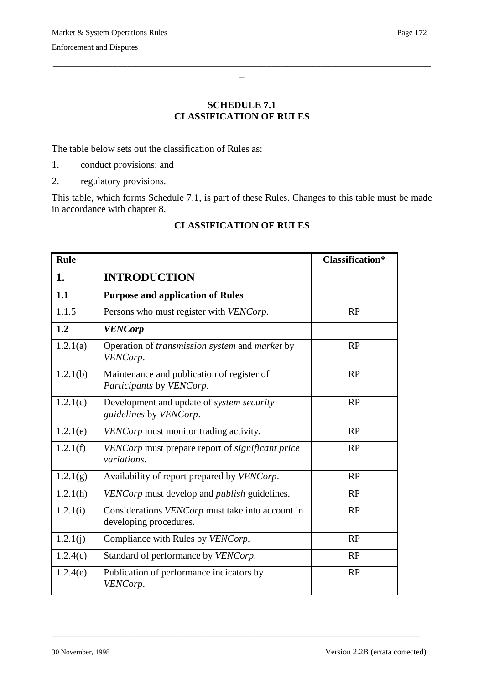# **SCHEDULE 7.1 CLASSIFICATION OF RULES**

\_\_\_\_\_\_\_\_\_\_\_\_\_\_\_\_\_\_\_\_\_\_\_\_\_\_\_\_\_\_\_\_\_\_\_\_\_\_\_\_\_\_\_\_\_\_\_\_\_\_\_\_\_\_\_\_\_\_\_\_\_\_\_\_\_\_\_\_\_\_\_\_\_\_\_\_ \_

The table below sets out the classification of Rules as:

- 1. conduct provisions; and
- 2. regulatory provisions.

This table, which forms Schedule 7.1, is part of these Rules. Changes to this table must be made in accordance with chapter 8.

# **CLASSIFICATION OF RULES**

| Rule     |                                                                            | <b>Classification*</b> |
|----------|----------------------------------------------------------------------------|------------------------|
| 1.       | <b>INTRODUCTION</b>                                                        |                        |
| 1.1      | <b>Purpose and application of Rules</b>                                    |                        |
| 1.1.5    | Persons who must register with VENCorp.                                    | RP                     |
| 1.2      | <b>VENCorp</b>                                                             |                        |
| 1.2.1(a) | Operation of <i>transmission system</i> and <i>market</i> by<br>VENCorp.   | RP                     |
| 1.2.1(b) | Maintenance and publication of register of<br>Participants by VENCorp.     | RP                     |
| 1.2.1(c) | Development and update of system security<br>guidelines by VENCorp.        | RP                     |
| 1.2.1(e) | VENCorp must monitor trading activity.                                     | RP                     |
| 1.2.1(f) | VENCorp must prepare report of significant price<br>variations.            | RP                     |
| 1.2.1(g) | Availability of report prepared by VENCorp.                                | RP                     |
| 1.2.1(h) | VENCorp must develop and publish guidelines.                               | <b>RP</b>              |
| 1.2.1(i) | Considerations VENCorp must take into account in<br>developing procedures. | RP                     |
| 1.2.1(j) | Compliance with Rules by VENCorp.                                          | RP                     |
| 1.2.4(c) | Standard of performance by VENCorp.                                        | RP                     |
| 1.2.4(e) | Publication of performance indicators by<br>VENCorp.                       | RP                     |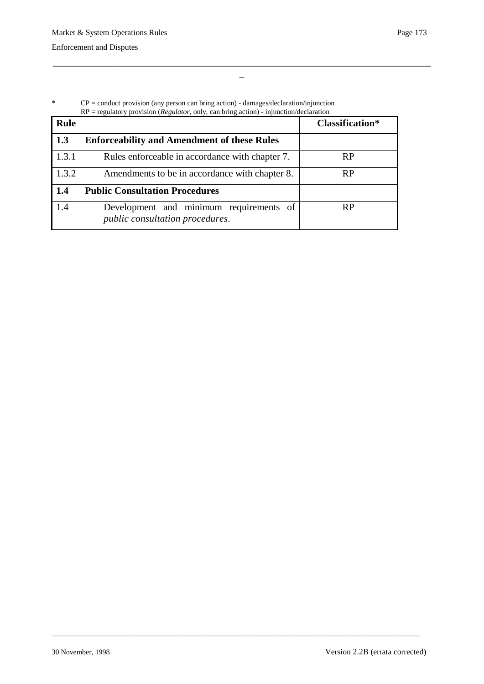\* CP = conduct provision (any person can bring action) - damages/declaration/injunction RP = regulatory provision (*Regulator*, only, can bring action) - injunction/declaration

| <b>Rule</b> |                                                                                   | <b>Classification*</b> |
|-------------|-----------------------------------------------------------------------------------|------------------------|
| 1.3         | <b>Enforceability and Amendment of these Rules</b>                                |                        |
| 1.3.1       | Rules enforceable in accordance with chapter 7.                                   | RP                     |
| 1.3.2       | Amendments to be in accordance with chapter 8.                                    | RP                     |
| 1.4         | <b>Public Consultation Procedures</b>                                             |                        |
| 1.4         | Development and minimum requirements of<br><i>public consultation procedures.</i> | <b>RP</b>              |

 $\_$  ,  $\_$  ,  $\_$  ,  $\_$  ,  $\_$  ,  $\_$  ,  $\_$  ,  $\_$  ,  $\_$  ,  $\_$  ,  $\_$  ,  $\_$  ,  $\_$  ,  $\_$  ,  $\_$  ,  $\_$  ,  $\_$  ,  $\_$  ,  $\_$  ,  $\_$  ,  $\_$  ,  $\_$  ,  $\_$  ,  $\_$  ,  $\_$  ,  $\_$  ,  $\_$  ,  $\_$  ,  $\_$  ,  $\_$  ,  $\_$  ,  $\_$  ,  $\_$  ,  $\_$  ,  $\_$  ,  $\_$  ,  $\_$  ,

\_\_\_\_\_\_\_\_\_\_\_\_\_\_\_\_\_\_\_\_\_\_\_\_\_\_\_\_\_\_\_\_\_\_\_\_\_\_\_\_\_\_\_\_\_\_\_\_\_\_\_\_\_\_\_\_\_\_\_\_\_\_\_\_\_\_\_\_\_\_\_\_\_\_\_\_  $\overline{a}$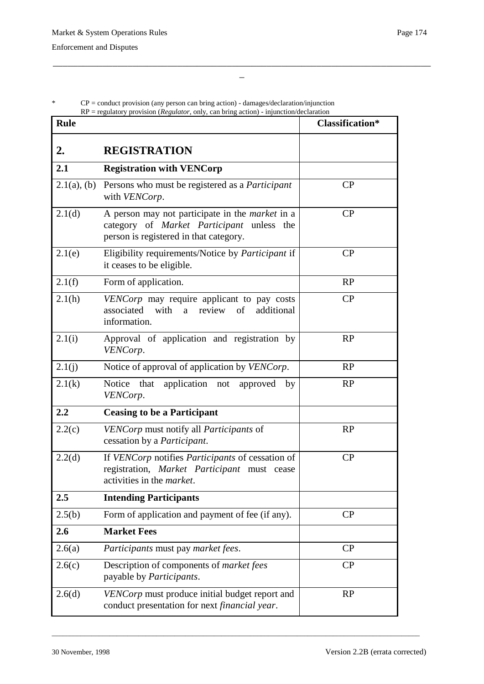\* CP = conduct provision (any person can bring action) - damages/declaration/injunction RP = regulatory provision (*Regulator*, only, can bring action) - injunction/declaration

\_\_\_\_\_\_\_\_\_\_\_\_\_\_\_\_\_\_\_\_\_\_\_\_\_\_\_\_\_\_\_\_\_\_\_\_\_\_\_\_\_\_\_\_\_\_\_\_\_\_\_\_\_\_\_\_\_\_\_\_\_\_\_\_\_\_\_\_\_\_\_\_\_\_\_\_  $\overline{a}$ 

| Rule   |                                                                                                                                                      | <b>Classification*</b> |
|--------|------------------------------------------------------------------------------------------------------------------------------------------------------|------------------------|
| 2.     | <b>REGISTRATION</b>                                                                                                                                  |                        |
| 2.1    | <b>Registration with VENCorp</b>                                                                                                                     |                        |
|        | $2.1(a)$ , (b) Persons who must be registered as a <i>Participant</i><br>with VENCorp.                                                               | CP                     |
| 2.1(d) | A person may not participate in the <i>market</i> in a<br>category of <i>Market Participant</i> unless the<br>person is registered in that category. | CP                     |
| 2.1(e) | Eligibility requirements/Notice by Participant if<br>it ceases to be eligible.                                                                       | CP                     |
| 2.1(f) | Form of application.                                                                                                                                 | RP                     |
| 2.1(h) | VENCorp may require applicant to pay costs<br>associated with<br>a review of<br>additional<br>information.                                           | CP                     |
| 2.1(i) | Approval of application and registration by<br>VENCorp.                                                                                              | RP                     |
| 2.1(j) | Notice of approval of application by <i>VENCorp</i> .                                                                                                | RP                     |
| 2.1(k) | Notice<br>that<br>application<br>not<br>approved<br>by<br>VENCorp.                                                                                   | RP                     |
| 2.2    | <b>Ceasing to be a Participant</b>                                                                                                                   |                        |
| 2.2(c) | VENCorp must notify all Participants of<br>cessation by a <i>Participant</i> .                                                                       | RP                     |
| 2.2(d) | If VENCorp notifies Participants of cessation of<br>registration, Market Participant must cease<br>activities in the <i>market</i> .                 | CP                     |
| 2.5    | <b>Intending Participants</b>                                                                                                                        |                        |
| 2.5(b) | Form of application and payment of fee (if any).                                                                                                     | CP                     |
| 2.6    | <b>Market Fees</b>                                                                                                                                   |                        |
| 2.6(a) | Participants must pay market fees.                                                                                                                   | CP                     |
| 2.6(c) | Description of components of market fees<br>payable by <i>Participants</i> .                                                                         | CP                     |
| 2.6(d) | VENCorp must produce initial budget report and<br>conduct presentation for next financial year.                                                      | <b>RP</b>              |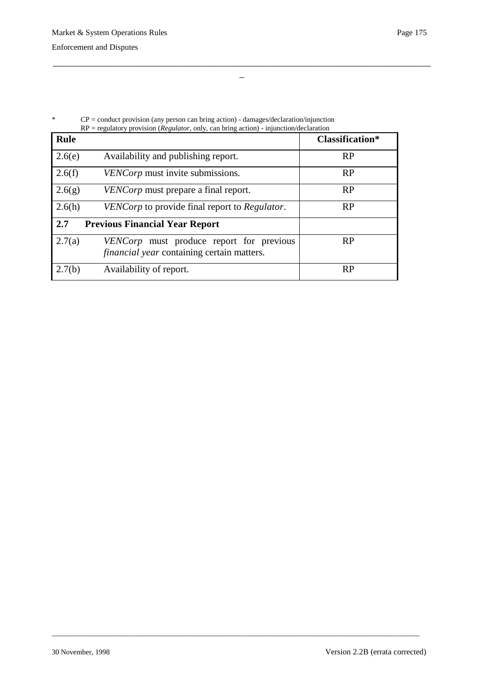| Rule   |                                                                                               | <b>Classification*</b> |
|--------|-----------------------------------------------------------------------------------------------|------------------------|
| 2.6(e) | Availability and publishing report.                                                           | RP                     |
| 2.6(f) | VENCorp must invite submissions.                                                              | RP                     |
| 2.6(g) | <i>VENCorp</i> must prepare a final report.                                                   | RP                     |
| 2.6(h) | VENCorp to provide final report to Regulator.                                                 | RP                     |
| 2.7    | <b>Previous Financial Year Report</b>                                                         |                        |
| 2.7(a) | VENCorp must produce report for previous<br><i>financial year</i> containing certain matters. | RP                     |
| 2.7(b) | Availability of report.                                                                       | RP                     |

 $\_$  ,  $\_$  ,  $\_$  ,  $\_$  ,  $\_$  ,  $\_$  ,  $\_$  ,  $\_$  ,  $\_$  ,  $\_$  ,  $\_$  ,  $\_$  ,  $\_$  ,  $\_$  ,  $\_$  ,  $\_$  ,  $\_$  ,  $\_$  ,  $\_$  ,  $\_$  ,  $\_$  ,  $\_$  ,  $\_$  ,  $\_$  ,  $\_$  ,  $\_$  ,  $\_$  ,  $\_$  ,  $\_$  ,  $\_$  ,  $\_$  ,  $\_$  ,  $\_$  ,  $\_$  ,  $\_$  ,  $\_$  ,  $\_$  ,

\_\_\_\_\_\_\_\_\_\_\_\_\_\_\_\_\_\_\_\_\_\_\_\_\_\_\_\_\_\_\_\_\_\_\_\_\_\_\_\_\_\_\_\_\_\_\_\_\_\_\_\_\_\_\_\_\_\_\_\_\_\_\_\_\_\_\_\_\_\_\_\_\_\_\_\_  $\overline{\phantom{a}}$ 

| * | $CP =$ conduct provision (any person can bring action) - damages/declaration/injunction           |
|---|---------------------------------------------------------------------------------------------------|
|   | $RP =$ regulatory provision ( <i>Regulator</i> , only, can bring action) - injunction/declaration |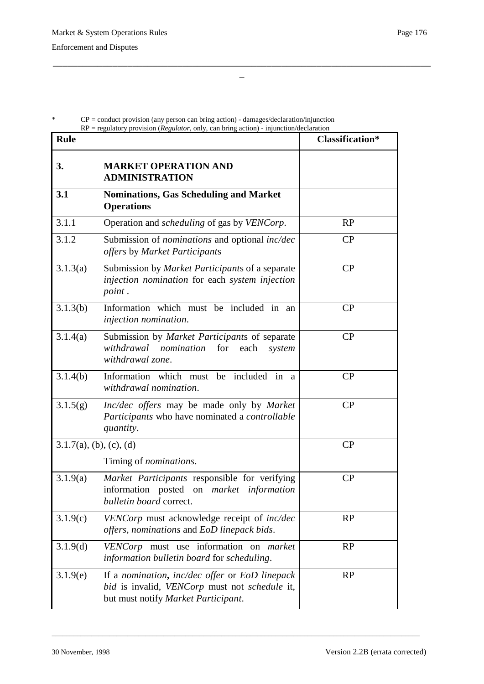| $RP =$ regulatory provision ( <i>Regulator</i> , only, can bring action) - injunction/declaration |                                                                                                                                        |                 |
|---------------------------------------------------------------------------------------------------|----------------------------------------------------------------------------------------------------------------------------------------|-----------------|
| <b>Rule</b>                                                                                       |                                                                                                                                        | Classification* |
| 3.                                                                                                | <b>MARKET OPERATION AND</b><br><b>ADMINISTRATION</b>                                                                                   |                 |
| 3.1                                                                                               | <b>Nominations, Gas Scheduling and Market</b><br><b>Operations</b>                                                                     |                 |
| 3.1.1                                                                                             | Operation and scheduling of gas by VENCorp.                                                                                            | RP              |
| 3.1.2                                                                                             | Submission of <i>nominations</i> and optional <i>inc/dec</i><br>offers by Market Participants                                          | CP              |
| 3.1.3(a)                                                                                          | Submission by <i>Market Participants</i> of a separate<br>injection nomination for each system injection<br>point.                     | CP              |
| 3.1.3(b)                                                                                          | Information which must be included in an<br>injection nomination.                                                                      | CP              |
| 3.1.4(a)                                                                                          | Submission by Market Participants of separate<br>withdrawal nomination<br>for<br>each<br>system<br>withdrawal zone.                    | CP              |
| 3.1.4(b)                                                                                          | Information which must be included in<br>a a<br>withdrawal nomination.                                                                 | CP              |
| 3.1.5(g)                                                                                          | <i>Inc/dec offers</i> may be made only by <i>Market</i><br>Participants who have nominated a controllable<br>quantity.                 | CP              |
| $3.1.7(a)$ , (b), (c), (d)                                                                        |                                                                                                                                        | CP              |
|                                                                                                   | Timing of <i>nominations</i> .                                                                                                         |                 |
| 3.1.9(a)                                                                                          | Market Participants responsible for verifying<br>information posted on market information<br>bulletin board correct.                   | CP              |
| 3.1.9(c)                                                                                          | VENCorp must acknowledge receipt of inc/dec<br>offers, nominations and EoD linepack bids.                                              | RP              |
| 3.1.9(d)                                                                                          | VENCorp must use information on <i>market</i><br>information bulletin board for scheduling.                                            | <b>RP</b>       |
| 3.1.9(e)                                                                                          | If a nomination, inc/dec offer or EoD linepack<br>bid is invalid, VENCorp must not schedule it,<br>but must notify Market Participant. | <b>RP</b>       |

 $\_$  ,  $\_$  ,  $\_$  ,  $\_$  ,  $\_$  ,  $\_$  ,  $\_$  ,  $\_$  ,  $\_$  ,  $\_$  ,  $\_$  ,  $\_$  ,  $\_$  ,  $\_$  ,  $\_$  ,  $\_$  ,  $\_$  ,  $\_$  ,  $\_$  ,  $\_$  ,  $\_$  ,  $\_$  ,  $\_$  ,  $\_$  ,  $\_$  ,  $\_$  ,  $\_$  ,  $\_$  ,  $\_$  ,  $\_$  ,  $\_$  ,  $\_$  ,  $\_$  ,  $\_$  ,  $\_$  ,  $\_$  ,  $\_$  ,

| $*$ | $CP =$ conduct provision (any person can bring action) - damages/declaration/injunction                  |
|-----|----------------------------------------------------------------------------------------------------------|
|     | $RP = \text{regularity provision}$ ( <i>Regulator</i> , only, can bring action) - injunction/declaration |

\_\_\_\_\_\_\_\_\_\_\_\_\_\_\_\_\_\_\_\_\_\_\_\_\_\_\_\_\_\_\_\_\_\_\_\_\_\_\_\_\_\_\_\_\_\_\_\_\_\_\_\_\_\_\_\_\_\_\_\_\_\_\_\_\_\_\_\_\_\_\_\_\_\_\_\_  $\overline{\phantom{0}}$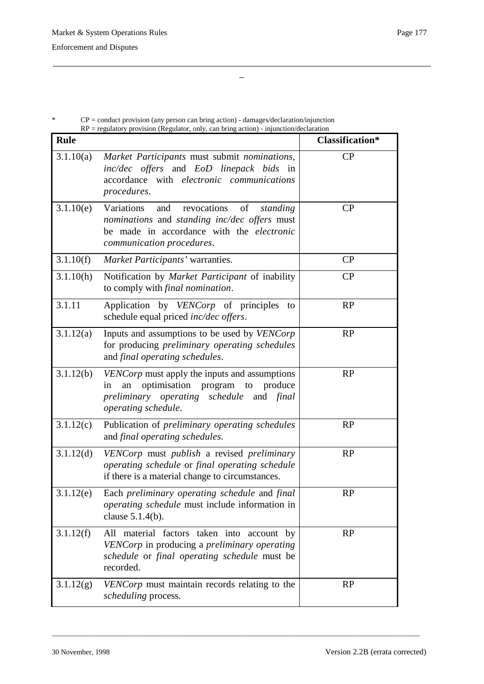| * | $CP =$ conduct provision (any person can bring action) - damages/declaration/injunction  |
|---|------------------------------------------------------------------------------------------|
|   | $RP$ = regulatory provision (Regulator, only, can bring action) - injunction/declaration |

| Rule      |                                                                                                                                                                                     | <b>Classification*</b> |
|-----------|-------------------------------------------------------------------------------------------------------------------------------------------------------------------------------------|------------------------|
| 3.1.10(a) | Market Participants must submit nominations,<br>inc/dec offers and EoD linepack bids in<br>accordance with electronic communications<br>procedures.                                 | CP                     |
| 3.1.10(e) | Variations<br>of<br>and<br>revocations<br>standing<br>nominations and standing inc/dec offers must<br>be made in accordance with the <i>electronic</i><br>communication procedures. | CP                     |
| 3.1.10(f) | Market Participants' warranties.                                                                                                                                                    | CP                     |
| 3.1.10(h) | Notification by Market Participant of inability<br>to comply with <i>final nomination</i> .                                                                                         | CP                     |
| 3.1.11    | Application by VENCorp of principles<br>to<br>schedule equal priced inc/dec offers.                                                                                                 | RP                     |
| 3.1.12(a) | Inputs and assumptions to be used by <i>VENCorp</i><br>for producing <i>preliminary operating schedules</i><br>and final operating schedules.                                       | RP                     |
| 3.1.12(b) | VENCorp must apply the inputs and assumptions<br>optimisation program to produce<br>in<br>an<br>preliminary operating schedule<br>and <i>final</i><br>operating schedule.           | RP                     |
| 3.1.12(c) | Publication of <i>preliminary operating schedules</i><br>and final operating schedules.                                                                                             | <b>RP</b>              |
| 3.1.12(d) | VENCorp must publish a revised preliminary<br>operating schedule or final operating schedule<br>if there is a material change to circumstances.                                     | RP                     |
| 3.1.12(e) | Each preliminary operating schedule and final<br><i>operating schedule</i> must include information in<br>clause $5.1.4(b)$ .                                                       | RP                     |
| 3.1.12(f) | All material factors taken into account by<br>VENCorp in producing a preliminary operating<br>schedule or final operating schedule must be<br>recorded.                             | RP                     |
| 3.1.12(g) | VENCorp must maintain records relating to the<br>scheduling process.                                                                                                                | RP                     |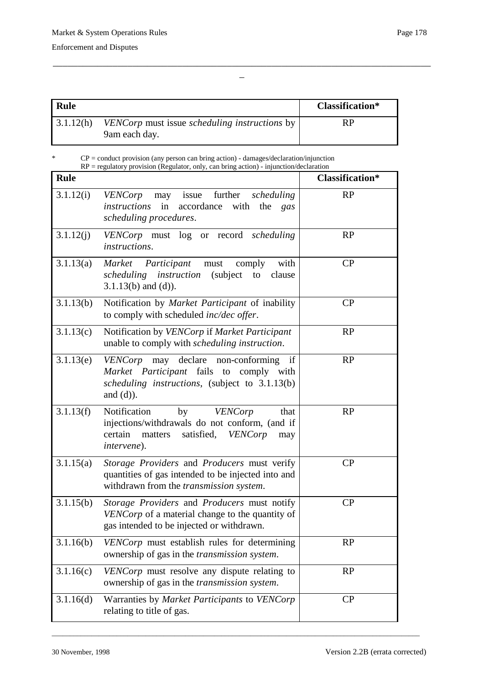| <b>Rule</b> |                                                                       | Classification* |
|-------------|-----------------------------------------------------------------------|-----------------|
| 3.1.12(h)   | VENCorp must issue <i>scheduling instructions</i> by<br>9am each day. | <b>RP</b>       |

\* CP = conduct provision (any person can bring action) - damages/declaration/injunction RP = regulatory provision (Regulator, only, can bring action) - injunction/declaration

| <b>Rule</b> |                                                                                                                                                                                    | Classification* |
|-------------|------------------------------------------------------------------------------------------------------------------------------------------------------------------------------------|-----------------|
| 3.1.12(i)   | further <i>scheduling</i><br>issue<br><b>VENCorp</b><br>may<br><i>instructions</i> in<br>accordance with<br>the<br>gas<br>scheduling procedures.                                   | RP              |
| 3.1.12(j)   | VENCorp must log or record scheduling<br><i>instructions.</i>                                                                                                                      | RP              |
| 3.1.13(a)   | Participant<br>with<br>must<br>comply<br>Market<br>scheduling instruction<br>(subject)<br>clause<br>to<br>$3.1.13(b)$ and (d)).                                                    | CP              |
| 3.1.13(b)   | Notification by <i>Market Participant</i> of inability<br>to comply with scheduled inc/dec offer.                                                                                  | CP              |
| 3.1.13(c)   | Notification by VENCorp if Market Participant<br>unable to comply with scheduling instruction.                                                                                     | RP              |
| 3.1.13(e)   | <i>VENCorp</i> may declare<br>non-conforming<br>if<br>Market Participant fails to comply with<br>scheduling instructions, (subject to 3.1.13(b)<br>and $(d)$ ).                    | RP              |
| 3.1.13(f)   | Notification<br>by<br><b>VENCorp</b><br>that<br>injections/withdrawals do not conform, (and if<br>certain<br>satisfied,<br>matters<br><b>VENCorp</b><br>may<br><i>intervene</i> ). | RP              |
| 3.1.15(a)   | Storage Providers and Producers must verify<br>quantities of gas intended to be injected into and<br>withdrawn from the transmission system.                                       | CP              |
| 3.1.15(b)   | Storage Providers and Producers must notify<br>VENCorp of a material change to the quantity of<br>gas intended to be injected or withdrawn.                                        | CP              |
| 3.1.16(b)   | VENCorp must establish rules for determining<br>ownership of gas in the transmission system.                                                                                       | RP              |
| 3.1.16(c)   | VENCorp must resolve any dispute relating to<br>ownership of gas in the <i>transmission system</i> .                                                                               | RP              |
| 3.1.16(d)   | Warranties by Market Participants to VENCorp<br>relating to title of gas.                                                                                                          | CP              |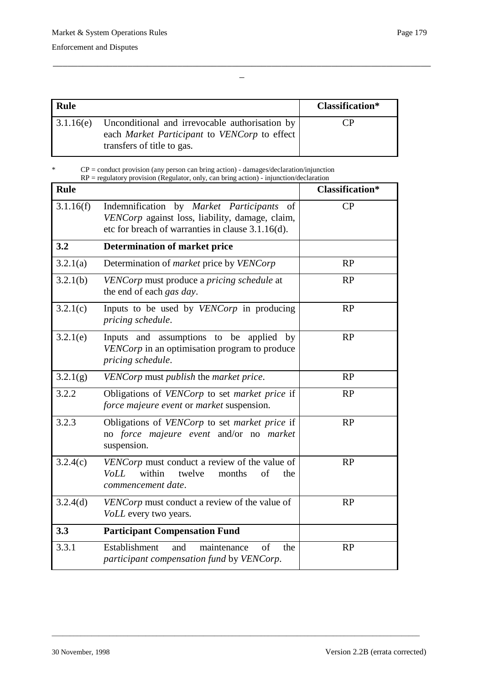| Rule      |                                                                                                                              | Classification* |
|-----------|------------------------------------------------------------------------------------------------------------------------------|-----------------|
| 3.1.16(e) | Unconditional and irrevocable authorisation by<br>each Market Participant to VENCorp to effect<br>transfers of title to gas. | CP              |

\* CP = conduct provision (any person can bring action) - damages/declaration/injunction  $RP =$  regulatory provision (Regulator, only, can bring action) - injunction/declaration

| <b>Rule</b> |                                                                                                                                                   | <b>Classification*</b> |
|-------------|---------------------------------------------------------------------------------------------------------------------------------------------------|------------------------|
| 3.1.16(f)   | Indemnification by Market Participants of<br>VENCorp against loss, liability, damage, claim,<br>etc for breach of warranties in clause 3.1.16(d). | CP                     |
| 3.2         | <b>Determination of market price</b>                                                                                                              |                        |
| 3.2.1(a)    | Determination of market price by VENCorp                                                                                                          | RP                     |
| 3.2.1(b)    | VENCorp must produce a pricing schedule at<br>the end of each <i>gas day</i> .                                                                    | RP                     |
| 3.2.1(c)    | Inputs to be used by VENCorp in producing<br>pricing schedule.                                                                                    | RP                     |
| 3.2.1(e)    | Inputs and assumptions to be<br>applied<br>by<br>VENCorp in an optimisation program to produce<br>pricing schedule.                               | RP                     |
| 3.2.1(g)    | VENCorp must publish the market price.                                                                                                            | RP                     |
| 3.2.2       | Obligations of <i>VENCorp</i> to set <i>market price</i> if<br>force majeure event or market suspension.                                          | RP                     |
| 3.2.3       | Obligations of VENCorp to set market price if<br>no force majeure event and/or no market<br>suspension.                                           | RP                     |
| 3.2.4(c)    | VENCorp must conduct a review of the value of<br>within<br>VoLL<br>twelve<br>of<br>months<br>the<br>commencement date.                            | RP                     |
| 3.2.4(d)    | VENCorp must conduct a review of the value of<br>VoLL every two years.                                                                            | RP                     |
| 3.3         | <b>Participant Compensation Fund</b>                                                                                                              |                        |
| 3.3.1       | Establishment<br>and<br>maintenance<br>of<br>the<br>participant compensation fund by VENCorp.                                                     | RP                     |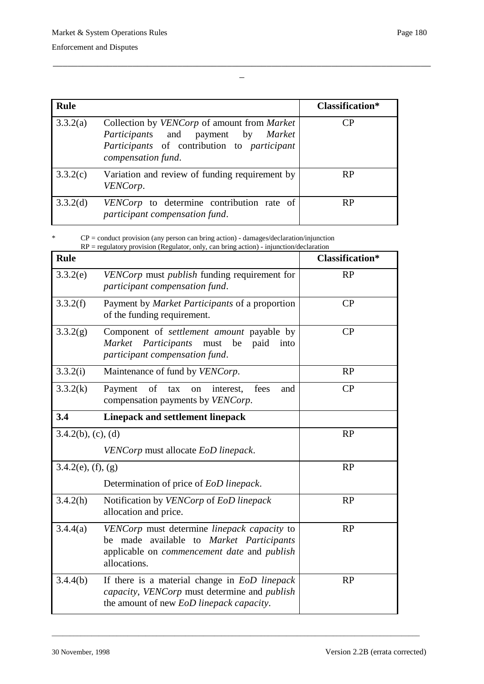| Rule     |                                                                                                                                                                                | <b>Classification*</b> |
|----------|--------------------------------------------------------------------------------------------------------------------------------------------------------------------------------|------------------------|
| 3.3.2(a) | Collection by <i>VENCorp</i> of amount from <i>Market</i><br><i>Participants</i> and payment by<br>Market<br>Participants of contribution to participant<br>compensation fund. | CР                     |
| 3.3.2(c) | Variation and review of funding requirement by<br>VENCorp.                                                                                                                     | <b>RP</b>              |
| 3.3.2(d) | VENCorp to determine contribution rate of<br>participant compensation fund.                                                                                                    | <b>RP</b>              |

 $CP =$  conduct provision (any person can bring action) - damages/declaration/injunction  $RP =$  regulatory provision (Regulator, only, can bring action) - injunction/declaration

| Rule                  |                                                                                                                                                                      | <b>Classification*</b> |
|-----------------------|----------------------------------------------------------------------------------------------------------------------------------------------------------------------|------------------------|
| 3.3.2(e)              | VENCorp must publish funding requirement for<br>participant compensation fund.                                                                                       | RP                     |
| 3.3.2(f)              | Payment by Market Participants of a proportion<br>of the funding requirement.                                                                                        | CP                     |
| 3.3.2(g)              | Component of settlement amount payable by<br>Market Participants<br>must<br>paid<br>be<br>into<br>participant compensation fund.                                     | CP                     |
| 3.3.2(i)              | Maintenance of fund by VENCorp.                                                                                                                                      | RP                     |
| 3.3.2(k)              | of tax on<br>Payment<br>interest,<br>fees<br>and<br>compensation payments by <i>VENCorp</i> .                                                                        | CP                     |
| 3.4                   | <b>Linepack and settlement linepack</b>                                                                                                                              |                        |
| $3.4.2(b)$ , (c), (d) |                                                                                                                                                                      | RP                     |
|                       | VENCorp must allocate EoD linepack.                                                                                                                                  |                        |
| $3.4.2(e)$ , (f), (g) |                                                                                                                                                                      | RP                     |
|                       | Determination of price of EoD linepack.                                                                                                                              |                        |
| 3.4.2(h)              | Notification by VENCorp of EoD linepack<br>allocation and price.                                                                                                     | RP                     |
| 3.4.4(a)              | VENCorp must determine linepack capacity to<br>be made available to Market Participants<br>applicable on <i>commencement</i> date and <i>publish</i><br>allocations. | RP                     |
| 3.4.4(b)              | If there is a material change in EoD linepack<br>capacity, VENCorp must determine and publish<br>the amount of new EoD linepack capacity.                            | RP                     |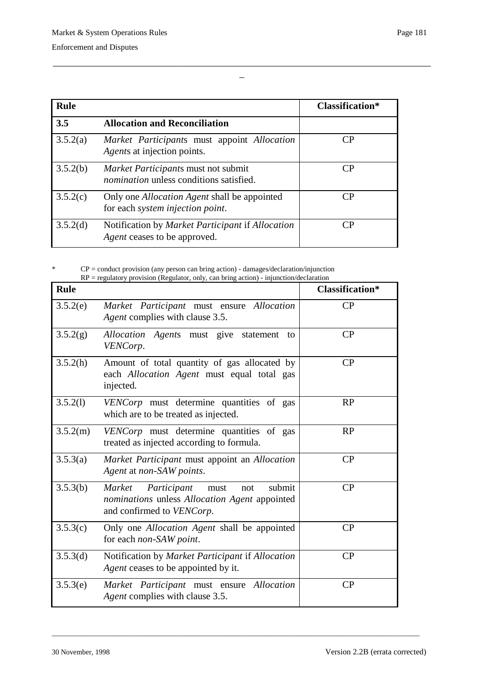| <b>Rule</b> |                                                                                         | <b>Classification*</b> |
|-------------|-----------------------------------------------------------------------------------------|------------------------|
| 3.5         | <b>Allocation and Reconciliation</b>                                                    |                        |
| 3.5.2(a)    | Market Participants must appoint Allocation<br><i>Agents</i> at injection points.       | CР                     |
| 3.5.2(b)    | Market Participants must not submit<br><i>nomination</i> unless conditions satisfied.   | CР                     |
| 3.5.2(c)    | Only one <i>Allocation Agent</i> shall be appointed<br>for each system injection point. | CР                     |
| 3.5.2(d)    | Notification by Market Participant if Allocation<br><i>Agent</i> ceases to be approved. | CР                     |

<sup>\*</sup> CP = conduct provision (any person can bring action) - damages/declaration/injunction

| <b>Rule</b> |                                                                                                                              | <b>Classification*</b> |
|-------------|------------------------------------------------------------------------------------------------------------------------------|------------------------|
| 3.5.2(e)    | Market Participant must ensure Allocation<br>Agent complies with clause 3.5.                                                 | CP                     |
| 3.5.2(g)    | Allocation Agents must give statement<br>to<br>VENCorp.                                                                      | CP                     |
| 3.5.2(h)    | Amount of total quantity of gas allocated by<br>each Allocation Agent must equal total gas<br>injected.                      | CP                     |
| 3.5.2(l)    | VENCorp must determine quantities of gas<br>which are to be treated as injected.                                             | RP                     |
| 3.5.2(m)    | VENCorp must determine quantities of gas<br>treated as injected according to formula.                                        | RP                     |
| 3.5.3(a)    | Market Participant must appoint an Allocation<br>Agent at non-SAW points.                                                    | CP                     |
| 3.5.3(b)    | Participant<br>submit<br>Market<br>must<br>not<br>nominations unless Allocation Agent appointed<br>and confirmed to VENCorp. | CP                     |
| 3.5.3(c)    | Only one <i>Allocation Agent</i> shall be appointed<br>for each non-SAW point.                                               | CP                     |
| 3.5.3(d)    | Notification by Market Participant if Allocation<br><i>Agent</i> ceases to be appointed by it.                               | CP                     |
| 3.5.3(e)    | Market Participant must ensure Allocation<br>Agent complies with clause 3.5.                                                 | CP                     |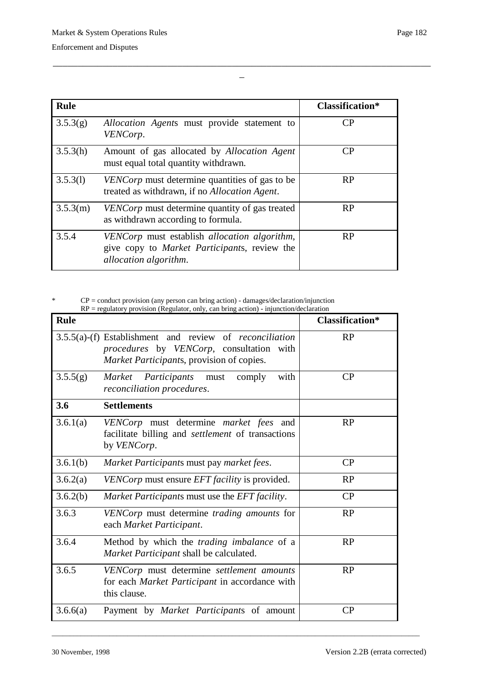| Rule     |                                                                                                                               | <b>Classification*</b> |
|----------|-------------------------------------------------------------------------------------------------------------------------------|------------------------|
| 3.5.3(g) | Allocation Agents must provide statement to<br>VENCorp.                                                                       | $\rm CP$               |
| 3.5.3(h) | Amount of gas allocated by Allocation Agent<br>must equal total quantity withdrawn.                                           | CР                     |
| 3.5.3(l) | VENCorp must determine quantities of gas to be<br>treated as withdrawn, if no Allocation Agent.                               | RP                     |
| 3.5.3(m) | VENCorp must determine quantity of gas treated<br>as withdrawn according to formula.                                          | <b>RP</b>              |
| 3.5.4    | VENCorp must establish allocation algorithm,<br>give copy to <i>Market Participants</i> , review the<br>allocation algorithm. | <b>RP</b>              |

\* CP = conduct provision (any person can bring action) - damages/declaration/injunction  $RP =$  regulatory provision (Regulator, only, can bring action) - injunction/declaration

| Rule     |                                                                                                                                                         | <b>Classification*</b> |
|----------|---------------------------------------------------------------------------------------------------------------------------------------------------------|------------------------|
|          | 3.5.5(a)-(f) Establishment and review of <i>reconciliation</i><br>procedures by VENCorp, consultation with<br>Market Participants, provision of copies. | RP                     |
| 3.5.5(g) | with<br><i>Market</i><br><i>Participants</i> must<br>comply<br>reconciliation procedures.                                                               | CP                     |
| 3.6      | <b>Settlements</b>                                                                                                                                      |                        |
| 3.6.1(a) | VENCorp must determine market fees and<br>facilitate billing and <i>settlement</i> of transactions<br>by VENCorp.                                       | RP                     |
| 3.6.1(b) | Market Participants must pay market fees.                                                                                                               | CP                     |
| 3.6.2(a) | VENCorp must ensure EFT facility is provided.                                                                                                           | RP                     |
| 3.6.2(b) | Market Participants must use the EFT facility.                                                                                                          | CP                     |
| 3.6.3    | VENCorp must determine trading amounts for<br>each Market Participant.                                                                                  | RP                     |
| 3.6.4    | Method by which the trading imbalance of a<br>Market Participant shall be calculated.                                                                   | RP                     |
| 3.6.5    | VENCorp must determine settlement amounts<br>for each Market Participant in accordance with<br>this clause.                                             | RP                     |
| 3.6.6(a) | Payment by <i>Market Participants</i> of amount                                                                                                         | CP                     |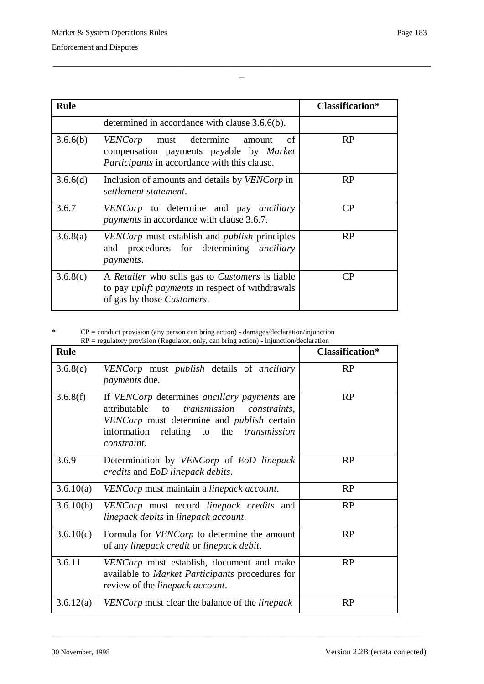| <b>Rule</b> |                                                                                                                                                   | Classification* |
|-------------|---------------------------------------------------------------------------------------------------------------------------------------------------|-----------------|
|             | determined in accordance with clause 3.6.6(b).                                                                                                    |                 |
| 3.6.6(b)    | must determine amount<br><i>VENCorp</i><br>– of<br>compensation payments payable by Market<br><i>Participants</i> in accordance with this clause. | <b>RP</b>       |

RP

CP

RP

CP

\_\_\_\_\_\_\_\_\_\_\_\_\_\_\_\_\_\_\_\_\_\_\_\_\_\_\_\_\_\_\_\_\_\_\_\_\_\_\_\_\_\_\_\_\_\_\_\_\_\_\_\_\_\_\_\_\_\_\_\_\_\_\_\_\_\_\_\_\_\_\_\_\_\_\_\_

| of gas by those Customers. |  |
|----------------------------|--|
|                            |  |

to pay *uplift payments* in respect of withdrawals

and procedures for determining *ancillary* 

3.6.6(d) Inclusion of amounts and details by *VENCorp* in

3.6.7 *VENCorp* to determine and pay *ancillary payments* in accordance with clause 3.6.7.

3.6.8(a) *VENCorp* must establish and *publish* principles

3.6.8(c) A *Retailer* who sells gas to *Customers* is liable

*settlement statement*.

*payments*.

 $\text{CP} = \text{conduct provision (any person can bring action)} - \text{damages/declaration/injunction}$ 

| <b>Rule</b> |                                                                                                                                                                                                                                       | <b>Classification*</b> |
|-------------|---------------------------------------------------------------------------------------------------------------------------------------------------------------------------------------------------------------------------------------|------------------------|
| 3.6.8(e)    | VENCorp must publish details of ancillary<br><i>payments</i> due.                                                                                                                                                                     | RP                     |
| 3.6.8(f)    | If VENCorp determines ancillary payments are<br>attributable<br>transmission<br>to<br><i>constraints.</i><br>VENCorp must determine and <i>publish</i> certain<br>information<br>relating<br>the<br>transmission<br>to<br>constraint. | RP                     |
| 3.6.9       | Determination by VENCorp of EoD linepack<br>credits and EoD linepack debits.                                                                                                                                                          | RP                     |
| 3.6.10(a)   | VENCorp must maintain a linepack account.                                                                                                                                                                                             | RP                     |
| 3.6.10(b)   | VENCorp must record linepack credits and<br>linepack debits in linepack account.                                                                                                                                                      | RP                     |
| 3.6.10(c)   | Formula for <i>VENCorp</i> to determine the amount<br>of any linepack credit or linepack debit.                                                                                                                                       | RP                     |
| 3.6.11      | VENCorp must establish, document and make<br>available to <i>Market Participants</i> procedures for<br>review of the <i>linepack account</i> .                                                                                        | RP                     |
| 3.6.12(a)   | VENCorp must clear the balance of the <i>linepack</i>                                                                                                                                                                                 | RP                     |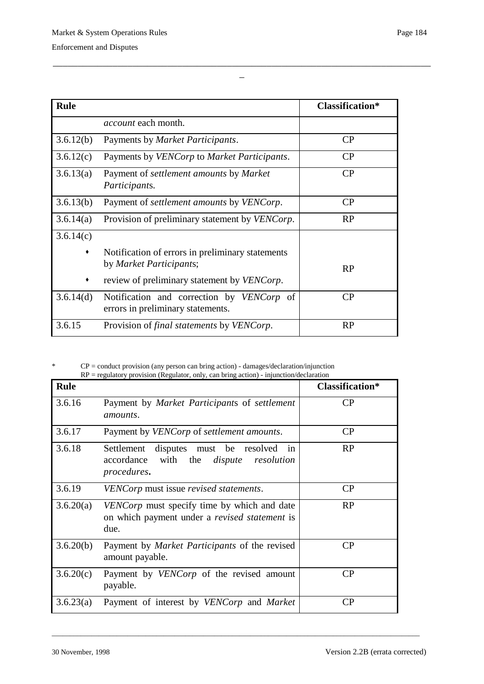| <b>Rule</b> |                                                                                                                                    | <b>Classification*</b> |
|-------------|------------------------------------------------------------------------------------------------------------------------------------|------------------------|
|             | <i>account</i> each month.                                                                                                         |                        |
| 3.6.12(b)   | Payments by <i>Market Participants</i> .                                                                                           | CP                     |
| 3.6.12(c)   | Payments by <i>VENCorp</i> to <i>Market Participants</i> .                                                                         | CP                     |
| 3.6.13(a)   | Payment of <i>settlement amounts</i> by <i>Market</i><br><i>Participants.</i>                                                      | CP                     |
| 3.6.13(b)   | Payment of settlement amounts by VENCorp.                                                                                          | $\rm CP$               |
| 3.6.14(a)   | Provision of preliminary statement by <i>VENCorp</i> .                                                                             | R <sub>P</sub>         |
| 3.6.14(c)   |                                                                                                                                    |                        |
| ٠<br>٠      | Notification of errors in preliminary statements<br>by Market Participants;<br>review of preliminary statement by <i>VENCorp</i> . | RP                     |
| 3.6.14(d)   | Notification and correction by VENCorp of<br>errors in preliminary statements.                                                     | CP                     |
| 3.6.15      | Provision of <i>final statements</i> by <i>VENCorp</i> .                                                                           | <b>RP</b>              |

#### \* CP = conduct provision (any person can bring action) - damages/declaration/injunction RP = regulatory provision (Regulator, only, can bring action) - injunction/declaration

| <b>Rule</b> |                                                                                                                    | <b>Classification*</b> |
|-------------|--------------------------------------------------------------------------------------------------------------------|------------------------|
| 3.6.16      | Payment by <i>Market Participants</i> of <i>settlement</i><br><i>amounts.</i>                                      | <b>CP</b>              |
| 3.6.17      | Payment by VENCorp of settlement amounts.                                                                          | CP                     |
| 3.6.18      | disputes must be resolved<br>Settlement<br>in<br>with the<br>accordance<br>dispute<br>resolution<br>procedures.    | RP                     |
| 3.6.19      | VENCorp must issue revised statements.                                                                             | CP                     |
| 3.6.20(a)   | <i>VENCorp</i> must specify time by which and date<br>on which payment under a <i>revised statement</i> is<br>due. | RP                     |
| 3.6.20(b)   | Payment by <i>Market Participants</i> of the revised<br>amount payable.                                            | CP                     |
| 3.6.20(c)   | Payment by VENCorp of the revised amount<br>payable.                                                               | CP                     |
| 3.6.23(a)   | Payment of interest by <i>VENCorp</i> and <i>Market</i>                                                            | CР                     |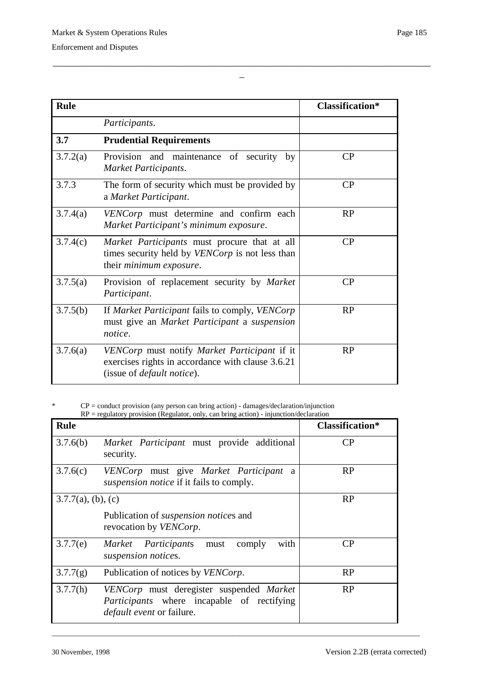| <b>Rule</b> |                                                                                                                                         | <b>Classification*</b> |
|-------------|-----------------------------------------------------------------------------------------------------------------------------------------|------------------------|
|             | Participants.                                                                                                                           |                        |
| 3.7         | <b>Prudential Requirements</b>                                                                                                          |                        |
| 3.7.2(a)    | Provision and maintenance of security by<br>Market Participants.                                                                        | CP                     |
| 3.7.3       | The form of security which must be provided by<br>a Market Participant.                                                                 | CP                     |
| 3.7.4(a)    | VENCorp must determine and confirm each<br>Market Participant's minimum exposure.                                                       | RP                     |
| 3.7.4(c)    | Market Participants must procure that at all<br>times security held by <i>VENCorp</i> is not less than<br>their minimum exposure.       | CP                     |
| 3.7.5(a)    | Provision of replacement security by <i>Market</i><br>Participant.                                                                      | CP                     |
| 3.7.5(b)    | If Market Participant fails to comply, VENCorp<br>must give an <i>Market Participant</i> a <i>suspension</i><br>notice.                 | RP                     |
| 3.7.6(a)    | VENCorp must notify Market Participant if it<br>exercises rights in accordance with clause 3.6.21<br>(issue of <i>default notice</i> ). | <b>RP</b>              |

\* CP = conduct provision (any person can bring action) - damages/declaration/injunction RP = regulatory provision (Regulator, only, can bring action) - injunction/declaration

| Rule                  |                                                                                                                                   | <b>Classification*</b> |
|-----------------------|-----------------------------------------------------------------------------------------------------------------------------------|------------------------|
| 3.7.6(b)              | Market Participant must provide additional<br>security.                                                                           | CP                     |
| 3.7.6(c)              | VENCorp must give Market Participant<br>- a<br><i>suspension notice</i> if it fails to comply.                                    | RP                     |
| $3.7.7(a)$ , (b), (c) |                                                                                                                                   | RP                     |
|                       | Publication of <i>suspension notices</i> and<br>revocation by <i>VENCorp</i> .                                                    |                        |
| 3.7.7(e)              | with<br>Market Participants must<br>comply<br>suspension notices.                                                                 | $\rm CP$               |
| 3.7.7(g)              | Publication of notices by <i>VENCorp</i> .                                                                                        | <b>RP</b>              |
| 3.7.7(h)              | VENCorp must deregister suspended Market<br><i>Participants</i> where incapable of rectifying<br><i>default event</i> or failure. | <b>RP</b>              |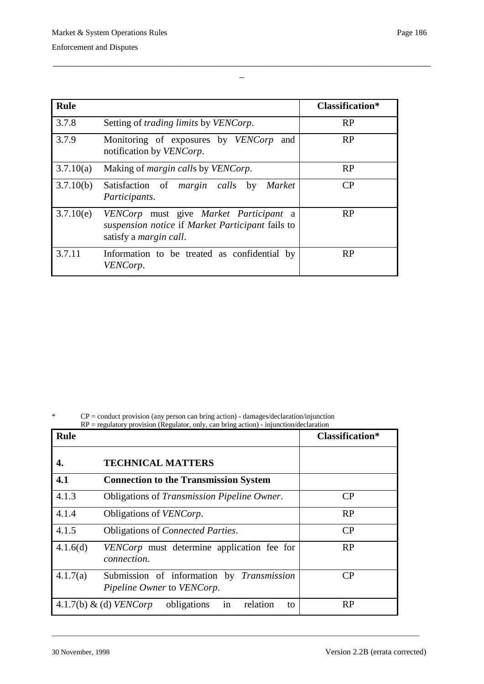| <b>Rule</b> |                                                                                                                              | <b>Classification*</b> |
|-------------|------------------------------------------------------------------------------------------------------------------------------|------------------------|
| 3.7.8       | Setting of <i>trading limits</i> by <i>VENCorp</i> .                                                                         | RP                     |
| 3.7.9       | Monitoring of exposures by VENCorp<br>and<br>notification by <i>VENCorp</i> .                                                | RP                     |
| 3.7.10(a)   | Making of <i>margin calls</i> by <i>VENCorp</i> .                                                                            | RP                     |
| 3.7.10(b)   | Satisfaction of <i>margin calls</i> by<br><i>Market</i><br>Participants.                                                     | CР                     |
| 3.7.10(e)   | VENCorp must give Market Participant a<br>suspension notice if Market Participant fails to<br>satisfy a <i>margin call</i> . | RP                     |
| 3.7.11      | Information to be treated as confidential by<br>VENCorp.                                                                     | RP                     |

\* CP = conduct provision (any person can bring action) - damages/declaration/injunction

| <b>Rule</b> |                                                                         | <b>Classification*</b> |
|-------------|-------------------------------------------------------------------------|------------------------|
| 4.          | <b>TECHNICAL MATTERS</b>                                                |                        |
| 4.1         | <b>Connection to the Transmission System</b>                            |                        |
| 4.1.3       | Obligations of Transmission Pipeline Owner.                             | CP                     |
| 4.1.4       | Obligations of <i>VENCorp</i> .                                         | RP                     |
| 4.1.5       | Obligations of <i>Connected Parties</i> .                               | CP                     |
| 4.1.6(d)    | VENCorp must determine application fee for<br><i>connection.</i>        | <b>RP</b>              |
| 4.1.7(a)    | Submission of information by Transmission<br>Pipeline Owner to VENCorp. | $\overline{CP}$        |
|             | in<br>obligations<br>relation<br>4.1.7(b) & (d) <i>VENCorp</i><br>to    | <b>RP</b>              |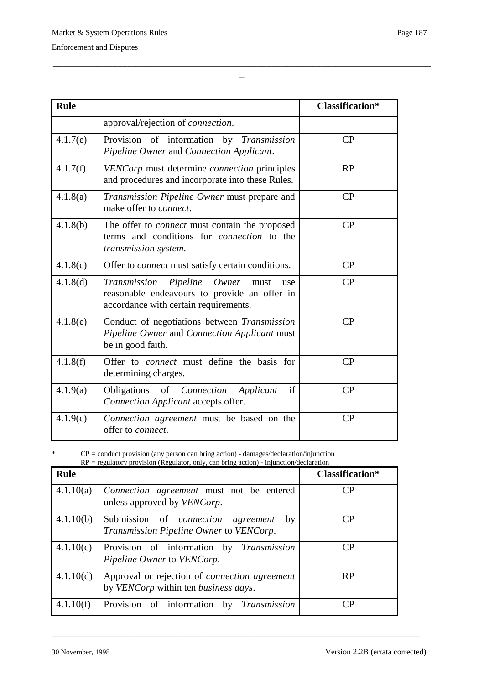| <b>Rule</b> |                                                                                                                                        | <b>Classification*</b> |
|-------------|----------------------------------------------------------------------------------------------------------------------------------------|------------------------|
|             | approval/rejection of connection.                                                                                                      |                        |
| 4.1.7(e)    | Provision of information by Transmission<br>Pipeline Owner and Connection Applicant.                                                   | CP                     |
| 4.1.7(f)    | VENCorp must determine connection principles<br>and procedures and incorporate into these Rules.                                       | RP                     |
| 4.1.8(a)    | Transmission Pipeline Owner must prepare and<br>make offer to <i>connect</i> .                                                         | CP                     |
| 4.1.8(b)    | The offer to <i>connect</i> must contain the proposed<br>terms and conditions for <i>connection</i> to the<br>transmission system.     | CP                     |
| 4.1.8(c)    | Offer to <i>connect</i> must satisfy certain conditions.                                                                               | CP                     |
| 4.1.8(d)    | Transmission Pipeline<br>Owner<br>must<br>use<br>reasonable endeavours to provide an offer in<br>accordance with certain requirements. | CP                     |
| 4.1.8(e)    | Conduct of negotiations between Transmission<br>Pipeline Owner and Connection Applicant must<br>be in good faith.                      | CP                     |
| 4.1.8(f)    | Offer to <i>connect</i> must define the basis for<br>determining charges.                                                              | CP                     |
| 4.1.9(a)    | if<br><b>Obligations</b><br>of<br>Connection<br>Applicant<br>Connection Applicant accepts offer.                                       | CP                     |
| 4.1.9(c)    | Connection agreement must be based on the<br>offer to connect.                                                                         | CP                     |

\* CP = conduct provision (any person can bring action) - damages/declaration/injunction RP = regulatory provision (Regulator, only, can bring action) - injunction/declaration

| <b>Rule</b> |                                                                                              | <b>Classification*</b> |
|-------------|----------------------------------------------------------------------------------------------|------------------------|
| 4.1.10(a)   | Connection agreement must not be entered<br>unless approved by <i>VENCorp</i> .              | CР                     |
| 4.1.10(b)   | Submission of <i>connection agreement</i><br>by<br>Transmission Pipeline Owner to VENCorp.   | $\mathsf{CP}$          |
| 4.1.10(c)   | Provision of information by Transmission<br>Pipeline Owner to VENCorp.                       | $\overline{CP}$        |
| 4.1.10(d)   | Approval or rejection of <i>connection</i> agreement<br>by VENCorp within ten business days. | <b>RP</b>              |
| 4.1.10(f)   | Provision of information by Transmission                                                     | CР                     |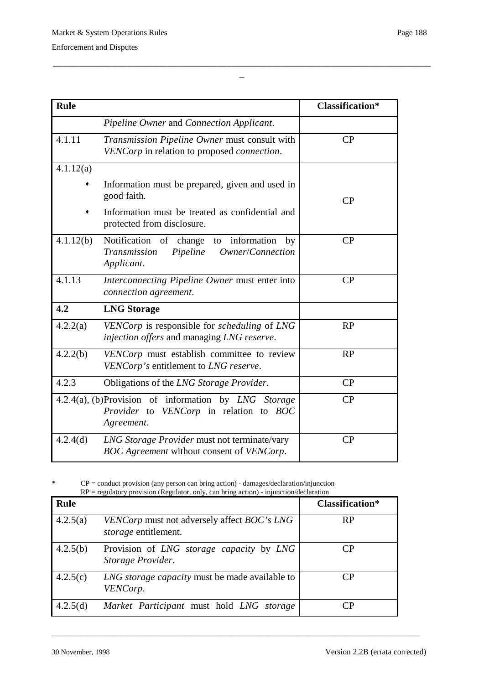| <b>Rule</b> |                                                                                                                     | <b>Classification*</b> |
|-------------|---------------------------------------------------------------------------------------------------------------------|------------------------|
|             | Pipeline Owner and Connection Applicant.                                                                            |                        |
| 4.1.11      | Transmission Pipeline Owner must consult with<br>VENCorp in relation to proposed connection.                        | CP                     |
| 4.1.12(a)   |                                                                                                                     |                        |
|             | Information must be prepared, given and used in<br>good faith.                                                      | CP                     |
| ٠           | Information must be treated as confidential and<br>protected from disclosure.                                       |                        |
| 4.1.12(b)   | Notification of change to information<br>by<br>Pipeline<br>Transmission<br>Owner/Connection<br>Applicant.           | CP                     |
| 4.1.13      | Interconnecting Pipeline Owner must enter into<br>connection agreement.                                             | CP                     |
| 4.2         | <b>LNG Storage</b>                                                                                                  |                        |
| 4.2.2(a)    | VENCorp is responsible for scheduling of LNG<br>injection offers and managing LNG reserve.                          | RP                     |
| 4.2.2(b)    | VENCorp must establish committee to review<br>VENCorp's entitlement to LNG reserve.                                 | RP                     |
| 4.2.3       | Obligations of the LNG Storage Provider.                                                                            | CP                     |
|             | 4.2.4(a), (b)Provision of information by <i>LNG</i> Storage<br>Provider to VENCorp in relation to BOC<br>Agreement. | CP                     |
| 4.2.4(d)    | LNG Storage Provider must not terminate/vary<br>BOC Agreement without consent of VENCorp.                           | CP                     |

\* CP = conduct provision (any person can bring action) - damages/declaration/injunction RP = regulatory provision (Regulator, only, can bring action) - injunction/declaration

| <b>Rule</b> |                                                                     | <b>Classification*</b> |
|-------------|---------------------------------------------------------------------|------------------------|
| 4.2.5(a)    | VENCorp must not adversely affect BOC's LNG<br>storage entitlement. | <b>RP</b>              |
| 4.2.5(b)    | Provision of LNG storage capacity by LNG<br>Storage Provider.       | CР                     |
| 4.2.5(c)    | LNG storage capacity must be made available to<br>VENCorp.          | CР                     |
| 4.2.5(d)    | Market Participant must hold LNG storage                            | CΡ                     |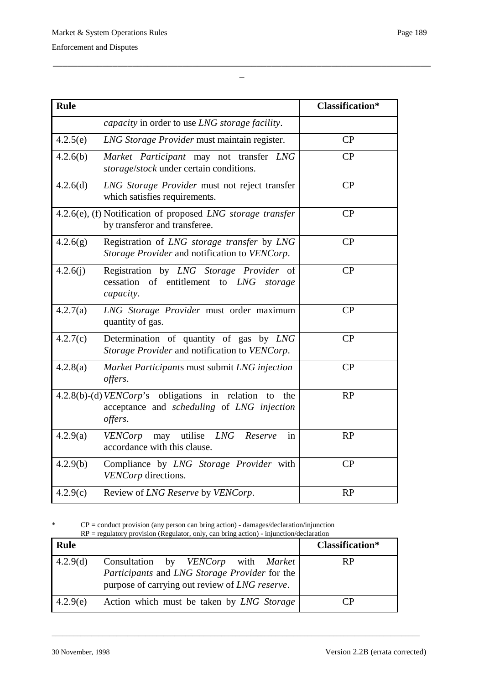| Rule     |                                                                                                                             | <b>Classification*</b> |
|----------|-----------------------------------------------------------------------------------------------------------------------------|------------------------|
|          | <i>capacity</i> in order to use <i>LNG storage facility</i> .                                                               |                        |
| 4.2.5(e) | LNG Storage Provider must maintain register.                                                                                | CP                     |
| 4.2.6(b) | Market Participant may not transfer LNG<br>storage/stock under certain conditions.                                          | CP                     |
| 4.2.6(d) | LNG Storage Provider must not reject transfer<br>which satisfies requirements.                                              | CP                     |
|          | 4.2.6(e), (f) Notification of proposed LNG storage transfer<br>by transferor and transferee.                                | CP                     |
| 4.2.6(g) | Registration of LNG storage transfer by LNG<br>Storage Provider and notification to VENCorp.                                | CP                     |
| 4.2.6(j) | Registration by LNG Storage Provider of<br>cessation of entitlement to LNG<br>storage<br>capacity.                          | CP                     |
| 4.2.7(a) | LNG Storage Provider must order maximum<br>quantity of gas.                                                                 | CP                     |
| 4.2.7(c) | Determination of quantity of gas by LNG<br>Storage Provider and notification to VENCorp.                                    | CP                     |
| 4.2.8(a) | Market Participants must submit LNG injection<br>offers.                                                                    | CP                     |
|          | 4.2.8(b)-(d) VENCorp's obligations in relation<br>the<br>to<br>acceptance and <i>scheduling</i> of LNG injection<br>offers. | <b>RP</b>              |
| 4.2.9(a) | utilise<br>LNG<br>Reserve<br><b>VENCorp</b><br>may<br>in<br>accordance with this clause.                                    | <b>RP</b>              |
| 4.2.9(b) | Compliance by LNG Storage Provider with<br>VENCorp directions.                                                              | CP                     |
| 4.2.9(c) | Review of LNG Reserve by VENCorp.                                                                                           | RP                     |

 $CP =$  conduct provision (any person can bring action) - damages/declaration/injunction RP = regulatory provision (Regulator, only, can bring action) - injunction/declaration

| Rule     |                                                                                                                                        | <b>Classification*</b> |
|----------|----------------------------------------------------------------------------------------------------------------------------------------|------------------------|
| 4.2.9(d) | Consultation by VENCorp with Market<br>Participants and LNG Storage Provider for the<br>purpose of carrying out review of LNG reserve. | RP                     |
| 4.2.9(e) | Action which must be taken by LNG Storage                                                                                              |                        |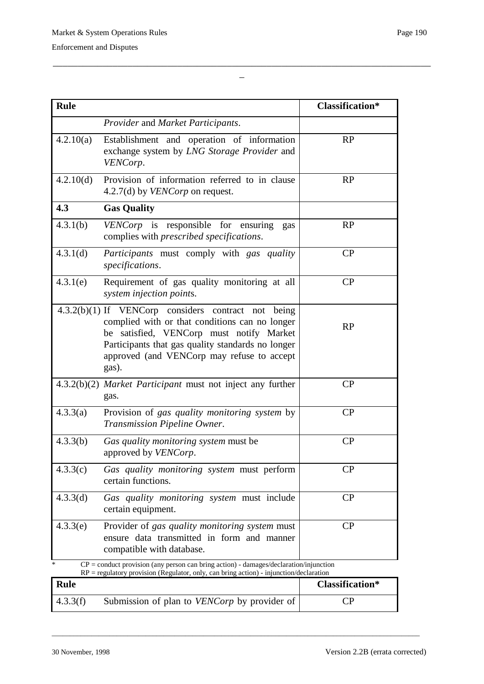Enforcement and Disputes

| Rule        |                                                                                                                                                                                                                                                                 | <b>Classification*</b> |
|-------------|-----------------------------------------------------------------------------------------------------------------------------------------------------------------------------------------------------------------------------------------------------------------|------------------------|
|             | Provider and Market Participants.                                                                                                                                                                                                                               |                        |
| 4.2.10(a)   | Establishment and operation of information<br>exchange system by LNG Storage Provider and<br>VENCorp.                                                                                                                                                           | <b>RP</b>              |
| 4.2.10(d)   | Provision of information referred to in clause<br>4.2.7(d) by VENCorp on request.                                                                                                                                                                               | RP                     |
| 4.3         | <b>Gas Quality</b>                                                                                                                                                                                                                                              |                        |
| 4.3.1(b)    | VENCorp is responsible for ensuring<br>gas<br>complies with prescribed specifications.                                                                                                                                                                          | <b>RP</b>              |
| 4.3.1(d)    | Participants must comply with gas quality<br>specifications.                                                                                                                                                                                                    | CP                     |
| 4.3.1(e)    | Requirement of gas quality monitoring at all<br>system injection points.                                                                                                                                                                                        | CP                     |
|             | $4.3.2(b)(1)$ If VENCorp considers contract not being<br>complied with or that conditions can no longer<br>be satisfied, VENCorp must notify Market<br>Participants that gas quality standards no longer<br>approved (and VENCorp may refuse to accept<br>gas). | <b>RP</b>              |
|             | 4.3.2(b)(2) Market Participant must not inject any further<br>gas.                                                                                                                                                                                              | CP                     |
| 4.3.3(a)    | Provision of <i>gas quality monitoring system</i> by<br>Transmission Pipeline Owner.                                                                                                                                                                            | CP                     |
| 4.3.3(b)    | Gas quality monitoring system must be<br>approved by VENCorp.                                                                                                                                                                                                   | CP                     |
| 4.3.3(c)    | Gas quality monitoring system must perform<br>certain functions.                                                                                                                                                                                                | CP                     |
| 4.3.3(d)    | Gas quality monitoring system must include<br>certain equipment.                                                                                                                                                                                                | CP                     |
| 4.3.3(e)    | Provider of gas quality monitoring system must<br>ensure data transmitted in form and manner<br>compatible with database.                                                                                                                                       | CP                     |
| $\ast$      | $CP =$ conduct provision (any person can bring action) - damages/declaration/injunction<br>$RP =$ regulatory provision (Regulator, only, can bring action) - injunction/declaration                                                                             |                        |
| <b>Rule</b> |                                                                                                                                                                                                                                                                 | Classification*        |

\_\_\_\_\_\_\_\_\_\_\_\_\_\_\_\_\_\_\_\_\_\_\_\_\_\_\_\_\_\_\_\_\_\_\_\_\_\_\_\_\_\_\_\_\_\_\_\_\_\_\_\_\_\_\_\_\_\_\_\_\_\_\_\_\_\_\_\_\_\_\_\_\_\_\_\_  $\overline{\phantom{0}}$ 

| Rule     |                                                     | <b>Classification*</b> |
|----------|-----------------------------------------------------|------------------------|
| 4.3.3(f) | Submission of plan to <i>VENCorp</i> by provider of |                        |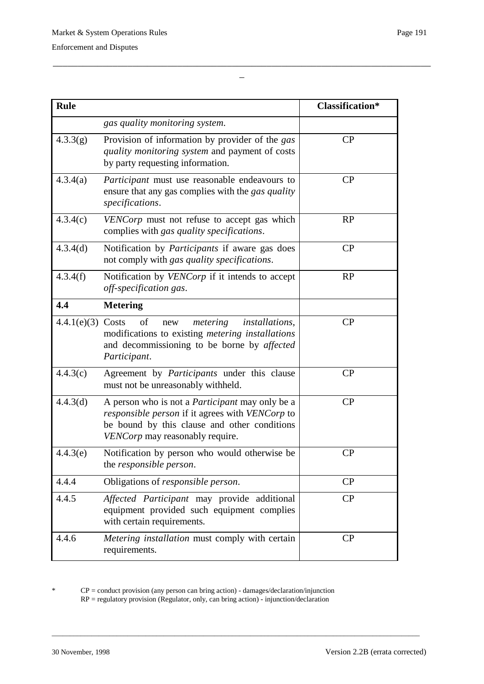| <b>Rule</b>         |                                                                                                                                                                                              | <b>Classification*</b> |
|---------------------|----------------------------------------------------------------------------------------------------------------------------------------------------------------------------------------------|------------------------|
|                     | gas quality monitoring system.                                                                                                                                                               |                        |
| 4.3.3(g)            | Provision of information by provider of the gas<br>quality monitoring system and payment of costs<br>by party requesting information.                                                        | CP                     |
| 4.3.4(a)            | <i>Participant</i> must use reasonable endeavours to<br>ensure that any gas complies with the <i>gas quality</i><br>specifications.                                                          | CP                     |
| 4.3.4(c)            | VENCorp must not refuse to accept gas which<br>complies with gas quality specifications.                                                                                                     | RP                     |
| 4.3.4(d)            | Notification by <i>Participants</i> if aware gas does<br>not comply with <i>gas quality specifications</i> .                                                                                 | CP                     |
| 4.3.4(f)            | Notification by <i>VENCorp</i> if it intends to accept<br>off-specification gas.                                                                                                             | RP                     |
| 4.4                 | <b>Metering</b>                                                                                                                                                                              |                        |
| $4.4.1(e)(3)$ Costs | installations,<br>οf<br>metering<br>new<br>modifications to existing <i>metering installations</i><br>and decommissioning to be borne by <i>affected</i><br>Participant.                     | CP                     |
| 4.4.3(c)            | Agreement by <i>Participants</i> under this clause<br>must not be unreasonably withheld.                                                                                                     | CP                     |
| 4.4.3(d)            | A person who is not a <i>Participant</i> may only be a<br>responsible person if it agrees with VENCorp to<br>be bound by this clause and other conditions<br>VENCorp may reasonably require. | CP                     |
| 4.4.3(e)            | Notification by person who would otherwise be.<br>the responsible person.                                                                                                                    | CP                     |
| 4.4.4               | Obligations of responsible person.                                                                                                                                                           | CP                     |
| 4.4.5               | Affected Participant may provide additional<br>equipment provided such equipment complies<br>with certain requirements.                                                                      | CP                     |
| 4.4.6               | Metering installation must comply with certain<br>requirements.                                                                                                                              | CP                     |

\* CP = conduct provision (any person can bring action) - damages/declaration/injunction RP = regulatory provision (Regulator, only, can bring action) - injunction/declaration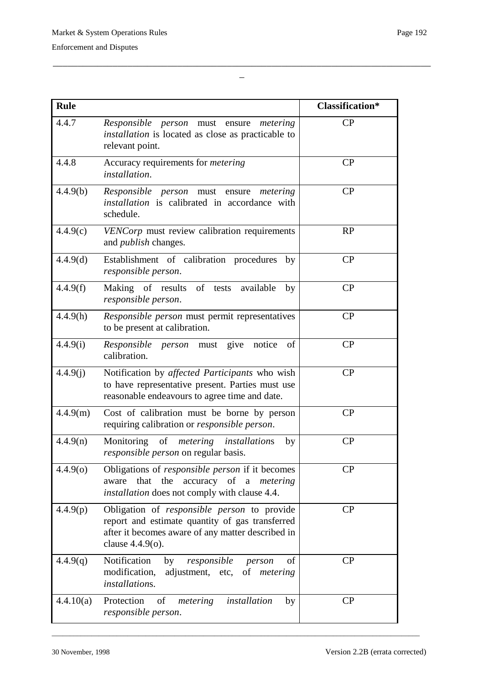| <b>Rule</b> |                                                                                                                                                                         | <b>Classification*</b> |
|-------------|-------------------------------------------------------------------------------------------------------------------------------------------------------------------------|------------------------|
| 4.4.7       | Responsible person must ensure metering<br><i>installation</i> is located as close as practicable to<br>relevant point.                                                 | CP                     |
| 4.4.8       | Accuracy requirements for <i>metering</i><br><i>installation.</i>                                                                                                       | CP                     |
| 4.4.9(b)    | Responsible person must ensure metering<br>installation is calibrated in accordance with<br>schedule.                                                                   | CP                     |
| 4.4.9(c)    | VENCorp must review calibration requirements<br>and <i>publish</i> changes.                                                                                             | RP                     |
| 4.4.9(d)    | Establishment of calibration procedures<br>by<br>responsible person.                                                                                                    | CP                     |
| 4.4.9(f)    | Making of results of tests available<br>by<br>responsible person.                                                                                                       | CP                     |
| 4.4.9(h)    | Responsible person must permit representatives<br>to be present at calibration.                                                                                         | CP                     |
| 4.4.9(i)    | Responsible<br>notice<br>of<br>person<br>must give<br>calibration.                                                                                                      | CP                     |
| 4.4.9(j)    | Notification by <i>affected Participants</i> who wish<br>to have representative present. Parties must use<br>reasonable endeavours to agree time and date.              | CP                     |
| 4.4.9(m)    | Cost of calibration must be borne by person<br>requiring calibration or <i>responsible person</i> .                                                                     | CP                     |
| 4.4.9(n)    | Monitoring of<br><i>metering installations</i><br>by<br><i>responsible person</i> on regular basis.                                                                     | CP                     |
| 4.4.9(0)    | Obligations of responsible person if it becomes<br>accuracy of<br>that<br>the<br>aware<br>$\mathbf{a}$<br>metering<br>installation does not comply with clause 4.4.     | CP                     |
| 4.4.9(p)    | Obligation of responsible person to provide<br>report and estimate quantity of gas transferred<br>after it becomes aware of any matter described in<br>clause 4.4.9(o). | CP                     |
| 4.4.9(q)    | Notification<br>responsible<br>of<br>by<br>person<br>modification,<br>adjustment, etc,<br>of<br>metering<br>installations.                                              | CP                     |
| 4.4.10(a)   | Protection<br>installation<br>of<br>metering<br>by<br>responsible person.                                                                                               | CP                     |

 $\_$  ,  $\_$  ,  $\_$  ,  $\_$  ,  $\_$  ,  $\_$  ,  $\_$  ,  $\_$  ,  $\_$  ,  $\_$  ,  $\_$  ,  $\_$  ,  $\_$  ,  $\_$  ,  $\_$  ,  $\_$  ,  $\_$  ,  $\_$  ,  $\_$  ,  $\_$  ,  $\_$  ,  $\_$  ,  $\_$  ,  $\_$  ,  $\_$  ,  $\_$  ,  $\_$  ,  $\_$  ,  $\_$  ,  $\_$  ,  $\_$  ,  $\_$  ,  $\_$  ,  $\_$  ,  $\_$  ,  $\_$  ,  $\_$  ,

\_\_\_\_\_\_\_\_\_\_\_\_\_\_\_\_\_\_\_\_\_\_\_\_\_\_\_\_\_\_\_\_\_\_\_\_\_\_\_\_\_\_\_\_\_\_\_\_\_\_\_\_\_\_\_\_\_\_\_\_\_\_\_\_\_\_\_\_\_\_\_\_\_\_\_\_  $\overline{\phantom{0}}$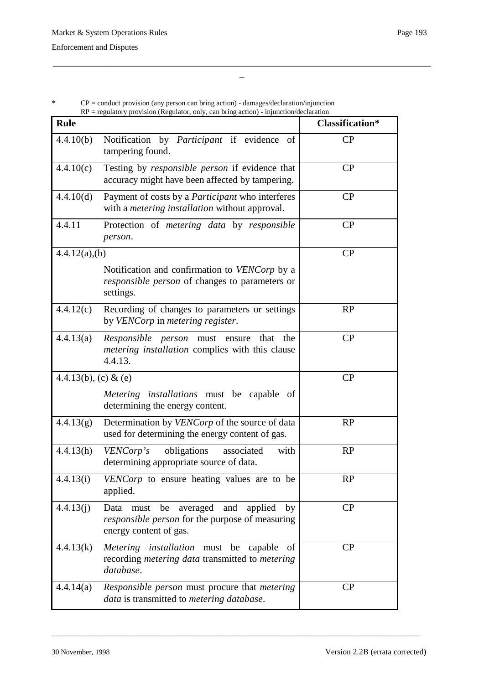\* CP = conduct provision (any person can bring action) - damages/declaration/injunction RP = regulatory provision (Regulator, only, can bring action) - injunction/declaration

\_\_\_\_\_\_\_\_\_\_\_\_\_\_\_\_\_\_\_\_\_\_\_\_\_\_\_\_\_\_\_\_\_\_\_\_\_\_\_\_\_\_\_\_\_\_\_\_\_\_\_\_\_\_\_\_\_\_\_\_\_\_\_\_\_\_\_\_\_\_\_\_\_\_\_\_  $\overline{a}$ 

| <b>Rule</b>          |                                                                                                                                            | <b>Classification*</b> |
|----------------------|--------------------------------------------------------------------------------------------------------------------------------------------|------------------------|
| 4.4.10(b)            | Notification by <i>Participant</i> if evidence<br>of<br>tampering found.                                                                   | CP                     |
| 4.4.10(c)            | Testing by responsible person if evidence that<br>accuracy might have been affected by tampering.                                          | CP                     |
| 4.4.10(d)            | Payment of costs by a <i>Participant</i> who interferes<br>with a <i>metering installation</i> without approval.                           | CP                     |
| 4.4.11               | Protection of metering data by responsible<br>person.                                                                                      | CP                     |
| $4.4.12(a)$ , (b)    |                                                                                                                                            | CP                     |
|                      | Notification and confirmation to VENCorp by a<br>responsible person of changes to parameters or<br>settings.                               |                        |
| 4.4.12(c)            | Recording of changes to parameters or settings<br>by VENCorp in metering register.                                                         | RP                     |
| 4.4.13(a)            | Responsible person must ensure that<br>the<br><i>metering installation</i> complies with this clause<br>4.4.13.                            | CP                     |
| 4.4.13(b), (c) & (e) |                                                                                                                                            | CP                     |
|                      | Metering installations must be capable of<br>determining the energy content.                                                               |                        |
| 4.4.13(g)            | Determination by VENCorp of the source of data<br>used for determining the energy content of gas.                                          | RP                     |
| 4.4.13(h)            | obligations<br>VENCorp's<br>associated<br>with<br>determining appropriate source of data.                                                  | RP                     |
| 4.4.13(i)            | VENCorp to ensure heating values are to be<br>applied.                                                                                     | <b>RP</b>              |
| 4.4.13(j)            | averaged<br>be<br>and<br>applied<br>Data<br>must<br>by<br><i>responsible person</i> for the purpose of measuring<br>energy content of gas. | CP                     |
| 4.4.13(k)            | Metering installation must be capable<br>of<br>recording <i>metering data</i> transmitted to <i>metering</i><br>database.                  | CP                     |
| 4.4.14(a)            | Responsible person must procure that metering<br>data is transmitted to metering database.                                                 | CP                     |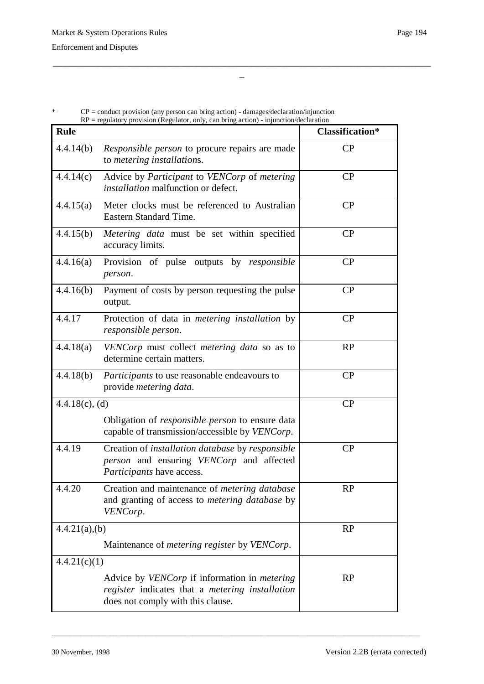\* CP = conduct provision (any person can bring action) - damages/declaration/injunction RP = regulatory provision (Regulator, only, can bring action) - injunction/declaration

\_\_\_\_\_\_\_\_\_\_\_\_\_\_\_\_\_\_\_\_\_\_\_\_\_\_\_\_\_\_\_\_\_\_\_\_\_\_\_\_\_\_\_\_\_\_\_\_\_\_\_\_\_\_\_\_\_\_\_\_\_\_\_\_\_\_\_\_\_\_\_\_\_\_\_\_  $\overline{a}$ 

| <b>Rule</b>       |                                                                                                                                             | <b>Classification*</b> |
|-------------------|---------------------------------------------------------------------------------------------------------------------------------------------|------------------------|
| 4.4.14(b)         | <i>Responsible person</i> to procure repairs are made<br>to metering installations.                                                         | CP                     |
| 4.4.14(c)         | Advice by Participant to VENCorp of metering<br>installation malfunction or defect.                                                         | CP                     |
| 4.4.15(a)         | Meter clocks must be referenced to Australian<br>Eastern Standard Time.                                                                     | CP                     |
| 4.4.15(b)         | Metering data must be set within specified<br>accuracy limits.                                                                              | CP                     |
| 4.4.16(a)         | Provision of pulse outputs by responsible<br>person.                                                                                        | CP                     |
| 4.4.16(b)         | Payment of costs by person requesting the pulse<br>output.                                                                                  | CP                     |
| 4.4.17            | Protection of data in <i>metering installation</i> by<br>responsible person.                                                                | CP                     |
| 4.4.18(a)         | VENCorp must collect metering data so as to<br>determine certain matters.                                                                   | RP                     |
| 4.4.18(b)         | Participants to use reasonable endeavours to<br>provide <i>metering data</i> .                                                              | CP                     |
| $4.4.18(c)$ , (d) |                                                                                                                                             | CP                     |
|                   | Obligation of <i>responsible person</i> to ensure data<br>capable of transmission/accessible by VENCorp.                                    |                        |
| 4.4.19            | Creation of <i>installation database</i> by <i>responsible</i><br>person and ensuring VENCorp and affected<br>Participants have access.     | CP                     |
| 4.4.20            | Creation and maintenance of metering database<br>and granting of access to <i>metering database</i> by<br>VENCorp.                          | RP                     |
| 4.4.21(a),(b)     |                                                                                                                                             | RP                     |
|                   | Maintenance of <i>metering register</i> by <i>VENCorp</i> .                                                                                 |                        |
| 4.4.21(c)(1)      |                                                                                                                                             |                        |
|                   | Advice by VENCorp if information in <i>metering</i><br>register indicates that a metering installation<br>does not comply with this clause. | <b>RP</b>              |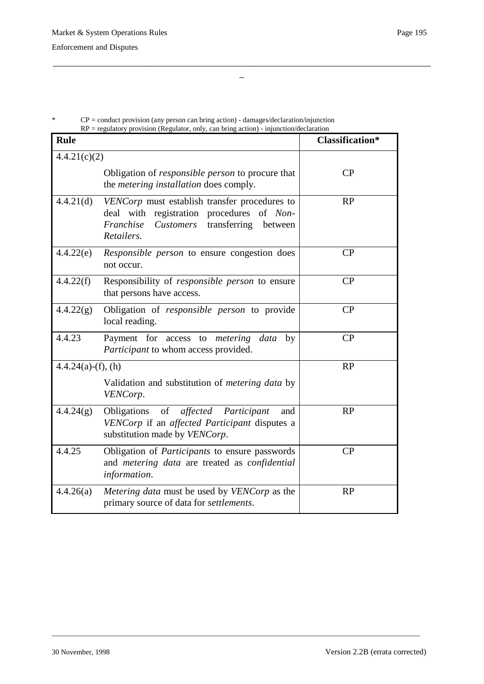| $RP =$ regulatory provision (Regulator, only, can bring action) - injunction/declaration |                                                                                                                                                               |                        |
|------------------------------------------------------------------------------------------|---------------------------------------------------------------------------------------------------------------------------------------------------------------|------------------------|
| <b>Rule</b>                                                                              |                                                                                                                                                               | <b>Classification*</b> |
| 4.4.21(c)(2)                                                                             |                                                                                                                                                               |                        |
|                                                                                          | Obligation of <i>responsible person</i> to procure that<br>the <i>metering installation</i> does comply.                                                      | CP                     |
| 4.4.21(d)                                                                                | VENCorp must establish transfer procedures to<br>deal with registration procedures of Non-<br>transferring<br>Franchise<br>Customers<br>between<br>Retailers. | RP                     |
| 4.4.22(e)                                                                                | Responsible person to ensure congestion does<br>not occur.                                                                                                    | CP                     |
| 4.4.22(f)                                                                                | Responsibility of <i>responsible person</i> to ensure<br>that persons have access.                                                                            | CP                     |
| 4.4.22(g)                                                                                | Obligation of <i>responsible person</i> to provide<br>local reading.                                                                                          | CP                     |
| 4.4.23                                                                                   | Payment for access to metering data<br>by<br>Participant to whom access provided.                                                                             | CP                     |
| $4.4.24(a)-(f)$ , (h)                                                                    |                                                                                                                                                               | RP                     |
|                                                                                          | Validation and substitution of <i>metering data</i> by<br>VENCorp.                                                                                            |                        |
| 4.4.24(g)                                                                                | Obligations of affected Participant<br>and<br>VENCorp if an affected Participant disputes a<br>substitution made by VENCorp.                                  | RP                     |
| 4.4.25                                                                                   | Obligation of <i>Participants</i> to ensure passwords<br>and metering data are treated as confidential<br>information.                                        | CP                     |
| 4.4.26(a)                                                                                | Metering data must be used by VENCorp as the<br>primary source of data for settlements.                                                                       | RP                     |

 $\_$  ,  $\_$  ,  $\_$  ,  $\_$  ,  $\_$  ,  $\_$  ,  $\_$  ,  $\_$  ,  $\_$  ,  $\_$  ,  $\_$  ,  $\_$  ,  $\_$  ,  $\_$  ,  $\_$  ,  $\_$  ,  $\_$  ,  $\_$  ,  $\_$  ,  $\_$  ,  $\_$  ,  $\_$  ,  $\_$  ,  $\_$  ,  $\_$  ,  $\_$  ,  $\_$  ,  $\_$  ,  $\_$  ,  $\_$  ,  $\_$  ,  $\_$  ,  $\_$  ,  $\_$  ,  $\_$  ,  $\_$  ,  $\_$  ,

\_\_\_\_\_\_\_\_\_\_\_\_\_\_\_\_\_\_\_\_\_\_\_\_\_\_\_\_\_\_\_\_\_\_\_\_\_\_\_\_\_\_\_\_\_\_\_\_\_\_\_\_\_\_\_\_\_\_\_\_\_\_\_\_\_\_\_\_\_\_\_\_\_\_\_\_  $\overline{a}$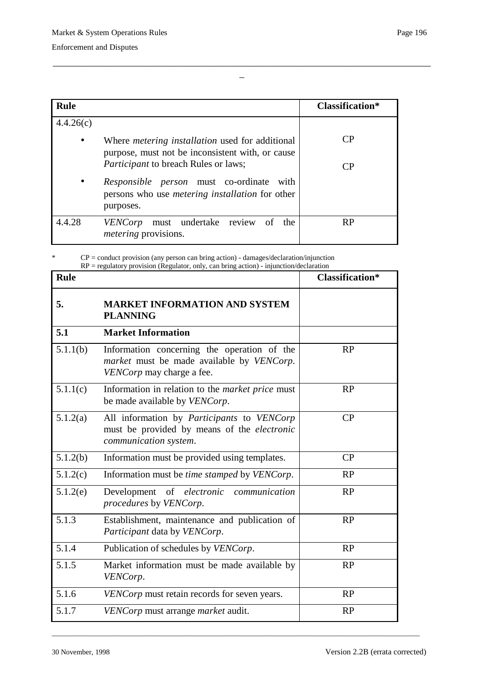| <b>Rule</b> |                                                                                                                        | Classification* |
|-------------|------------------------------------------------------------------------------------------------------------------------|-----------------|
| 4.4.26(c)   |                                                                                                                        |                 |
| $\bullet$   | Where <i>metering installation</i> used for additional<br>purpose, must not be inconsistent with, or cause             | $\overline{CP}$ |
|             | <i>Participant</i> to breach Rules or laws;                                                                            | $\overline{CP}$ |
| $\bullet$   | <i>Responsible person</i> must co-ordinate with<br>persons who use <i>metering installation</i> for other<br>purposes. |                 |
| 4.4.28      | must undertake review<br><b>VENCorp</b><br>of<br>the<br>metering provisions.                                           | <b>RP</b>       |

<sup>\*</sup> CP = conduct provision (any person can bring action) - damages/declaration/injunction RP = regulatory provision (Regulator, only, can bring action) - injunction/declaration

| <b>Rule</b> |                                                                                                                           | <b>Classification*</b> |
|-------------|---------------------------------------------------------------------------------------------------------------------------|------------------------|
| 5.          | <b>MARKET INFORMATION AND SYSTEM</b><br><b>PLANNING</b>                                                                   |                        |
| 5.1         | <b>Market Information</b>                                                                                                 |                        |
| 5.1.1(b)    | Information concerning the operation of the<br>market must be made available by VENCorp.<br>VENCorp may charge a fee.     | RP                     |
| 5.1.1(c)    | Information in relation to the <i>market price</i> must<br>be made available by VENCorp.                                  | RP                     |
| 5.1.2(a)    | All information by Participants to VENCorp<br>must be provided by means of the <i>electronic</i><br>communication system. | CP                     |
| 5.1.2(b)    | Information must be provided using templates.                                                                             | CP                     |
| 5.1.2(c)    | Information must be <i>time stamped</i> by <i>VENCorp</i> .                                                               | RP                     |
| 5.1.2(e)    | Development of <i>electronic</i><br>communication<br>procedures by VENCorp.                                               | RP                     |
| 5.1.3       | Establishment, maintenance and publication of<br>Participant data by VENCorp.                                             | RP                     |
| 5.1.4       | Publication of schedules by VENCorp.                                                                                      | RP                     |
| 5.1.5       | Market information must be made available by<br>VENCorp.                                                                  | RP                     |
| 5.1.6       | VENCorp must retain records for seven years.                                                                              | RP                     |
| 5.1.7       | VENCorp must arrange <i>market</i> audit.                                                                                 | RP                     |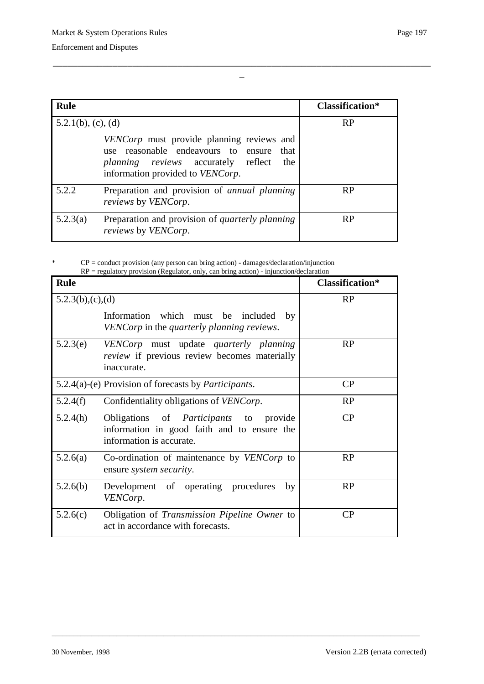| <b>Rule</b>                                                                                                                                                                             | <b>Classification*</b> |
|-----------------------------------------------------------------------------------------------------------------------------------------------------------------------------------------|------------------------|
| $5.2.1(b)$ , (c), (d)                                                                                                                                                                   | <b>RP</b>              |
| VENCorp must provide planning reviews and<br>use reasonable endeavours to ensure<br>that.<br><i>planning reviews</i> accurately reflect the<br>information provided to <i>VENCorp</i> . |                        |
| Preparation and provision of <i>annual planning</i><br>5.2.2<br><i>reviews</i> by <i>VENCorp</i> .                                                                                      | RP                     |
| Preparation and provision of <i>quarterly planning</i><br>5.2.3(a)<br>reviews by VENCorp.                                                                                               | <b>RP</b>              |

 $CP =$  conduct provision (any person can bring action) - damages/declaration/injunction RP = regulatory provision (Regulator, only, can bring action) - injunction/declaration

| <b>Rule</b>      |                                                                                                                          | <b>Classification*</b> |
|------------------|--------------------------------------------------------------------------------------------------------------------------|------------------------|
| 5.2.3(b),(c),(d) |                                                                                                                          | RP                     |
|                  | Information which must be included<br>by<br>VENCorp in the quarterly planning reviews.                                   |                        |
| 5.2.3(e)         | VENCorp must update quarterly planning<br><i>review</i> if previous review becomes materially<br>inaccurate.             | RP                     |
|                  | 5.2.4(a)-(e) Provision of forecasts by <i>Participants</i> .                                                             | CP                     |
| 5.2.4(f)         | Confidentiality obligations of <i>VENCorp</i> .                                                                          | RP                     |
| 5.2.4(h)         | Obligations of <i>Participants</i> to provide<br>information in good faith and to ensure the<br>information is accurate. | CP                     |
| 5.2.6(a)         | Co-ordination of maintenance by VENCorp to<br>ensure <i>system security</i> .                                            | RP                     |
| 5.2.6(b)         | Development of operating procedures<br>by<br>VENCorp.                                                                    | RP                     |
| 5.2.6(c)         | Obligation of Transmission Pipeline Owner to<br>act in accordance with forecasts.                                        | CP                     |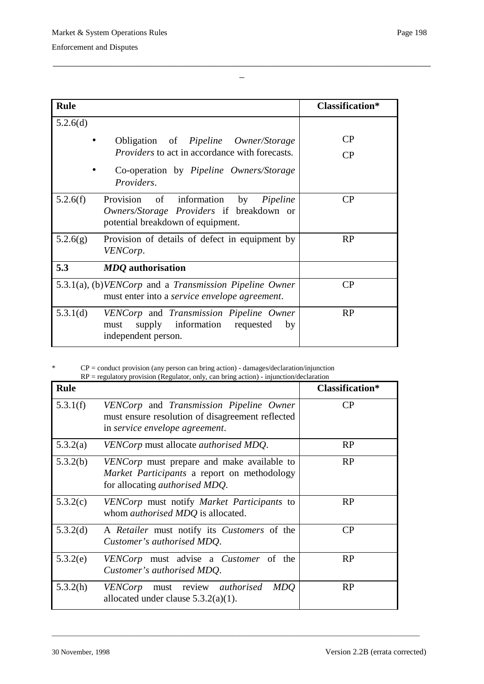| <b>Rule</b> |                                                                                                                             | <b>Classification*</b> |
|-------------|-----------------------------------------------------------------------------------------------------------------------------|------------------------|
| 5.2.6(d)    |                                                                                                                             |                        |
|             | Obligation of Pipeline Owner/Storage                                                                                        | CP                     |
|             | <i>Providers</i> to act in accordance with forecasts.                                                                       | CP                     |
|             | Co-operation by <i>Pipeline Owners/Storage</i><br>Providers.                                                                |                        |
| 5.2.6(f)    | Provision<br>of information by<br>Pipeline<br>Owners/Storage Providers if breakdown or<br>potential breakdown of equipment. | CP                     |
| 5.2.6(g)    | Provision of details of defect in equipment by<br>VENCorp.                                                                  | RP                     |
| 5.3         | <i>MDQ</i> authorisation                                                                                                    |                        |
|             | 5.3.1(a), (b) VENCorp and a Transmission Pipeline Owner                                                                     | $\rm CP$               |
|             | must enter into a <i>service envelope</i> agreement.                                                                        |                        |
| 5.3.1(d)    | VENCorp and Transmission Pipeline Owner                                                                                     | RP                     |

 $CP =$  conduct provision (any person can bring action) - damages/declaration/injunction RP = regulatory provision (Regulator, only, can bring action) - injunction/declaration

must supply information requested by

independent person.

| <b>Rule</b> |                                                                                                                                            | <b>Classification*</b> |
|-------------|--------------------------------------------------------------------------------------------------------------------------------------------|------------------------|
| 5.3.1(f)    | VENCorp and Transmission Pipeline Owner<br>must ensure resolution of disagreement reflected<br>in service envelope agreement.              | <b>CP</b>              |
| 5.3.2(a)    | VENCorp must allocate <i>authorised MDQ</i> .                                                                                              | RP                     |
| 5.3.2(b)    | <i>VENCorp</i> must prepare and make available to<br>Market Participants a report on methodology<br>for allocating <i>authorised MDQ</i> . | R <sub>P</sub>         |
| 5.3.2(c)    | VENCorp must notify Market Participants to<br>whom <i>authorised MDQ</i> is allocated.                                                     | RP                     |
| 5.3.2(d)    | A Retailer must notify its Customers of the<br>Customer's authorised MDQ.                                                                  | <b>CP</b>              |
| 5.3.2(e)    | VENCorp must advise a Customer of the<br>Customer's authorised MDQ.                                                                        | RP                     |
| 5.3.2(h)    | VENCorp must review authorised<br><i>MDO</i><br>allocated under clause $5.3.2(a)(1)$ .                                                     | RP                     |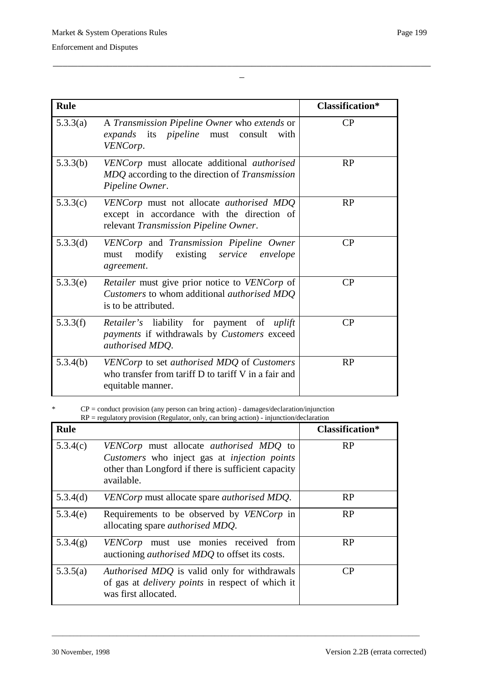| <b>Rule</b> |                                                                                                                                        | <b>Classification*</b> |
|-------------|----------------------------------------------------------------------------------------------------------------------------------------|------------------------|
| 5.3.3(a)    | A Transmission Pipeline Owner who extends or<br>expands its pipeline must consult<br>with<br>VENCorp.                                  | CP                     |
| 5.3.3(b)    | VENCorp must allocate additional authorised<br>MDQ according to the direction of Transmission<br>Pipeline Owner.                       | RP                     |
| 5.3.3(c)    | VENCorp must not allocate <i>authorised MDQ</i><br>except in accordance with the direction of<br>relevant Transmission Pipeline Owner. | RP                     |
| 5.3.3(d)    | VENCorp and Transmission Pipeline Owner<br>modify existing <i>service</i><br>must<br>envelope<br>agreement.                            | CP                     |
| 5.3.3(e)    | Retailer must give prior notice to VENCorp of<br>Customers to whom additional <i>authorised MDQ</i><br>is to be attributed.            | CP                     |
| 5.3.3(f)    | Retailer's liability for payment of uplift<br>payments if withdrawals by Customers exceed<br>authorised MDQ.                           | CP                     |
| 5.3.4(b)    | VENCorp to set authorised MDQ of Customers<br>who transfer from tariff D to tariff V in a fair and<br>equitable manner.                | <b>RP</b>              |

\* CP = conduct provision (any person can bring action) - damages/declaration/injunction  $RP =$  regulatory provision (Regulator, only, can bring action) - injunction/declaration

| <b>Rule</b> |                                                                                                                                                                     | <b>Classification*</b> |
|-------------|---------------------------------------------------------------------------------------------------------------------------------------------------------------------|------------------------|
| 5.3.4(c)    | VENCorp must allocate <i>authorised MDQ</i> to<br>Customers who inject gas at injection points<br>other than Longford if there is sufficient capacity<br>available. | RP                     |
| 5.3.4(d)    | VENCorp must allocate spare <i>authorised MDQ</i> .                                                                                                                 | <b>RP</b>              |
| 5.3.4(e)    | Requirements to be observed by VENCorp in<br>allocating spare <i>authorised MDQ</i> .                                                                               | RP                     |
| 5.3.4(g)    | VENCorp must use monies received from<br>auctioning <i>authorised MDQ</i> to offset its costs.                                                                      | RP                     |
| 5.3.5(a)    | <i>Authorised MDQ</i> is valid only for withdrawals<br>of gas at <i>delivery points</i> in respect of which it<br>was first allocated.                              | $\rm CP$               |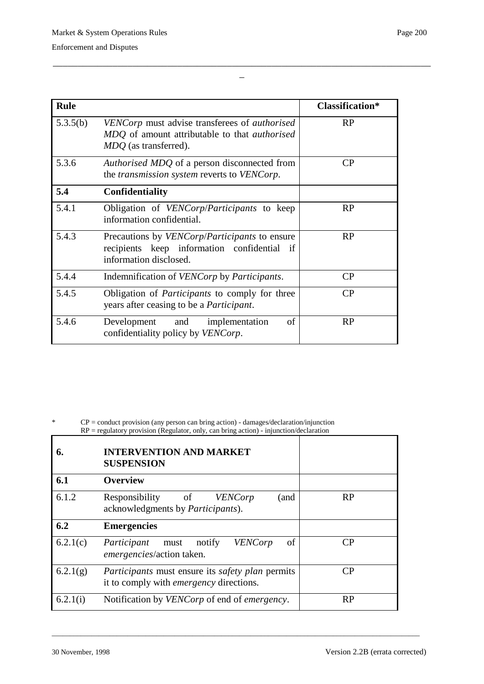| <b>Rule</b> |                                                                                                                                              | Classification* |
|-------------|----------------------------------------------------------------------------------------------------------------------------------------------|-----------------|
| 5.3.5(b)    | VENCorp must advise transferees of <i>authorised</i><br>MDQ of amount attributable to that <i>authorised</i><br><i>MDQ</i> (as transferred). | RP              |
| 5.3.6       | <i>Authorised MDQ</i> of a person disconnected from<br>the transmission system reverts to VENCorp.                                           | $\rm CP$        |
| 5.4         | Confidentiality                                                                                                                              |                 |
| 5.4.1       | Obligation of VENCorp/Participants to keep<br>information confidential.                                                                      | RP              |
| 5.4.3       | Precautions by <i>VENCorp</i> / <i>Participants</i> to ensure<br>recipients keep information confidential if<br>information disclosed.       | RP              |
| 5.4.4       | Indemnification of <i>VENCorp</i> by <i>Participants</i> .                                                                                   | CP              |
| 5.4.5       | Obligation of <i>Participants</i> to comply for three<br>years after ceasing to be a <i>Participant</i> .                                    | CP              |
| 5.4.6       | οf<br>implementation<br>Development<br>and<br>confidentiality policy by <i>VENCorp</i> .                                                     | RP              |

 $CP =$  conduct provision (any person can bring action) - damages/declaration/injunction RP = regulatory provision (Regulator, only, can bring action) - injunction/declaration Ţ

| 6.       | <b>INTERVENTION AND MARKET</b><br><b>SUSPENSION</b>                                                              |           |
|----------|------------------------------------------------------------------------------------------------------------------|-----------|
| 6.1      | <b>Overview</b>                                                                                                  |           |
| 6.1.2    | Responsibility<br><b>VENCorp</b><br>(and<br>of<br>acknowledgments by <i>Participants</i> ).                      | <b>RP</b> |
| 6.2      | <b>Emergencies</b>                                                                                               |           |
| 6.2.1(c) | <b>VENCorp</b><br>οf<br>notify<br>Participant<br>must<br>emergencies/action taken.                               | CP        |
| 6.2.1(g) | <i>Participants</i> must ensure its <i>safety plan</i> permits<br>it to comply with <i>emergency</i> directions. | CP        |
| 6.2.1(i) | Notification by VENCorp of end of emergency.                                                                     | <b>RP</b> |

⊤

 $\_$  ,  $\_$  ,  $\_$  ,  $\_$  ,  $\_$  ,  $\_$  ,  $\_$  ,  $\_$  ,  $\_$  ,  $\_$  ,  $\_$  ,  $\_$  ,  $\_$  ,  $\_$  ,  $\_$  ,  $\_$  ,  $\_$  ,  $\_$  ,  $\_$  ,  $\_$  ,  $\_$  ,  $\_$  ,  $\_$  ,  $\_$  ,  $\_$  ,  $\_$  ,  $\_$  ,  $\_$  ,  $\_$  ,  $\_$  ,  $\_$  ,  $\_$  ,  $\_$  ,  $\_$  ,  $\_$  ,  $\_$  ,  $\_$  ,

٦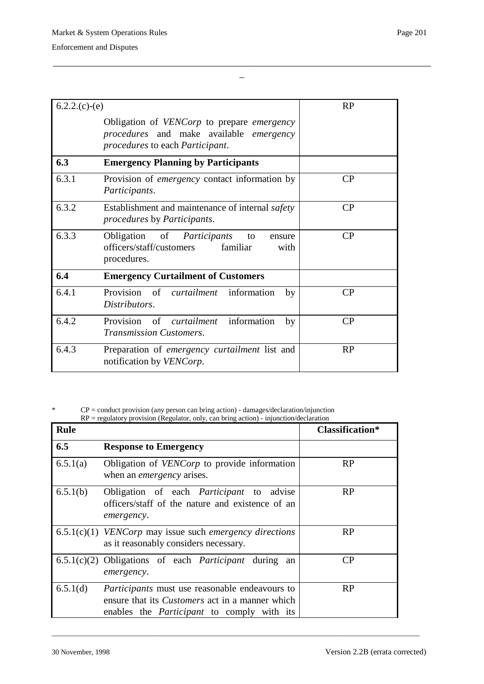|       | $6.2.2(c)-(e)$<br><b>RP</b>                                                                                                            |           |  |
|-------|----------------------------------------------------------------------------------------------------------------------------------------|-----------|--|
|       | Obligation of <i>VENCorp</i> to prepare <i>emergency</i><br>procedures and make available emergency<br>procedures to each Participant. |           |  |
| 6.3   | <b>Emergency Planning by Participants</b>                                                                                              |           |  |
| 6.3.1 | Provision of <i>emergency</i> contact information by<br>Participants.                                                                  | CР        |  |
| 6.3.2 | Establishment and maintenance of internal <i>safety</i><br>procedures by Participants.                                                 | CP        |  |
| 6.3.3 | Obligation of <i>Participants</i><br>to<br>ensure<br>officers/staff/customers<br>familiar<br>with<br>procedures.                       | CP        |  |
| 6.4   | <b>Emergency Curtailment of Customers</b>                                                                                              |           |  |
| 6.4.1 | Provision of <i>curtailment</i> information<br>by<br>Distributors.                                                                     | CР        |  |
| 6.4.2 | Provision of <i>curtailment</i><br>information<br>by<br><i>Transmission Customers.</i>                                                 | CР        |  |
| 6.4.3 | Preparation of <i>emergency curtailment</i> list and<br>notification by <i>VENCorp</i> .                                               | <b>RP</b> |  |

\* CP = conduct provision (any person can bring action) - damages/declaration/injunction  $RP =$  regulatory provision (Regulator, only, can bring action) - injunction/declaration

| <b>Rule</b> |                                                                                                                                                                      | <b>Classification*</b> |
|-------------|----------------------------------------------------------------------------------------------------------------------------------------------------------------------|------------------------|
| 6.5         | <b>Response to Emergency</b>                                                                                                                                         |                        |
| 6.5.1(a)    | Obligation of VENCorp to provide information<br>when an <i>emergency</i> arises.                                                                                     | <b>RP</b>              |
| 6.5.1(b)    | Obligation of each <i>Participant</i> to advise<br>officers/staff of the nature and existence of an<br><i>emergency.</i>                                             | <b>RP</b>              |
|             | $6.5.1(c)(1)$ VENCorp may issue such <i>emergency directions</i><br>as it reasonably considers necessary.                                                            | <b>RP</b>              |
|             | $6.5.1(c)(2)$ Obligations of each <i>Participant</i> during<br>an<br>emergency.                                                                                      | $\overline{CP}$        |
| 6.5.1(d)    | <i>Participants</i> must use reasonable endeavours to<br>ensure that its <i>Customers</i> act in a manner which<br>enables the <i>Participant</i> to comply with its | <b>RP</b>              |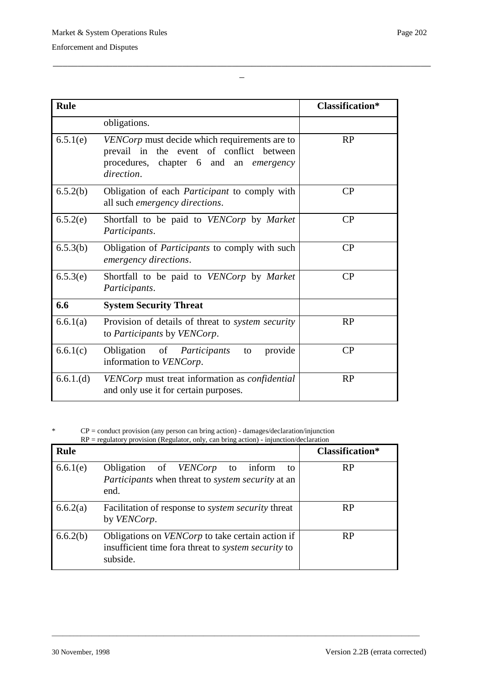**Rule Classification\*** obligations. 6.5.1(e) *VENCorp* must decide which requirements are to prevail in the event of conflict between procedures, chapter 6 and an *emergency direction*. RP 6.5.2(b) Obligation of each *Participant* to comply with all such *emergency directions*. CP 6.5.2(e) Shortfall to be paid to *VENCorp* by *Market Participants*. CP 6.5.3(b) Obligation of *Participants* to comply with such *emergency directions*. CP 6.5.3(e) Shortfall to be paid to *VENCorp* by *Market Participants*. CP **6.6 System Security Threat** 6.6.1(a) Provision of details of threat to *system security* to *Participants* by *VENCorp*. RP 6.6.1(c) Obligation of *Participants* to provide information to *VENCorp*. CP 6.6.1.(d) *VENCorp* must treat information as *confidential* and only use it for certain purposes. RP

\_\_\_\_\_\_\_\_\_\_\_\_\_\_\_\_\_\_\_\_\_\_\_\_\_\_\_\_\_\_\_\_\_\_\_\_\_\_\_\_\_\_\_\_\_\_\_\_\_\_\_\_\_\_\_\_\_\_\_\_\_\_\_\_\_\_\_\_\_\_\_\_\_\_\_\_ \_

 $CP =$  conduct provision (any person can bring action) - damages/declaration/injunction RP = regulatory provision (Regulator, only, can bring action) - injunction/declaration

| Rule     |                                                                                                                                   | <b>Classification*</b> |
|----------|-----------------------------------------------------------------------------------------------------------------------------------|------------------------|
| 6.6.1(e) | Obligation of <i>VENCorp</i> to inform<br>to<br>Participants when threat to system security at an<br>end.                         | <b>RP</b>              |
| 6.6.2(a) | Facilitation of response to <i>system security</i> threat<br>by VENCorp.                                                          | <b>RP</b>              |
| 6.6.2(b) | Obligations on <i>VENCorp</i> to take certain action if<br>insufficient time fora threat to <i>system security</i> to<br>subside. | <b>RP</b>              |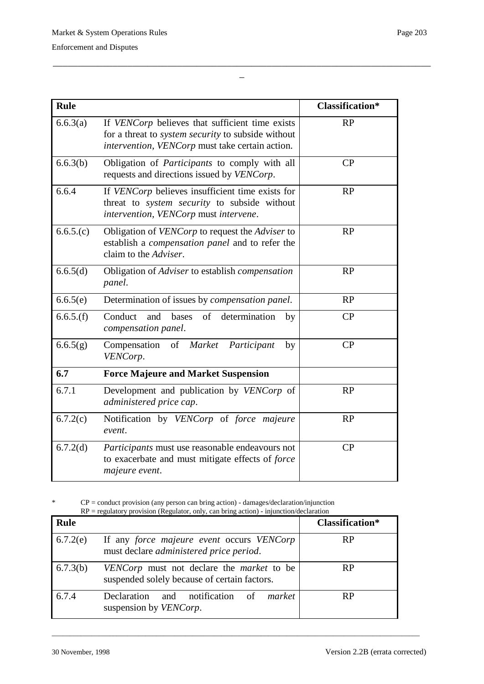| Rule     |                                                                                                                                                          | <b>Classification*</b> |
|----------|----------------------------------------------------------------------------------------------------------------------------------------------------------|------------------------|
| 6.6.3(a) | If VENCorp believes that sufficient time exists<br>for a threat to system security to subside without<br>intervention, VENCorp must take certain action. | RP                     |
| 6.6.3(b) | Obligation of <i>Participants</i> to comply with all<br>requests and directions issued by VENCorp.                                                       | CP                     |
| 6.6.4    | If VENCorp believes insufficient time exists for<br>threat to system security to subside without<br>intervention, VENCorp must intervene.                | RP                     |
| 6.6.5(c) | Obligation of <i>VENCorp</i> to request the <i>Adviser</i> to<br>establish a <i>compensation panel</i> and to refer the<br>claim to the <i>Adviser</i> . | RP                     |
| 6.6.5(d) | Obligation of Adviser to establish compensation<br>panel.                                                                                                | <b>RP</b>              |
| 6.6.5(e) | Determination of issues by <i>compensation panel</i> .                                                                                                   | RP                     |
| 6.6.5(f) | Conduct<br>bases<br>of<br>determination<br>and<br>by<br>compensation panel.                                                                              | CP                     |
| 6.6.5(g) | of<br><b>Market</b><br>Participant<br>Compensation<br>by<br>VENCorp.                                                                                     | CP                     |
| 6.7      | <b>Force Majeure and Market Suspension</b>                                                                                                               |                        |
| 6.7.1    | Development and publication by VENCorp of<br>administered price cap.                                                                                     | RP                     |
| 6.7.2(c) | Notification by VENCorp of force majeure<br>event.                                                                                                       | RP                     |
| 6.7.2(d) | Participants must use reasonable endeavours not<br>to exacerbate and must mitigate effects of <i>force</i><br>majeure event.                             | CP                     |

| $\ast$<br>$CP =$ conduct provision (any person can bring action) - damages/declaration/injunction<br>$RP$ = regulatory provision (Regulator, only, can bring action) - injunction/declaration |                                                                                                  |                        |
|-----------------------------------------------------------------------------------------------------------------------------------------------------------------------------------------------|--------------------------------------------------------------------------------------------------|------------------------|
| Rule                                                                                                                                                                                          |                                                                                                  | <b>Classification*</b> |
| 6.7.2(e)                                                                                                                                                                                      | If any force majeure event occurs VENCorp<br>must declare <i>administered price period</i> .     | <b>RP</b>              |
| 6.7.3(b)                                                                                                                                                                                      | VENCorp must not declare the <i>market</i> to be<br>suspended solely because of certain factors. | <b>RP</b>              |
| 6.7.4                                                                                                                                                                                         | Declaration and notification of<br>market<br>suspension by <i>VENCorp</i> .                      | <b>RP</b>              |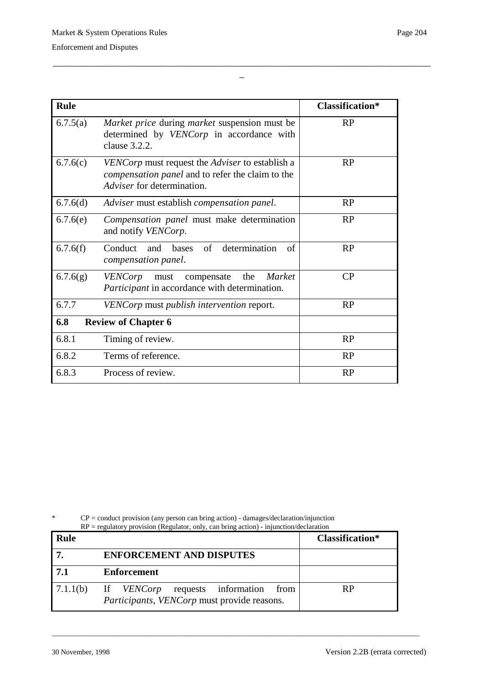| <b>Rule</b> |                                                                                                                                          | <b>Classification*</b> |
|-------------|------------------------------------------------------------------------------------------------------------------------------------------|------------------------|
| 6.7.5(a)    | Market price during market suspension must be<br>determined by VENCorp in accordance with<br>clause 3.2.2.                               | RP                     |
| 6.7.6(c)    | VENCorp must request the <i>Adviser</i> to establish a<br>compensation panel and to refer the claim to the<br>Adviser for determination. | RP                     |
| 6.7.6(d)    | Adviser must establish compensation panel.                                                                                               | RP                     |
| 6.7.6(e)    | Compensation panel must make determination<br>and notify VENCorp.                                                                        | RP                     |
| 6.7.6(f)    | of determination<br>Conduct<br>bases<br>and<br>οf<br>compensation panel.                                                                 | RP                     |
| 6.7.6(g)    | VENCorp must<br><i>Market</i><br>the<br>compensate<br>Participant in accordance with determination.                                      | CP                     |
| 6.7.7       | VENCorp must publish intervention report.                                                                                                | RP                     |
| 6.8         | <b>Review of Chapter 6</b>                                                                                                               |                        |
| 6.8.1       | Timing of review.                                                                                                                        | RP                     |
| 6.8.2       | Terms of reference.                                                                                                                      | RP                     |
| 6.8.3       | Process of review.                                                                                                                       | RP                     |

\* CP = conduct provision (any person can bring action) - damages/declaration/injunction RP = regulatory provision (Regulator, only, can bring action) - injunction/declaration

| Rule     |                                                                                            | <b>Classification*</b> |
|----------|--------------------------------------------------------------------------------------------|------------------------|
|          | <b>ENFORCEMENT AND DISPUTES</b>                                                            |                        |
| 7.1      | <b>Enforcement</b>                                                                         |                        |
| 7.1.1(b) | If <i>VENCorp</i> requests information from<br>Participants, VENCorp must provide reasons. | <b>RP</b>              |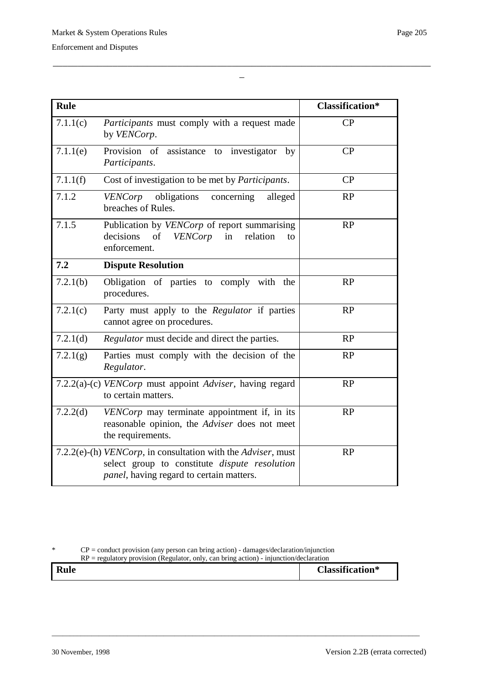by *VENCorp*.

*Participants*.

enforcement.

**7.2 Dispute Resolution**

breaches of Rules.

CP

CP

RP

RP

| 7.2.1(b) | Obligation of parties to comply with the<br>procedures.                                                                   | RP  |
|----------|---------------------------------------------------------------------------------------------------------------------------|-----|
| 7.2.1(c) | Party must apply to the <i>Regulator</i> if parties<br>cannot agree on procedures.                                        | RP  |
| 7.2.1(d) | <i>Regulator</i> must decide and direct the parties.                                                                      | RP. |
| 7.2.1(g) | Parties must comply with the decision of the<br>Regulator.                                                                | RP  |
|          | 7.2.2(a)-(c) VENCorp must appoint Adviser, having regard<br>to certain matters.                                           | RP  |
| 7.2.2(d) | VENCorp may terminate appointment if, in its<br>reasonable opinion, the <i>Adviser</i> does not meet<br>the requirements. | RP  |
|          | 7.2.2(e)-(h) <i>VENCorp</i> , in consultation with the <i>Adviser</i> , must                                              | RP  |

\_\_\_\_\_\_\_\_\_\_\_\_\_\_\_\_\_\_\_\_\_\_\_\_\_\_\_\_\_\_\_\_\_\_\_\_\_\_\_\_\_\_\_\_\_\_\_\_\_\_\_\_\_\_\_\_\_\_\_\_\_\_\_\_\_\_\_\_\_\_\_\_\_\_\_\_ \_

**Rule Classification\***

7.1.1(f) Cost of investigation to be met by *Participants*. CP

decisions of *VENCorp* in relation to

7.1.1(c) *Participants* must comply with a request made

7.1.1(e) Provision of assistance to investigator by

7.1.2 *VENCorp* obligations concerning alleged

7.1.5 Publication by *VENCorp* of report summarising

 $CP =$  conduct provision (any person can bring action) - damages/declaration/injunction  $RP =$  regulatory provision (Regulator, only, can bring action) - injunction/declaration

select group to constitute *dispute resolution* 

*panel*, having regard to certain matters.

| Rule | Lassification* |
|------|----------------|
|------|----------------|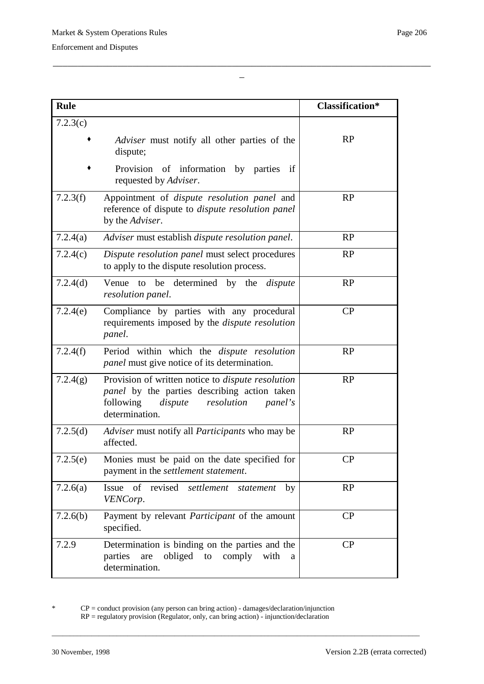| <b>Rule</b> |                                                                                                                                                                                           | <b>Classification*</b> |
|-------------|-------------------------------------------------------------------------------------------------------------------------------------------------------------------------------------------|------------------------|
| 7.2.3(c)    |                                                                                                                                                                                           | RP                     |
|             | <i>Adviser</i> must notify all other parties of the<br>dispute;                                                                                                                           |                        |
|             | Provision of information by parties<br>if<br>requested by Adviser.                                                                                                                        |                        |
| 7.2.3(f)    | Appointment of <i>dispute resolution panel</i> and<br>reference of dispute to <i>dispute resolution panel</i><br>by the Adviser.                                                          | RP                     |
| 7.2.4(a)    | Adviser must establish dispute resolution panel.                                                                                                                                          | RP                     |
| 7.2.4(c)    | Dispute resolution panel must select procedures<br>to apply to the dispute resolution process.                                                                                            | RP                     |
| 7.2.4(d)    | determined by the <i>dispute</i><br>Venue<br>be<br>to<br>resolution panel.                                                                                                                | RP                     |
| 7.2.4(e)    | Compliance by parties with any procedural<br>requirements imposed by the <i>dispute resolution</i><br>panel.                                                                              | CP                     |
| 7.2.4(f)    | Period within which the dispute resolution<br><i>panel</i> must give notice of its determination.                                                                                         | RP                     |
| 7.2.4(g)    | Provision of written notice to <i>dispute resolution</i><br><i>panel</i> by the parties describing action taken<br>following<br>resolution<br>dispute<br><i>panel's</i><br>determination. | RP                     |
| 7.2.5(d)    | Adviser must notify all <i>Participants</i> who may be<br>affected.                                                                                                                       | RP                     |
| 7.2.5(e)    | Monies must be paid on the date specified for<br>payment in the <i>settlement</i> statement.                                                                                              | $\rm CP$               |
| 7.2.6(a)    | Issue of revised <i>settlement statement</i><br>by<br>VENCorp.                                                                                                                            | RP                     |
| 7.2.6(b)    | Payment by relevant <i>Participant</i> of the amount<br>specified.                                                                                                                        | CP                     |
| 7.2.9       | Determination is binding on the parties and the<br>obliged to comply<br>parties<br>are<br>with<br>a<br>determination.                                                                     | CP                     |

\* CP = conduct provision (any person can bring action) - damages/declaration/injunction RP = regulatory provision (Regulator, only, can bring action) - injunction/declaration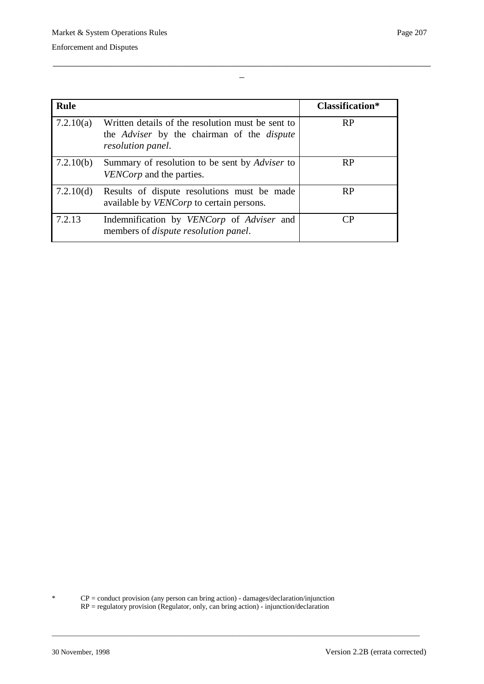| <b>Rule</b> |                                                                                                                                    | <b>Classification*</b> |
|-------------|------------------------------------------------------------------------------------------------------------------------------------|------------------------|
| 7.2.10(a)   | Written details of the resolution must be sent to<br>the <i>Adviser</i> by the chairman of the <i>dispute</i><br>resolution panel. | RP                     |
| 7.2.10(b)   | Summary of resolution to be sent by <i>Adviser</i> to<br><i>VENCorp</i> and the parties.                                           | <b>RP</b>              |
| 7.2.10(d)   | Results of dispute resolutions must be made<br>available by VENCorp to certain persons.                                            | <b>RP</b>              |
| 7.2.13      | Indemnification by <i>VENCorp</i> of <i>Adviser</i> and<br>members of <i>dispute resolution panel</i> .                            | $\overline{CP}$        |

 $CP =$  conduct provision (any person can bring action) - damages/declaration/injunction RP = regulatory provision (Regulator, only, can bring action) - injunction/declaration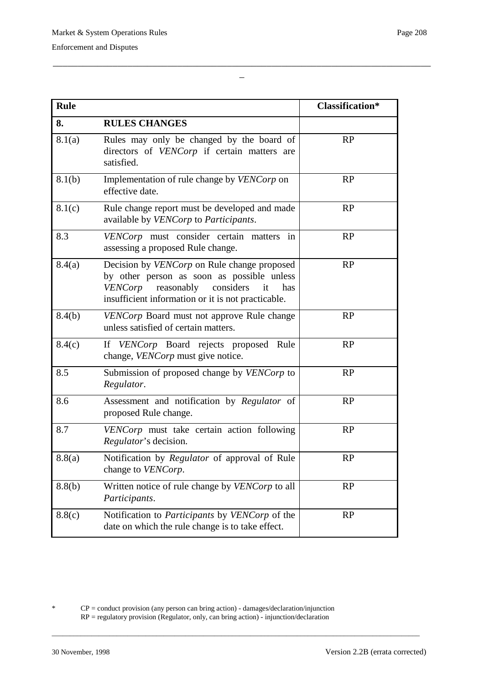| <b>Rule</b> |                                                                                                                                                                                                           | <b>Classification*</b> |
|-------------|-----------------------------------------------------------------------------------------------------------------------------------------------------------------------------------------------------------|------------------------|
| 8.          | <b>RULES CHANGES</b>                                                                                                                                                                                      |                        |
| 8.1(a)      | Rules may only be changed by the board of<br>directors of VENCorp if certain matters are<br>satisfied.                                                                                                    | <b>RP</b>              |
| 8.1(b)      | Implementation of rule change by VENCorp on<br>effective date.                                                                                                                                            | RP                     |
| 8.1(c)      | Rule change report must be developed and made<br>available by VENCorp to Participants.                                                                                                                    | RP                     |
| 8.3         | VENCorp must consider certain matters in<br>assessing a proposed Rule change.                                                                                                                             | RP                     |
| 8.4(a)      | Decision by VENCorp on Rule change proposed<br>by other person as soon as possible unless<br>reasonably<br>considers<br><b>VENCorp</b><br>it<br>has<br>insufficient information or it is not practicable. | RP                     |
| 8.4(b)      | VENCorp Board must not approve Rule change<br>unless satisfied of certain matters.                                                                                                                        | RP                     |
| 8.4(c)      | If VENCorp Board rejects proposed Rule<br>change, VENCorp must give notice.                                                                                                                               | RP                     |
| 8.5         | Submission of proposed change by VENCorp to<br>Regulator.                                                                                                                                                 | RP                     |
| 8.6         | Assessment and notification by Regulator of<br>proposed Rule change.                                                                                                                                      | RP                     |
| 8.7         | VENCorp must take certain action following<br>Regulator's decision.                                                                                                                                       | RP                     |
| 8.8(a)      | Notification by Regulator of approval of Rule<br>change to VENCorp.                                                                                                                                       | <b>RP</b>              |
| 8.8(b)      | Written notice of rule change by VENCorp to all<br>Participants.                                                                                                                                          | <b>RP</b>              |
| 8.8(c)      | Notification to <i>Participants</i> by <i>VENCorp</i> of the<br>date on which the rule change is to take effect.                                                                                          | RP                     |

\* CP = conduct provision (any person can bring action) - damages/declaration/injunction RP = regulatory provision (Regulator, only, can bring action) - injunction/declaration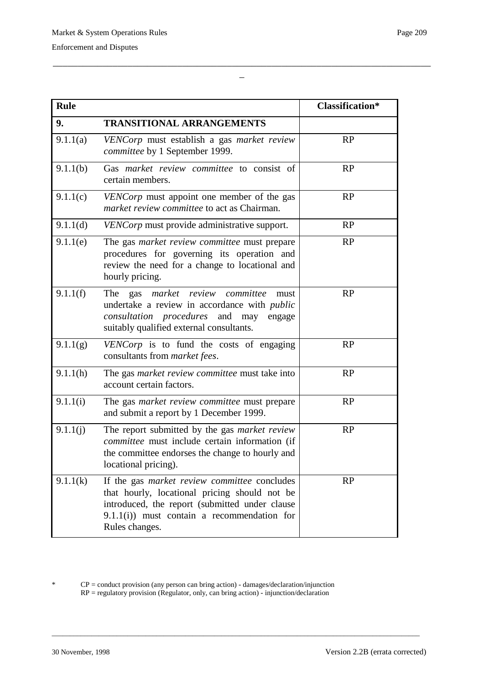| <b>Rule</b> |                                                                                                                                                                                                                          | <b>Classification*</b> |
|-------------|--------------------------------------------------------------------------------------------------------------------------------------------------------------------------------------------------------------------------|------------------------|
| 9.          | <b>TRANSITIONAL ARRANGEMENTS</b>                                                                                                                                                                                         |                        |
| 9.1.1(a)    | VENCorp must establish a gas market review<br>committee by 1 September 1999.                                                                                                                                             | RP                     |
| 9.1.1(b)    | Gas market review committee to consist of<br>certain members.                                                                                                                                                            | RP                     |
| 9.1.1(c)    | VENCorp must appoint one member of the gas<br><i>market review committee to act as Chairman.</i>                                                                                                                         | RP                     |
| 9.1.1(d)    | VENCorp must provide administrative support.                                                                                                                                                                             | RP                     |
| 9.1.1(e)    | The gas market review committee must prepare<br>procedures for governing its operation and<br>review the need for a change to locational and<br>hourly pricing.                                                          | RP                     |
| 9.1.1(f)    | market review committee<br>The gas<br>must<br>undertake a review in accordance with <i>public</i><br><i>consultation procedures</i><br>and may<br>engage<br>suitably qualified external consultants.                     | RP                     |
| 9.1.1(g)    | VENCorp is to fund the costs of engaging<br>consultants from market fees.                                                                                                                                                | RP                     |
| 9.1.1(h)    | The gas market review committee must take into<br>account certain factors.                                                                                                                                               | RP                     |
| 9.1.1(i)    | The gas market review committee must prepare<br>and submit a report by 1 December 1999.                                                                                                                                  | RP                     |
| 9.1.1(j)    | The report submitted by the gas <i>market review</i><br>committee must include certain information (if<br>the committee endorses the change to hourly and<br>locational pricing).                                        | RP                     |
| 9.1.1(k)    | If the gas <i>market review committee</i> concludes<br>that hourly, locational pricing should not be<br>introduced, the report (submitted under clause<br>$9.1.1(i)$ must contain a recommendation for<br>Rules changes. | RP                     |

\* CP = conduct provision (any person can bring action) - damages/declaration/injunction RP = regulatory provision (Regulator, only, can bring action) - injunction/declaration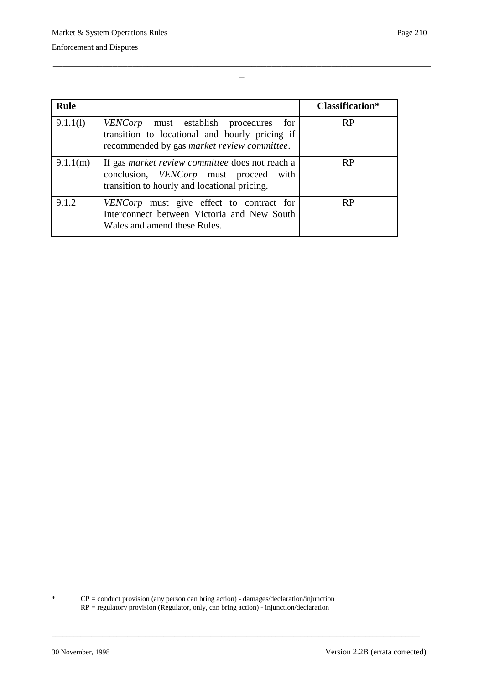| <b>Rule</b> |                                                                                                                                                 | <b>Classification*</b> |
|-------------|-------------------------------------------------------------------------------------------------------------------------------------------------|------------------------|
| 9.1.1(l)    | VENCorp must establish procedures for<br>transition to locational and hourly pricing if<br>recommended by gas market review committee.          | <b>RP</b>              |
| 9.1.1(m)    | If gas <i>market review committee</i> does not reach a<br>conclusion, VENCorp must proceed with<br>transition to hourly and locational pricing. | <b>RP</b>              |
| 9.1.2       | VENCorp must give effect to contract for<br>Interconnect between Victoria and New South<br>Wales and amend these Rules.                         | <b>RP</b>              |

\* CP = conduct provision (any person can bring action) - damages/declaration/injunction RP = regulatory provision (Regulator, only, can bring action) - injunction/declaration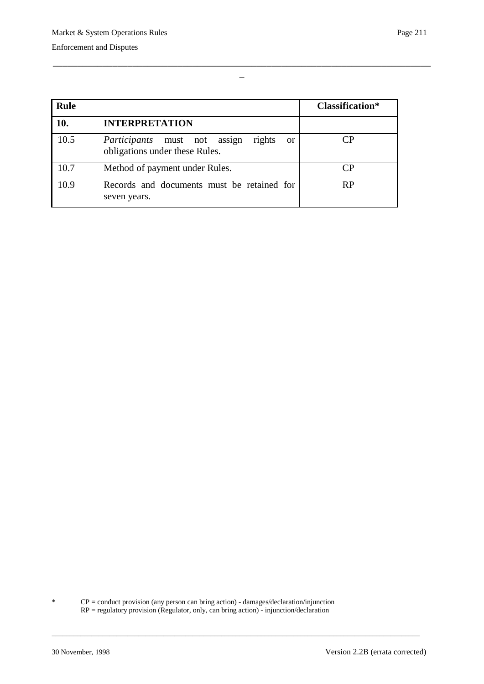| <b>Rule</b> |                                                                                       | <b>Classification*</b> |
|-------------|---------------------------------------------------------------------------------------|------------------------|
| 10.         | <b>INTERPRETATION</b>                                                                 |                        |
| 10.5        | rights<br><i>Participants</i> must not assign<br>or<br>obligations under these Rules. | CР                     |
| 10.7        | Method of payment under Rules.                                                        | CP                     |
| 10.9        | Records and documents must be retained for<br>seven years.                            | <b>RP</b>              |

\* CP = conduct provision (any person can bring action) - damages/declaration/injunction RP = regulatory provision (Regulator, only, can bring action) - injunction/declaration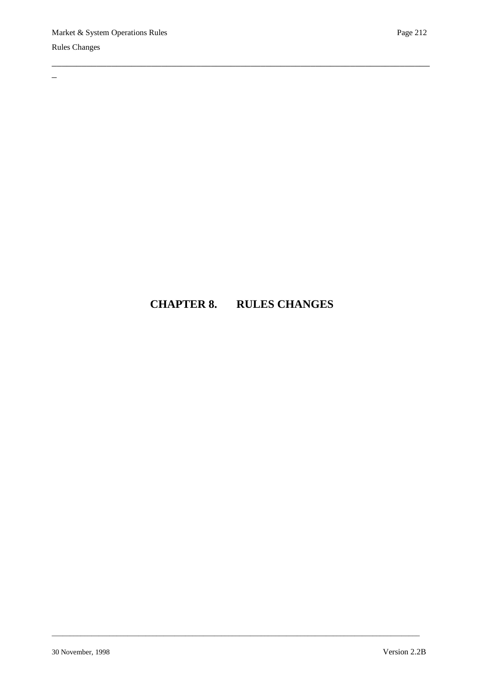Rules Changes

 $\overline{a}$ 

# **CHAPTER 8. RULES CHANGES**

 $\_$  ,  $\_$  ,  $\_$  ,  $\_$  ,  $\_$  ,  $\_$  ,  $\_$  ,  $\_$  ,  $\_$  ,  $\_$  ,  $\_$  ,  $\_$  ,  $\_$  ,  $\_$  ,  $\_$  ,  $\_$  ,  $\_$  ,  $\_$  ,  $\_$  ,  $\_$  ,  $\_$  ,  $\_$  ,  $\_$  ,  $\_$  ,  $\_$  ,  $\_$  ,  $\_$  ,  $\_$  ,  $\_$  ,  $\_$  ,  $\_$  ,  $\_$  ,  $\_$  ,  $\_$  ,  $\_$  ,  $\_$  ,  $\_$  ,

\_\_\_\_\_\_\_\_\_\_\_\_\_\_\_\_\_\_\_\_\_\_\_\_\_\_\_\_\_\_\_\_\_\_\_\_\_\_\_\_\_\_\_\_\_\_\_\_\_\_\_\_\_\_\_\_\_\_\_\_\_\_\_\_\_\_\_\_\_\_\_\_\_\_\_\_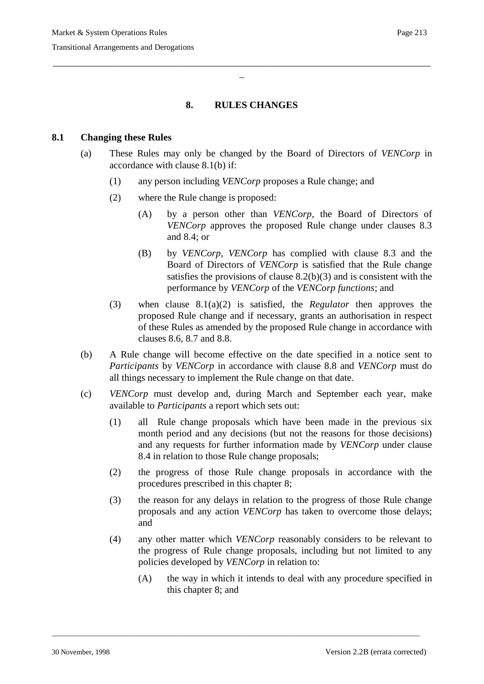# **8. RULES CHANGES**

\_\_\_\_\_\_\_\_\_\_\_\_\_\_\_\_\_\_\_\_\_\_\_\_\_\_\_\_\_\_\_\_\_\_\_\_\_\_\_\_\_\_\_\_\_\_\_\_\_\_\_\_\_\_\_\_\_\_\_\_\_\_\_\_\_\_\_\_\_\_\_\_\_\_\_\_ \_

# **8.1 Changing these Rules**

- (a) These Rules may only be changed by the Board of Directors of *VENCorp* in accordance with clause 8.1(b) if:
	- (1) any person including *VENCorp* proposes a Rule change; and
	- (2) where the Rule change is proposed:
		- (A) by a person other than *VENCorp*, the Board of Directors of *VENCorp* approves the proposed Rule change under clauses 8.3 and 8.4; or
		- (B) by *VENCorp*, *VENCorp* has complied with clause 8.3 and the Board of Directors of *VENCorp* is satisfied that the Rule change satisfies the provisions of clause  $8.2(b)(3)$  and is consistent with the performance by *VENCorp* of the *VENCorp functions*; and
	- (3) when clause 8.1(a)(2) is satisfied, the *Regulator* then approves the proposed Rule change and if necessary, grants an authorisation in respect of these Rules as amended by the proposed Rule change in accordance with clauses 8.6, 8.7 and 8.8.
- (b) A Rule change will become effective on the date specified in a notice sent to *Participants* by *VENCorp* in accordance with clause 8.8 and *VENCorp* must do all things necessary to implement the Rule change on that date.
- (c) *VENCorp* must develop and, during March and September each year, make available to *Participants* a report which sets out:
	- (1) all Rule change proposals which have been made in the previous six month period and any decisions (but not the reasons for those decisions) and any requests for further information made by *VENCorp* under clause 8.4 in relation to those Rule change proposals;
	- (2) the progress of those Rule change proposals in accordance with the procedures prescribed in this chapter 8;
	- (3) the reason for any delays in relation to the progress of those Rule change proposals and any action *VENCorp* has taken to overcome those delays; and
	- (4) any other matter which *VENCorp* reasonably considers to be relevant to the progress of Rule change proposals, including but not limited to any policies developed by *VENCorp* in relation to:

 $\_$  ,  $\_$  ,  $\_$  ,  $\_$  ,  $\_$  ,  $\_$  ,  $\_$  ,  $\_$  ,  $\_$  ,  $\_$  ,  $\_$  ,  $\_$  ,  $\_$  ,  $\_$  ,  $\_$  ,  $\_$  ,  $\_$  ,  $\_$  ,  $\_$  ,  $\_$  ,  $\_$  ,  $\_$  ,  $\_$  ,  $\_$  ,  $\_$  ,  $\_$  ,  $\_$  ,  $\_$  ,  $\_$  ,  $\_$  ,  $\_$  ,  $\_$  ,  $\_$  ,  $\_$  ,  $\_$  ,  $\_$  ,  $\_$  ,

(A) the way in which it intends to deal with any procedure specified in this chapter 8; and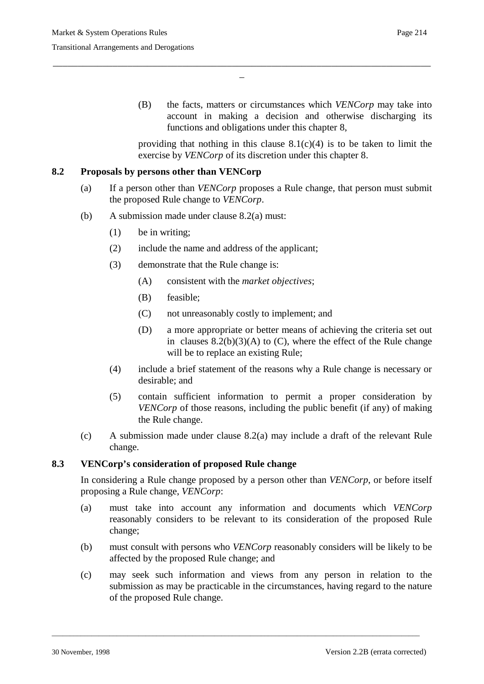(B) the facts, matters or circumstances which *VENCorp* may take into account in making a decision and otherwise discharging its functions and obligations under this chapter 8,

providing that nothing in this clause  $8.1(c)(4)$  is to be taken to limit the exercise by *VENCorp* of its discretion under this chapter 8.

## **8.2 Proposals by persons other than VENCorp**

(a) If a person other than *VENCorp* proposes a Rule change, that person must submit the proposed Rule change to *VENCorp*.

\_\_\_\_\_\_\_\_\_\_\_\_\_\_\_\_\_\_\_\_\_\_\_\_\_\_\_\_\_\_\_\_\_\_\_\_\_\_\_\_\_\_\_\_\_\_\_\_\_\_\_\_\_\_\_\_\_\_\_\_\_\_\_\_\_\_\_\_\_\_\_\_\_\_\_\_ \_

- (b) A submission made under clause 8.2(a) must:
	- (1) be in writing;
	- (2) include the name and address of the applicant;
	- (3) demonstrate that the Rule change is:
		- (A) consistent with the *market objectives*;
		- (B) feasible;
		- (C) not unreasonably costly to implement; and
		- (D) a more appropriate or better means of achieving the criteria set out in clauses  $8.2(b)(3)(A)$  to (C), where the effect of the Rule change will be to replace an existing Rule;
	- (4) include a brief statement of the reasons why a Rule change is necessary or desirable; and
	- (5) contain sufficient information to permit a proper consideration by *VENCorp* of those reasons, including the public benefit (if any) of making the Rule change.
- (c) A submission made under clause 8.2(a) may include a draft of the relevant Rule change.

## **8.3 VENCorp's consideration of proposed Rule change**

In considering a Rule change proposed by a person other than *VENCorp*, or before itself proposing a Rule change, *VENCorp*:

- (a) must take into account any information and documents which *VENCorp*  reasonably considers to be relevant to its consideration of the proposed Rule change;
- (b) must consult with persons who *VENCorp* reasonably considers will be likely to be affected by the proposed Rule change; and
- (c) may seek such information and views from any person in relation to the submission as may be practicable in the circumstances, having regard to the nature of the proposed Rule change.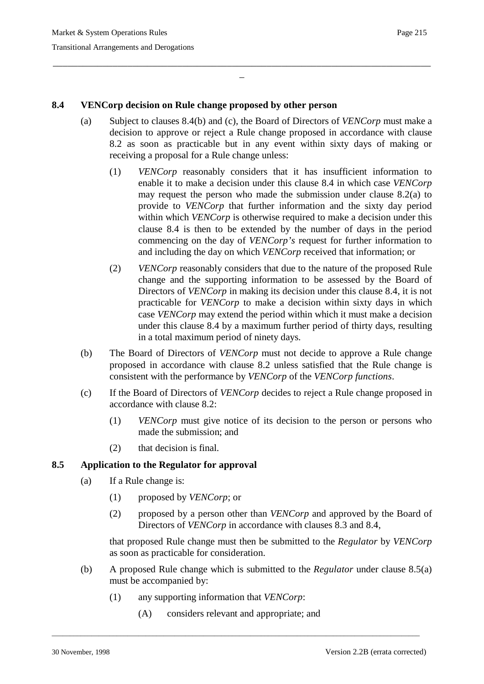# **8.4 VENCorp decision on Rule change proposed by other person**

(a) Subject to clauses 8.4(b) and (c), the Board of Directors of *VENCorp* must make a decision to approve or reject a Rule change proposed in accordance with clause 8.2 as soon as practicable but in any event within sixty days of making or receiving a proposal for a Rule change unless:

\_\_\_\_\_\_\_\_\_\_\_\_\_\_\_\_\_\_\_\_\_\_\_\_\_\_\_\_\_\_\_\_\_\_\_\_\_\_\_\_\_\_\_\_\_\_\_\_\_\_\_\_\_\_\_\_\_\_\_\_\_\_\_\_\_\_\_\_\_\_\_\_\_\_\_\_ \_

- (1) *VENCorp* reasonably considers that it has insufficient information to enable it to make a decision under this clause 8.4 in which case *VENCorp*  may request the person who made the submission under clause 8.2(a) to provide to *VENCorp* that further information and the sixty day period within which *VENCorp* is otherwise required to make a decision under this clause 8.4 is then to be extended by the number of days in the period commencing on the day of *VENCorp's* request for further information to and including the day on which *VENCorp* received that information; or
- (2) *VENCorp* reasonably considers that due to the nature of the proposed Rule change and the supporting information to be assessed by the Board of Directors of *VENCorp* in making its decision under this clause 8.4, it is not practicable for *VENCorp* to make a decision within sixty days in which case *VENCorp* may extend the period within which it must make a decision under this clause 8.4 by a maximum further period of thirty days, resulting in a total maximum period of ninety days.
- (b) The Board of Directors of *VENCorp* must not decide to approve a Rule change proposed in accordance with clause 8.2 unless satisfied that the Rule change is consistent with the performance by *VENCorp* of the *VENCorp functions*.
- (c) If the Board of Directors of *VENCorp* decides to reject a Rule change proposed in accordance with clause 8.2:
	- (1) *VENCorp* must give notice of its decision to the person or persons who made the submission; and
	- (2) that decision is final.

## **8.5 Application to the Regulator for approval**

- (a) If a Rule change is:
	- (1) proposed by *VENCorp*; or
	- (2) proposed by a person other than *VENCorp* and approved by the Board of Directors of *VENCorp* in accordance with clauses 8.3 and 8.4,

that proposed Rule change must then be submitted to the *Regulator* by *VENCorp*  as soon as practicable for consideration.

- (b) A proposed Rule change which is submitted to the *Regulator* under clause 8.5(a) must be accompanied by:
	- (1) any supporting information that *VENCorp*:
		- (A) considers relevant and appropriate; and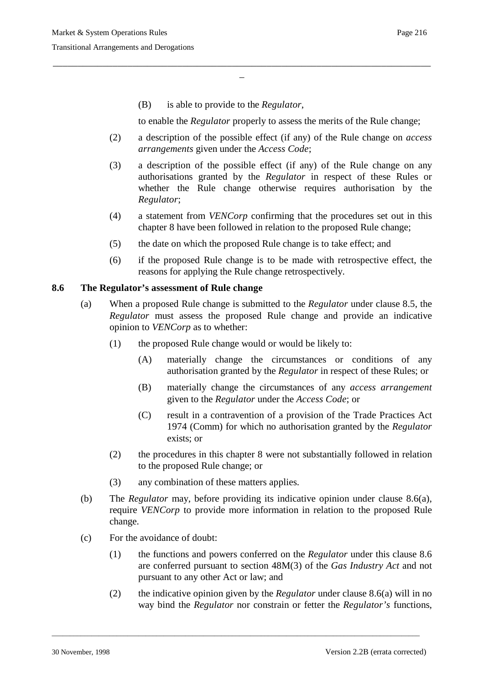(B) is able to provide to the *Regulator*,

\_\_\_\_\_\_\_\_\_\_\_\_\_\_\_\_\_\_\_\_\_\_\_\_\_\_\_\_\_\_\_\_\_\_\_\_\_\_\_\_\_\_\_\_\_\_\_\_\_\_\_\_\_\_\_\_\_\_\_\_\_\_\_\_\_\_\_\_\_\_\_\_\_\_\_\_ \_

to enable the *Regulator* properly to assess the merits of the Rule change;

- (2) a description of the possible effect (if any) of the Rule change on *access arrangements* given under the *Access Code*;
- (3) a description of the possible effect (if any) of the Rule change on any authorisations granted by the *Regulator* in respect of these Rules or whether the Rule change otherwise requires authorisation by the *Regulator*;
- (4) a statement from *VENCorp* confirming that the procedures set out in this chapter 8 have been followed in relation to the proposed Rule change;
- (5) the date on which the proposed Rule change is to take effect; and
- (6) if the proposed Rule change is to be made with retrospective effect, the reasons for applying the Rule change retrospectively.

#### **8.6 The Regulator's assessment of Rule change**

- (a) When a proposed Rule change is submitted to the *Regulator* under clause 8.5, the *Regulator* must assess the proposed Rule change and provide an indicative opinion to *VENCorp* as to whether:
	- (1) the proposed Rule change would or would be likely to:
		- (A) materially change the circumstances or conditions of any authorisation granted by the *Regulator* in respect of these Rules; or
		- (B) materially change the circumstances of any *access arrangement* given to the *Regulator* under the *Access Code*; or
		- (C) result in a contravention of a provision of the Trade Practices Act 1974 (Comm) for which no authorisation granted by the *Regulator* exists; or
	- (2) the procedures in this chapter 8 were not substantially followed in relation to the proposed Rule change; or
	- (3) any combination of these matters applies.
- (b) The *Regulator* may, before providing its indicative opinion under clause 8.6(a), require *VENCorp* to provide more information in relation to the proposed Rule change.
- (c) For the avoidance of doubt:
	- (1) the functions and powers conferred on the *Regulator* under this clause 8.6 are conferred pursuant to section 48M(3) of the *Gas Industry Act* and not pursuant to any other Act or law; and
	- (2) the indicative opinion given by the *Regulator* under clause 8.6(a) will in no way bind the *Regulator* nor constrain or fetter the *Regulator's* functions,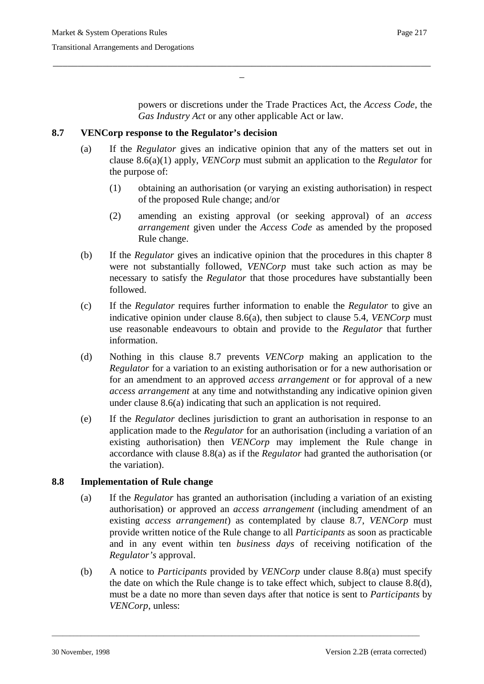powers or discretions under the Trade Practices Act, the *Access Code*, the *Gas Industry Act* or any other applicable Act or law.

## **8.7 VENCorp response to the Regulator's decision**

(a) If the *Regulator* gives an indicative opinion that any of the matters set out in clause 8.6(a)(1) apply, *VENCorp* must submit an application to the *Regulator* for the purpose of:

\_\_\_\_\_\_\_\_\_\_\_\_\_\_\_\_\_\_\_\_\_\_\_\_\_\_\_\_\_\_\_\_\_\_\_\_\_\_\_\_\_\_\_\_\_\_\_\_\_\_\_\_\_\_\_\_\_\_\_\_\_\_\_\_\_\_\_\_\_\_\_\_\_\_\_\_ \_

- (1) obtaining an authorisation (or varying an existing authorisation) in respect of the proposed Rule change; and/or
- (2) amending an existing approval (or seeking approval) of an *access arrangement* given under the *Access Code* as amended by the proposed Rule change.
- (b) If the *Regulator* gives an indicative opinion that the procedures in this chapter 8 were not substantially followed, *VENCorp* must take such action as may be necessary to satisfy the *Regulator* that those procedures have substantially been followed.
- (c) If the *Regulator* requires further information to enable the *Regulator* to give an indicative opinion under clause 8.6(a), then subject to clause 5.4, *VENCorp* must use reasonable endeavours to obtain and provide to the *Regulator* that further information.
- (d) Nothing in this clause 8.7 prevents *VENCorp* making an application to the *Regulator* for a variation to an existing authorisation or for a new authorisation or for an amendment to an approved *access arrangement* or for approval of a new *access arrangement* at any time and notwithstanding any indicative opinion given under clause 8.6(a) indicating that such an application is not required.
- (e) If the *Regulator* declines jurisdiction to grant an authorisation in response to an application made to the *Regulator* for an authorisation (including a variation of an existing authorisation) then *VENCorp* may implement the Rule change in accordance with clause 8.8(a) as if the *Regulator* had granted the authorisation (or the variation).

## **8.8 Implementation of Rule change**

- (a) If the *Regulator* has granted an authorisation (including a variation of an existing authorisation) or approved an *access arrangement* (including amendment of an existing *access arrangement*) as contemplated by clause 8.7, *VENCorp* must provide written notice of the Rule change to all *Participants* as soon as practicable and in any event within ten *business days* of receiving notification of the *Regulator's* approval.
- (b) A notice to *Participants* provided by *VENCorp* under clause 8.8(a) must specify the date on which the Rule change is to take effect which, subject to clause 8.8(d), must be a date no more than seven days after that notice is sent to *Participants* by *VENCorp*, unless: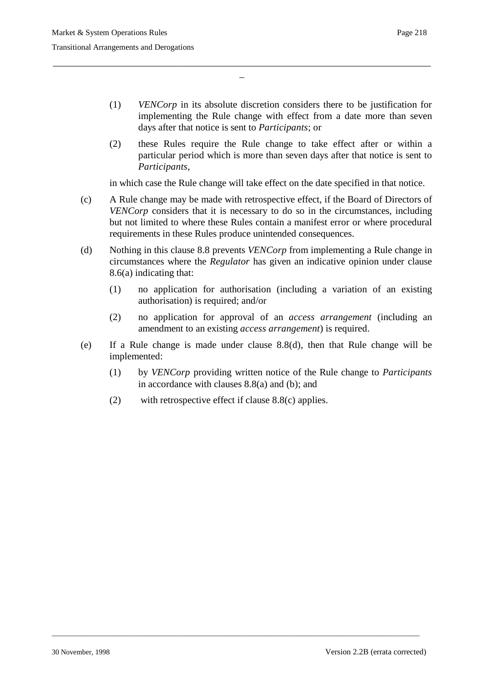(1) *VENCorp* in its absolute discretion considers there to be justification for implementing the Rule change with effect from a date more than seven days after that notice is sent to *Participants*; or

\_\_\_\_\_\_\_\_\_\_\_\_\_\_\_\_\_\_\_\_\_\_\_\_\_\_\_\_\_\_\_\_\_\_\_\_\_\_\_\_\_\_\_\_\_\_\_\_\_\_\_\_\_\_\_\_\_\_\_\_\_\_\_\_\_\_\_\_\_\_\_\_\_\_\_\_ \_

> (2) these Rules require the Rule change to take effect after or within a particular period which is more than seven days after that notice is sent to *Participants*,

in which case the Rule change will take effect on the date specified in that notice.

- (c) A Rule change may be made with retrospective effect, if the Board of Directors of *VENCorp* considers that it is necessary to do so in the circumstances, including but not limited to where these Rules contain a manifest error or where procedural requirements in these Rules produce unintended consequences.
- (d) Nothing in this clause 8.8 prevents *VENCorp* from implementing a Rule change in circumstances where the *Regulator* has given an indicative opinion under clause 8.6(a) indicating that:
	- (1) no application for authorisation (including a variation of an existing authorisation) is required; and/or
	- (2) no application for approval of an *access arrangement* (including an amendment to an existing *access arrangement*) is required.
- (e) If a Rule change is made under clause 8.8(d), then that Rule change will be implemented:
	- (1) by *VENCorp* providing written notice of the Rule change to *Participants*  in accordance with clauses 8.8(a) and (b); and
	- (2) with retrospective effect if clause 8.8(c) applies.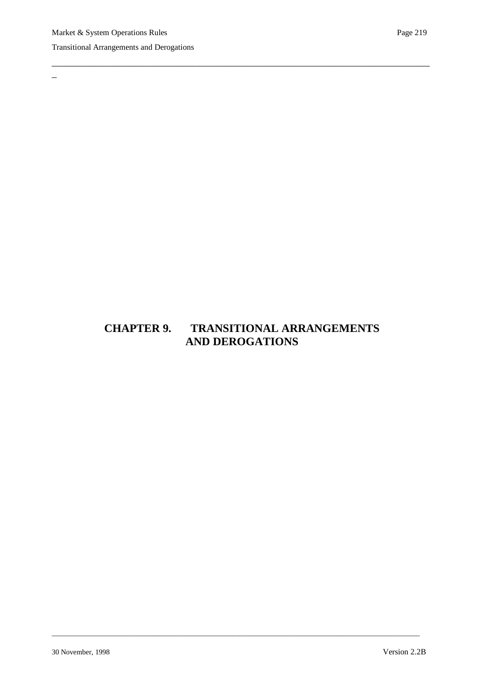\_

#### Transitional Arrangements and Derogations

# **CHAPTER 9. TRANSITIONAL ARRANGEMENTS AND DEROGATIONS**

 $\_$  ,  $\_$  ,  $\_$  ,  $\_$  ,  $\_$  ,  $\_$  ,  $\_$  ,  $\_$  ,  $\_$  ,  $\_$  ,  $\_$  ,  $\_$  ,  $\_$  ,  $\_$  ,  $\_$  ,  $\_$  ,  $\_$  ,  $\_$  ,  $\_$  ,  $\_$  ,  $\_$  ,  $\_$  ,  $\_$  ,  $\_$  ,  $\_$  ,  $\_$  ,  $\_$  ,  $\_$  ,  $\_$  ,  $\_$  ,  $\_$  ,  $\_$  ,  $\_$  ,  $\_$  ,  $\_$  ,  $\_$  ,  $\_$  ,

\_\_\_\_\_\_\_\_\_\_\_\_\_\_\_\_\_\_\_\_\_\_\_\_\_\_\_\_\_\_\_\_\_\_\_\_\_\_\_\_\_\_\_\_\_\_\_\_\_\_\_\_\_\_\_\_\_\_\_\_\_\_\_\_\_\_\_\_\_\_\_\_\_\_\_\_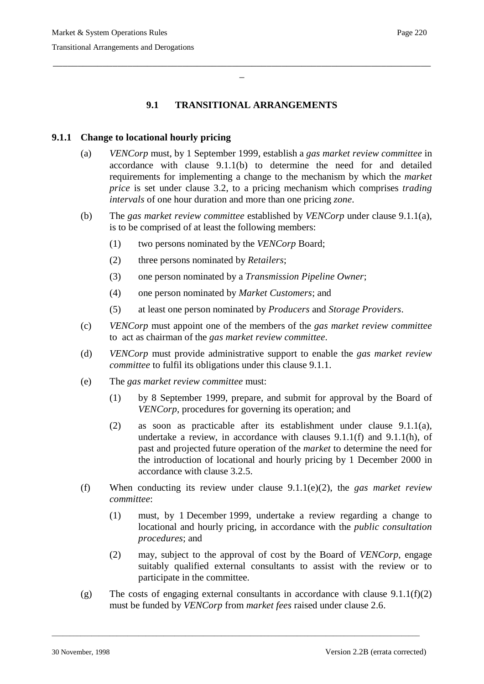Transitional Arrangements and Derogations

# **9.1 TRANSITIONAL ARRANGEMENTS**

\_\_\_\_\_\_\_\_\_\_\_\_\_\_\_\_\_\_\_\_\_\_\_\_\_\_\_\_\_\_\_\_\_\_\_\_\_\_\_\_\_\_\_\_\_\_\_\_\_\_\_\_\_\_\_\_\_\_\_\_\_\_\_\_\_\_\_\_\_\_\_\_\_\_\_\_ \_

## **9.1.1 Change to locational hourly pricing**

- (a) *VENCorp* must, by 1 September 1999, establish a *gas market review committee* in accordance with clause 9.1.1(b) to determine the need for and detailed requirements for implementing a change to the mechanism by which the *market price* is set under clause 3.2, to a pricing mechanism which comprises *trading intervals* of one hour duration and more than one pricing *zone*.
- (b) The *gas market review committee* established by *VENCorp* under clause 9.1.1(a), is to be comprised of at least the following members:
	- (1) two persons nominated by the *VENCorp* Board;
	- (2) three persons nominated by *Retailers*;
	- (3) one person nominated by a *Transmission Pipeline Owner*;
	- (4) one person nominated by *Market Customers*; and
	- (5) at least one person nominated by *Producers* and *Storage Providers*.
- (c) *VENCorp* must appoint one of the members of the *gas market review committee*  to act as chairman of the *gas market review committee*.
- (d) *VENCorp* must provide administrative support to enable the *gas market review committee* to fulfil its obligations under this clause 9.1.1.
- (e) The *gas market review committee* must:
	- (1) by 8 September 1999, prepare, and submit for approval by the Board of *VENCorp*, procedures for governing its operation; and
	- (2) as soon as practicable after its establishment under clause  $9.1.1(a)$ , undertake a review, in accordance with clauses 9.1.1(f) and 9.1.1(h), of past and projected future operation of the *market* to determine the need for the introduction of locational and hourly pricing by 1 December 2000 in accordance with clause 3.2.5.
- (f) When conducting its review under clause 9.1.1(e)(2), the *gas market review committee*:
	- (1) must, by 1 December 1999, undertake a review regarding a change to locational and hourly pricing, in accordance with the *public consultation procedures*; and
	- (2) may, subject to the approval of cost by the Board of *VENCorp*, engage suitably qualified external consultants to assist with the review or to participate in the committee.
- (g) The costs of engaging external consultants in accordance with clause  $9.1.1(f)(2)$ must be funded by *VENCorp* from *market fees* raised under clause 2.6.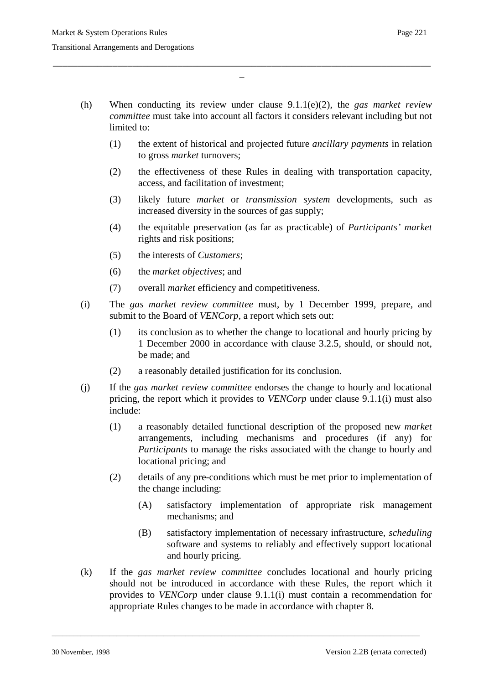(h) When conducting its review under clause 9.1.1(e)(2), the *gas market review committee* must take into account all factors it considers relevant including but not limited to:

\_\_\_\_\_\_\_\_\_\_\_\_\_\_\_\_\_\_\_\_\_\_\_\_\_\_\_\_\_\_\_\_\_\_\_\_\_\_\_\_\_\_\_\_\_\_\_\_\_\_\_\_\_\_\_\_\_\_\_\_\_\_\_\_\_\_\_\_\_\_\_\_\_\_\_\_

- (1) the extent of historical and projected future *ancillary payments* in relation to gross *market* turnovers;
- (2) the effectiveness of these Rules in dealing with transportation capacity, access, and facilitation of investment;
- (3) likely future *market* or *transmission system* developments, such as increased diversity in the sources of gas supply;
- (4) the equitable preservation (as far as practicable) of *Participants' market* rights and risk positions;
- (5) the interests of *Customers*;
- (6) the *market objectives*; and
- (7) overall *market* efficiency and competitiveness.
- (i) The *gas market review committee* must, by 1 December 1999, prepare, and submit to the Board of *VENCorp*, a report which sets out:
	- (1) its conclusion as to whether the change to locational and hourly pricing by 1 December 2000 in accordance with clause 3.2.5, should, or should not, be made; and
	- (2) a reasonably detailed justification for its conclusion.
- (j) If the *gas market review committee* endorses the change to hourly and locational pricing, the report which it provides to *VENCorp* under clause 9.1.1(i) must also include:
	- (1) a reasonably detailed functional description of the proposed new *market* arrangements, including mechanisms and procedures (if any) for *Participants* to manage the risks associated with the change to hourly and locational pricing; and
	- (2) details of any pre-conditions which must be met prior to implementation of the change including:
		- (A) satisfactory implementation of appropriate risk management mechanisms; and
		- (B) satisfactory implementation of necessary infrastructure, *scheduling* software and systems to reliably and effectively support locational and hourly pricing.
- (k) If the *gas market review committee* concludes locational and hourly pricing should not be introduced in accordance with these Rules, the report which it provides to *VENCorp* under clause 9.1.1(i) must contain a recommendation for appropriate Rules changes to be made in accordance with chapter 8.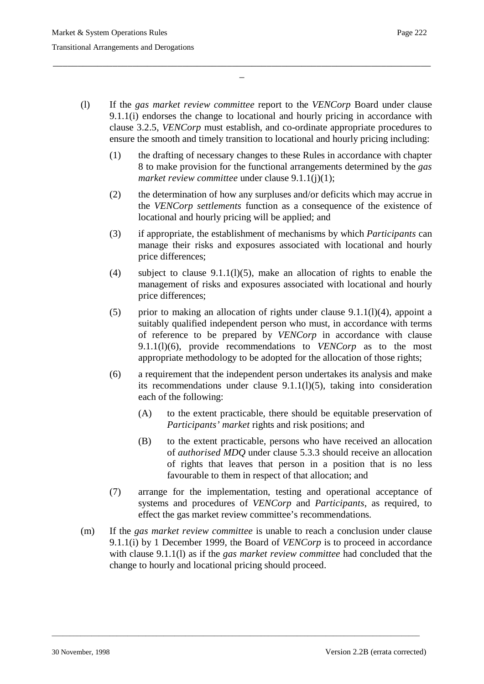(l) If the *gas market review committee* report to the *VENCorp* Board under clause 9.1.1(i) endorses the change to locational and hourly pricing in accordance with clause 3.2.5, *VENCorp* must establish, and co-ordinate appropriate procedures to ensure the smooth and timely transition to locational and hourly pricing including:

\_\_\_\_\_\_\_\_\_\_\_\_\_\_\_\_\_\_\_\_\_\_\_\_\_\_\_\_\_\_\_\_\_\_\_\_\_\_\_\_\_\_\_\_\_\_\_\_\_\_\_\_\_\_\_\_\_\_\_\_\_\_\_\_\_\_\_\_\_\_\_\_\_\_\_\_ \_

- (1) the drafting of necessary changes to these Rules in accordance with chapter 8 to make provision for the functional arrangements determined by the *gas market review committee* under clause 9.1.1(j)(1);
- (2) the determination of how any surpluses and/or deficits which may accrue in the *VENCorp settlements* function as a consequence of the existence of locational and hourly pricing will be applied; and
- (3) if appropriate, the establishment of mechanisms by which *Participants* can manage their risks and exposures associated with locational and hourly price differences;
- (4) subject to clause  $9.1.1(1)(5)$ , make an allocation of rights to enable the management of risks and exposures associated with locational and hourly price differences;
- (5) prior to making an allocation of rights under clause  $9.1.1(1)(4)$ , appoint a suitably qualified independent person who must, in accordance with terms of reference to be prepared by *VENCorp* in accordance with clause 9.1.1(l)(6), provide recommendations to *VENCorp* as to the most appropriate methodology to be adopted for the allocation of those rights;
- (6) a requirement that the independent person undertakes its analysis and make its recommendations under clause  $9.1.1(1)(5)$ , taking into consideration each of the following:
	- (A) to the extent practicable, there should be equitable preservation of *Participants' market* rights and risk positions; and
	- (B) to the extent practicable, persons who have received an allocation of *authorised MDQ* under clause 5.3.3 should receive an allocation of rights that leaves that person in a position that is no less favourable to them in respect of that allocation; and
- (7) arrange for the implementation, testing and operational acceptance of systems and procedures of *VENCorp* and *Participants*, as required, to effect the gas market review committee's recommendations.
- (m) If the *gas market review committee* is unable to reach a conclusion under clause 9.1.1(i) by 1 December 1999, the Board of *VENCorp* is to proceed in accordance with clause 9.1.1(l) as if the *gas market review committee* had concluded that the change to hourly and locational pricing should proceed.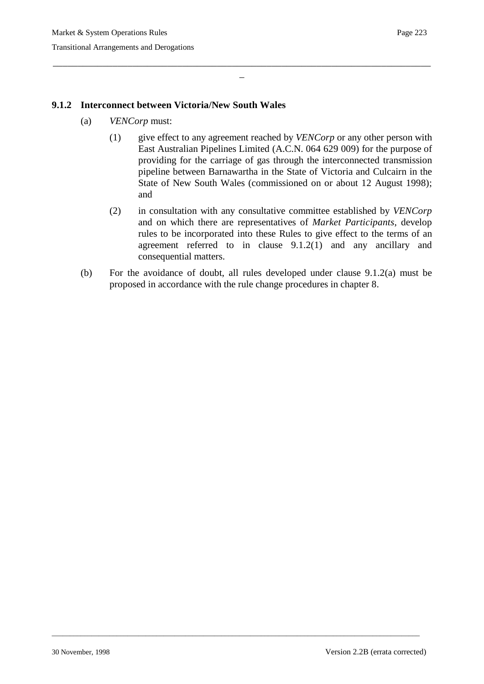### **9.1.2 Interconnect between Victoria/New South Wales**

- (a) *VENCorp* must:
	- (1) give effect to any agreement reached by *VENCorp* or any other person with East Australian Pipelines Limited (A.C.N. 064 629 009) for the purpose of providing for the carriage of gas through the interconnected transmission pipeline between Barnawartha in the State of Victoria and Culcairn in the State of New South Wales (commissioned on or about 12 August 1998); and

\_\_\_\_\_\_\_\_\_\_\_\_\_\_\_\_\_\_\_\_\_\_\_\_\_\_\_\_\_\_\_\_\_\_\_\_\_\_\_\_\_\_\_\_\_\_\_\_\_\_\_\_\_\_\_\_\_\_\_\_\_\_\_\_\_\_\_\_\_\_\_\_\_\_\_\_ \_

- (2) in consultation with any consultative committee established by *VENCorp* and on which there are representatives of *Market Participants*, develop rules to be incorporated into these Rules to give effect to the terms of an agreement referred to in clause 9.1.2(1) and any ancillary and consequential matters.
- (b) For the avoidance of doubt, all rules developed under clause 9.1.2(a) must be proposed in accordance with the rule change procedures in chapter 8.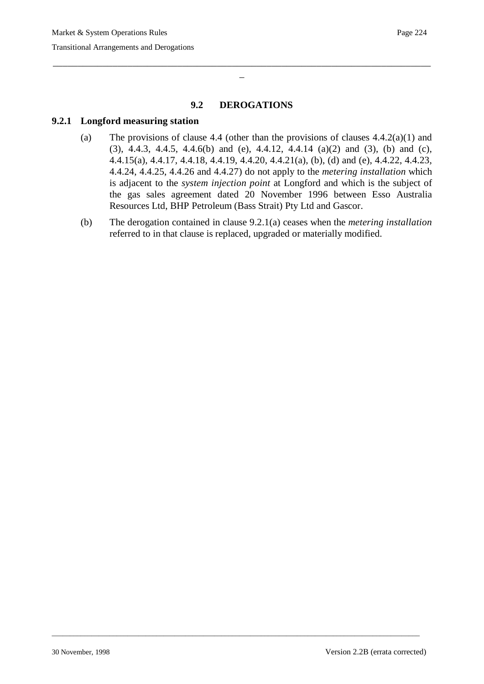## **9.2 DEROGATIONS**

\_\_\_\_\_\_\_\_\_\_\_\_\_\_\_\_\_\_\_\_\_\_\_\_\_\_\_\_\_\_\_\_\_\_\_\_\_\_\_\_\_\_\_\_\_\_\_\_\_\_\_\_\_\_\_\_\_\_\_\_\_\_\_\_\_\_\_\_\_\_\_\_\_\_\_\_ \_

### **9.2.1 Longford measuring station**

- (a) The provisions of clause 4.4 (other than the provisions of clauses 4.4.2(a)(1) and (3), 4.4.3, 4.4.5, 4.4.6(b) and (e), 4.4.12, 4.4.14 (a)(2) and (3), (b) and (c), 4.4.15(a), 4.4.17, 4.4.18, 4.4.19, 4.4.20, 4.4.21(a), (b), (d) and (e), 4.4.22, 4.4.23, 4.4.24, 4.4.25, 4.4.26 and 4.4.27) do not apply to the *metering installation* which is adjacent to the *system injection point* at Longford and which is the subject of the gas sales agreement dated 20 November 1996 between Esso Australia Resources Ltd, BHP Petroleum (Bass Strait) Pty Ltd and Gascor.
- (b) The derogation contained in clause 9.2.1(a) ceases when the *metering installation* referred to in that clause is replaced, upgraded or materially modified.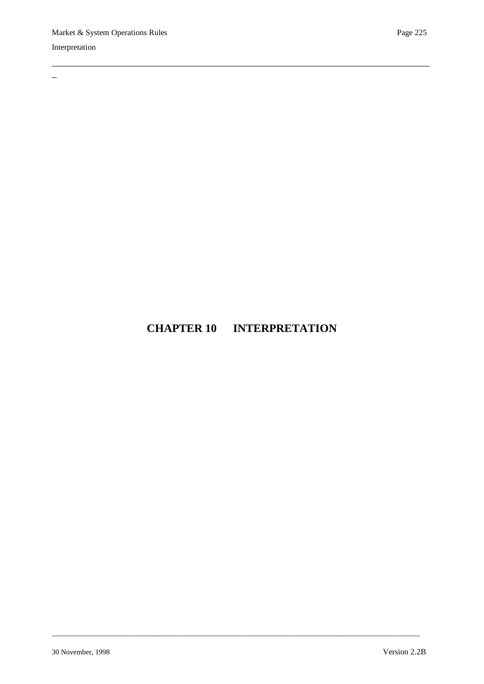$\overline{a}$ 

# **CHAPTER 10 INTERPRETATION**

 $\_$  ,  $\_$  ,  $\_$  ,  $\_$  ,  $\_$  ,  $\_$  ,  $\_$  ,  $\_$  ,  $\_$  ,  $\_$  ,  $\_$  ,  $\_$  ,  $\_$  ,  $\_$  ,  $\_$  ,  $\_$  ,  $\_$  ,  $\_$  ,  $\_$  ,  $\_$  ,  $\_$  ,  $\_$  ,  $\_$  ,  $\_$  ,  $\_$  ,  $\_$  ,  $\_$  ,  $\_$  ,  $\_$  ,  $\_$  ,  $\_$  ,  $\_$  ,  $\_$  ,  $\_$  ,  $\_$  ,  $\_$  ,  $\_$  ,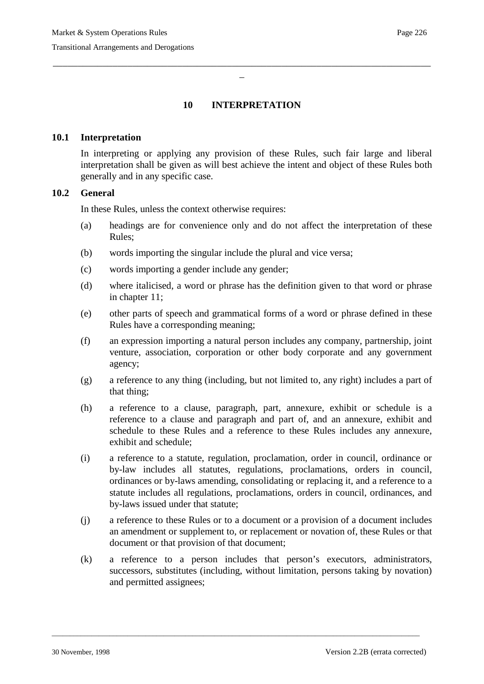## **10 INTERPRETATION**

\_\_\_\_\_\_\_\_\_\_\_\_\_\_\_\_\_\_\_\_\_\_\_\_\_\_\_\_\_\_\_\_\_\_\_\_\_\_\_\_\_\_\_\_\_\_\_\_\_\_\_\_\_\_\_\_\_\_\_\_\_\_\_\_\_\_\_\_\_\_\_\_\_\_\_\_ \_

#### **10.1 Interpretation**

In interpreting or applying any provision of these Rules, such fair large and liberal interpretation shall be given as will best achieve the intent and object of these Rules both generally and in any specific case.

#### **10.2 General**

In these Rules, unless the context otherwise requires:

- (a) headings are for convenience only and do not affect the interpretation of these Rules;
- (b) words importing the singular include the plural and vice versa;
- (c) words importing a gender include any gender;
- (d) where italicised, a word or phrase has the definition given to that word or phrase in chapter 11;
- (e) other parts of speech and grammatical forms of a word or phrase defined in these Rules have a corresponding meaning;
- (f) an expression importing a natural person includes any company, partnership, joint venture, association, corporation or other body corporate and any government agency;
- (g) a reference to any thing (including, but not limited to, any right) includes a part of that thing;
- (h) a reference to a clause, paragraph, part, annexure, exhibit or schedule is a reference to a clause and paragraph and part of, and an annexure, exhibit and schedule to these Rules and a reference to these Rules includes any annexure, exhibit and schedule;
- (i) a reference to a statute, regulation, proclamation, order in council, ordinance or by-law includes all statutes, regulations, proclamations, orders in council, ordinances or by-laws amending, consolidating or replacing it, and a reference to a statute includes all regulations, proclamations, orders in council, ordinances, and by-laws issued under that statute;
- (j) a reference to these Rules or to a document or a provision of a document includes an amendment or supplement to, or replacement or novation of, these Rules or that document or that provision of that document;
- (k) a reference to a person includes that person's executors, administrators, successors, substitutes (including, without limitation, persons taking by novation) and permitted assignees;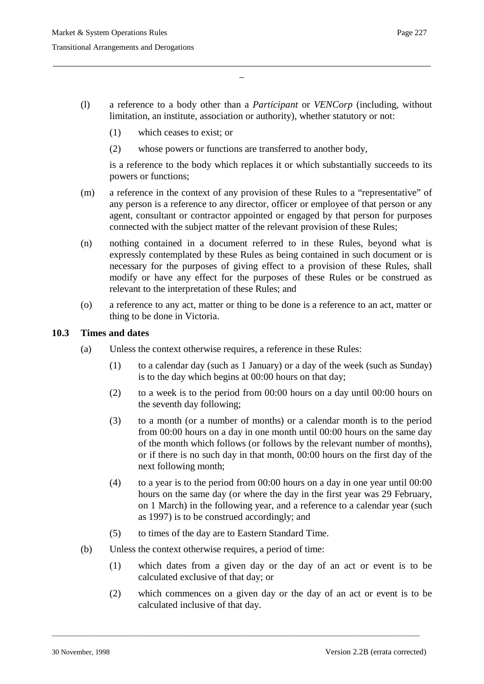- (l) a reference to a body other than a *Participant* or *VENCorp* (including, without limitation, an institute, association or authority), whether statutory or not:
	- (1) which ceases to exist; or
	- (2) whose powers or functions are transferred to another body,

\_\_\_\_\_\_\_\_\_\_\_\_\_\_\_\_\_\_\_\_\_\_\_\_\_\_\_\_\_\_\_\_\_\_\_\_\_\_\_\_\_\_\_\_\_\_\_\_\_\_\_\_\_\_\_\_\_\_\_\_\_\_\_\_\_\_\_\_\_\_\_\_\_\_\_\_ \_

> is a reference to the body which replaces it or which substantially succeeds to its powers or functions;

- (m) a reference in the context of any provision of these Rules to a "representative" of any person is a reference to any director, officer or employee of that person or any agent, consultant or contractor appointed or engaged by that person for purposes connected with the subject matter of the relevant provision of these Rules;
- (n) nothing contained in a document referred to in these Rules, beyond what is expressly contemplated by these Rules as being contained in such document or is necessary for the purposes of giving effect to a provision of these Rules, shall modify or have any effect for the purposes of these Rules or be construed as relevant to the interpretation of these Rules; and
- (o) a reference to any act, matter or thing to be done is a reference to an act, matter or thing to be done in Victoria.

#### **10.3 Times and dates**

- (a) Unless the context otherwise requires, a reference in these Rules:
	- (1) to a calendar day (such as 1 January) or a day of the week (such as Sunday) is to the day which begins at 00:00 hours on that day;
	- (2) to a week is to the period from 00:00 hours on a day until 00:00 hours on the seventh day following;
	- (3) to a month (or a number of months) or a calendar month is to the period from 00:00 hours on a day in one month until 00:00 hours on the same day of the month which follows (or follows by the relevant number of months), or if there is no such day in that month, 00:00 hours on the first day of the next following month;
	- (4) to a year is to the period from 00:00 hours on a day in one year until 00:00 hours on the same day (or where the day in the first year was 29 February, on 1 March) in the following year, and a reference to a calendar year (such as 1997) is to be construed accordingly; and
	- (5) to times of the day are to Eastern Standard Time.

- (b) Unless the context otherwise requires, a period of time:
	- (1) which dates from a given day or the day of an act or event is to be calculated exclusive of that day; or
	- (2) which commences on a given day or the day of an act or event is to be calculated inclusive of that day.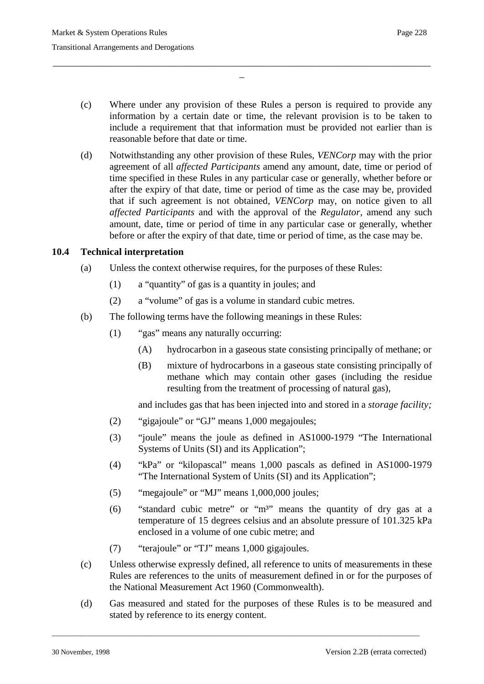(c) Where under any provision of these Rules a person is required to provide any information by a certain date or time, the relevant provision is to be taken to include a requirement that that information must be provided not earlier than is reasonable before that date or time.

\_\_\_\_\_\_\_\_\_\_\_\_\_\_\_\_\_\_\_\_\_\_\_\_\_\_\_\_\_\_\_\_\_\_\_\_\_\_\_\_\_\_\_\_\_\_\_\_\_\_\_\_\_\_\_\_\_\_\_\_\_\_\_\_\_\_\_\_\_\_\_\_\_\_\_\_ \_

(d) Notwithstanding any other provision of these Rules, *VENCorp* may with the prior agreement of all *affected Participants* amend any amount, date, time or period of time specified in these Rules in any particular case or generally, whether before or after the expiry of that date, time or period of time as the case may be, provided that if such agreement is not obtained, *VENCorp* may, on notice given to all *affected Participants* and with the approval of the *Regulator*, amend any such amount, date, time or period of time in any particular case or generally, whether before or after the expiry of that date, time or period of time, as the case may be.

#### **10.4 Technical interpretation**

- (a) Unless the context otherwise requires, for the purposes of these Rules:
	- (1) a "quantity" of gas is a quantity in joules; and
	- (2) a "volume" of gas is a volume in standard cubic metres.
- (b) The following terms have the following meanings in these Rules:
	- (1) "gas" means any naturally occurring:
		- (A) hydrocarbon in a gaseous state consisting principally of methane; or
		- (B) mixture of hydrocarbons in a gaseous state consisting principally of methane which may contain other gases (including the residue resulting from the treatment of processing of natural gas),

and includes gas that has been injected into and stored in a *storage facility;*

- (2) "gigajoule" or "GJ" means 1,000 megajoules;
- (3) "joule" means the joule as defined in AS1000-1979 "The International Systems of Units (SI) and its Application";
- (4) "kPa" or "kilopascal" means 1,000 pascals as defined in AS1000-1979 "The International System of Units (SI) and its Application";
- (5) "megajoule" or "MJ" means 1,000,000 joules;
- $(6)$  "standard cubic metre" or "m<sup>3"</sup> means the quantity of dry gas at a temperature of 15 degrees celsius and an absolute pressure of 101.325 kPa enclosed in a volume of one cubic metre; and
- (7) "terajoule" or "TJ" means 1,000 gigajoules.
- (c) Unless otherwise expressly defined, all reference to units of measurements in these Rules are references to the units of measurement defined in or for the purposes of the National Measurement Act 1960 (Commonwealth).
- (d) Gas measured and stated for the purposes of these Rules is to be measured and stated by reference to its energy content.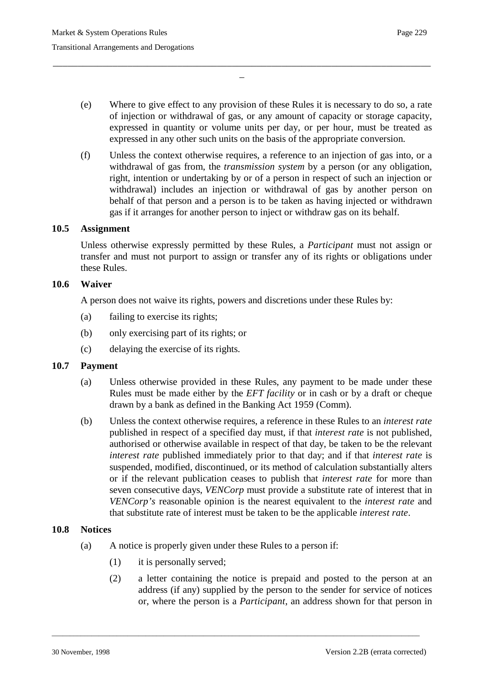(e) Where to give effect to any provision of these Rules it is necessary to do so, a rate of injection or withdrawal of gas, or any amount of capacity or storage capacity, expressed in quantity or volume units per day, or per hour, must be treated as expressed in any other such units on the basis of the appropriate conversion.

\_\_\_\_\_\_\_\_\_\_\_\_\_\_\_\_\_\_\_\_\_\_\_\_\_\_\_\_\_\_\_\_\_\_\_\_\_\_\_\_\_\_\_\_\_\_\_\_\_\_\_\_\_\_\_\_\_\_\_\_\_\_\_\_\_\_\_\_\_\_\_\_\_\_\_\_ \_

(f) Unless the context otherwise requires, a reference to an injection of gas into, or a withdrawal of gas from, the *transmission system* by a person (or any obligation, right, intention or undertaking by or of a person in respect of such an injection or withdrawal) includes an injection or withdrawal of gas by another person on behalf of that person and a person is to be taken as having injected or withdrawn gas if it arranges for another person to inject or withdraw gas on its behalf.

#### **10.5 Assignment**

Unless otherwise expressly permitted by these Rules, a *Participant* must not assign or transfer and must not purport to assign or transfer any of its rights or obligations under these Rules.

#### **10.6 Waiver**

A person does not waive its rights, powers and discretions under these Rules by:

- (a) failing to exercise its rights;
- (b) only exercising part of its rights; or
- (c) delaying the exercise of its rights.

#### **10.7 Payment**

- (a) Unless otherwise provided in these Rules, any payment to be made under these Rules must be made either by the *EFT facility* or in cash or by a draft or cheque drawn by a bank as defined in the Banking Act 1959 (Comm).
- (b) Unless the context otherwise requires, a reference in these Rules to an *interest rate*  published in respect of a specified day must, if that *interest rate* is not published, authorised or otherwise available in respect of that day, be taken to be the relevant *interest rate* published immediately prior to that day; and if that *interest rate* is suspended, modified, discontinued, or its method of calculation substantially alters or if the relevant publication ceases to publish that *interest rate* for more than seven consecutive days, *VENCorp* must provide a substitute rate of interest that in *VENCorp's* reasonable opinion is the nearest equivalent to the *interest rate* and that substitute rate of interest must be taken to be the applicable *interest rate*.

#### **10.8 Notices**

(a) A notice is properly given under these Rules to a person if:

- (1) it is personally served;
- (2) a letter containing the notice is prepaid and posted to the person at an address (if any) supplied by the person to the sender for service of notices or, where the person is a *Participant*, an address shown for that person in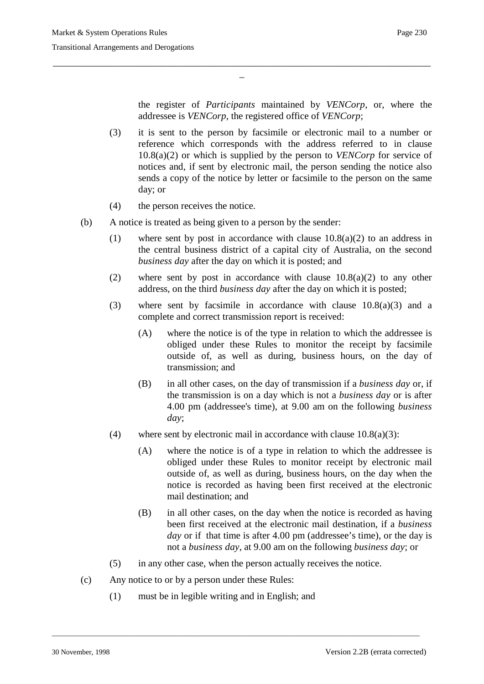the register of *Participants* maintained by *VENCorp*, or, where the addressee is *VENCorp*, the registered office of *VENCorp*;

(3) it is sent to the person by facsimile or electronic mail to a number or reference which corresponds with the address referred to in clause 10.8(a)(2) or which is supplied by the person to *VENCorp* for service of notices and, if sent by electronic mail, the person sending the notice also sends a copy of the notice by letter or facsimile to the person on the same day; or

\_\_\_\_\_\_\_\_\_\_\_\_\_\_\_\_\_\_\_\_\_\_\_\_\_\_\_\_\_\_\_\_\_\_\_\_\_\_\_\_\_\_\_\_\_\_\_\_\_\_\_\_\_\_\_\_\_\_\_\_\_\_\_\_\_\_\_\_\_\_\_\_\_\_\_\_ \_

- (4) the person receives the notice.
- (b) A notice is treated as being given to a person by the sender:
	- (1) where sent by post in accordance with clause  $10.8(a)(2)$  to an address in the central business district of a capital city of Australia, on the second *business day* after the day on which it is posted; and
	- (2) where sent by post in accordance with clause  $10.8(a)(2)$  to any other address, on the third *business day* after the day on which it is posted;
	- (3) where sent by facsimile in accordance with clause  $10.8(a)(3)$  and a complete and correct transmission report is received:
		- (A) where the notice is of the type in relation to which the addressee is obliged under these Rules to monitor the receipt by facsimile outside of, as well as during, business hours, on the day of transmission; and
		- (B) in all other cases, on the day of transmission if a *business day* or, if the transmission is on a day which is not a *business day* or is after 4.00 pm (addressee's time), at 9.00 am on the following *business day*;
	- (4) where sent by electronic mail in accordance with clause  $10.8(a)(3)$ :
		- (A) where the notice is of a type in relation to which the addressee is obliged under these Rules to monitor receipt by electronic mail outside of, as well as during, business hours, on the day when the notice is recorded as having been first received at the electronic mail destination; and
		- (B) in all other cases, on the day when the notice is recorded as having been first received at the electronic mail destination, if a *business day* or if that time is after 4.00 pm (addressee's time), or the day is not a *business day*, at 9.00 am on the following *business day*; or
	- (5) in any other case, when the person actually receives the notice.

- (c) Any notice to or by a person under these Rules:
	- (1) must be in legible writing and in English; and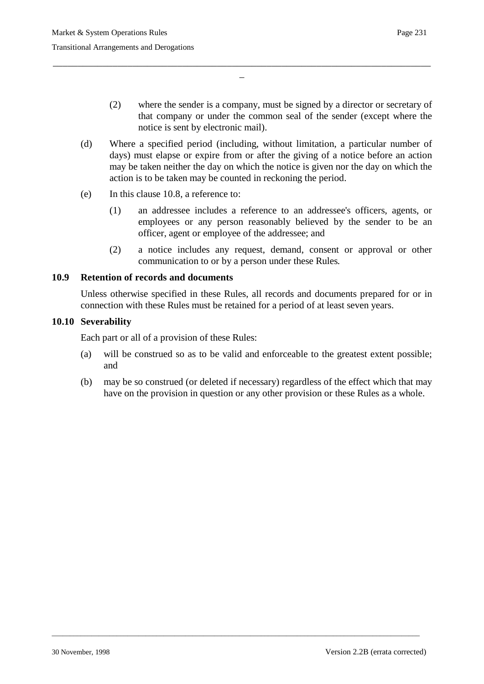- (2) where the sender is a company, must be signed by a director or secretary of that company or under the common seal of the sender (except where the notice is sent by electronic mail).
- (d) Where a specified period (including, without limitation, a particular number of days) must elapse or expire from or after the giving of a notice before an action may be taken neither the day on which the notice is given nor the day on which the action is to be taken may be counted in reckoning the period.

\_\_\_\_\_\_\_\_\_\_\_\_\_\_\_\_\_\_\_\_\_\_\_\_\_\_\_\_\_\_\_\_\_\_\_\_\_\_\_\_\_\_\_\_\_\_\_\_\_\_\_\_\_\_\_\_\_\_\_\_\_\_\_\_\_\_\_\_\_\_\_\_\_\_\_\_ \_

- (e) In this clause 10.8, a reference to:
	- (1) an addressee includes a reference to an addressee's officers, agents, or employees or any person reasonably believed by the sender to be an officer, agent or employee of the addressee; and
	- (2) a notice includes any request, demand, consent or approval or other communication to or by a person under these Rules*.*

#### **10.9 Retention of records and documents**

Unless otherwise specified in these Rules, all records and documents prepared for or in connection with these Rules must be retained for a period of at least seven years.

#### **10.10 Severability**

Each part or all of a provision of these Rules:

- (a) will be construed so as to be valid and enforceable to the greatest extent possible; and
- (b) may be so construed (or deleted if necessary) regardless of the effect which that may have on the provision in question or any other provision or these Rules as a whole.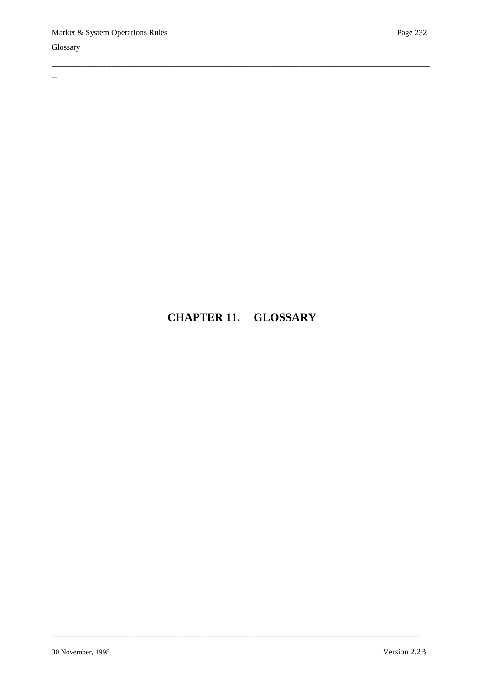$\overline{a}$ 

## **CHAPTER 11. GLOSSARY**

 $\_$  ,  $\_$  ,  $\_$  ,  $\_$  ,  $\_$  ,  $\_$  ,  $\_$  ,  $\_$  ,  $\_$  ,  $\_$  ,  $\_$  ,  $\_$  ,  $\_$  ,  $\_$  ,  $\_$  ,  $\_$  ,  $\_$  ,  $\_$  ,  $\_$  ,  $\_$  ,  $\_$  ,  $\_$  ,  $\_$  ,  $\_$  ,  $\_$  ,  $\_$  ,  $\_$  ,  $\_$  ,  $\_$  ,  $\_$  ,  $\_$  ,  $\_$  ,  $\_$  ,  $\_$  ,  $\_$  ,  $\_$  ,  $\_$  ,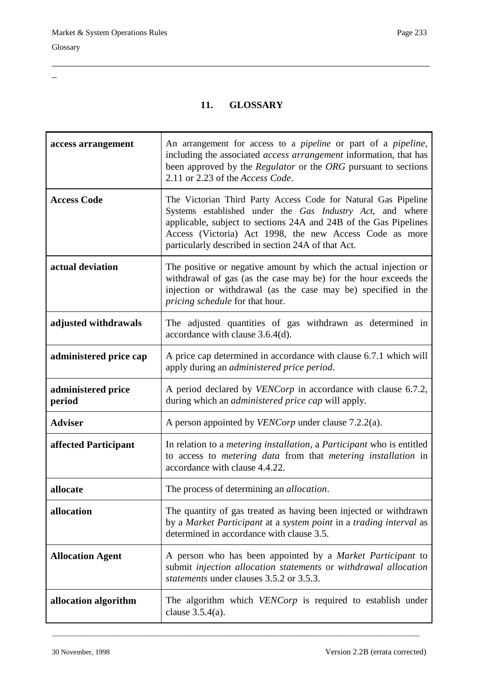## **11. GLOSSARY**

\_\_\_\_\_\_\_\_\_\_\_\_\_\_\_\_\_\_\_\_\_\_\_\_\_\_\_\_\_\_\_\_\_\_\_\_\_\_\_\_\_\_\_\_\_\_\_\_\_\_\_\_\_\_\_\_\_\_\_\_\_\_\_\_\_\_\_\_\_\_\_\_\_\_\_\_

| access arrangement           | An arrangement for access to a <i>pipeline</i> or part of a <i>pipeline</i> ,<br>including the associated access arrangement information, that has<br>been approved by the <i>Regulator</i> or the <i>ORG</i> pursuant to sections<br>2.11 or 2.23 of the Access Code.                                           |
|------------------------------|------------------------------------------------------------------------------------------------------------------------------------------------------------------------------------------------------------------------------------------------------------------------------------------------------------------|
| <b>Access Code</b>           | The Victorian Third Party Access Code for Natural Gas Pipeline<br>Systems established under the Gas Industry Act, and where<br>applicable, subject to sections 24A and 24B of the Gas Pipelines<br>Access (Victoria) Act 1998, the new Access Code as more<br>particularly described in section 24A of that Act. |
| actual deviation             | The positive or negative amount by which the actual injection or<br>withdrawal of gas (as the case may be) for the hour exceeds the<br>injection or withdrawal (as the case may be) specified in the<br>pricing schedule for that hour.                                                                          |
| adjusted withdrawals         | The adjusted quantities of gas withdrawn as determined in<br>accordance with clause 3.6.4(d).                                                                                                                                                                                                                    |
| administered price cap       | A price cap determined in accordance with clause 6.7.1 which will<br>apply during an <i>administered price period</i> .                                                                                                                                                                                          |
| administered price<br>period | A period declared by VENCorp in accordance with clause 6.7.2,<br>during which an <i>administered price cap</i> will apply.                                                                                                                                                                                       |
| <b>Adviser</b>               | A person appointed by <i>VENCorp</i> under clause 7.2.2(a).                                                                                                                                                                                                                                                      |
| affected Participant         | In relation to a <i>metering installation</i> , a <i>Participant</i> who is entitled<br>to access to metering data from that metering installation in<br>accordance with clause 4.4.22.                                                                                                                          |
| allocate                     | The process of determining an <i>allocation</i> .                                                                                                                                                                                                                                                                |
| allocation                   | The quantity of gas treated as having been injected or withdrawn<br>by a Market Participant at a system point in a trading interval as<br>determined in accordance with clause 3.5.                                                                                                                              |
| <b>Allocation Agent</b>      | A person who has been appointed by a Market Participant to<br>submit injection allocation statements or withdrawal allocation<br>statements under clauses 3.5.2 or 3.5.3.                                                                                                                                        |
| allocation algorithm         | The algorithm which <i>VENCorp</i> is required to establish under<br>clause $3.5.4(a)$ .                                                                                                                                                                                                                         |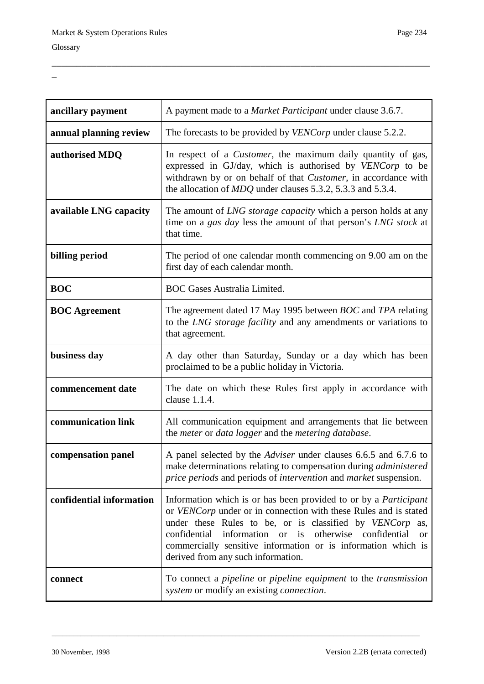| ancillary payment        | A payment made to a <i>Market Participant</i> under clause 3.6.7.                                                                                                                                                                                                                                                                                                                                    |
|--------------------------|------------------------------------------------------------------------------------------------------------------------------------------------------------------------------------------------------------------------------------------------------------------------------------------------------------------------------------------------------------------------------------------------------|
| annual planning review   | The forecasts to be provided by <i>VENCorp</i> under clause 5.2.2.                                                                                                                                                                                                                                                                                                                                   |
| authorised MDQ           | In respect of a <i>Customer</i> , the maximum daily quantity of gas,<br>expressed in GJ/day, which is authorised by VENCorp to be<br>withdrawn by or on behalf of that Customer, in accordance with<br>the allocation of MDQ under clauses 5.3.2, 5.3.3 and 5.3.4.                                                                                                                                   |
| available LNG capacity   | The amount of LNG storage capacity which a person holds at any<br>time on a gas day less the amount of that person's LNG stock at<br>that time.                                                                                                                                                                                                                                                      |
| billing period           | The period of one calendar month commencing on 9.00 am on the<br>first day of each calendar month.                                                                                                                                                                                                                                                                                                   |
| <b>BOC</b>               | <b>BOC</b> Gases Australia Limited.                                                                                                                                                                                                                                                                                                                                                                  |
| <b>BOC</b> Agreement     | The agreement dated 17 May 1995 between <i>BOC</i> and <i>TPA</i> relating<br>to the LNG storage facility and any amendments or variations to<br>that agreement.                                                                                                                                                                                                                                     |
| business day             | A day other than Saturday, Sunday or a day which has been<br>proclaimed to be a public holiday in Victoria.                                                                                                                                                                                                                                                                                          |
| commencement date        | The date on which these Rules first apply in accordance with<br>clause 1.1.4.                                                                                                                                                                                                                                                                                                                        |
| communication link       | All communication equipment and arrangements that lie between<br>the meter or data logger and the metering database.                                                                                                                                                                                                                                                                                 |
| compensation panel       | A panel selected by the <i>Adviser</i> under clauses 6.6.5 and 6.7.6 to<br>make determinations relating to compensation during <i>administered</i><br>price periods and periods of intervention and market suspension.                                                                                                                                                                               |
| confidential information | Information which is or has been provided to or by a <i>Participant</i><br>or VENCorp under or in connection with these Rules and is stated<br>under these Rules to be, or is classified by VENCorp as,<br>confidential<br>information or<br>otherwise<br>confidential<br>is<br><sub>or</sub><br>commercially sensitive information or is information which is<br>derived from any such information. |
| connect                  | To connect a <i>pipeline</i> or <i>pipeline equipment</i> to the <i>transmission</i><br>system or modify an existing <i>connection</i> .                                                                                                                                                                                                                                                             |

 $\_$  ,  $\_$  ,  $\_$  ,  $\_$  ,  $\_$  ,  $\_$  ,  $\_$  ,  $\_$  ,  $\_$  ,  $\_$  ,  $\_$  ,  $\_$  ,  $\_$  ,  $\_$  ,  $\_$  ,  $\_$  ,  $\_$  ,  $\_$  ,  $\_$  ,  $\_$  ,  $\_$  ,  $\_$  ,  $\_$  ,  $\_$  ,  $\_$  ,  $\_$  ,  $\_$  ,  $\_$  ,  $\_$  ,  $\_$  ,  $\_$  ,  $\_$  ,  $\_$  ,  $\_$  ,  $\_$  ,  $\_$  ,  $\_$  ,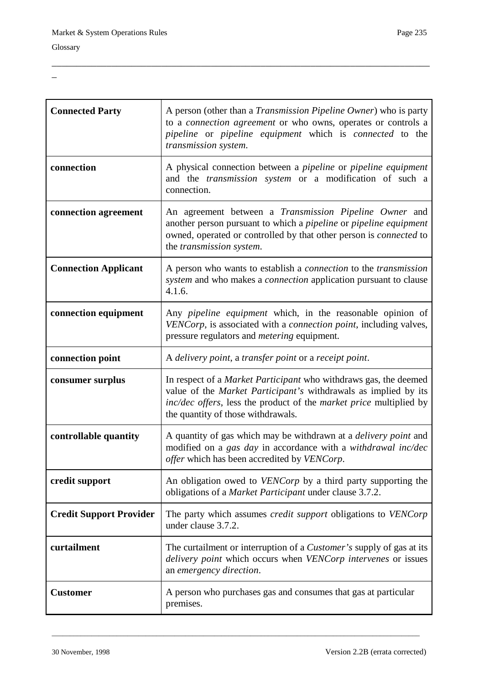$\overline{a}$ 

| <b>Connected Party</b>         | A person (other than a <i>Transmission Pipeline Owner</i> ) who is party<br>to a connection agreement or who owns, operates or controls a<br>pipeline or pipeline equipment which is connected to the<br>transmission system.                      |
|--------------------------------|----------------------------------------------------------------------------------------------------------------------------------------------------------------------------------------------------------------------------------------------------|
| connection                     | A physical connection between a <i>pipeline</i> or <i>pipeline</i> equipment<br>and the <i>transmission system</i> or a modification of such a<br>connection.                                                                                      |
| connection agreement           | An agreement between a Transmission Pipeline Owner and<br>another person pursuant to which a <i>pipeline</i> or <i>pipeline</i> equipment<br>owned, operated or controlled by that other person is <i>connected</i> to<br>the transmission system. |
| <b>Connection Applicant</b>    | A person who wants to establish a <i>connection</i> to the <i>transmission</i><br>system and who makes a <i>connection</i> application pursuant to clause<br>4.1.6.                                                                                |
| connection equipment           | Any pipeline equipment which, in the reasonable opinion of<br>VENCorp, is associated with a <i>connection point</i> , including valves,<br>pressure regulators and <i>metering</i> equipment.                                                      |
| connection point               | A delivery point, a transfer point or a receipt point.                                                                                                                                                                                             |
| consumer surplus               | In respect of a Market Participant who withdraws gas, the deemed<br>value of the Market Participant's withdrawals as implied by its<br>inc/dec offers, less the product of the market price multiplied by<br>the quantity of those withdrawals.    |
| controllable quantity          | A quantity of gas which may be withdrawn at a <i>delivery point</i> and<br>modified on a gas day in accordance with a withdrawal inc/dec<br>offer which has been accredited by VENCorp.                                                            |
| credit support                 | An obligation owed to VENCorp by a third party supporting the<br>obligations of a <i>Market Participant</i> under clause 3.7.2.                                                                                                                    |
| <b>Credit Support Provider</b> | The party which assumes <i>credit support</i> obligations to <i>VENCorp</i><br>under clause 3.7.2.                                                                                                                                                 |
| curtailment                    | The curtailment or interruption of a <i>Customer's</i> supply of gas at its<br>delivery point which occurs when VENCorp intervenes or issues<br>an emergency direction.                                                                            |
| <b>Customer</b>                | A person who purchases gas and consumes that gas at particular<br>premises.                                                                                                                                                                        |

 $\_$  ,  $\_$  ,  $\_$  ,  $\_$  ,  $\_$  ,  $\_$  ,  $\_$  ,  $\_$  ,  $\_$  ,  $\_$  ,  $\_$  ,  $\_$  ,  $\_$  ,  $\_$  ,  $\_$  ,  $\_$  ,  $\_$  ,  $\_$  ,  $\_$  ,  $\_$  ,  $\_$  ,  $\_$  ,  $\_$  ,  $\_$  ,  $\_$  ,  $\_$  ,  $\_$  ,  $\_$  ,  $\_$  ,  $\_$  ,  $\_$  ,  $\_$  ,  $\_$  ,  $\_$  ,  $\_$  ,  $\_$  ,  $\_$  ,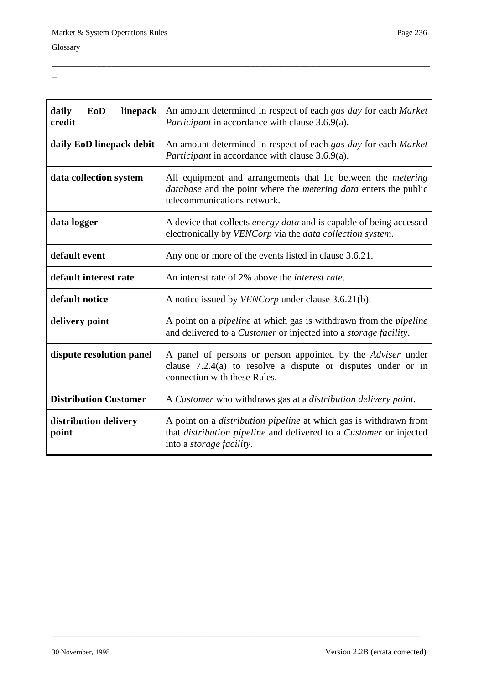| daily<br>EoD<br>linepack<br>credit | An amount determined in respect of each gas day for each Market<br><i>Participant</i> in accordance with clause 3.6.9(a).                                              |
|------------------------------------|------------------------------------------------------------------------------------------------------------------------------------------------------------------------|
| daily EoD linepack debit           | An amount determined in respect of each gas day for each Market<br><i>Participant</i> in accordance with clause 3.6.9(a).                                              |
| data collection system             | All equipment and arrangements that lie between the <i>metering</i><br>database and the point where the metering data enters the public<br>telecommunications network. |
| data logger                        | A device that collects <i>energy data</i> and is capable of being accessed<br>electronically by VENCorp via the data collection system.                                |
| default event                      | Any one or more of the events listed in clause 3.6.21.                                                                                                                 |
| default interest rate              | An interest rate of 2% above the <i>interest rate</i> .                                                                                                                |
| default notice                     | A notice issued by <i>VENCorp</i> under clause 3.6.21(b).                                                                                                              |
| delivery point                     | A point on a <i>pipeline</i> at which gas is withdrawn from the <i>pipeline</i><br>and delivered to a <i>Customer</i> or injected into a <i>storage facility</i> .     |
| dispute resolution panel           | A panel of persons or person appointed by the Adviser under<br>clause $7.2.4(a)$ to resolve a dispute or disputes under or in<br>connection with these Rules.          |
| <b>Distribution Customer</b>       | A Customer who withdraws gas at a <i>distribution delivery point</i> .                                                                                                 |

into a *storage facility*.

A point on a *distribution pipeline* at which gas is withdrawn from that *distribution pipeline* and delivered to a *Customer* or injected

 $\_$  ,  $\_$  ,  $\_$  ,  $\_$  ,  $\_$  ,  $\_$  ,  $\_$  ,  $\_$  ,  $\_$  ,  $\_$  ,  $\_$  ,  $\_$  ,  $\_$  ,  $\_$  ,  $\_$  ,  $\_$  ,  $\_$  ,  $\_$  ,  $\_$  ,  $\_$  ,  $\_$  ,  $\_$  ,  $\_$  ,  $\_$  ,  $\_$  ,  $\_$  ,  $\_$  ,  $\_$  ,  $\_$  ,  $\_$  ,  $\_$  ,  $\_$  ,  $\_$  ,  $\_$  ,  $\_$  ,  $\_$  ,  $\_$  ,

\_\_\_\_\_\_\_\_\_\_\_\_\_\_\_\_\_\_\_\_\_\_\_\_\_\_\_\_\_\_\_\_\_\_\_\_\_\_\_\_\_\_\_\_\_\_\_\_\_\_\_\_\_\_\_\_\_\_\_\_\_\_\_\_\_\_\_\_\_\_\_\_\_\_\_\_

**distribution delivery** 

**point**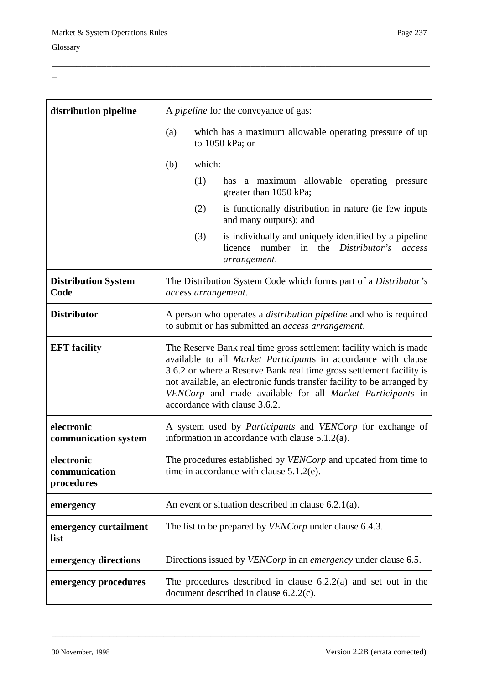| distribution pipeline                     | A <i>pipeline</i> for the conveyance of gas:                                                                                                                                                                                                                                                                                                                                         |
|-------------------------------------------|--------------------------------------------------------------------------------------------------------------------------------------------------------------------------------------------------------------------------------------------------------------------------------------------------------------------------------------------------------------------------------------|
|                                           | which has a maximum allowable operating pressure of up<br>(a)<br>to $1050$ kPa; or                                                                                                                                                                                                                                                                                                   |
|                                           | which:<br>(b)                                                                                                                                                                                                                                                                                                                                                                        |
|                                           | (1)<br>has a maximum allowable operating pressure<br>greater than 1050 kPa;                                                                                                                                                                                                                                                                                                          |
|                                           | is functionally distribution in nature (ie few inputs<br>(2)<br>and many outputs); and                                                                                                                                                                                                                                                                                               |
|                                           | (3)<br>is individually and uniquely identified by a pipeline<br>licence number in the Distributor's access<br>arrangement.                                                                                                                                                                                                                                                           |
| <b>Distribution System</b><br>Code        | The Distribution System Code which forms part of a Distributor's<br>access arrangement.                                                                                                                                                                                                                                                                                              |
| <b>Distributor</b>                        | A person who operates a <i>distribution pipeline</i> and who is required<br>to submit or has submitted an <i>access arrangement</i> .                                                                                                                                                                                                                                                |
| <b>EFT</b> facility                       | The Reserve Bank real time gross settlement facility which is made<br>available to all Market Participants in accordance with clause<br>3.6.2 or where a Reserve Bank real time gross settlement facility is<br>not available, an electronic funds transfer facility to be arranged by<br>VENCorp and made available for all Market Participants in<br>accordance with clause 3.6.2. |
| electronic<br>communication system        | A system used by <i>Participants</i> and <i>VENCorp</i> for exchange of<br>information in accordance with clause $5.1.2(a)$ .                                                                                                                                                                                                                                                        |
| electronic<br>communication<br>procedures | The procedures established by <i>VENCorp</i> and updated from time to<br>time in accordance with clause $5.1.2(e)$ .                                                                                                                                                                                                                                                                 |
| emergency                                 | An event or situation described in clause $6.2.1(a)$ .                                                                                                                                                                                                                                                                                                                               |
| emergency curtailment<br>list             | The list to be prepared by <i>VENCorp</i> under clause 6.4.3.                                                                                                                                                                                                                                                                                                                        |
| emergency directions                      | Directions issued by <i>VENCorp</i> in an <i>emergency</i> under clause 6.5.                                                                                                                                                                                                                                                                                                         |
| emergency procedures                      | The procedures described in clause $6.2.2(a)$ and set out in the<br>document described in clause $6.2.2(c)$ .                                                                                                                                                                                                                                                                        |

 $\_$  ,  $\_$  ,  $\_$  ,  $\_$  ,  $\_$  ,  $\_$  ,  $\_$  ,  $\_$  ,  $\_$  ,  $\_$  ,  $\_$  ,  $\_$  ,  $\_$  ,  $\_$  ,  $\_$  ,  $\_$  ,  $\_$  ,  $\_$  ,  $\_$  ,  $\_$  ,  $\_$  ,  $\_$  ,  $\_$  ,  $\_$  ,  $\_$  ,  $\_$  ,  $\_$  ,  $\_$  ,  $\_$  ,  $\_$  ,  $\_$  ,  $\_$  ,  $\_$  ,  $\_$  ,  $\_$  ,  $\_$  ,  $\_$  ,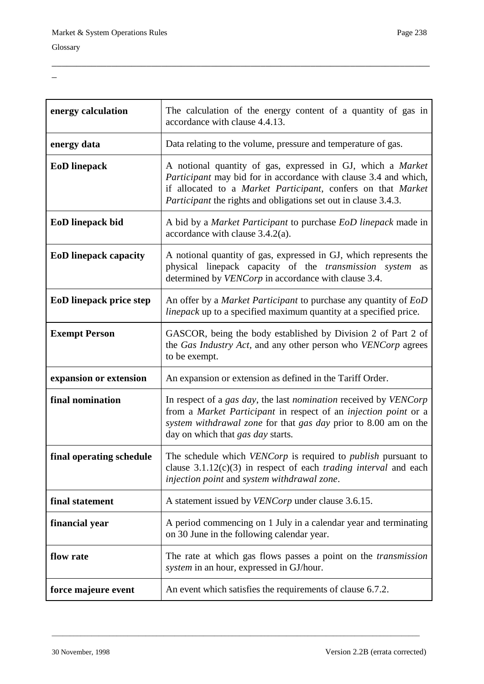| energy calculation             | The calculation of the energy content of a quantity of gas in<br>accordance with clause 4.4.13.                                                                                                                                                                    |
|--------------------------------|--------------------------------------------------------------------------------------------------------------------------------------------------------------------------------------------------------------------------------------------------------------------|
| energy data                    | Data relating to the volume, pressure and temperature of gas.                                                                                                                                                                                                      |
| <b>EoD</b> linepack            | A notional quantity of gas, expressed in GJ, which a Market<br>Participant may bid for in accordance with clause 3.4 and which,<br>if allocated to a Market Participant, confers on that Market<br>Participant the rights and obligations set out in clause 3.4.3. |
| <b>EoD</b> linepack bid        | A bid by a <i>Market Participant</i> to purchase <i>EoD</i> linepack made in<br>accordance with clause $3.4.2(a)$ .                                                                                                                                                |
| <b>EoD</b> linepack capacity   | A notional quantity of gas, expressed in GJ, which represents the<br>physical linepack capacity of the <i>transmission</i> system<br>as<br>determined by VENCorp in accordance with clause 3.4.                                                                    |
| <b>EoD</b> linepack price step | An offer by a <i>Market Participant</i> to purchase any quantity of <i>EoD</i><br>linepack up to a specified maximum quantity at a specified price.                                                                                                                |
| <b>Exempt Person</b>           | GASCOR, being the body established by Division 2 of Part 2 of<br>the Gas Industry Act, and any other person who VENCorp agrees<br>to be exempt.                                                                                                                    |
| expansion or extension         | An expansion or extension as defined in the Tariff Order.                                                                                                                                                                                                          |
| final nomination               | In respect of a gas day, the last nomination received by VENCorp<br>from a Market Participant in respect of an injection point or a<br>system withdrawal zone for that gas day prior to 8.00 am on the<br>day on which that gas day starts.                        |
| final operating schedule       | The schedule which <i>VENCorp</i> is required to <i>publish</i> pursuant to<br>clause $3.1.12(c)(3)$ in respect of each <i>trading interval</i> and each<br>injection point and system withdrawal zone.                                                            |
| final statement                | A statement issued by <i>VENCorp</i> under clause 3.6.15.                                                                                                                                                                                                          |
| financial year                 | A period commencing on 1 July in a calendar year and terminating<br>on 30 June in the following calendar year.                                                                                                                                                     |
| flow rate                      | The rate at which gas flows passes a point on the <i>transmission</i><br>system in an hour, expressed in GJ/hour.                                                                                                                                                  |
| force majeure event            | An event which satisfies the requirements of clause 6.7.2.                                                                                                                                                                                                         |

 $\_$  ,  $\_$  ,  $\_$  ,  $\_$  ,  $\_$  ,  $\_$  ,  $\_$  ,  $\_$  ,  $\_$  ,  $\_$  ,  $\_$  ,  $\_$  ,  $\_$  ,  $\_$  ,  $\_$  ,  $\_$  ,  $\_$  ,  $\_$  ,  $\_$  ,  $\_$  ,  $\_$  ,  $\_$  ,  $\_$  ,  $\_$  ,  $\_$  ,  $\_$  ,  $\_$  ,  $\_$  ,  $\_$  ,  $\_$  ,  $\_$  ,  $\_$  ,  $\_$  ,  $\_$  ,  $\_$  ,  $\_$  ,  $\_$  ,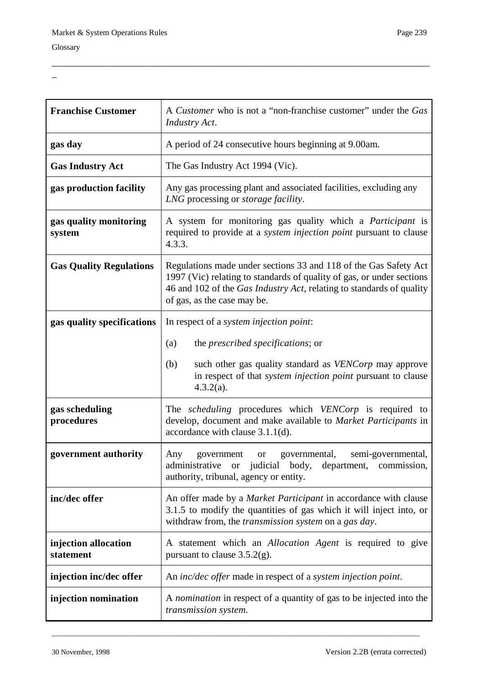| <b>Franchise Customer</b>         | A Customer who is not a "non-franchise customer" under the Gas<br>Industry Act.                                                                                                                                                                  |
|-----------------------------------|--------------------------------------------------------------------------------------------------------------------------------------------------------------------------------------------------------------------------------------------------|
| gas day                           | A period of 24 consecutive hours beginning at 9.00am.                                                                                                                                                                                            |
| <b>Gas Industry Act</b>           | The Gas Industry Act 1994 (Vic).                                                                                                                                                                                                                 |
| gas production facility           | Any gas processing plant and associated facilities, excluding any<br>LNG processing or <i>storage facility</i> .                                                                                                                                 |
| gas quality monitoring<br>system  | A system for monitoring gas quality which a <i>Participant</i> is<br>required to provide at a system injection point pursuant to clause<br>4.3.3.                                                                                                |
| <b>Gas Quality Regulations</b>    | Regulations made under sections 33 and 118 of the Gas Safety Act<br>1997 (Vic) relating to standards of quality of gas, or under sections<br>46 and 102 of the Gas Industry Act, relating to standards of quality<br>of gas, as the case may be. |
| gas quality specifications        | In respect of a system injection point:                                                                                                                                                                                                          |
|                                   | the <i>prescribed specifications</i> ; or<br>(a)                                                                                                                                                                                                 |
|                                   | such other gas quality standard as VENCorp may approve<br>(b)<br>in respect of that <i>system injection point</i> pursuant to clause<br>$4.3.2(a)$ .                                                                                             |
| gas scheduling<br>procedures      | The <i>scheduling</i> procedures which VENCorp is required to<br>develop, document and make available to Market Participants in<br>accordance with clause 3.1.1(d).                                                                              |
| government authority              | semi-governmental,<br>governmental,<br>government<br>Any<br><b>or</b><br>administrative or judicial body, department, commission,<br>authority, tribunal, agency or entity.                                                                      |
| inc/dec offer                     | An offer made by a <i>Market Participant</i> in accordance with clause<br>3.1.5 to modify the quantities of gas which it will inject into, or<br>withdraw from, the <i>transmission system</i> on a gas day.                                     |
| injection allocation<br>statement | A statement which an <i>Allocation Agent</i> is required to give<br>pursuant to clause $3.5.2(g)$ .                                                                                                                                              |
| injection inc/dec offer           | An inc/dec offer made in respect of a system injection point.                                                                                                                                                                                    |
| injection nomination              | A <i>nomination</i> in respect of a quantity of gas to be injected into the<br>transmission system.                                                                                                                                              |

 $\_$  ,  $\_$  ,  $\_$  ,  $\_$  ,  $\_$  ,  $\_$  ,  $\_$  ,  $\_$  ,  $\_$  ,  $\_$  ,  $\_$  ,  $\_$  ,  $\_$  ,  $\_$  ,  $\_$  ,  $\_$  ,  $\_$  ,  $\_$  ,  $\_$  ,  $\_$  ,  $\_$  ,  $\_$  ,  $\_$  ,  $\_$  ,  $\_$  ,  $\_$  ,  $\_$  ,  $\_$  ,  $\_$  ,  $\_$  ,  $\_$  ,  $\_$  ,  $\_$  ,  $\_$  ,  $\_$  ,  $\_$  ,  $\_$  ,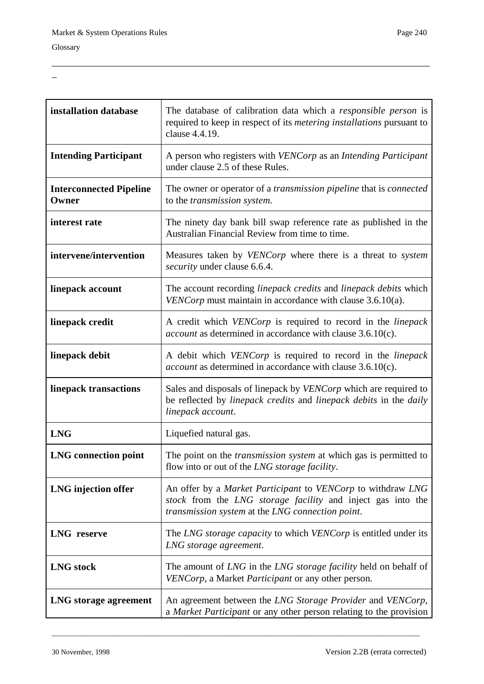| installation database                   | The database of calibration data which a <i>responsible person</i> is<br>required to keep in respect of its <i>metering installations</i> pursuant to<br>clause 4.4.19.                             |
|-----------------------------------------|-----------------------------------------------------------------------------------------------------------------------------------------------------------------------------------------------------|
| <b>Intending Participant</b>            | A person who registers with VENCorp as an Intending Participant<br>under clause 2.5 of these Rules.                                                                                                 |
| <b>Interconnected Pipeline</b><br>Owner | The owner or operator of a <i>transmission pipeline</i> that is <i>connected</i><br>to the <i>transmission</i> system.                                                                              |
| interest rate                           | The ninety day bank bill swap reference rate as published in the<br>Australian Financial Review from time to time.                                                                                  |
| intervene/intervention                  | Measures taken by <i>VENCorp</i> where there is a threat to <i>system</i><br>security under clause 6.6.4.                                                                                           |
| linepack account                        | The account recording linepack credits and linepack debits which<br>VENCorp must maintain in accordance with clause 3.6.10(a).                                                                      |
| linepack credit                         | A credit which VENCorp is required to record in the linepack<br><i>account</i> as determined in accordance with clause $3.6.10(c)$ .                                                                |
| linepack debit                          | A debit which VENCorp is required to record in the linepack<br><i>account</i> as determined in accordance with clause $3.6.10(c)$ .                                                                 |
| linepack transactions                   | Sales and disposals of linepack by VENCorp which are required to<br>be reflected by <i>linepack credits</i> and <i>linepack debits</i> in the <i>daily</i><br>linepack account.                     |
| LNG                                     | Liquefied natural gas.                                                                                                                                                                              |
| <b>LNG</b> connection point             | The point on the <i>transmission system</i> at which gas is permitted to<br>flow into or out of the LNG storage facility.                                                                           |
| LNG injection offer                     | An offer by a <i>Market Participant</i> to <i>VENCorp</i> to withdraw <i>LNG</i><br>stock from the LNG storage facility and inject gas into the<br>transmission system at the LNG connection point. |
| <b>LNG</b> reserve                      | The LNG storage capacity to which VENCorp is entitled under its<br>LNG storage agreement.                                                                                                           |
| <b>LNG</b> stock                        | The amount of LNG in the LNG storage facility held on behalf of<br>VENCorp, a Market Participant or any other person.                                                                               |

 $\_$  ,  $\_$  ,  $\_$  ,  $\_$  ,  $\_$  ,  $\_$  ,  $\_$  ,  $\_$  ,  $\_$  ,  $\_$  ,  $\_$  ,  $\_$  ,  $\_$  ,  $\_$  ,  $\_$  ,  $\_$  ,  $\_$  ,  $\_$  ,  $\_$  ,  $\_$  ,  $\_$  ,  $\_$  ,  $\_$  ,  $\_$  ,  $\_$  ,  $\_$  ,  $\_$  ,  $\_$  ,  $\_$  ,  $\_$  ,  $\_$  ,  $\_$  ,  $\_$  ,  $\_$  ,  $\_$  ,  $\_$  ,  $\_$  ,

**LNG storage agreement** An agreement between the *LNG Storage Provider* and *VENCorp*,

a *Market Participant* or any other person relating to the provision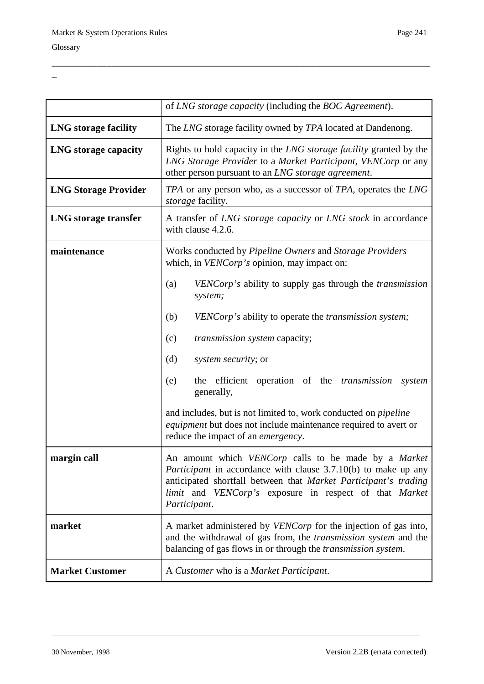|                             | of LNG storage capacity (including the BOC Agreement).                                                                                                                                                                                                                     |
|-----------------------------|----------------------------------------------------------------------------------------------------------------------------------------------------------------------------------------------------------------------------------------------------------------------------|
| <b>LNG</b> storage facility | The LNG storage facility owned by TPA located at Dandenong.                                                                                                                                                                                                                |
| LNG storage capacity        | Rights to hold capacity in the LNG storage facility granted by the<br>LNG Storage Provider to a Market Participant, VENCorp or any<br>other person pursuant to an LNG storage agreement.                                                                                   |
| <b>LNG Storage Provider</b> | TPA or any person who, as a successor of TPA, operates the LNG<br>storage facility.                                                                                                                                                                                        |
| <b>LNG</b> storage transfer | A transfer of LNG storage capacity or LNG stock in accordance<br>with clause 4.2.6.                                                                                                                                                                                        |
| maintenance                 | Works conducted by Pipeline Owners and Storage Providers<br>which, in <i>VENCorp's</i> opinion, may impact on:                                                                                                                                                             |
|                             | <i>VENCorp's</i> ability to supply gas through the <i>transmission</i><br>(a)<br>system;                                                                                                                                                                                   |
|                             | (b)<br>VENCorp's ability to operate the <i>transmission system</i> ;                                                                                                                                                                                                       |
|                             | <i>transmission system capacity;</i><br>(c)                                                                                                                                                                                                                                |
|                             | (d)<br>system security; or                                                                                                                                                                                                                                                 |
|                             | efficient operation of the <i>transmission</i><br>(e)<br>the<br>system<br>generally,                                                                                                                                                                                       |
|                             | and includes, but is not limited to, work conducted on <i>pipeline</i><br>equipment but does not include maintenance required to avert or<br>reduce the impact of an <i>emergency</i> .                                                                                    |
| margin call                 | An amount which VENCorp calls to be made by a Market<br><i>Participant</i> in accordance with clause 3.7.10(b) to make up any<br>anticipated shortfall between that Market Participant's trading<br>limit and VENCorp's exposure in respect of that Market<br>Participant. |
| market                      | A market administered by <i>VENCorp</i> for the injection of gas into,<br>and the withdrawal of gas from, the <i>transmission system</i> and the<br>balancing of gas flows in or through the transmission system.                                                          |
| <b>Market Customer</b>      | A Customer who is a Market Participant.                                                                                                                                                                                                                                    |

 $\_$  ,  $\_$  ,  $\_$  ,  $\_$  ,  $\_$  ,  $\_$  ,  $\_$  ,  $\_$  ,  $\_$  ,  $\_$  ,  $\_$  ,  $\_$  ,  $\_$  ,  $\_$  ,  $\_$  ,  $\_$  ,  $\_$  ,  $\_$  ,  $\_$  ,  $\_$  ,  $\_$  ,  $\_$  ,  $\_$  ,  $\_$  ,  $\_$  ,  $\_$  ,  $\_$  ,  $\_$  ,  $\_$  ,  $\_$  ,  $\_$  ,  $\_$  ,  $\_$  ,  $\_$  ,  $\_$  ,  $\_$  ,  $\_$  ,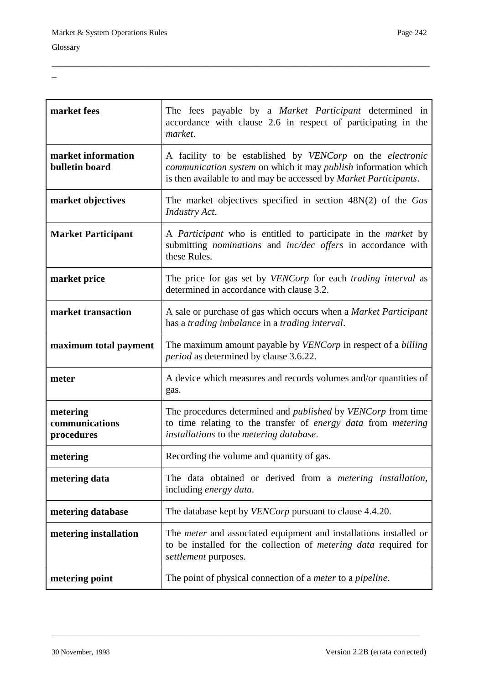| market fees                              | The fees payable by a <i>Market Participant</i> determined in<br>accordance with clause 2.6 in respect of participating in the<br>market.                                                       |
|------------------------------------------|-------------------------------------------------------------------------------------------------------------------------------------------------------------------------------------------------|
| market information<br>bulletin board     | A facility to be established by VENCorp on the electronic<br>communication system on which it may publish information which<br>is then available to and may be accessed by Market Participants. |
| market objectives                        | The market objectives specified in section $48N(2)$ of the Gas<br>Industry Act.                                                                                                                 |
| <b>Market Participant</b>                | A <i>Participant</i> who is entitled to participate in the <i>market</i> by<br>submitting <i>nominations</i> and <i>inc/dec offers</i> in accordance with<br>these Rules.                       |
| market price                             | The price for gas set by <i>VENCorp</i> for each <i>trading interval</i> as<br>determined in accordance with clause 3.2.                                                                        |
| market transaction                       | A sale or purchase of gas which occurs when a Market Participant<br>has a trading imbalance in a trading interval.                                                                              |
| maximum total payment                    | The maximum amount payable by <i>VENCorp</i> in respect of a <i>billing</i><br><i>period</i> as determined by clause 3.6.22.                                                                    |
| meter                                    | A device which measures and records volumes and/or quantities of<br>gas.                                                                                                                        |
| metering<br>communications<br>procedures | The procedures determined and <i>published</i> by <i>VENCorp</i> from time<br>to time relating to the transfer of energy data from metering<br>installations to the metering database.          |
| metering                                 | Recording the volume and quantity of gas.                                                                                                                                                       |
| metering data                            | The data obtained or derived from a <i>metering installation</i> ,<br>including energy data.                                                                                                    |
| metering database                        | The database kept by <i>VENCorp</i> pursuant to clause 4.4.20.                                                                                                                                  |
| metering installation                    | The <i>meter</i> and associated equipment and installations installed or<br>to be installed for the collection of <i>metering data</i> required for<br>settlement purposes.                     |
| metering point                           | The point of physical connection of a <i>meter</i> to a <i>pipeline</i> .                                                                                                                       |

 $\_$  ,  $\_$  ,  $\_$  ,  $\_$  ,  $\_$  ,  $\_$  ,  $\_$  ,  $\_$  ,  $\_$  ,  $\_$  ,  $\_$  ,  $\_$  ,  $\_$  ,  $\_$  ,  $\_$  ,  $\_$  ,  $\_$  ,  $\_$  ,  $\_$  ,  $\_$  ,  $\_$  ,  $\_$  ,  $\_$  ,  $\_$  ,  $\_$  ,  $\_$  ,  $\_$  ,  $\_$  ,  $\_$  ,  $\_$  ,  $\_$  ,  $\_$  ,  $\_$  ,  $\_$  ,  $\_$  ,  $\_$  ,  $\_$  ,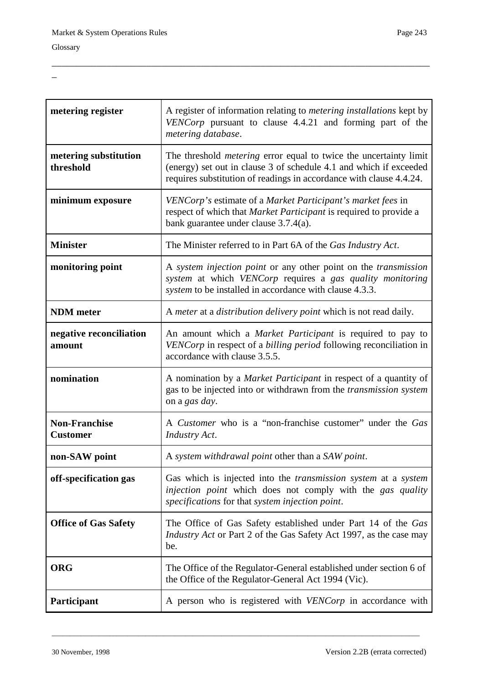| metering register                       | A register of information relating to <i>metering installations</i> kept by<br>VENCorp pursuant to clause 4.4.21 and forming part of the<br>metering database.                                                        |
|-----------------------------------------|-----------------------------------------------------------------------------------------------------------------------------------------------------------------------------------------------------------------------|
| metering substitution<br>threshold      | The threshold <i>metering</i> error equal to twice the uncertainty limit<br>(energy) set out in clause 3 of schedule 4.1 and which if exceeded<br>requires substitution of readings in accordance with clause 4.4.24. |
| minimum exposure                        | VENCorp's estimate of a Market Participant's market fees in<br>respect of which that Market Participant is required to provide a<br>bank guarantee under clause 3.7.4(a).                                             |
| <b>Minister</b>                         | The Minister referred to in Part 6A of the Gas Industry Act.                                                                                                                                                          |
| monitoring point                        | A system injection point or any other point on the transmission<br>system at which VENCorp requires a gas quality monitoring<br>system to be installed in accordance with clause 4.3.3.                               |
| <b>NDM</b> meter                        | A meter at a <i>distribution delivery point</i> which is not read daily.                                                                                                                                              |
| negative reconciliation<br>amount       | An amount which a <i>Market Participant</i> is required to pay to<br>VENCorp in respect of a billing period following reconciliation in<br>accordance with clause 3.5.5.                                              |
| nomination                              | A nomination by a <i>Market Participant</i> in respect of a quantity of<br>gas to be injected into or withdrawn from the transmission system<br>on a gas day.                                                         |
| <b>Non-Franchise</b><br><b>Customer</b> | A Customer who is a "non-franchise customer" under the Gas<br><b>Industry Act.</b>                                                                                                                                    |
| non-SAW point                           | A system withdrawal point other than a SAW point.                                                                                                                                                                     |
| off-specification gas                   | Gas which is injected into the <i>transmission system</i> at a <i>system</i><br>injection point which does not comply with the gas quality<br>specifications for that system injection point.                         |
| <b>Office of Gas Safety</b>             | The Office of Gas Safety established under Part 14 of the Gas<br><i>Industry Act</i> or Part 2 of the Gas Safety Act 1997, as the case may<br>be.                                                                     |
| <b>ORG</b>                              | The Office of the Regulator-General established under section 6 of<br>the Office of the Regulator-General Act 1994 (Vic).                                                                                             |
| Participant                             | A person who is registered with <i>VENCorp</i> in accordance with                                                                                                                                                     |

 $\_$  ,  $\_$  ,  $\_$  ,  $\_$  ,  $\_$  ,  $\_$  ,  $\_$  ,  $\_$  ,  $\_$  ,  $\_$  ,  $\_$  ,  $\_$  ,  $\_$  ,  $\_$  ,  $\_$  ,  $\_$  ,  $\_$  ,  $\_$  ,  $\_$  ,  $\_$  ,  $\_$  ,  $\_$  ,  $\_$  ,  $\_$  ,  $\_$  ,  $\_$  ,  $\_$  ,  $\_$  ,  $\_$  ,  $\_$  ,  $\_$  ,  $\_$  ,  $\_$  ,  $\_$  ,  $\_$  ,  $\_$  ,  $\_$  ,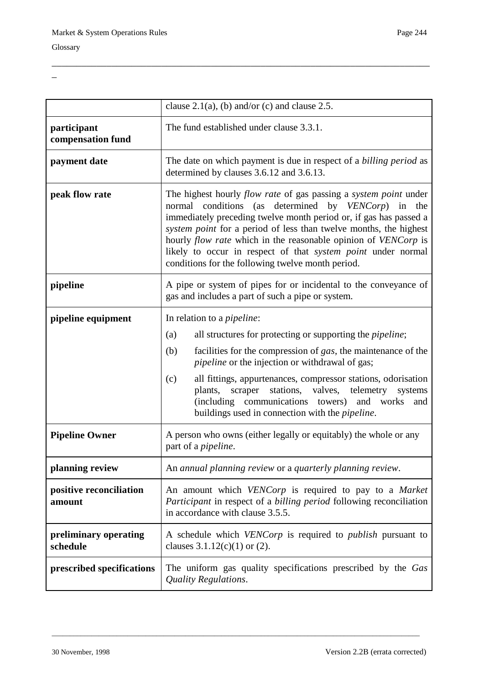$\overline{a}$ 

| participant<br>compensation fund  | The fund established under clause 3.3.1.                                                                                                                                                                                                                                                                                                                                                                                                                                                                                   |
|-----------------------------------|----------------------------------------------------------------------------------------------------------------------------------------------------------------------------------------------------------------------------------------------------------------------------------------------------------------------------------------------------------------------------------------------------------------------------------------------------------------------------------------------------------------------------|
| payment date                      | The date on which payment is due in respect of a <i>billing period</i> as<br>determined by clauses 3.6.12 and 3.6.13.                                                                                                                                                                                                                                                                                                                                                                                                      |
| peak flow rate                    | The highest hourly <i>flow rate</i> of gas passing a <i>system point</i> under<br>normal conditions (as determined by VENCorp) in the<br>immediately preceding twelve month period or, if gas has passed a<br>system point for a period of less than twelve months, the highest<br>hourly flow rate which in the reasonable opinion of VENCorp is<br>likely to occur in respect of that <i>system point</i> under normal<br>conditions for the following twelve month period.                                              |
| pipeline                          | A pipe or system of pipes for or incidental to the conveyance of<br>gas and includes a part of such a pipe or system.                                                                                                                                                                                                                                                                                                                                                                                                      |
| pipeline equipment                | In relation to a <i>pipeline</i> :<br>all structures for protecting or supporting the <i>pipeline</i> ;<br>(a)<br>facilities for the compression of <i>gas</i> , the maintenance of the<br>(b)<br><i>pipeline</i> or the injection or withdrawal of gas;<br>(c)<br>all fittings, appurtenances, compressor stations, odorisation<br>stations, valves,<br>telemetry<br>plants,<br>scraper<br>systems<br>(including communications towers)<br>and<br>works<br>and<br>buildings used in connection with the <i>pipeline</i> . |
| <b>Pipeline Owner</b>             | A person who owns (either legally or equitably) the whole or any<br>part of a <i>pipeline</i> .                                                                                                                                                                                                                                                                                                                                                                                                                            |
| planning review                   | An annual planning review or a quarterly planning review.                                                                                                                                                                                                                                                                                                                                                                                                                                                                  |
| positive reconciliation<br>amount | An amount which VENCorp is required to pay to a Market<br><i>Participant</i> in respect of a <i>billing period</i> following reconciliation<br>in accordance with clause 3.5.5.                                                                                                                                                                                                                                                                                                                                            |
| preliminary operating<br>schedule | A schedule which <i>VENCorp</i> is required to <i>publish</i> pursuant to<br>clauses $3.1.12(c)(1)$ or $(2)$ .                                                                                                                                                                                                                                                                                                                                                                                                             |
| prescribed specifications         | The uniform gas quality specifications prescribed by the Gas<br>Quality Regulations.                                                                                                                                                                                                                                                                                                                                                                                                                                       |

 $\_$  ,  $\_$  ,  $\_$  ,  $\_$  ,  $\_$  ,  $\_$  ,  $\_$  ,  $\_$  ,  $\_$  ,  $\_$  ,  $\_$  ,  $\_$  ,  $\_$  ,  $\_$  ,  $\_$  ,  $\_$  ,  $\_$  ,  $\_$  ,  $\_$  ,  $\_$  ,  $\_$  ,  $\_$  ,  $\_$  ,  $\_$  ,  $\_$  ,  $\_$  ,  $\_$  ,  $\_$  ,  $\_$  ,  $\_$  ,  $\_$  ,  $\_$  ,  $\_$  ,  $\_$  ,  $\_$  ,  $\_$  ,  $\_$  ,

\_\_\_\_\_\_\_\_\_\_\_\_\_\_\_\_\_\_\_\_\_\_\_\_\_\_\_\_\_\_\_\_\_\_\_\_\_\_\_\_\_\_\_\_\_\_\_\_\_\_\_\_\_\_\_\_\_\_\_\_\_\_\_\_\_\_\_\_\_\_\_\_\_\_\_\_

clause 2.1(a), (b) and/or (c) and clause 2.5.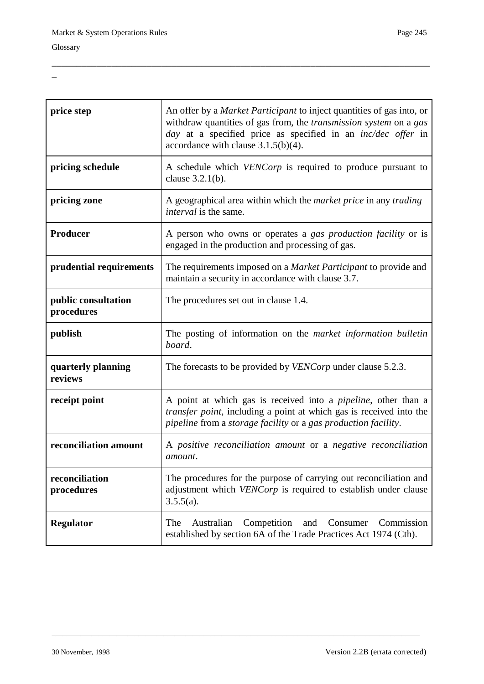| price step                        | An offer by a Market Participant to inject quantities of gas into, or<br>withdraw quantities of gas from, the <i>transmission system</i> on a gas<br>day at a specified price as specified in an inc/dec offer in<br>accordance with clause $3.1.5(b)(4)$ . |
|-----------------------------------|-------------------------------------------------------------------------------------------------------------------------------------------------------------------------------------------------------------------------------------------------------------|
| pricing schedule                  | A schedule which <i>VENCorp</i> is required to produce pursuant to<br>clause $3.2.1(b)$ .                                                                                                                                                                   |
| pricing zone                      | A geographical area within which the <i>market price</i> in any <i>trading</i><br><i>interval</i> is the same.                                                                                                                                              |
| Producer                          | A person who owns or operates a gas production facility or is<br>engaged in the production and processing of gas.                                                                                                                                           |
| prudential requirements           | The requirements imposed on a <i>Market Participant</i> to provide and<br>maintain a security in accordance with clause 3.7.                                                                                                                                |
| public consultation<br>procedures | The procedures set out in clause 1.4.                                                                                                                                                                                                                       |
| publish                           | The posting of information on the market information bulletin<br>board.                                                                                                                                                                                     |
| quarterly planning<br>reviews     | The forecasts to be provided by <i>VENCorp</i> under clause 5.2.3.                                                                                                                                                                                          |
| receipt point                     | A point at which gas is received into a <i>pipeline</i> , other than a<br>transfer point, including a point at which gas is received into the<br>pipeline from a storage facility or a gas production facility.                                             |
| reconciliation amount             | A positive reconciliation amount or a negative reconciliation<br>amount.                                                                                                                                                                                    |
| reconciliation<br>procedures      | The procedures for the purpose of carrying out reconciliation and<br>adjustment which VENCorp is required to establish under clause<br>$3.5.5(a)$ .                                                                                                         |
| <b>Regulator</b>                  | Australian<br>Competition<br>The<br>and<br>Consumer<br>Commission<br>established by section 6A of the Trade Practices Act 1974 (Cth).                                                                                                                       |

 $\_$  ,  $\_$  ,  $\_$  ,  $\_$  ,  $\_$  ,  $\_$  ,  $\_$  ,  $\_$  ,  $\_$  ,  $\_$  ,  $\_$  ,  $\_$  ,  $\_$  ,  $\_$  ,  $\_$  ,  $\_$  ,  $\_$  ,  $\_$  ,  $\_$  ,  $\_$  ,  $\_$  ,  $\_$  ,  $\_$  ,  $\_$  ,  $\_$  ,  $\_$  ,  $\_$  ,  $\_$  ,  $\_$  ,  $\_$  ,  $\_$  ,  $\_$  ,  $\_$  ,  $\_$  ,  $\_$  ,  $\_$  ,  $\_$  ,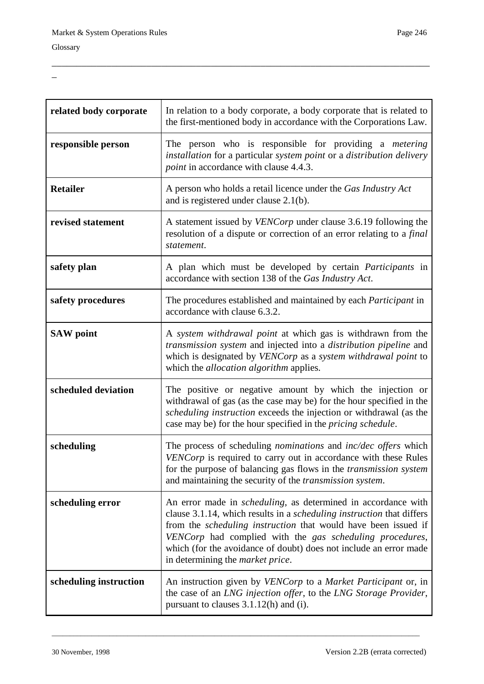| related body corporate | In relation to a body corporate, a body corporate that is related to<br>the first-mentioned body in accordance with the Corporations Law.                                                                                                                                                                                                                                                     |
|------------------------|-----------------------------------------------------------------------------------------------------------------------------------------------------------------------------------------------------------------------------------------------------------------------------------------------------------------------------------------------------------------------------------------------|
| responsible person     | The person who is responsible for providing a <i>metering</i><br>installation for a particular system point or a distribution delivery<br>point in accordance with clause 4.4.3.                                                                                                                                                                                                              |
| <b>Retailer</b>        | A person who holds a retail licence under the Gas Industry Act<br>and is registered under clause $2.1(b)$ .                                                                                                                                                                                                                                                                                   |
| revised statement      | A statement issued by <i>VENCorp</i> under clause 3.6.19 following the<br>resolution of a dispute or correction of an error relating to a final<br>statement.                                                                                                                                                                                                                                 |
| safety plan            | A plan which must be developed by certain Participants in<br>accordance with section 138 of the Gas Industry Act.                                                                                                                                                                                                                                                                             |
| safety procedures      | The procedures established and maintained by each <i>Participant</i> in<br>accordance with clause 6.3.2.                                                                                                                                                                                                                                                                                      |
| <b>SAW</b> point       | A system withdrawal point at which gas is withdrawn from the<br>transmission system and injected into a distribution pipeline and<br>which is designated by VENCorp as a system withdrawal point to<br>which the <i>allocation algorithm</i> applies.                                                                                                                                         |
| scheduled deviation    | The positive or negative amount by which the injection or<br>withdrawal of gas (as the case may be) for the hour specified in the<br>scheduling instruction exceeds the injection or withdrawal (as the<br>case may be) for the hour specified in the <i>pricing schedule</i> .                                                                                                               |
| scheduling             | The process of scheduling <i>nominations</i> and <i>inc/dec offers</i> which<br>VENCorp is required to carry out in accordance with these Rules<br>for the purpose of balancing gas flows in the <i>transmission system</i><br>and maintaining the security of the <i>transmission system</i> .                                                                                               |
| scheduling error       | An error made in <i>scheduling</i> , as determined in accordance with<br>clause 3.1.14, which results in a scheduling instruction that differs<br>from the scheduling instruction that would have been issued if<br>VENCorp had complied with the gas scheduling procedures,<br>which (for the avoidance of doubt) does not include an error made<br>in determining the <i>market price</i> . |
| scheduling instruction | An instruction given by VENCorp to a Market Participant or, in<br>the case of an LNG injection offer, to the LNG Storage Provider,<br>pursuant to clauses $3.1.12(h)$ and (i).                                                                                                                                                                                                                |

 $\_$  ,  $\_$  ,  $\_$  ,  $\_$  ,  $\_$  ,  $\_$  ,  $\_$  ,  $\_$  ,  $\_$  ,  $\_$  ,  $\_$  ,  $\_$  ,  $\_$  ,  $\_$  ,  $\_$  ,  $\_$  ,  $\_$  ,  $\_$  ,  $\_$  ,  $\_$  ,  $\_$  ,  $\_$  ,  $\_$  ,  $\_$  ,  $\_$  ,  $\_$  ,  $\_$  ,  $\_$  ,  $\_$  ,  $\_$  ,  $\_$  ,  $\_$  ,  $\_$  ,  $\_$  ,  $\_$  ,  $\_$  ,  $\_$  ,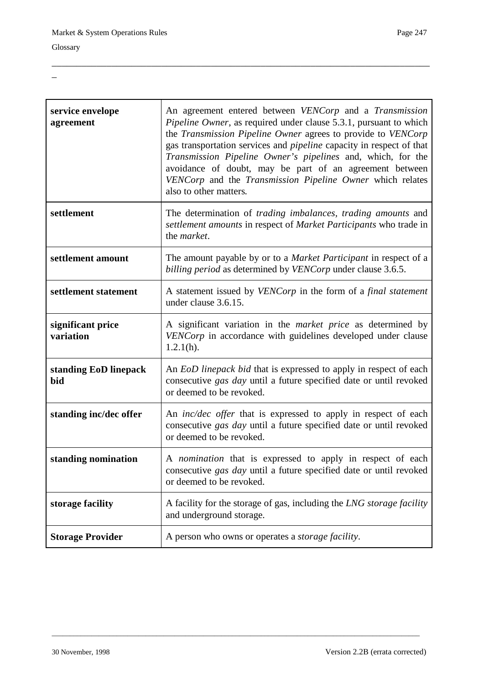| service envelope<br>agreement  | An agreement entered between VENCorp and a Transmission<br>Pipeline Owner, as required under clause 5.3.1, pursuant to which<br>the Transmission Pipeline Owner agrees to provide to VENCorp<br>gas transportation services and <i>pipeline</i> capacity in respect of that<br>Transmission Pipeline Owner's pipelines and, which, for the<br>avoidance of doubt, may be part of an agreement between<br>VENCorp and the Transmission Pipeline Owner which relates<br>also to other matters. |
|--------------------------------|----------------------------------------------------------------------------------------------------------------------------------------------------------------------------------------------------------------------------------------------------------------------------------------------------------------------------------------------------------------------------------------------------------------------------------------------------------------------------------------------|
| settlement                     | The determination of <i>trading imbalances</i> , <i>trading amounts</i> and<br>settlement amounts in respect of Market Participants who trade in<br>the <i>market</i> .                                                                                                                                                                                                                                                                                                                      |
| settlement amount              | The amount payable by or to a Market Participant in respect of a<br>billing period as determined by VENCorp under clause 3.6.5.                                                                                                                                                                                                                                                                                                                                                              |
| settlement statement           | A statement issued by <i>VENCorp</i> in the form of a <i>final statement</i><br>under clause 3.6.15.                                                                                                                                                                                                                                                                                                                                                                                         |
| significant price<br>variation | A significant variation in the <i>market price</i> as determined by<br>VENCorp in accordance with guidelines developed under clause<br>$1.2.1(h)$ .                                                                                                                                                                                                                                                                                                                                          |
| standing EoD linepack<br>bid   | An EoD linepack bid that is expressed to apply in respect of each<br>consecutive gas day until a future specified date or until revoked<br>or deemed to be revoked.                                                                                                                                                                                                                                                                                                                          |
| standing inc/dec offer         | An <i>inc/dec</i> offer that is expressed to apply in respect of each<br>consecutive gas day until a future specified date or until revoked<br>or deemed to be revoked.                                                                                                                                                                                                                                                                                                                      |
| standing nomination            | A nomination that is expressed to apply in respect of each<br>consecutive gas day until a future specified date or until revoked<br>or deemed to be revoked.                                                                                                                                                                                                                                                                                                                                 |
| storage facility               | A facility for the storage of gas, including the LNG storage facility<br>and underground storage.                                                                                                                                                                                                                                                                                                                                                                                            |
| <b>Storage Provider</b>        | A person who owns or operates a <i>storage facility</i> .                                                                                                                                                                                                                                                                                                                                                                                                                                    |

 $\_$  ,  $\_$  ,  $\_$  ,  $\_$  ,  $\_$  ,  $\_$  ,  $\_$  ,  $\_$  ,  $\_$  ,  $\_$  ,  $\_$  ,  $\_$  ,  $\_$  ,  $\_$  ,  $\_$  ,  $\_$  ,  $\_$  ,  $\_$  ,  $\_$  ,  $\_$  ,  $\_$  ,  $\_$  ,  $\_$  ,  $\_$  ,  $\_$  ,  $\_$  ,  $\_$  ,  $\_$  ,  $\_$  ,  $\_$  ,  $\_$  ,  $\_$  ,  $\_$  ,  $\_$  ,  $\_$  ,  $\_$  ,  $\_$  ,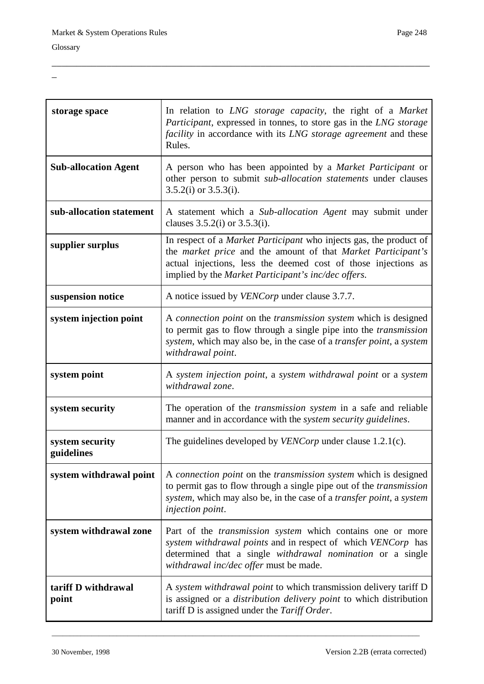| storage space                 | In relation to LNG storage capacity, the right of a Market<br>Participant, expressed in tonnes, to store gas in the LNG storage<br>facility in accordance with its LNG storage agreement and these<br>Rules.                                                |
|-------------------------------|-------------------------------------------------------------------------------------------------------------------------------------------------------------------------------------------------------------------------------------------------------------|
| <b>Sub-allocation Agent</b>   | A person who has been appointed by a Market Participant or<br>other person to submit <i>sub-allocation statements</i> under clauses<br>$3.5.2(i)$ or $3.5.3(i)$ .                                                                                           |
| sub-allocation statement      | A statement which a Sub-allocation Agent may submit under<br>clauses $3.5.2(i)$ or $3.5.3(i)$ .                                                                                                                                                             |
| supplier surplus              | In respect of a Market Participant who injects gas, the product of<br>the market price and the amount of that Market Participant's<br>actual injections, less the deemed cost of those injections as<br>implied by the Market Participant's inc/dec offers. |
| suspension notice             | A notice issued by <i>VENCorp</i> under clause 3.7.7.                                                                                                                                                                                                       |
| system injection point        | A connection point on the transmission system which is designed<br>to permit gas to flow through a single pipe into the <i>transmission</i><br>system, which may also be, in the case of a transfer point, a system<br>withdrawal point.                    |
| system point                  | A system injection point, a system withdrawal point or a system<br>withdrawal zone.                                                                                                                                                                         |
| system security               | The operation of the <i>transmission system</i> in a safe and reliable<br>manner and in accordance with the <i>system security guidelines</i> .                                                                                                             |
| system security<br>guidelines | The guidelines developed by <i>VENCorp</i> under clause 1.2.1(c).                                                                                                                                                                                           |
| system withdrawal point       | A connection point on the transmission system which is designed<br>to permit gas to flow through a single pipe out of the <i>transmission</i><br>system, which may also be, in the case of a transfer point, a system<br>injection point.                   |
| system withdrawal zone        | Part of the <i>transmission system</i> which contains one or more<br>system withdrawal points and in respect of which VENCorp has<br>determined that a single withdrawal nomination or a single<br>withdrawal inc/dec offer must be made.                   |
| tariff D withdrawal<br>point  | A system withdrawal point to which transmission delivery tariff D<br>is assigned or a <i>distribution delivery point</i> to which distribution<br>tariff D is assigned under the Tariff Order.                                                              |

 $\_$  ,  $\_$  ,  $\_$  ,  $\_$  ,  $\_$  ,  $\_$  ,  $\_$  ,  $\_$  ,  $\_$  ,  $\_$  ,  $\_$  ,  $\_$  ,  $\_$  ,  $\_$  ,  $\_$  ,  $\_$  ,  $\_$  ,  $\_$  ,  $\_$  ,  $\_$  ,  $\_$  ,  $\_$  ,  $\_$  ,  $\_$  ,  $\_$  ,  $\_$  ,  $\_$  ,  $\_$  ,  $\_$  ,  $\_$  ,  $\_$  ,  $\_$  ,  $\_$  ,  $\_$  ,  $\_$  ,  $\_$  ,  $\_$  ,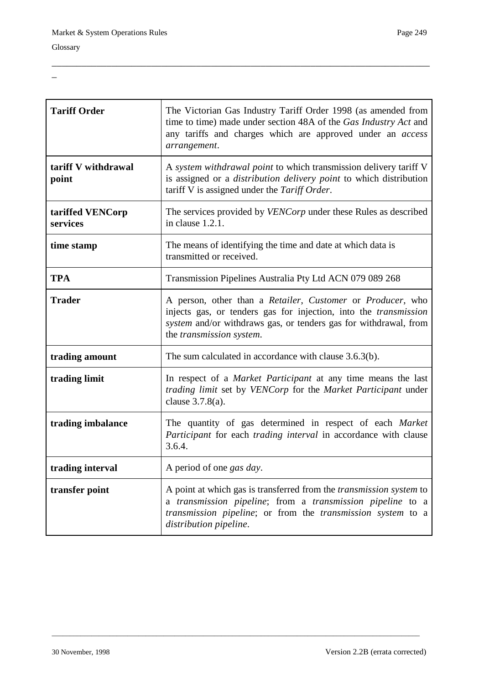| <b>Tariff Order</b>          | The Victorian Gas Industry Tariff Order 1998 (as amended from<br>time to time) made under section 48A of the Gas Industry Act and<br>any tariffs and charges which are approved under an <i>access</i><br>arrangement.                |
|------------------------------|---------------------------------------------------------------------------------------------------------------------------------------------------------------------------------------------------------------------------------------|
| tariff V withdrawal<br>point | A system withdrawal point to which transmission delivery tariff V<br>is assigned or a <i>distribution delivery point</i> to which distribution<br>tariff V is assigned under the Tariff Order.                                        |
| tariffed VENCorp<br>services | The services provided by <i>VENCorp</i> under these Rules as described<br>in clause 1.2.1.                                                                                                                                            |
| time stamp                   | The means of identifying the time and date at which data is<br>transmitted or received.                                                                                                                                               |
| <b>TPA</b>                   | Transmission Pipelines Australia Pty Ltd ACN 079 089 268                                                                                                                                                                              |
| <b>Trader</b>                | A person, other than a Retailer, Customer or Producer, who<br>injects gas, or tenders gas for injection, into the <i>transmission</i><br>system and/or withdraws gas, or tenders gas for withdrawal, from<br>the transmission system. |
| trading amount               | The sum calculated in accordance with clause 3.6.3(b).                                                                                                                                                                                |
| trading limit                | In respect of a <i>Market Participant</i> at any time means the last<br>trading limit set by VENCorp for the Market Participant under<br>clause $3.7.8(a)$ .                                                                          |
| trading imbalance            | The quantity of gas determined in respect of each Market<br>Participant for each trading interval in accordance with clause<br>3.6.4.                                                                                                 |
| trading interval             | A period of one gas day.                                                                                                                                                                                                              |
| transfer point               | A point at which gas is transferred from the <i>transmission system</i> to<br>a transmission pipeline; from a transmission pipeline to a<br>transmission pipeline; or from the transmission system to a<br>distribution pipeline.     |

 $\_$  ,  $\_$  ,  $\_$  ,  $\_$  ,  $\_$  ,  $\_$  ,  $\_$  ,  $\_$  ,  $\_$  ,  $\_$  ,  $\_$  ,  $\_$  ,  $\_$  ,  $\_$  ,  $\_$  ,  $\_$  ,  $\_$  ,  $\_$  ,  $\_$  ,  $\_$  ,  $\_$  ,  $\_$  ,  $\_$  ,  $\_$  ,  $\_$  ,  $\_$  ,  $\_$  ,  $\_$  ,  $\_$  ,  $\_$  ,  $\_$  ,  $\_$  ,  $\_$  ,  $\_$  ,  $\_$  ,  $\_$  ,  $\_$  ,